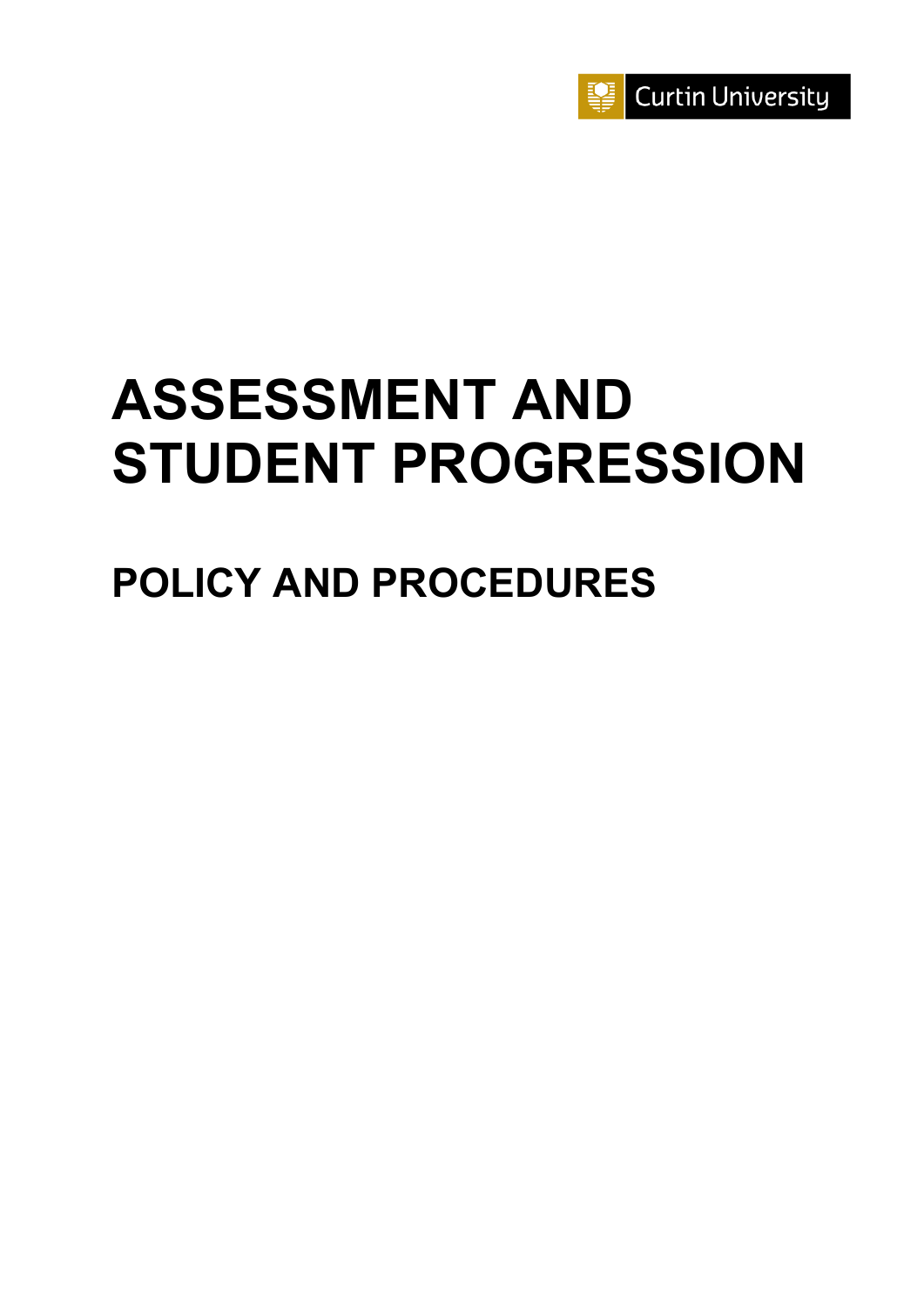

# **ASSESSMENT AND STUDENT PROGRESSION**

## **POLICY AND PROCEDURES**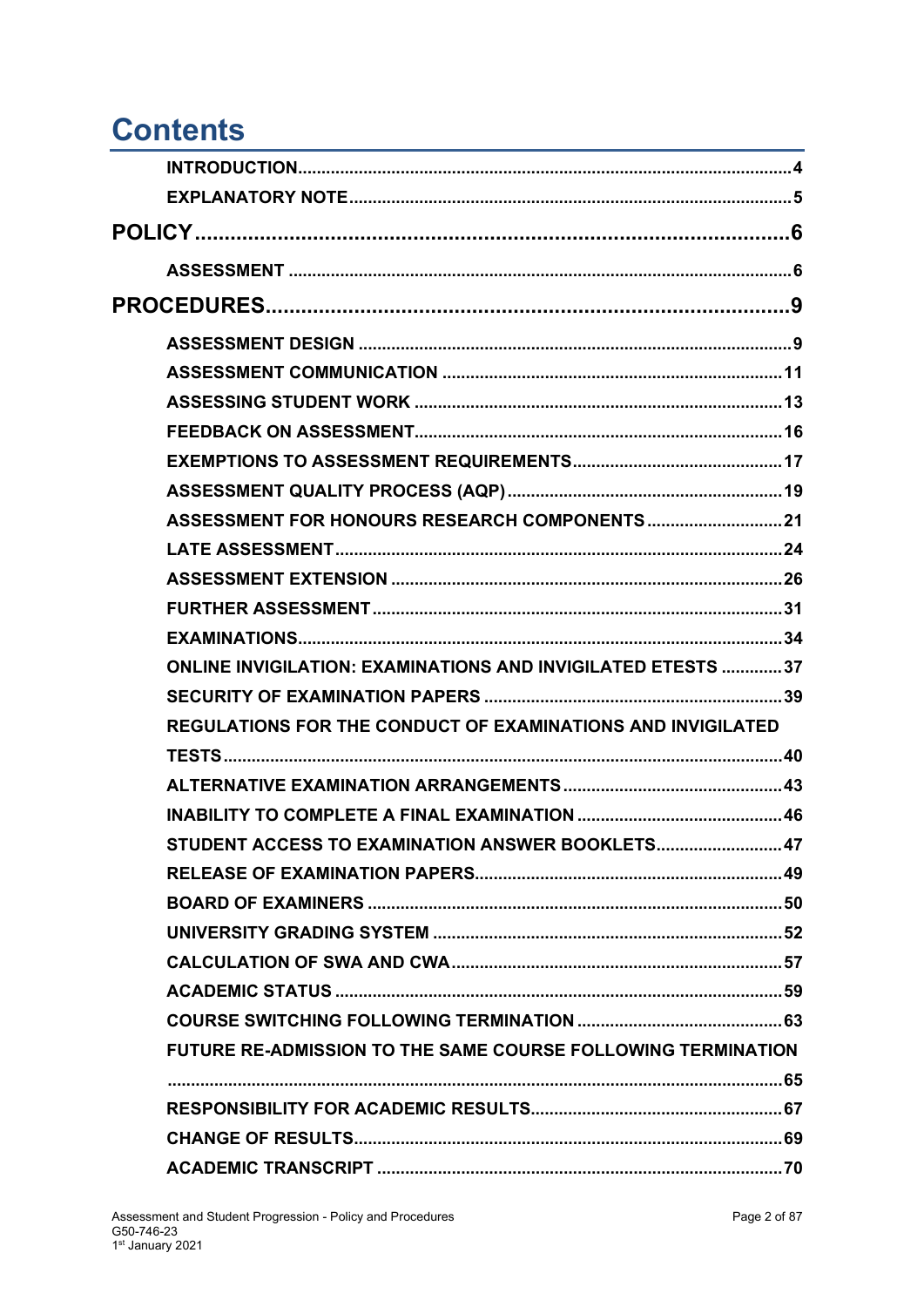### <span id="page-1-0"></span>**Contents**

| ASSESSMENT FOR HONOURS RESEARCH COMPONENTS 21                      |  |
|--------------------------------------------------------------------|--|
|                                                                    |  |
|                                                                    |  |
|                                                                    |  |
|                                                                    |  |
| <b>ONLINE INVIGILATION: EXAMINATIONS AND INVIGILATED ETESTS 37</b> |  |
|                                                                    |  |
| <b>REGULATIONS FOR THE CONDUCT OF EXAMINATIONS AND INVIGILATED</b> |  |
|                                                                    |  |
|                                                                    |  |
|                                                                    |  |
| STUDENT ACCESS TO EXAMINATION ANSWER BOOKLETS 47                   |  |
|                                                                    |  |
|                                                                    |  |
|                                                                    |  |
|                                                                    |  |
|                                                                    |  |
|                                                                    |  |
| FUTURE RE-ADMISSION TO THE SAME COURSE FOLLOWING TERMINATION       |  |
|                                                                    |  |
|                                                                    |  |
|                                                                    |  |
|                                                                    |  |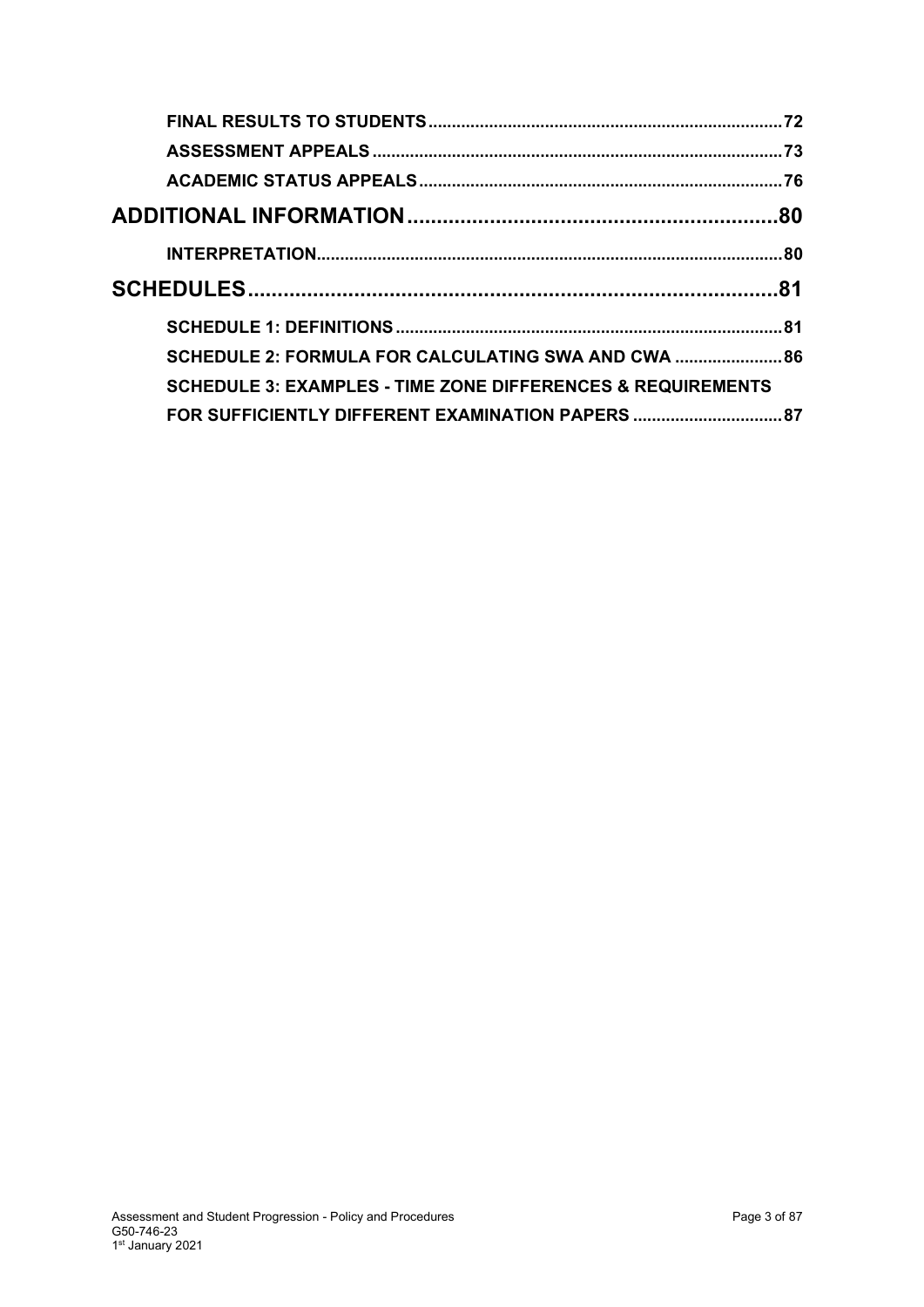| SCHEDULE 2: FORMULA FOR CALCULATING SWA AND CWA  86                    |  |
|------------------------------------------------------------------------|--|
| <b>SCHEDULE 3: EXAMPLES - TIME ZONE DIFFERENCES &amp; REQUIREMENTS</b> |  |
| FOR SUFFICIENTLY DIFFERENT EXAMINATION PAPERS  87                      |  |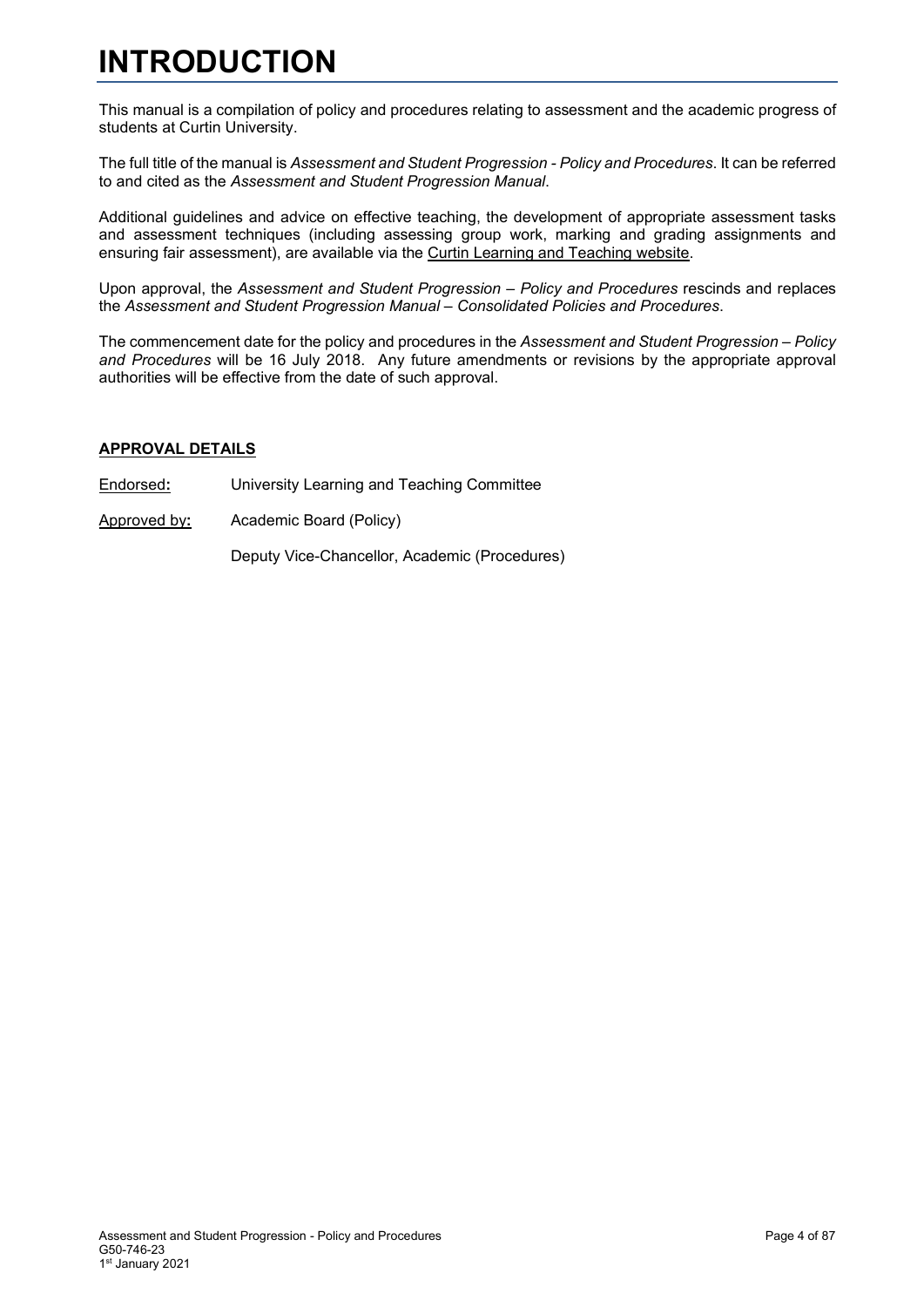### <span id="page-3-0"></span>**INTRODUCTION**

This manual is a compilation of policy and procedures relating to assessment and the academic progress of students at Curtin University.

The full title of the manual is *Assessment and Student Progression - Policy and Procedures*. It can be referred to and cited as the *Assessment and Student Progression Manual*.

Additional guidelines and advice on effective teaching, the development of appropriate assessment tasks and assessment techniques (including assessing group work, marking and grading assignments and ensuring fair assessment), are available via the [Curtin Learning and Teaching website.](https://clt.curtin.edu.au/)

Upon approval, the *Assessment and Student Progression – Policy and Procedures* rescinds and replaces the *Assessment and Student Progression Manual – Consolidated Policies and Procedures*.

The commencement date for the policy and procedures in the *Assessment and Student Progression – Policy and Procedures* will be 16 July 2018. Any future amendments or revisions by the appropriate approval authorities will be effective from the date of such approval.

### **APPROVAL DETAILS**

- Endorsed**:** University Learning and Teaching Committee
- Approved by**:** Academic Board (Policy)

Deputy Vice-Chancellor, Academic (Procedures)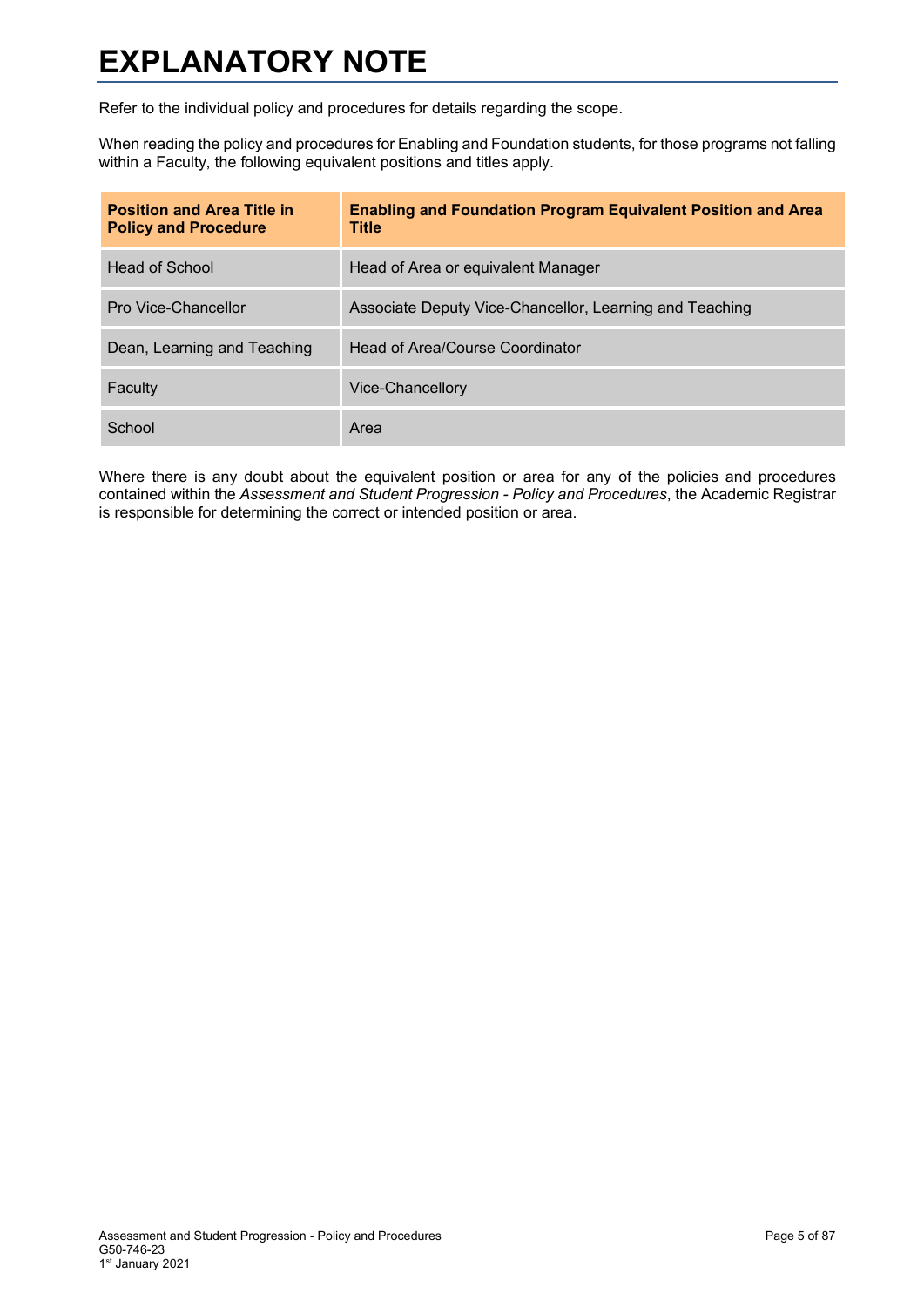### <span id="page-4-0"></span>**EXPLANATORY NOTE**

Refer to the individual policy and procedures for details regarding the scope.

When reading the policy and procedures for Enabling and Foundation students, for those programs not falling within a Faculty, the following equivalent positions and titles apply.

| <b>Position and Area Title in</b><br><b>Policy and Procedure</b> | <b>Enabling and Foundation Program Equivalent Position and Area</b><br><b>Title</b> |
|------------------------------------------------------------------|-------------------------------------------------------------------------------------|
| Head of School                                                   | Head of Area or equivalent Manager                                                  |
| Pro Vice-Chancellor                                              | Associate Deputy Vice-Chancellor, Learning and Teaching                             |
| Dean, Learning and Teaching                                      | Head of Area/Course Coordinator                                                     |
| Faculty                                                          | Vice-Chancellory                                                                    |
| School                                                           | Area                                                                                |

Where there is any doubt about the equivalent position or area for any of the policies and procedures contained within the *Assessment and Student Progression - Policy and Procedures*, the Academic Registrar is responsible for determining the correct or intended position or area.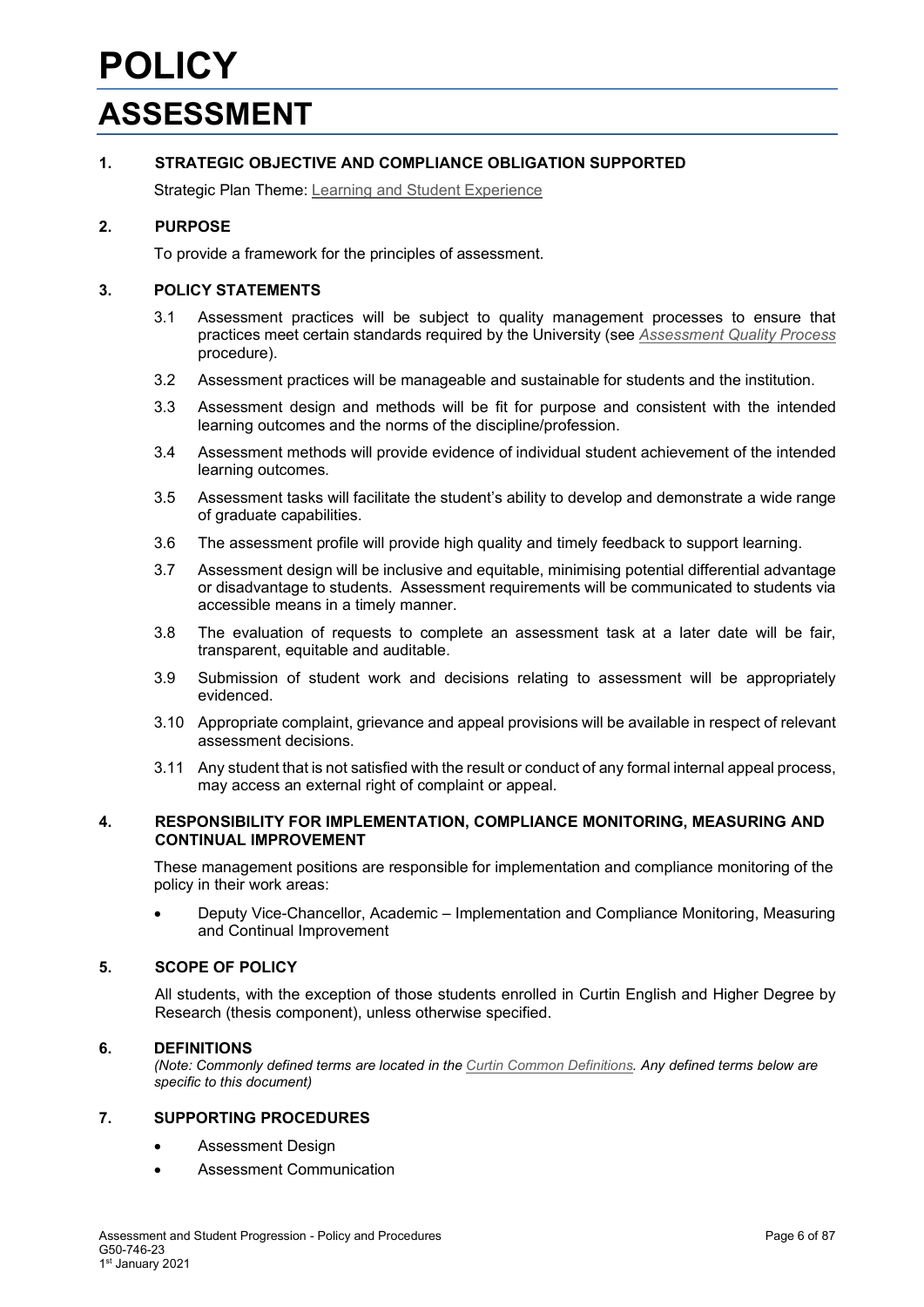<span id="page-5-1"></span><span id="page-5-0"></span>Strategic Plan Theme: [Learning and Student Experience](http://strategicplan.curtin.edu.au/themes/learning-student-experience/)

### **2. PURPOSE**

To provide a framework for the principles of assessment.

### **3. POLICY STATEMENTS**

- 3.1 Assessment practices will be subject to quality management processes to ensure that practices meet certain standards required by the University (see *[Assessment Quality](#page-1-0) Process* procedure).
- 3.2 Assessment practices will be manageable and sustainable for students and the institution.
- 3.3 Assessment design and methods will be fit for purpose and consistent with the intended learning outcomes and the norms of the discipline/profession.
- 3.4 Assessment methods will provide evidence of individual student achievement of the intended learning outcomes.
- 3.5 Assessment tasks will facilitate the student's ability to develop and demonstrate a wide range of graduate capabilities.
- 3.6 The assessment profile will provide high quality and timely feedback to support learning.
- 3.7 Assessment design will be inclusive and equitable, minimising potential differential advantage or disadvantage to students. Assessment requirements will be communicated to students via accessible means in a timely manner.
- 3.8 The evaluation of requests to complete an assessment task at a later date will be fair, transparent, equitable and auditable.
- 3.9 Submission of student work and decisions relating to assessment will be appropriately evidenced.
- 3.10 Appropriate complaint, grievance and appeal provisions will be available in respect of relevant assessment decisions.
- 3.11 Any student that is not satisfied with the result or conduct of any formal internal appeal process, may access an external right of complaint or appeal.

### **4. RESPONSIBILITY FOR IMPLEMENTATION, COMPLIANCE MONITORING, MEASURING AND CONTINUAL IMPROVEMENT**

These management positions are responsible for implementation and compliance monitoring of the policy in their work areas:

• Deputy Vice-Chancellor, Academic – Implementation and Compliance Monitoring, Measuring and Continual Improvement

### **5. SCOPE OF POLICY**

All students, with the exception of those students enrolled in Curtin English and Higher Degree by Research (thesis component), unless otherwise specified.

### **6. DEFINITIONS**

*(Note: Commonly defined terms are located in the [Curtin Common Definitions.](http://policies.curtin.edu.au/findapolicy/) Any defined terms below are specific to this document)*

### **7. SUPPORTING PROCEDURES**

- Assessment Design
- Assessment Communication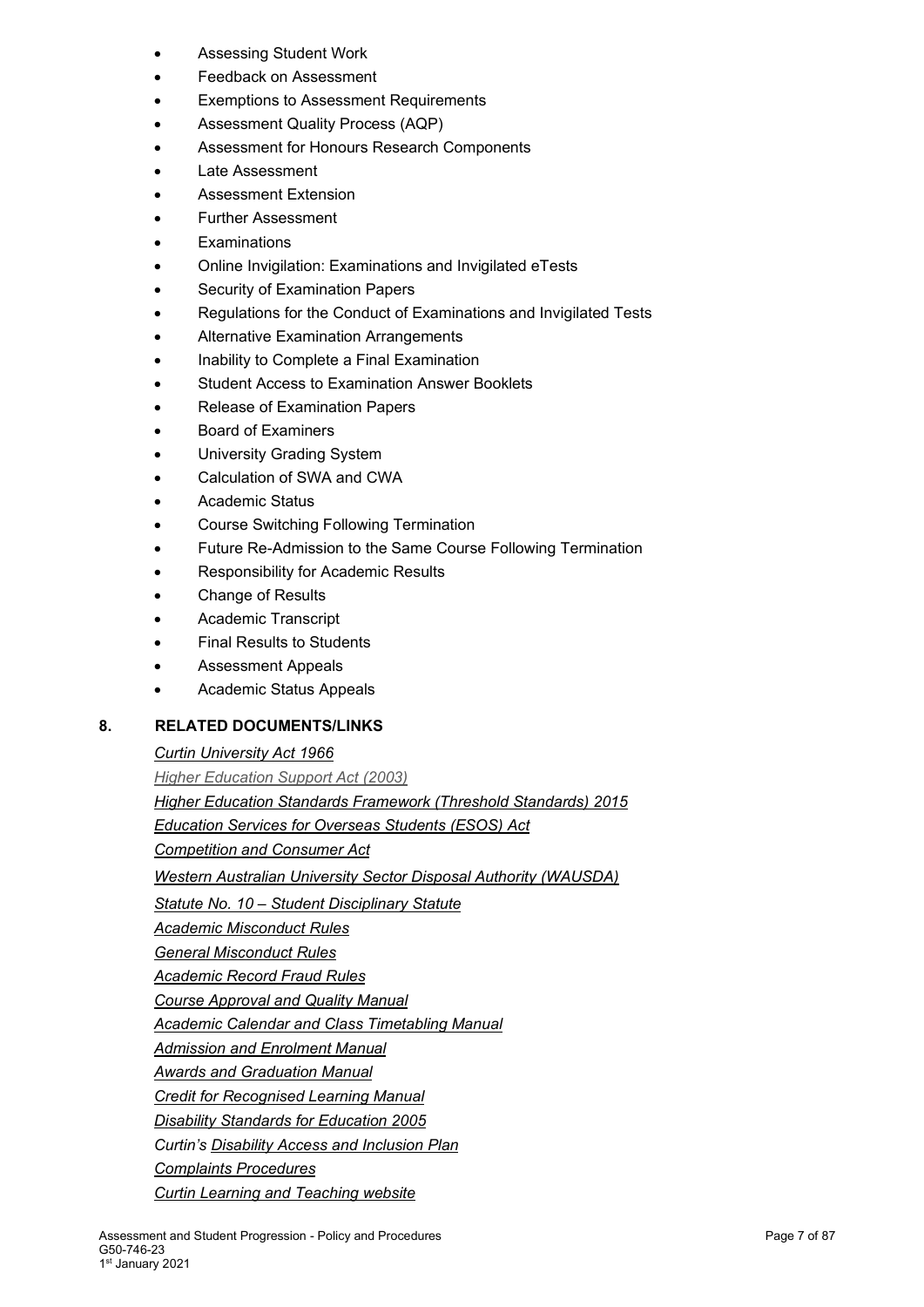- Assessing Student Work
- Feedback on Assessment
- **Exemptions to Assessment Requirements**
- Assessment Quality Process (AQP)
- Assessment for Honours Research Components
- Late Assessment
- Assessment Extension
- Further Assessment
- **Examinations**
- Online Invigilation: Examinations and Invigilated eTests
- Security of Examination Papers
- Regulations for the Conduct of Examinations and Invigilated Tests
- Alternative Examination Arrangements
- Inability to Complete a Final Examination
- Student Access to Examination Answer Booklets
- Release of Examination Papers
- Board of Examiners
- University Grading System
- Calculation of SWA and CWA
- Academic Status
- Course Switching Following Termination
- Future Re-Admission to the Same Course Following Termination
- Responsibility for Academic Results
- Change of Results
- Academic Transcript
- **Final Results to Students**
- Assessment Appeals
- Academic Status Appeals

### **8. RELATED DOCUMENTS/LINKS**

### *[Curtin University Act 1966](https://www.slp.wa.gov.au/legislation/statutes.nsf/main_mrtitle_235_homepage.html)*

*[Higher Education Support Act \(2003\)](https://www.legislation.gov.au/Details/C2017C00261) [Higher Education Standards Framework \(Threshold Standards\) 2015](https://www.legislation.gov.au/Details/F2015L01639) [Education Services for Overseas Students \(ESOS\) Act](https://www.legislation.gov.au/Details/C2016C00935) [Competition and Consumer Act](https://www.comlaw.gov.au/Series/C2004A00109) [Western Australian University Sector Disposal Authority \(WAUSDA\)](http://rim.curtin.edu.au/local/docs/WesternAustralianUniversitySectorDisposalAuthority.pdf) Statute No. 10 – [Student Disciplinary Statute](http://policies.curtin.edu.au/legislation/statutes_rules.cfm) [Academic Misconduct Rules](http://policies.curtin.edu.au/legislation/statutes_rules.cfm) [General Misconduct Rules](http://policies.curtin.edu.au/legislation/statutes_rules.cfm) [Academic Record Fraud Rules](http://policies.curtin.edu.au/legislation/statutes_rules.cfm) [Course Approval and Quality Manual](http://policies.curtin.edu.au/findapolicy/index.cfm) [Academic Calendar and Class Timetabling Manual](http://policies.curtin.edu.au/findapolicy/index.cfm) [Admission and Enrolment Manual](http://policies.curtin.edu.au/findapolicy/index.cfm) [Awards and Graduation Manual](http://policies.curtin.edu.au/findapolicy/index.cfm) [Credit for Recognised Learning Manual](http://policies.curtin.edu.au/findapolicy/index.cfm) [Disability Standards for Education 2005](http://education.gov.au/disability-standards-education-2005) Curtin's [Disability Access and Inclusion Plan](http://about.curtin.edu.au/policy-governance/disability-access-inclusion-plan/) [Complaints Procedures](http://policies.curtin.edu.au/findapolicy/index.cfm) [Curtin Learning and Teaching website](https://clt.curtin.edu.au/)*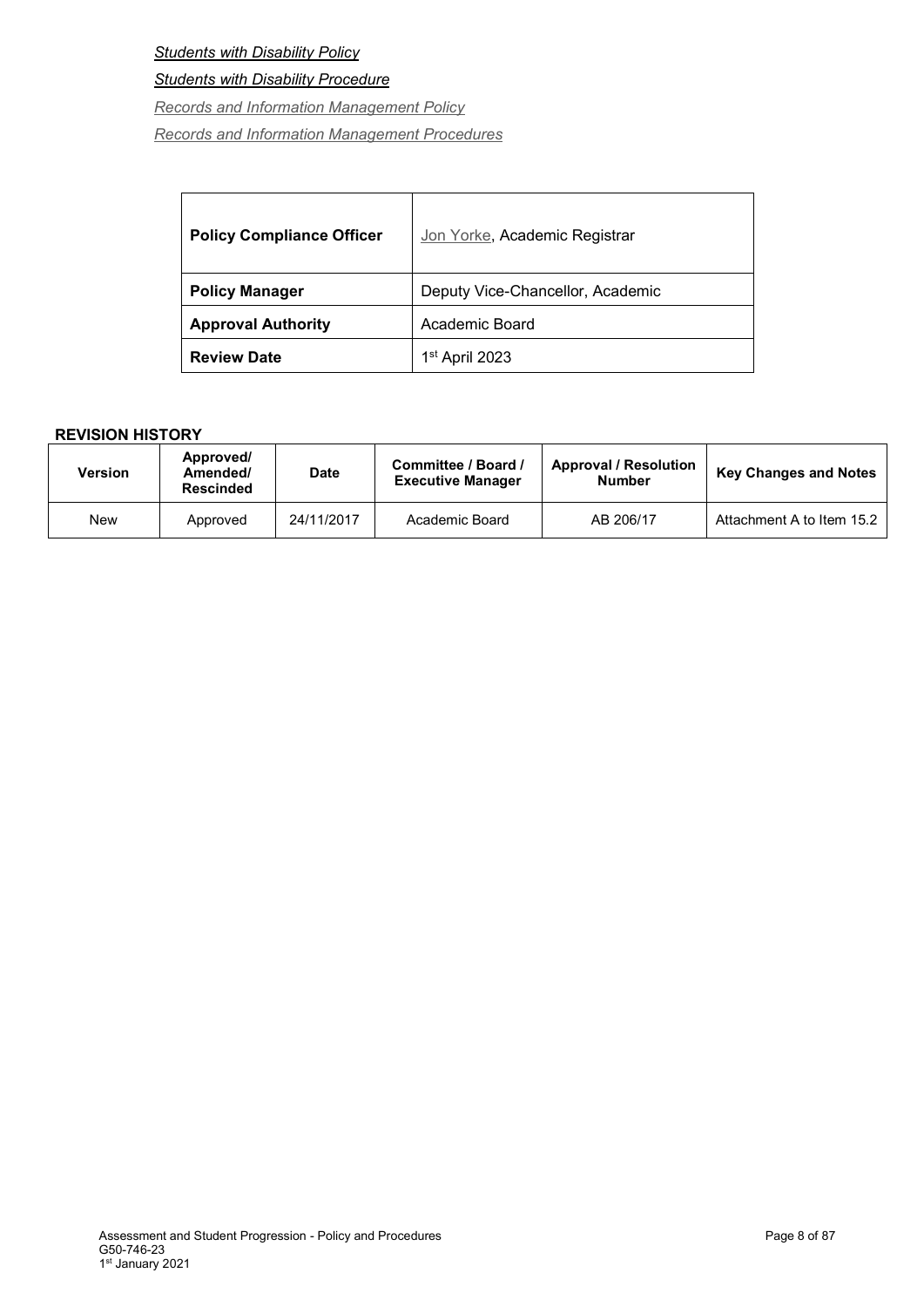*[Students with Disability Policy](http://policies.curtin.edu.au/findapolicy/index.cfm#s)*

*[Students with Disability Procedure](http://policies.curtin.edu.au/findapolicy/index.cfm#s)*

*[Records and Information Management](http://policies.curtin.edu.au/findapolicy/index.cfm#r) Policy*

*[Records and Information Management Procedures](http://policies.curtin.edu.au/findapolicy/index.cfm#r)*

| <b>Policy Compliance Officer</b> | Jon Yorke, Academic Registrar    |
|----------------------------------|----------------------------------|
| <b>Policy Manager</b>            | Deputy Vice-Chancellor, Academic |
| <b>Approval Authority</b>        | Academic Board                   |
| <b>Review Date</b>               | 1 <sup>st</sup> April 2023       |

| Version | Approved/<br>Amended/<br><b>Rescinded</b> | <b>Date</b> | Committee / Board /<br><b>Executive Manager</b> | <b>Approval / Resolution</b><br><b>Number</b> | <b>Key Changes and Notes</b> |
|---------|-------------------------------------------|-------------|-------------------------------------------------|-----------------------------------------------|------------------------------|
| New     | Approved                                  | 24/11/2017  | Academic Board                                  | AB 206/17                                     | Attachment A to Item 15.2    |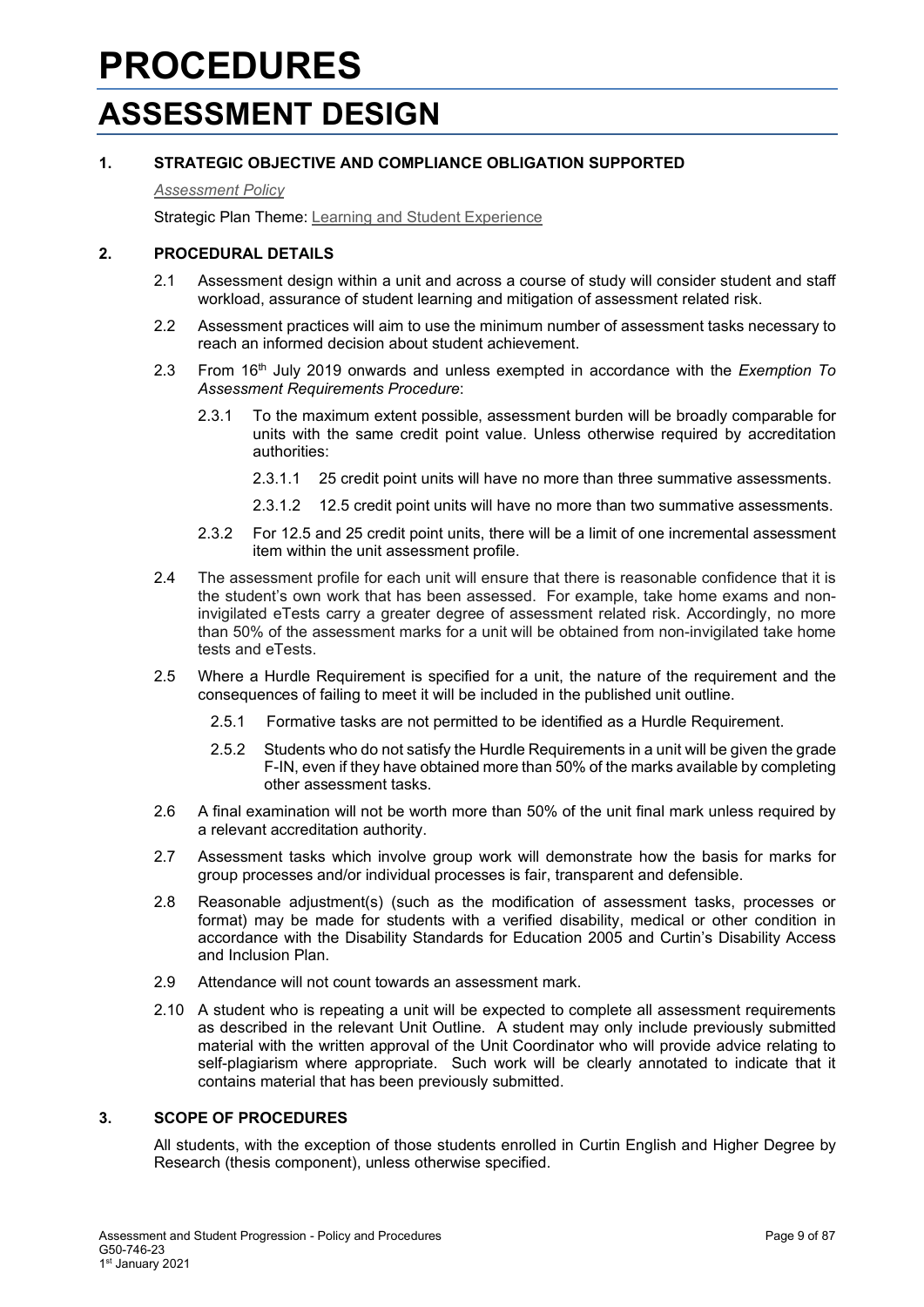### <span id="page-8-1"></span><span id="page-8-0"></span>**PROCEDURES ASSESSMENT DESIGN**

### **1. STRATEGIC OBJECTIVE AND COMPLIANCE OBLIGATION SUPPORTED**

### *[Assessment Policy](#page-1-0)*

Strategic Plan Theme: [Learning and Student Experience](http://strategicplan.curtin.edu.au/themes/learning-student-experience/)

### **2. PROCEDURAL DETAILS**

- 2.1 Assessment design within a unit and across a course of study will consider student and staff workload, assurance of student learning and mitigation of assessment related risk.
- 2.2 Assessment practices will aim to use the minimum number of assessment tasks necessary to reach an informed decision about student achievement.
- 2.3 From 16th July 2019 onwards and unless exempted in accordance with the *Exemption To Assessment Requirements Procedure*:
	- 2.3.1 To the maximum extent possible, assessment burden will be broadly comparable for units with the same credit point value. Unless otherwise required by accreditation authorities:
		- 2.3.1.1 25 credit point units will have no more than three summative assessments.
		- 2.3.1.2 12.5 credit point units will have no more than two summative assessments.
	- 2.3.2 For 12.5 and 25 credit point units, there will be a limit of one incremental assessment item within the unit assessment profile.
- 2.4 The assessment profile for each unit will ensure that there is reasonable confidence that it is the student's own work that has been assessed. For example, take home exams and noninvigilated eTests carry a greater degree of assessment related risk. Accordingly, no more than 50% of the assessment marks for a unit will be obtained from non-invigilated take home tests and eTests.
- 2.5 Where a Hurdle Requirement is specified for a unit, the nature of the requirement and the consequences of failing to meet it will be included in the published unit outline.
	- 2.5.1 Formative tasks are not permitted to be identified as a Hurdle Requirement.
	- 2.5.2 Students who do not satisfy the Hurdle Requirements in a unit will be given the grade F-IN, even if they have obtained more than 50% of the marks available by completing other assessment tasks.
- 2.6 A final examination will not be worth more than 50% of the unit final mark unless required by a relevant accreditation authority.
- 2.7 Assessment tasks which involve group work will demonstrate how the basis for marks for group processes and/or individual processes is fair, transparent and defensible.
- 2.8 Reasonable adjustment(s) (such as the modification of assessment tasks, processes or format) may be made for students with a verified disability, medical or other condition in accordance with the [Disability Standards for Education 2005](http://education.gov.au/disability-standards-education-2005) and Curtin's [Disability Access](http://about.curtin.edu.au/policy-governance/disability-access-inclusion-plan/)  [and Inclusion Plan.](http://about.curtin.edu.au/policy-governance/disability-access-inclusion-plan/)
- 2.9 Attendance will not count towards an assessment mark.
- 2.10 A student who is repeating a unit will be expected to complete all assessment requirements as described in the relevant Unit Outline. A student may only include previously submitted material with the written approval of the Unit Coordinator who will provide advice relating to self-plagiarism where appropriate. Such work will be clearly annotated to indicate that it contains material that has been previously submitted.

### **3. SCOPE OF PROCEDURES**

All students, with the exception of those students enrolled in Curtin English and Higher Degree by Research (thesis component), unless otherwise specified.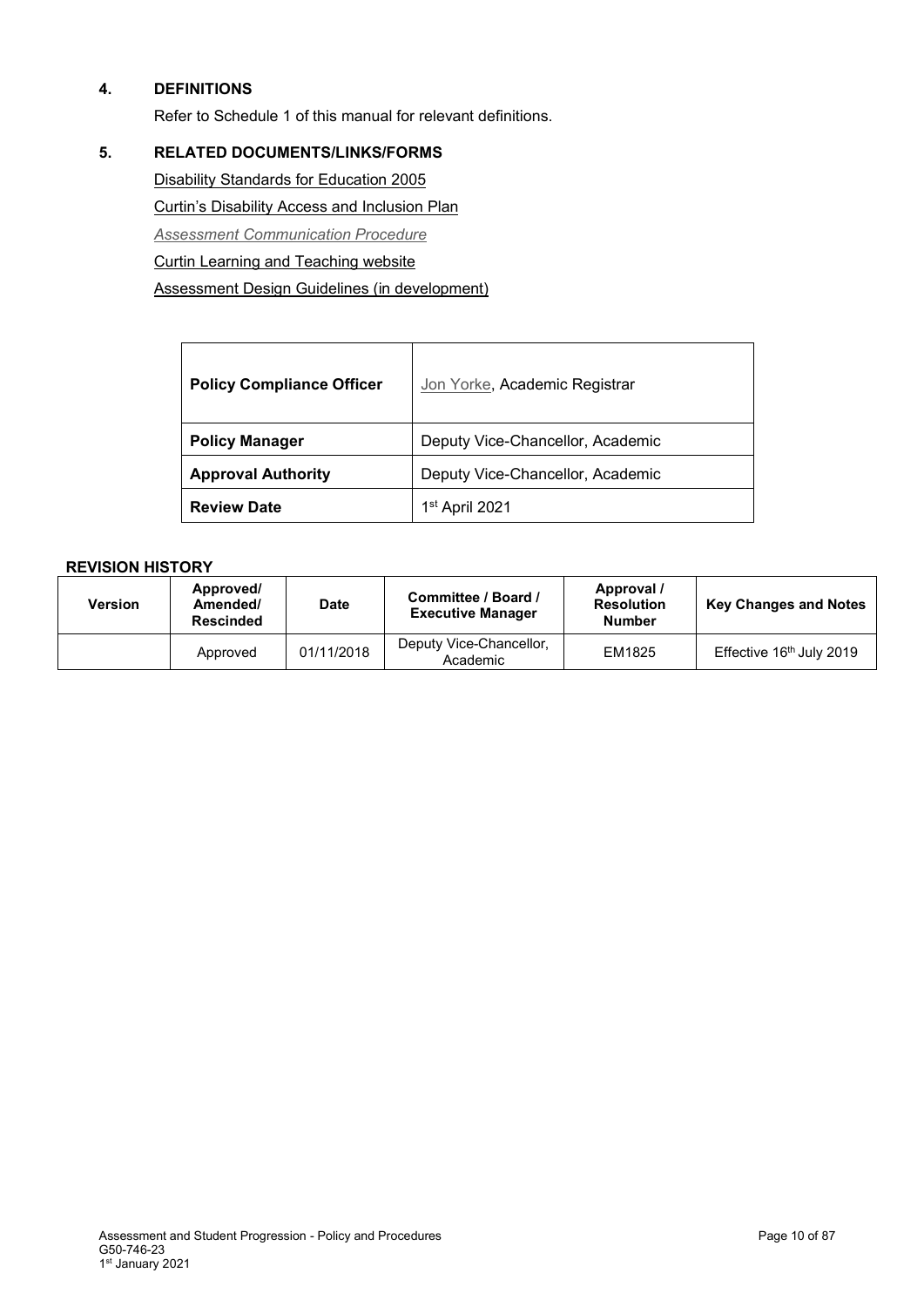### **4. DEFINITIONS**

Refer to Schedule 1 of this manual for relevant definitions.

### **5. RELATED DOCUMENTS/LINKS/FORMS**

[Disability Standards for Education 2005](http://education.gov.au/disability-standards-education-2005) Curtin's [Disability Access and Inclusion Plan](http://about.curtin.edu.au/policy-governance/disability-access-inclusion-plan/) *[Assessment Communication Procedure](#page-1-0)* [Curtin Learning and Teaching website](https://clt.curtin.edu.au/) Assessment Design Guidelines (in development)

| <b>Policy Compliance Officer</b> | Jon Yorke, Academic Registrar    |
|----------------------------------|----------------------------------|
| <b>Policy Manager</b>            | Deputy Vice-Chancellor, Academic |
| <b>Approval Authority</b>        | Deputy Vice-Chancellor, Academic |
| <b>Review Date</b>               | 1 <sup>st</sup> April 2021       |

| <b>Version</b> | Approved/<br>Amended/<br><b>Rescinded</b> | <b>Date</b> | Committee / Board /<br><b>Executive Manager</b> | Approval /<br><b>Resolution</b><br><b>Number</b> | <b>Key Changes and Notes</b> |
|----------------|-------------------------------------------|-------------|-------------------------------------------------|--------------------------------------------------|------------------------------|
|                | Approved                                  | 01/11/2018  | Deputy Vice-Chancellor,<br>Academic             | EM1825                                           | Effective 16th July 2019     |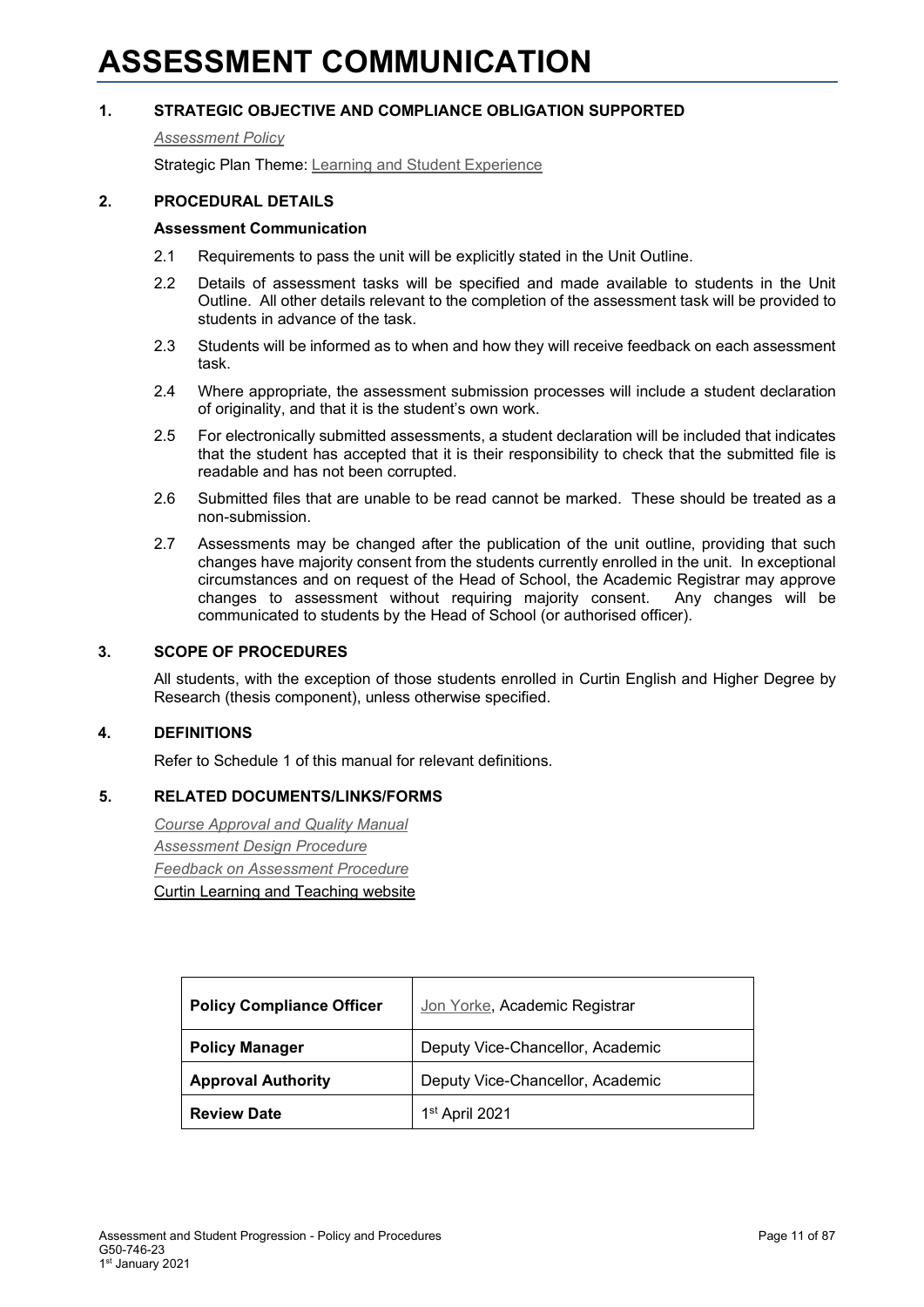### <span id="page-10-0"></span>**ASSESSMENT COMMUNICATION**

### **1. STRATEGIC OBJECTIVE AND COMPLIANCE OBLIGATION SUPPORTED**

#### *[Assessment Policy](#page-1-0)*

Strategic Plan Theme: [Learning and Student Experience](http://strategicplan.curtin.edu.au/themes/learning-student-experience/)

### **2. PROCEDURAL DETAILS**

### **Assessment Communication**

- 2.1 Requirements to pass the unit will be explicitly stated in the Unit Outline.
- 2.2 Details of assessment tasks will be specified and made available to students in the Unit Outline. All other details relevant to the completion of the assessment task will be provided to students in advance of the task.
- 2.3 Students will be informed as to when and how they will receive feedback on each assessment task.
- 2.4 Where appropriate, the assessment submission processes will include a student declaration of originality, and that it is the student's own work.
- 2.5 For electronically submitted assessments, a student declaration will be included that indicates that the student has accepted that it is their responsibility to check that the submitted file is readable and has not been corrupted.
- 2.6 Submitted files that are unable to be read cannot be marked. These should be treated as a non-submission.
- 2.7 Assessments may be changed after the publication of the unit outline, providing that such changes have majority consent from the students currently enrolled in the unit. In exceptional circumstances and on request of the Head of School, the Academic Registrar may approve changes to assessment without requiring majority consent. Any changes will be communicated to students by the Head of School (or authorised officer).

### **3. SCOPE OF PROCEDURES**

All students, with the exception of those students enrolled in Curtin English and Higher Degree by Research (thesis component), unless otherwise specified.

### **4. DEFINITIONS**

Refer to Schedule 1 of this manual for relevant definitions.

### **5. RELATED DOCUMENTS/LINKS/FORMS**

*[Course Approval and Quality Manual](http://policies.curtin.edu.au/findapolicy/index.cfm) [Assessment Design Procedure](#page-1-0) [Feedback on Assessment Procedure](#page-1-0)* [Curtin Learning and Teaching website](https://clt.curtin.edu.au/)

| <b>Policy Compliance Officer</b> | Jon Yorke, Academic Registrar    |
|----------------------------------|----------------------------------|
| <b>Policy Manager</b>            | Deputy Vice-Chancellor, Academic |
| <b>Approval Authority</b>        | Deputy Vice-Chancellor, Academic |
| <b>Review Date</b>               | 1 <sup>st</sup> April 2021       |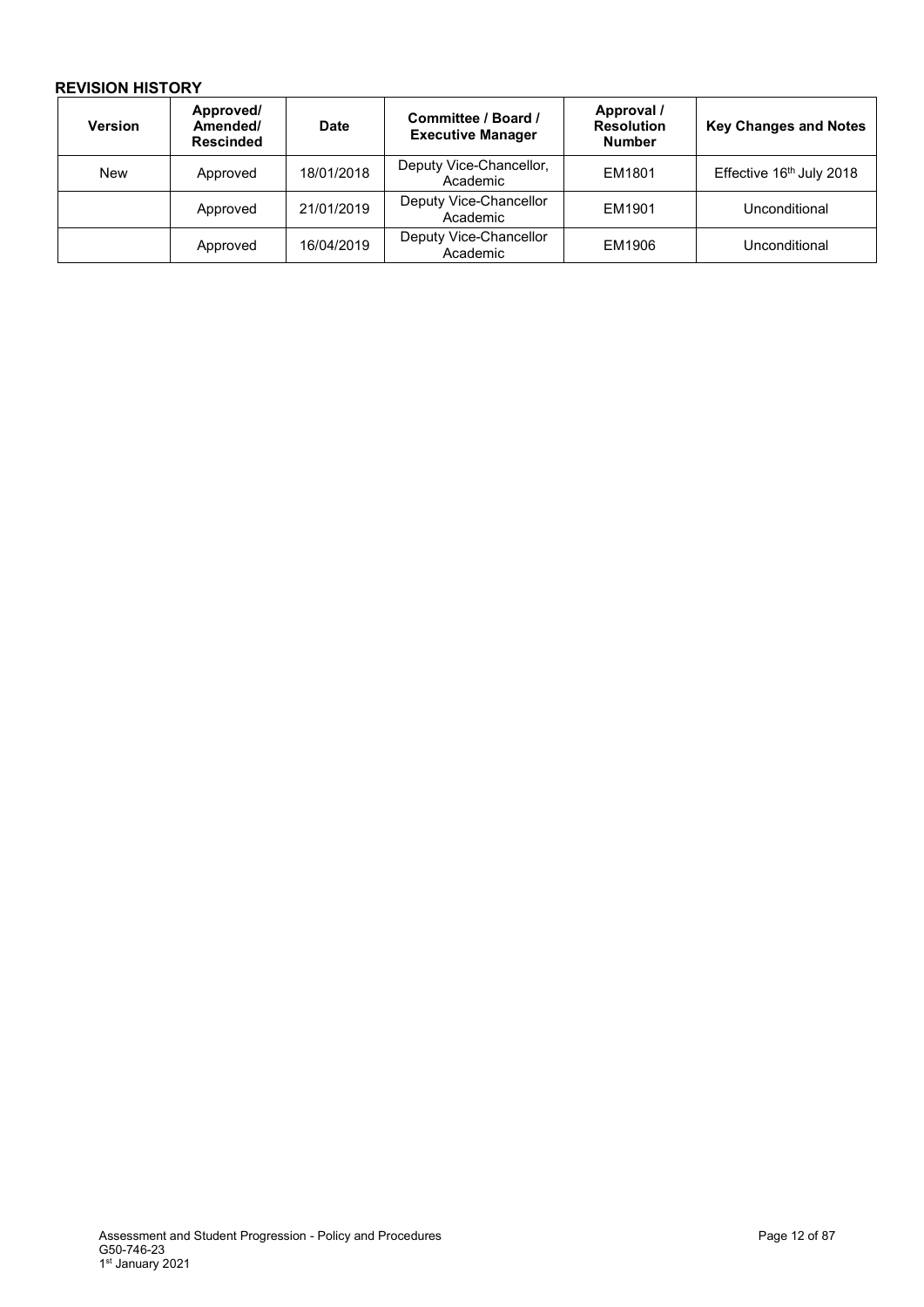| <b>Version</b> | Approved/<br>Amended/<br><b>Rescinded</b> | <b>Date</b> | Committee / Board /<br><b>Executive Manager</b> | Approval /<br><b>Resolution</b><br><b>Number</b> | <b>Key Changes and Notes</b> |
|----------------|-------------------------------------------|-------------|-------------------------------------------------|--------------------------------------------------|------------------------------|
| <b>New</b>     | Approved                                  | 18/01/2018  | Deputy Vice-Chancellor,<br>Academic             | EM1801                                           | Effective 16th July 2018     |
|                | Approved                                  | 21/01/2019  | Deputy Vice-Chancellor<br>Academic              | EM1901                                           | Unconditional                |
|                | Approved                                  | 16/04/2019  | Deputy Vice-Chancellor<br>Academic              | EM1906                                           | Unconditional                |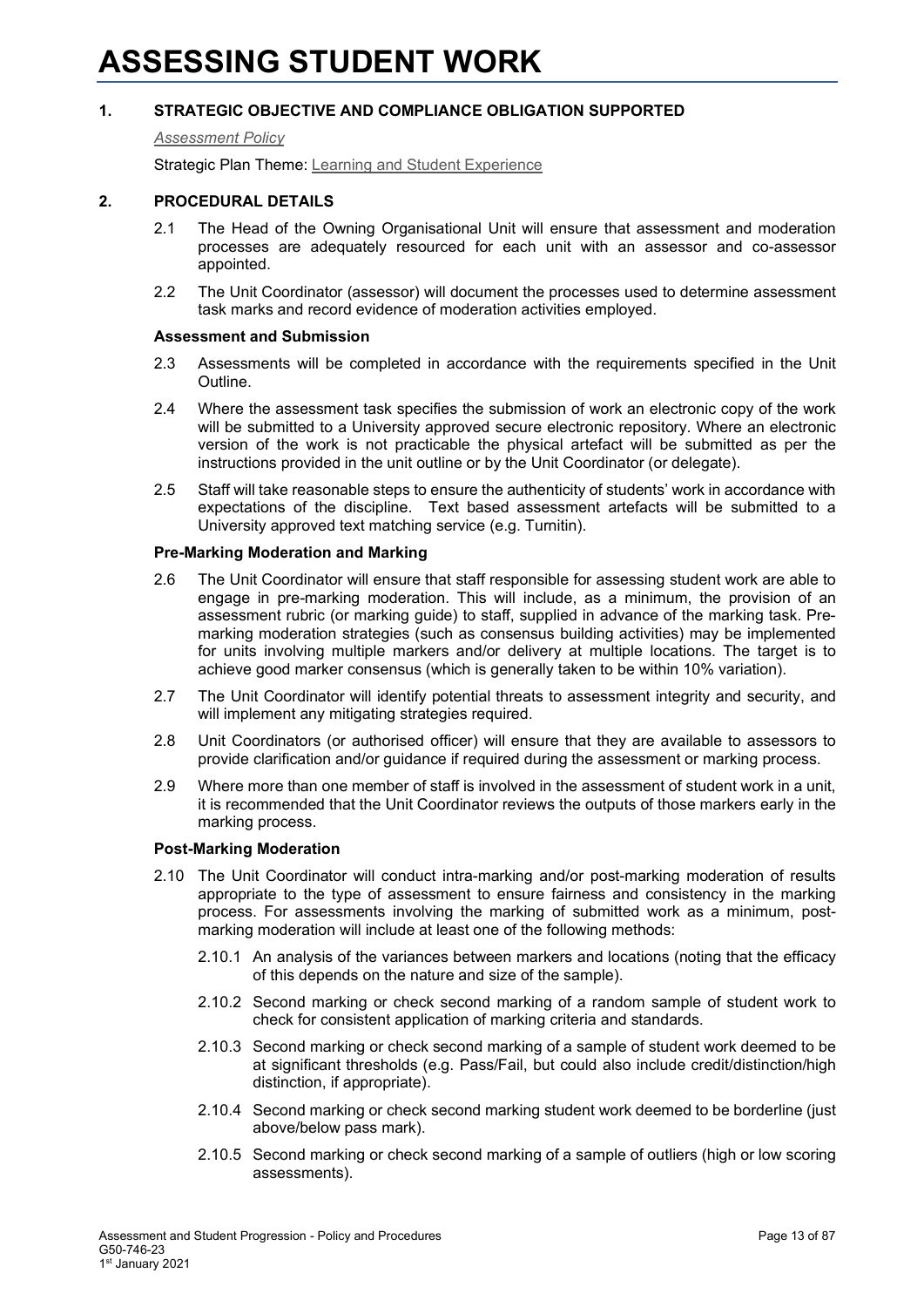### <span id="page-12-0"></span>*[Assessment Policy](#page-1-0)*

Strategic Plan Theme: [Learning and Student Experience](http://strategicplan.curtin.edu.au/themes/learning-student-experience/)

### **2. PROCEDURAL DETAILS**

- 2.1 The Head of the Owning Organisational Unit will ensure that assessment and moderation processes are adequately resourced for each unit with an assessor and co-assessor appointed.
- 2.2 The Unit Coordinator (assessor) will document the processes used to determine assessment task marks and record evidence of moderation activities employed.

### **Assessment and Submission**

- 2.3 Assessments will be completed in accordance with the requirements specified in the Unit Outline.
- 2.4 Where the assessment task specifies the submission of work an electronic copy of the work will be submitted to a University approved secure electronic repository. Where an electronic version of the work is not practicable the physical artefact will be submitted as per the instructions provided in the unit outline or by the Unit Coordinator (or delegate).
- 2.5 Staff will take reasonable steps to ensure the authenticity of students' work in accordance with expectations of the discipline. Text based assessment artefacts will be submitted to a University approved text matching service (e.g. Turnitin).

### **Pre-Marking Moderation and Marking**

- 2.6 The Unit Coordinator will ensure that staff responsible for assessing student work are able to engage in pre-marking moderation. This will include, as a minimum, the provision of an assessment rubric (or marking guide) to staff, supplied in advance of the marking task. Premarking moderation strategies (such as consensus building activities) may be implemented for units involving multiple markers and/or delivery at multiple locations. The target is to achieve good marker consensus (which is generally taken to be within 10% variation).
- 2.7 The Unit Coordinator will identify potential threats to assessment integrity and security, and will implement any mitigating strategies required.
- 2.8 Unit Coordinators (or authorised officer) will ensure that they are available to assessors to provide clarification and/or guidance if required during the assessment or marking process.
- 2.9 Where more than one member of staff is involved in the assessment of student work in a unit, it is recommended that the Unit Coordinator reviews the outputs of those markers early in the marking process.

### **Post-Marking Moderation**

- 2.10 The Unit Coordinator will conduct intra-marking and/or post-marking moderation of results appropriate to the type of assessment to ensure fairness and consistency in the marking process. For assessments involving the marking of submitted work as a minimum, postmarking moderation will include at least one of the following methods:
	- 2.10.1 An analysis of the variances between markers and locations (noting that the efficacy of this depends on the nature and size of the sample).
	- 2.10.2 Second marking or check second marking of a random sample of student work to check for consistent application of marking criteria and standards.
	- 2.10.3 Second marking or check second marking of a sample of student work deemed to be at significant thresholds (e.g. Pass/Fail, but could also include credit/distinction/high distinction, if appropriate).
	- 2.10.4 Second marking or check second marking student work deemed to be borderline (just above/below pass mark).
	- 2.10.5 Second marking or check second marking of a sample of outliers (high or low scoring assessments).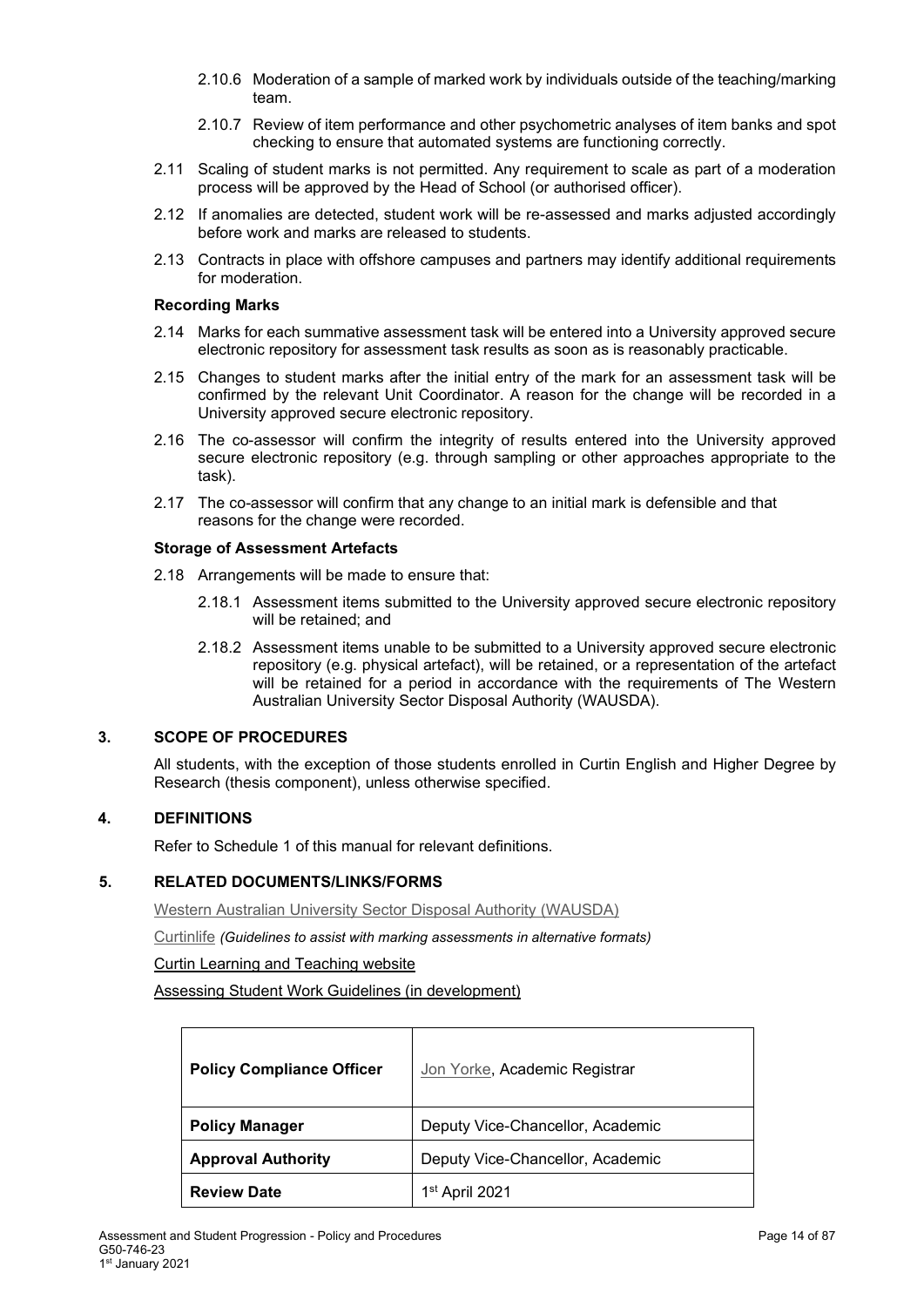- 2.10.6 Moderation of a sample of marked work by individuals outside of the teaching/marking team.
- 2.10.7 Review of item performance and other psychometric analyses of item banks and spot checking to ensure that automated systems are functioning correctly.
- 2.11 Scaling of student marks is not permitted. Any requirement to scale as part of a moderation process will be approved by the Head of School (or authorised officer).
- 2.12 If anomalies are detected, student work will be re-assessed and marks adjusted accordingly before work and marks are released to students.
- 2.13 Contracts in place with offshore campuses and partners may identify additional requirements for moderation.

### **Recording Marks**

- 2.14 Marks for each summative assessment task will be entered into a University approved secure electronic repository for assessment task results as soon as is reasonably practicable.
- 2.15 Changes to student marks after the initial entry of the mark for an assessment task will be confirmed by the relevant Unit Coordinator. A reason for the change will be recorded in a University approved secure electronic repository.
- 2.16 The co-assessor will confirm the integrity of results entered into the University approved secure electronic repository (e.g. through sampling or other approaches appropriate to the task).
- 2.17 The co-assessor will confirm that any change to an initial mark is defensible and that reasons for the change were recorded.

### **Storage of Assessment Artefacts**

- 2.18 Arrangements will be made to ensure that:
	- 2.18.1 Assessment items submitted to the University approved secure electronic repository will be retained; and
	- 2.18.2 Assessment items unable to be submitted to a University approved secure electronic repository (e.g. physical artefact), will be retained, or a representation of the artefact will be retained for a period in accordance with the requirements of The Western Australian University Sector Disposal Authority (WAUSDA).

### **3. SCOPE OF PROCEDURES**

All students, with the exception of those students enrolled in Curtin English and Higher Degree by Research (thesis component), unless otherwise specified.

### **4. DEFINITIONS**

Refer to Schedule 1 of this manual for relevant definitions.

### **5. RELATED DOCUMENTS/LINKS/FORMS**

[Western Australian University Sector Disposal Authority \(WAUSDA\)](http://rim.curtin.edu.au/local/docs/WesternAustralianUniversitySectorDisposalAuthority.pdf)

[Curtinlife](http://life.curtin.edu.au/health-and-wellbeing/disability_services.htm) *(Guidelines to assist with marking assessments in alternative formats)*

### [Curtin Learning and Teaching website](https://clt.curtin.edu.au/)

Assessing Student Work Guidelines (in development)

| <b>Policy Compliance Officer</b> | Jon Yorke, Academic Registrar    |
|----------------------------------|----------------------------------|
| <b>Policy Manager</b>            | Deputy Vice-Chancellor, Academic |
| <b>Approval Authority</b>        | Deputy Vice-Chancellor, Academic |
| <b>Review Date</b>               | 1 <sup>st</sup> April 2021       |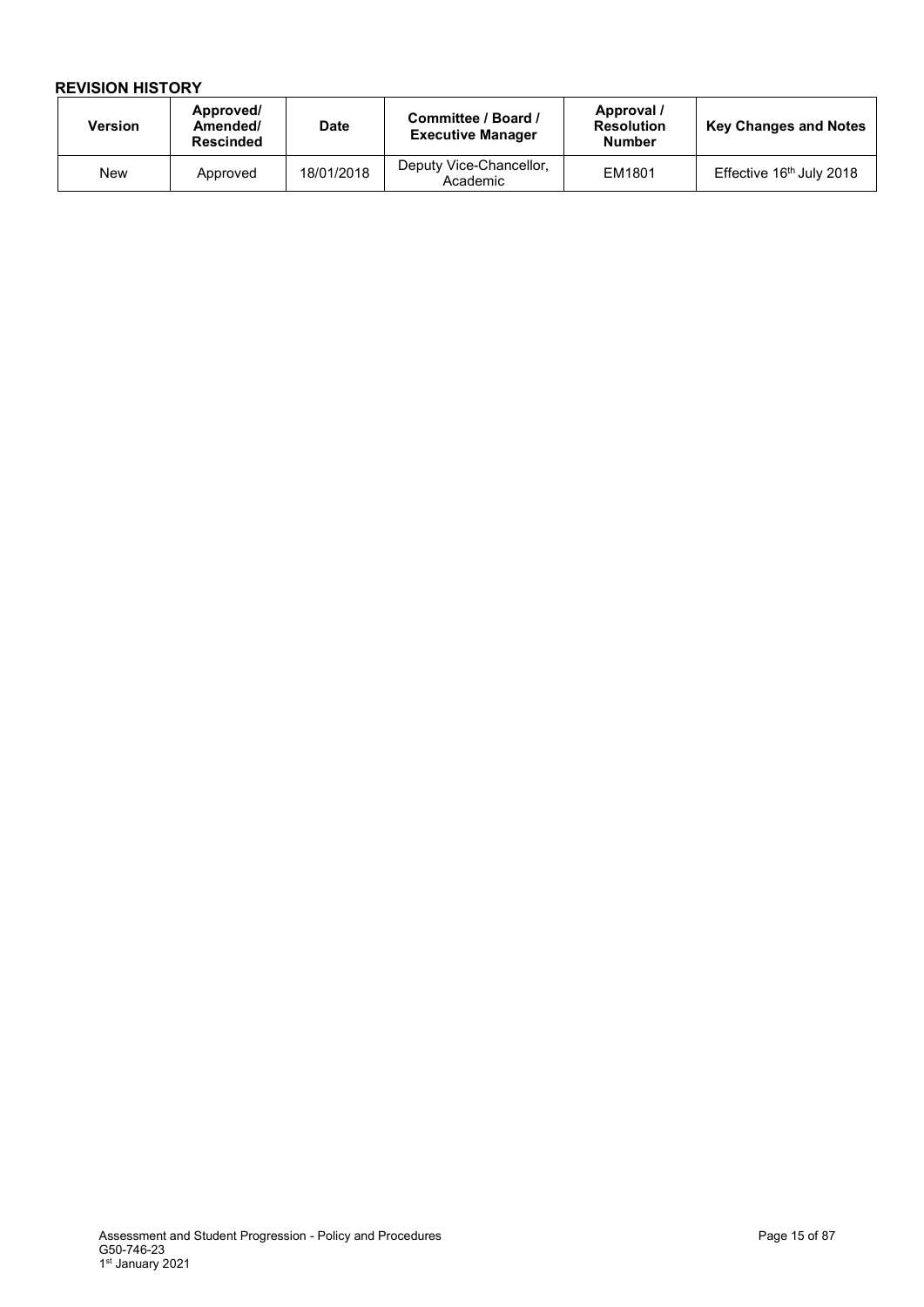| <b>Version</b> | Approved/<br>Amended/<br><b>Rescinded</b> | <b>Date</b> | Committee / Board /<br><b>Executive Manager</b> | Approval /<br><b>Resolution</b><br><b>Number</b> | <b>Key Changes and Notes</b>         |
|----------------|-------------------------------------------|-------------|-------------------------------------------------|--------------------------------------------------|--------------------------------------|
| New            | Approved                                  | 18/01/2018  | Deputy Vice-Chancellor,<br>Academic             | EM1801                                           | Effective 16 <sup>th</sup> July 2018 |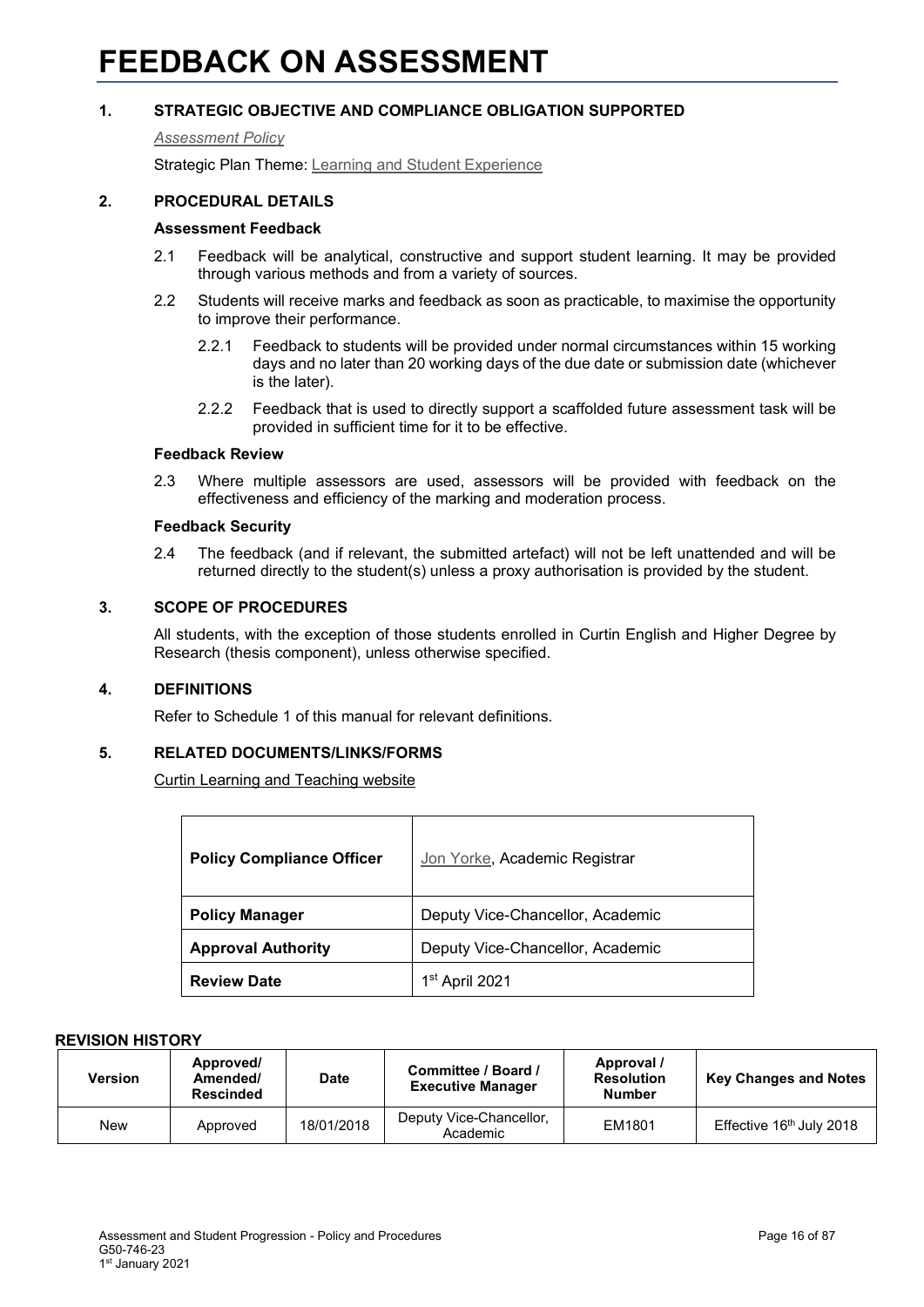#### <span id="page-15-0"></span>*[Assessment Policy](#page-1-0)*

Strategic Plan Theme: [Learning and Student Experience](http://strategicplan.curtin.edu.au/themes/learning-student-experience/)

### **2. PROCEDURAL DETAILS**

### **Assessment Feedback**

- 2.1 Feedback will be analytical, constructive and support student learning. It may be provided through various methods and from a variety of sources.
- 2.2 Students will receive marks and feedback as soon as practicable, to maximise the opportunity to improve their performance.
	- 2.2.1 Feedback to students will be provided under normal circumstances within 15 working days and no later than 20 working days of the due date or submission date (whichever is the later).
	- 2.2.2 Feedback that is used to directly support a scaffolded future assessment task will be provided in sufficient time for it to be effective.

### **Feedback Review**

2.3 Where multiple assessors are used, assessors will be provided with feedback on the effectiveness and efficiency of the marking and moderation process.

#### **Feedback Security**

2.4 The feedback (and if relevant, the submitted artefact) will not be left unattended and will be returned directly to the student(s) unless a proxy authorisation is provided by the student.

### **3. SCOPE OF PROCEDURES**

All students, with the exception of those students enrolled in Curtin English and Higher Degree by Research (thesis component), unless otherwise specified.

### **4. DEFINITIONS**

Refer to Schedule 1 of this manual for relevant definitions.

### **5. RELATED DOCUMENTS/LINKS/FORMS**

[Curtin Learning and Teaching website](https://clt.curtin.edu.au/)

| <b>Policy Compliance Officer</b> | Jon Yorke, Academic Registrar    |
|----------------------------------|----------------------------------|
| <b>Policy Manager</b>            | Deputy Vice-Chancellor, Academic |
| <b>Approval Authority</b>        | Deputy Vice-Chancellor, Academic |
| <b>Review Date</b>               | 1 <sup>st</sup> April 2021       |

| Version | Approved/<br>Amended/<br><b>Rescinded</b> | <b>Date</b> | Committee / Board /<br><b>Executive Manager</b> | Approval /<br><b>Resolution</b><br><b>Number</b> | <b>Key Changes and Notes</b>         |
|---------|-------------------------------------------|-------------|-------------------------------------------------|--------------------------------------------------|--------------------------------------|
| New     | Approved                                  | 18/01/2018  | Deputy Vice-Chancellor,<br>Academic             | EM1801                                           | Effective 16 <sup>th</sup> July 2018 |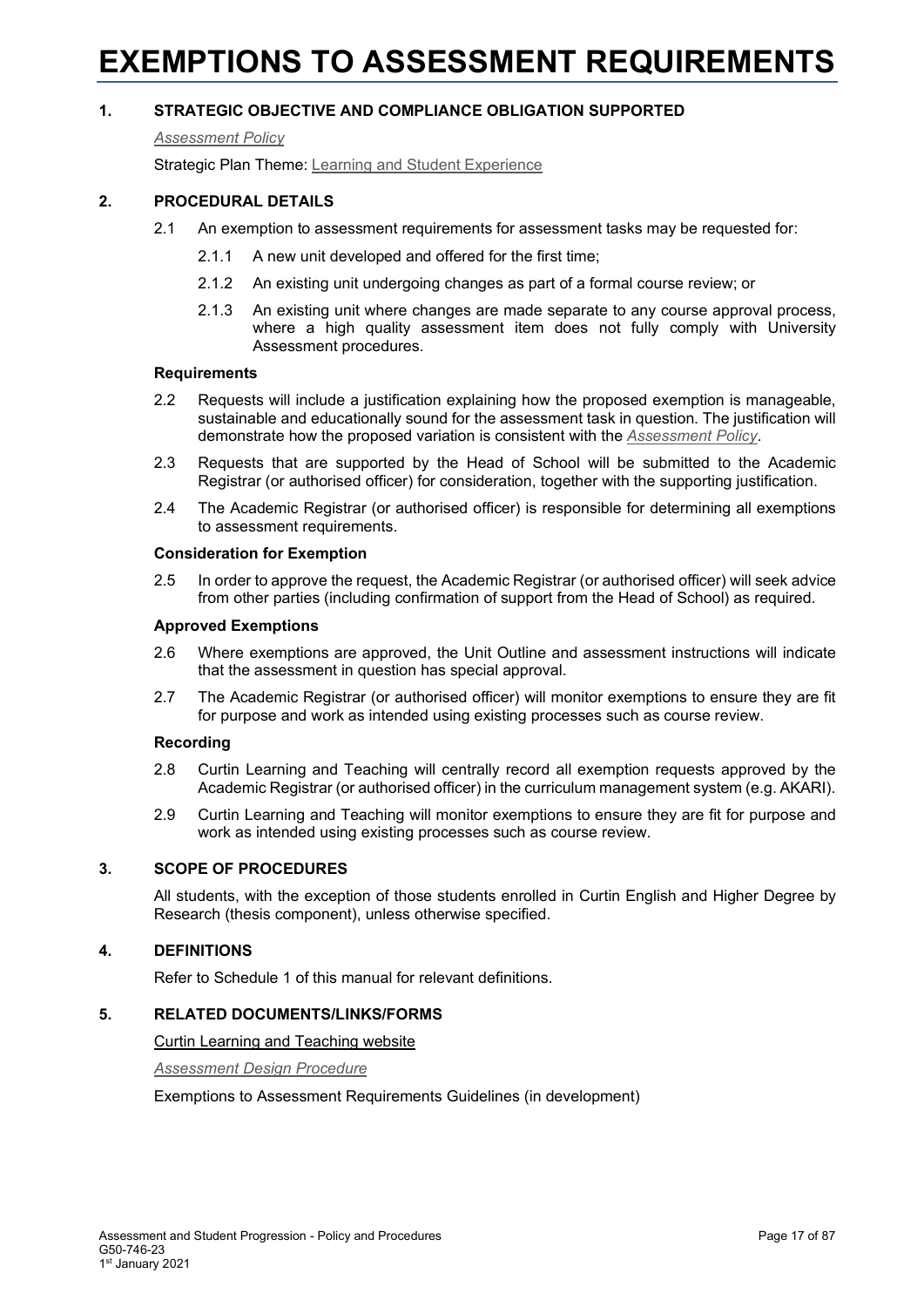### <span id="page-16-0"></span>**EXEMPTIONS TO ASSESSMENT REQUIREMENTS**

### **1. STRATEGIC OBJECTIVE AND COMPLIANCE OBLIGATION SUPPORTED**

#### *[Assessment Policy](#page-1-0)*

Strategic Plan Theme: [Learning and Student Experience](http://strategicplan.curtin.edu.au/themes/learning-student-experience/)

### **2. PROCEDURAL DETAILS**

- 2.1 An exemption to assessment requirements for assessment tasks may be requested for:
	- 2.1.1 A new unit developed and offered for the first time;
	- 2.1.2 An existing unit undergoing changes as part of a formal course review; or
	- 2.1.3 An existing unit where changes are made separate to any course approval process, where a high quality assessment item does not fully comply with University Assessment procedures.

### **Requirements**

- 2.2 Requests will include a justification explaining how the proposed exemption is manageable, sustainable and educationally sound for the assessment task in question. The justification will demonstrate how the proposed variation is consistent with the *Assessment Policy*.
- 2.3 Requests that are supported by the Head of School will be submitted to the Academic Registrar (or authorised officer) for consideration, together with the supporting justification.
- 2.4 The Academic Registrar (or authorised officer) is responsible for determining all exemptions to assessment requirements.

### **Consideration for Exemption**

2.5 In order to approve the request, the Academic Registrar (or authorised officer) will seek advice from other parties (including confirmation of support from the Head of School) as required.

### **Approved Exemptions**

- 2.6 Where exemptions are approved, the Unit Outline and assessment instructions will indicate that the assessment in question has special approval.
- 2.7 The Academic Registrar (or authorised officer) will monitor exemptions to ensure they are fit for purpose and work as intended using existing processes such as course review.

### **Recording**

- 2.8 Curtin Learning and Teaching will centrally record all exemption requests approved by the Academic Registrar (or authorised officer) in the curriculum management system (e.g. AKARI).
- 2.9 Curtin Learning and Teaching will monitor exemptions to ensure they are fit for purpose and work as intended using existing processes such as course review.

### **3. SCOPE OF PROCEDURES**

All students, with the exception of those students enrolled in Curtin English and Higher Degree by Research (thesis component), unless otherwise specified.

### **4. DEFINITIONS**

Refer to Schedule 1 of this manual for relevant definitions.

### **5. RELATED DOCUMENTS/LINKS/FORMS**

[Curtin Learning and Teaching website](https://clt.curtin.edu.au/)

*[Assessment Design Procedure](#page-1-0)*

Exemptions to Assessment Requirements Guidelines (in development)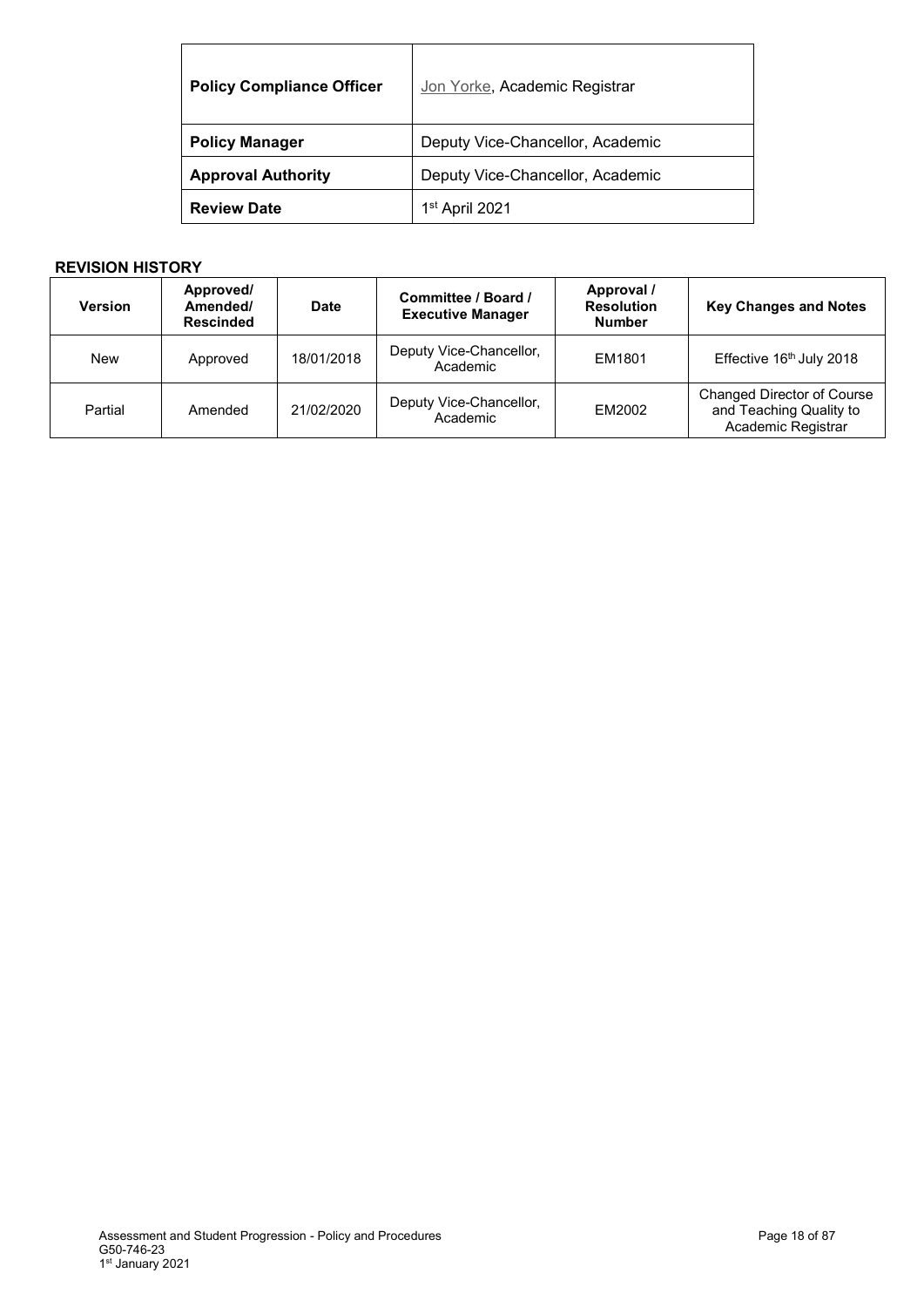| <b>Policy Compliance Officer</b> | Jon Yorke, Academic Registrar    |
|----------------------------------|----------------------------------|
| <b>Policy Manager</b>            | Deputy Vice-Chancellor, Academic |
| <b>Approval Authority</b>        | Deputy Vice-Chancellor, Academic |
| <b>Review Date</b>               | 1 <sup>st</sup> April 2021       |

| <b>Version</b> | Approved/<br>Amended/<br><b>Rescinded</b> | <b>Date</b> | Committee / Board /<br><b>Executive Manager</b> | Approval /<br><b>Resolution</b><br><b>Number</b> | <b>Key Changes and Notes</b>                                                       |
|----------------|-------------------------------------------|-------------|-------------------------------------------------|--------------------------------------------------|------------------------------------------------------------------------------------|
| <b>New</b>     | Approved                                  | 18/01/2018  | Deputy Vice-Chancellor,<br>Academic             | EM1801                                           | Effective 16th July 2018                                                           |
| Partial        | Amended                                   | 21/02/2020  | Deputy Vice-Chancellor,<br>Academic             | EM2002                                           | <b>Changed Director of Course</b><br>and Teaching Quality to<br>Academic Registrar |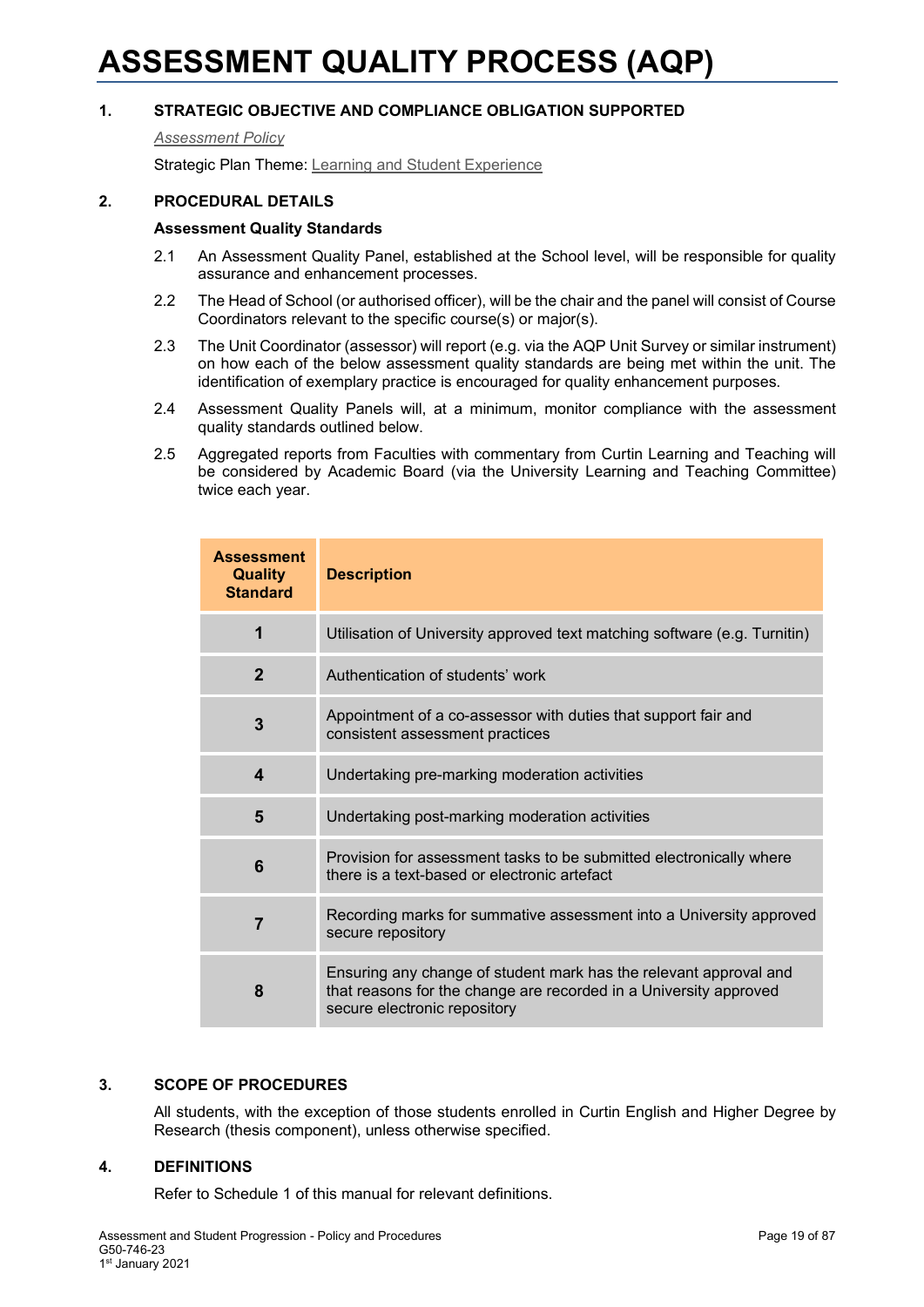### <span id="page-18-0"></span>**ASSESSMENT QUALITY PROCESS (AQP)**

### **1. STRATEGIC OBJECTIVE AND COMPLIANCE OBLIGATION SUPPORTED**

*[Assessment Policy](#page-1-0)*

Strategic Plan Theme: [Learning and Student Experience](http://strategicplan.curtin.edu.au/themes/learning-student-experience/)

### **2. PROCEDURAL DETAILS**

### **Assessment Quality Standards**

- 2.1 An Assessment Quality Panel, established at the School level, will be responsible for quality assurance and enhancement processes.
- 2.2 The Head of School (or authorised officer), will be the chair and the panel will consist of Course Coordinators relevant to the specific course(s) or major(s).
- 2.3 The Unit Coordinator (assessor) will report (e.g. via the AQP Unit Survey or similar instrument) on how each of the below assessment quality standards are being met within the unit. The identification of exemplary practice is encouraged for quality enhancement purposes.
- 2.4 Assessment Quality Panels will, at a minimum, monitor compliance with the assessment quality standards outlined below.
- 2.5 Aggregated reports from Faculties with commentary from Curtin Learning and Teaching will be considered by Academic Board (via the University Learning and Teaching Committee) twice each year.

| <b>Assessment</b><br><b>Quality</b><br><b>Standard</b> | <b>Description</b>                                                                                                                                                     |
|--------------------------------------------------------|------------------------------------------------------------------------------------------------------------------------------------------------------------------------|
| 1                                                      | Utilisation of University approved text matching software (e.g. Turnitin)                                                                                              |
| $\mathbf{2}$                                           | Authentication of students' work                                                                                                                                       |
| 3                                                      | Appointment of a co-assessor with duties that support fair and<br>consistent assessment practices                                                                      |
| $\boldsymbol{4}$                                       | Undertaking pre-marking moderation activities                                                                                                                          |
| 5                                                      | Undertaking post-marking moderation activities                                                                                                                         |
| 6                                                      | Provision for assessment tasks to be submitted electronically where<br>there is a text-based or electronic artefact                                                    |
| $\overline{7}$                                         | Recording marks for summative assessment into a University approved<br>secure repository                                                                               |
| 8                                                      | Ensuring any change of student mark has the relevant approval and<br>that reasons for the change are recorded in a University approved<br>secure electronic repository |

### **3. SCOPE OF PROCEDURES**

All students, with the exception of those students enrolled in Curtin English and Higher Degree by Research (thesis component), unless otherwise specified.

### **4. DEFINITIONS**

Refer to Schedule 1 of this manual for relevant definitions.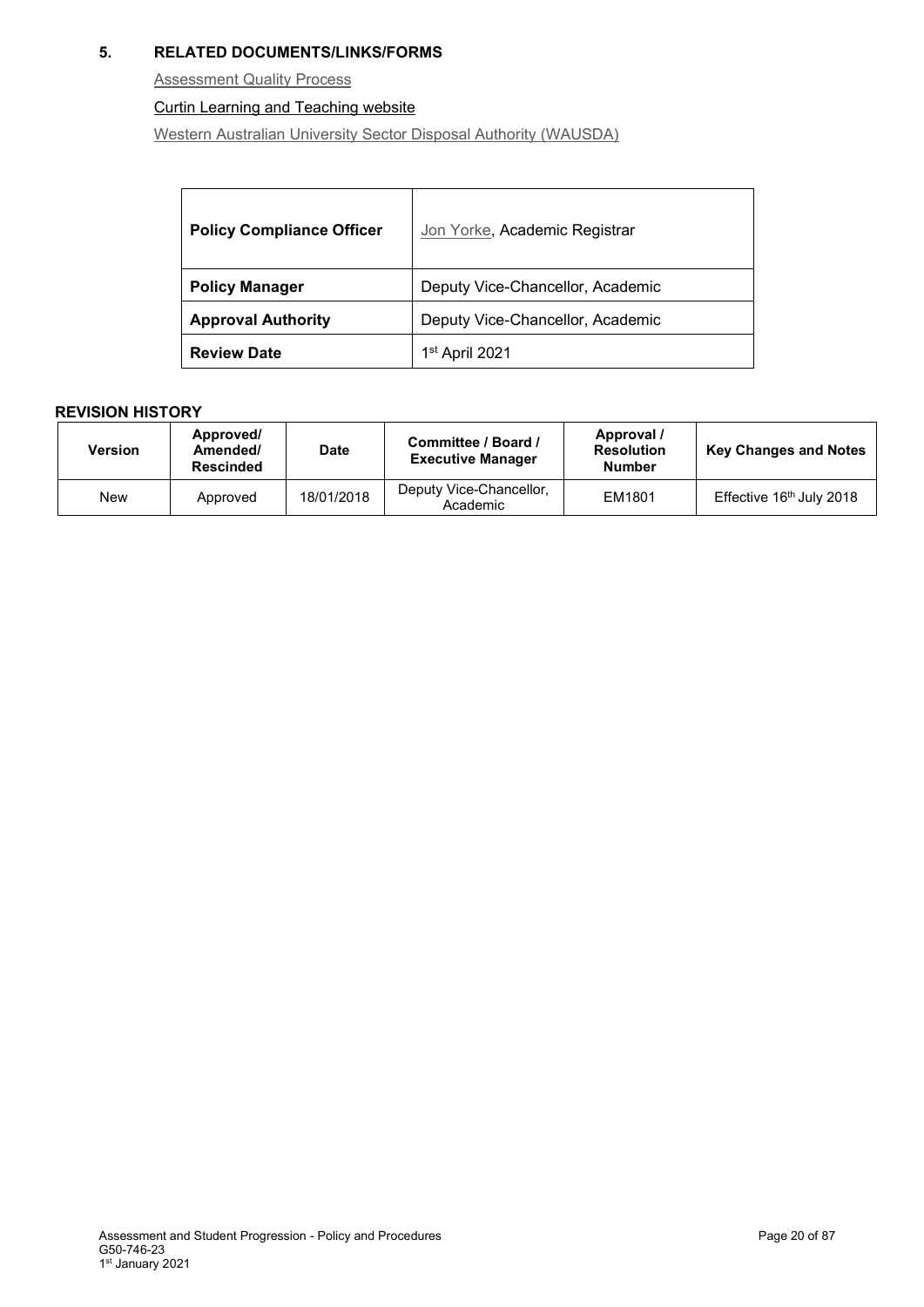### **5. RELATED DOCUMENTS/LINKS/FORMS**

**[Assessment Quality Process](http://clt.curtin.edu.au/teaching_learning_practice/assessment/AQP.cfm)** 

### [Curtin Learning and Teaching website](https://clt.curtin.edu.au/)

[Western Australian University Sector Disposal Authority \(WAUSDA\)](http://rim.curtin.edu.au/local/docs/WesternAustralianUniversitySectorDisposalAuthority.pdf)

| <b>Policy Compliance Officer</b> | Jon Yorke, Academic Registrar    |
|----------------------------------|----------------------------------|
| <b>Policy Manager</b>            | Deputy Vice-Chancellor, Academic |
| <b>Approval Authority</b>        | Deputy Vice-Chancellor, Academic |
| <b>Review Date</b>               | 1 <sup>st</sup> April 2021       |

| <b>Version</b> | Approved/<br>Amended/<br>Rescinded | <b>Date</b> | Committee / Board /<br><b>Executive Manager</b> | Approval /<br><b>Resolution</b><br><b>Number</b> | <b>Key Changes and Notes</b> |
|----------------|------------------------------------|-------------|-------------------------------------------------|--------------------------------------------------|------------------------------|
| New            | Approved                           | 18/01/2018  | Deputy Vice-Chancellor,<br>Academic             | EM1801                                           | Effective 16th July 2018     |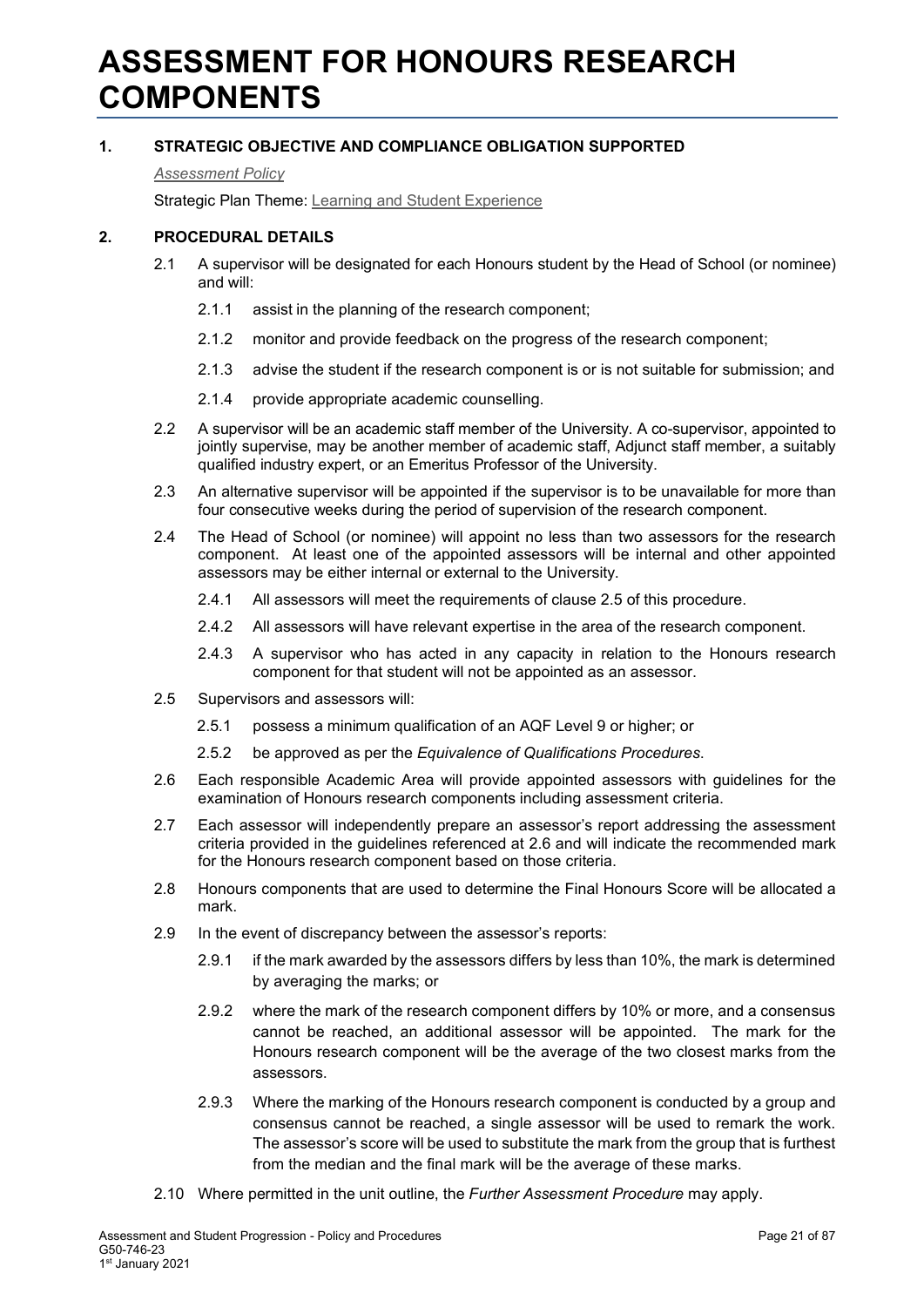### <span id="page-20-0"></span>**ASSESSMENT FOR HONOURS RESEARCH COMPONENTS**

### **1. STRATEGIC OBJECTIVE AND COMPLIANCE OBLIGATION SUPPORTED**

*[Assessment Policy](#page-1-0)*

Strategic Plan Theme: [Learning and Student Experience](http://strategicplan.curtin.edu.au/themes/learning-student-experience/)

### **2. PROCEDURAL DETAILS**

- 2.1 A supervisor will be designated for each Honours student by the Head of School (or nominee) and will:
	- 2.1.1 assist in the planning of the research component;
	- 2.1.2 monitor and provide feedback on the progress of the research component;
	- 2.1.3 advise the student if the research component is or is not suitable for submission; and
	- 2.1.4 provide appropriate academic counselling.
- 2.2 A supervisor will be an academic staff member of the University. A co-supervisor, appointed to jointly supervise, may be another member of academic staff, Adjunct staff member, a [suitably](http://policies.curtin.edu.au/local/docs/policy/Equivalence_of_Qualifications_Procedures.pdf)  [qualified](http://policies.curtin.edu.au/local/docs/policy/Equivalence_of_Qualifications_Procedures.pdf) industry expert, or an Emeritus Professor of the University.
- 2.3 An alternative supervisor will be appointed if the supervisor is to be unavailable for more than four consecutive weeks during the period of supervision of the research component.
- 2.4 The Head of School (or nominee) will appoint no less than two assessors for the research component. At least one of the appointed assessors will be internal and other appointed assessors may be either internal or external to the University.
	- 2.4.1 All assessors will meet the requirements of clause 2.5 of this procedure.
	- 2.4.2 All assessors will have relevant expertise in the area of the research component.
	- 2.4.3 A supervisor who has acted in any capacity in relation to the Honours research component for that student will not be appointed as an assessor.
- 2.5 Supervisors and assessors will:
	- 2.5.1 possess a minimum qualification of an AQF Level 9 or higher; or
	- 2.5.2 be approved as per the *Equivalence of Qualifications Procedures*.
- 2.6 Each responsible Academic Area will provide appointed assessors with guidelines for the examination of Honours research components including assessment criteria.
- 2.7 Each assessor will independently prepare an assessor's report addressing the assessment criteria provided in the guidelines referenced at 2.6 and will indicate the recommended mark for the Honours research component based on those criteria.
- 2.8 Honours components that are used to determine the Final Honours Score will be allocated a mark.
- 2.9 In the event of discrepancy between the assessor's reports:
	- 2.9.1 if the mark awarded by the assessors differs by less than 10%, the mark is determined by averaging the marks; or
	- 2.9.2 where the mark of the research component differs by 10% or more, and a consensus cannot be reached, an additional assessor will be appointed. The mark for the Honours research component will be the average of the two closest marks from the assessors.
	- 2.9.3 Where the marking of the Honours research component is conducted by a group and consensus cannot be reached, a single assessor will be used to remark the work. The assessor's score will be used to substitute the mark from the group that is furthest from the median and the final mark will be the average of these marks.
- 2.10 Where permitted in the unit outline, the *Further Assessment Procedure* may apply.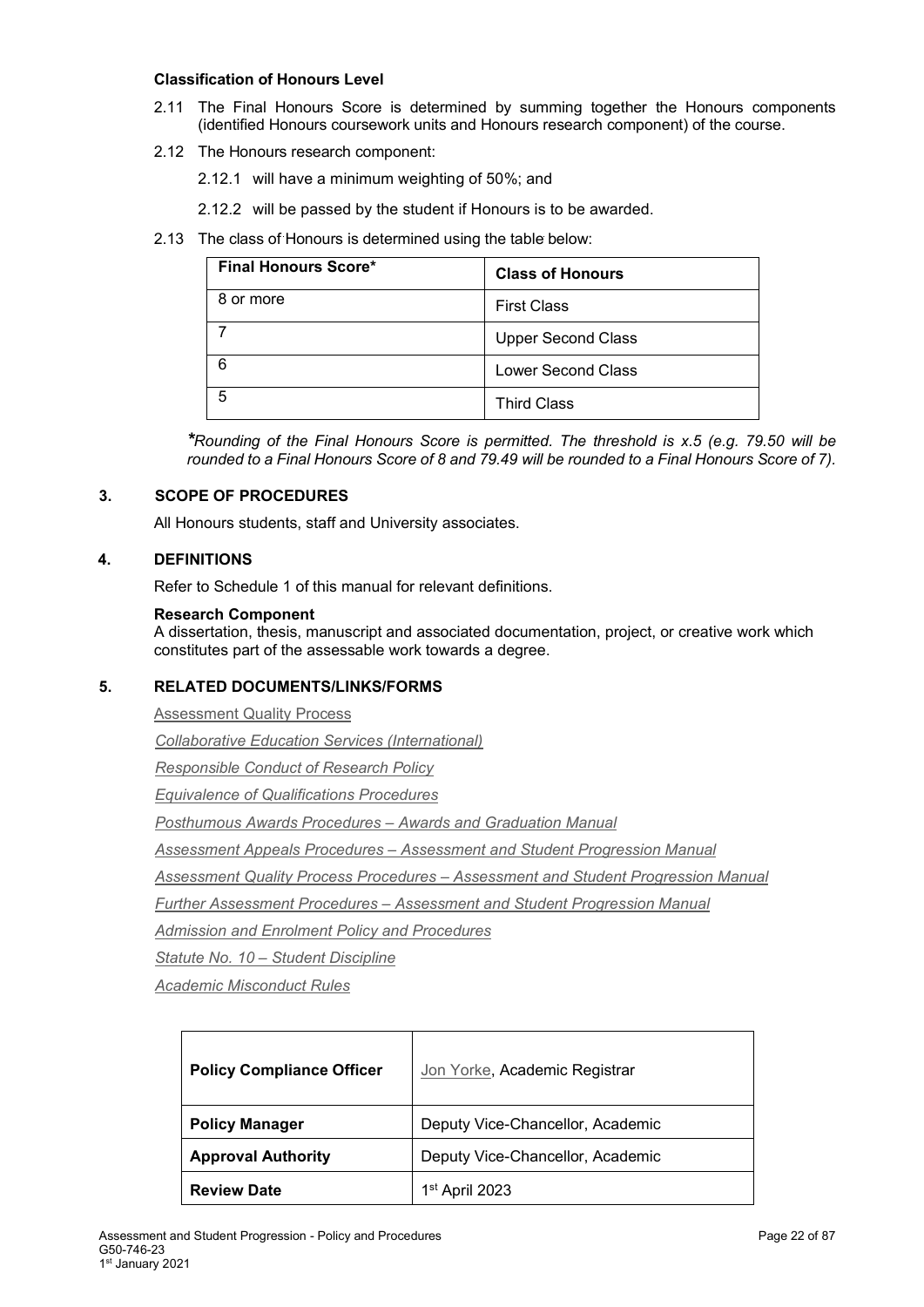### **Classification of Honours Level**

- 2.11 The Final Honours Score is determined by summing together the Honours components (identified Honours coursework units and Honours research component) of the course.
- 2.12 The Honours research component:
	- 2.12.1 will have a minimum weighting of 50%; and
	- 2.12.2 will be passed by the student if Honours is to be awarded.
- 2.13 The class of Honours is determined using the table below:

| <b>Final Honours Score*</b> | <b>Class of Honours</b>   |
|-----------------------------|---------------------------|
| 8 or more                   | <b>First Class</b>        |
|                             | <b>Upper Second Class</b> |
| 6                           | <b>Lower Second Class</b> |
| 5                           | <b>Third Class</b>        |

*\*Rounding of the Final Honours Score is permitted. The threshold is x.5 (e.g. 79.50 will be rounded to a Final Honours Score of 8 and 79.49 will be rounded to a Final Honours Score of 7).*

### **3. SCOPE OF PROCEDURES**

All Honours students, staff and University associates.

### **4. DEFINITIONS**

Refer to Schedule 1 of this manual for relevant definitions.

### **Research Component**

A dissertation, thesis, manuscript and associated documentation, project, or creative work which constitutes part of the assessable work towards a degree.

### **5. RELATED DOCUMENTS/LINKS/FORMS**

[Assessment Quality Process](https://clt.curtin.edu.au/teaching_learning_practice/assessment/AQP.cfm)

*[Collaborative Education Services \(International\)](http://policies.curtin.edu.au/local/docs/policy/Collaborative_Education_Services_(International)_Policy.pdf)*

*[Responsible Conduct of Research Policy](http://policies.curtin.edu.au/local/docs/policy/Responsible_Conduct_of_Research_Policy.pdf)*

*[Equivalence of Qualifications Procedures](http://policies.curtin.edu.au/local/docs/policy/Equivalence_of_Qualifications_Procedures.pdf)*

*[Posthumous Awards Procedures –](https://policies.curtin.edu.au/findapolicy/index.cfm) Awards and Graduation Manual*

*Assessment Appeals Procedures – [Assessment and Student Progression Manual](https://policies.curtin.edu.au/findapolicy/index.cfm)*

*Assessment Quality Process Procedures – [Assessment and Student Progression Manual](https://policies.curtin.edu.au/findapolicy/index.cfm)*

*Further Assessment Procedures – [Assessment and Student Progression Manual](https://policies.curtin.edu.au/findapolicy/index.cfm)*

*[Admission and Enrolment Policy and Procedures](https://policies.curtin.edu.au/findapolicy/index.cfm)*

*Statute No. 10 – [Student Discipline](https://policies.curtin.edu.au/legislation/statutes_rules.cfm)*

*[Academic Misconduct Rules](https://policies.curtin.edu.au/legislation/statutes_rules.cfm)*

| <b>Policy Compliance Officer</b> | Jon Yorke, Academic Registrar    |
|----------------------------------|----------------------------------|
| <b>Policy Manager</b>            | Deputy Vice-Chancellor, Academic |
| <b>Approval Authority</b>        | Deputy Vice-Chancellor, Academic |
| <b>Review Date</b>               | 1 <sup>st</sup> April 2023       |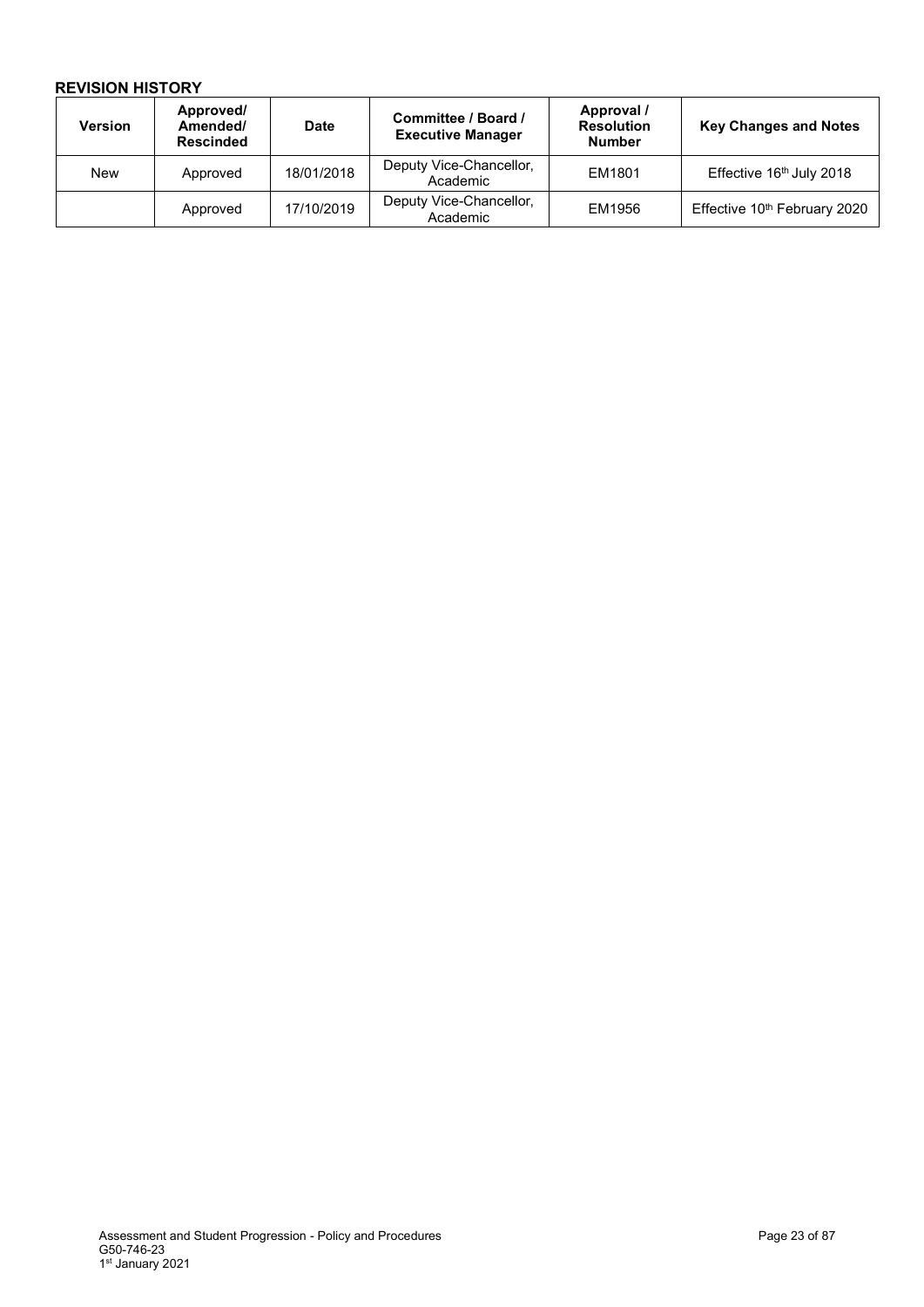| <b>Version</b> | Approved/<br>Amended/<br><b>Rescinded</b> | <b>Date</b> | Committee / Board /<br><b>Executive Manager</b> | Approval /<br><b>Resolution</b><br><b>Number</b> | <b>Key Changes and Notes</b>             |
|----------------|-------------------------------------------|-------------|-------------------------------------------------|--------------------------------------------------|------------------------------------------|
| New            | Approved                                  | 18/01/2018  | Deputy Vice-Chancellor,<br>Academic             | EM1801                                           | Effective 16th July 2018                 |
|                | Approved                                  | 17/10/2019  | Deputy Vice-Chancellor,<br>Academic             | EM1956                                           | Effective 10 <sup>th</sup> February 2020 |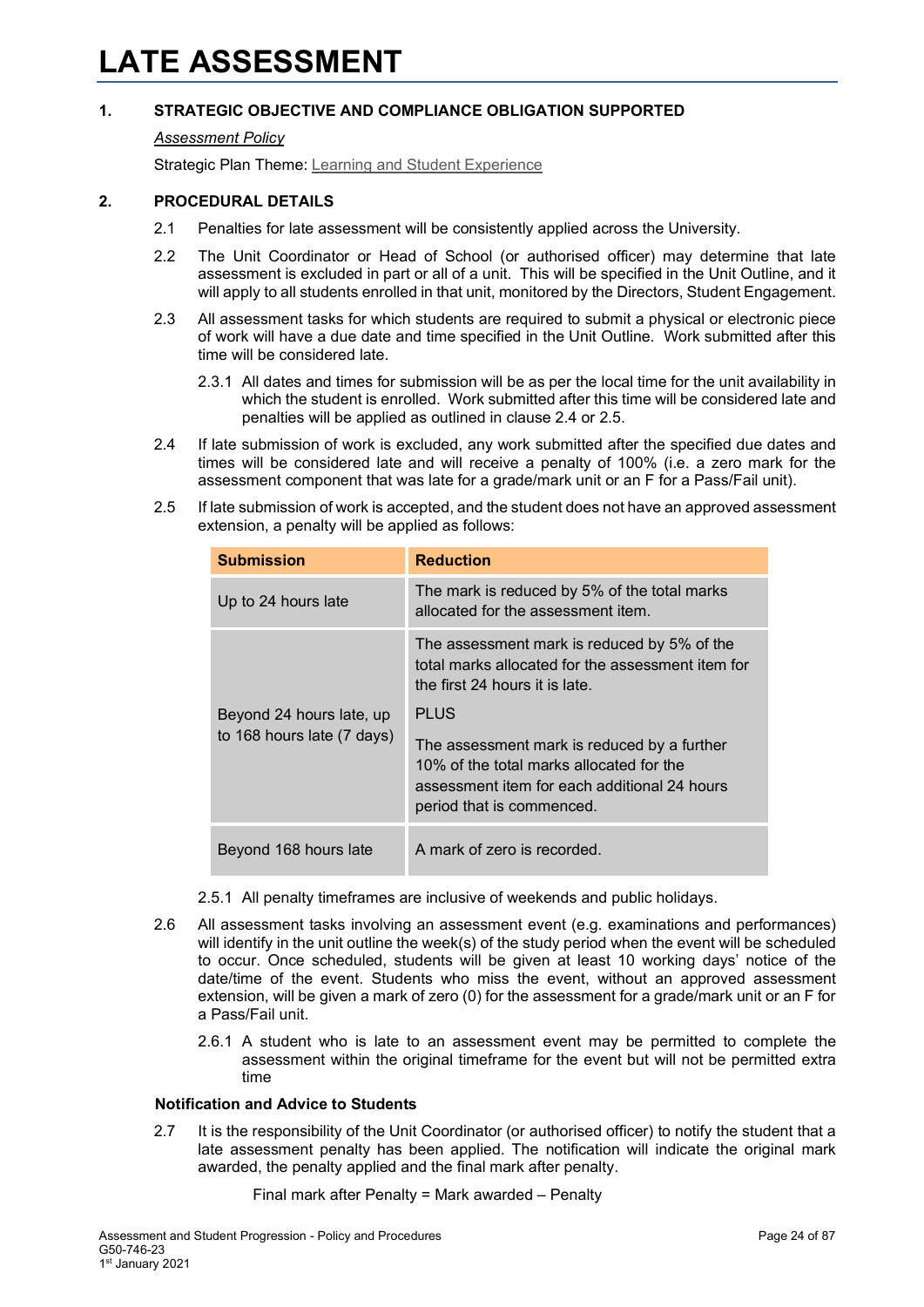### <span id="page-23-0"></span>*[Assessment Policy](#page-1-0)*

Strategic Plan Theme: [Learning and Student Experience](http://strategicplan.curtin.edu.au/themes/learning-student-experience/)

### **2. PROCEDURAL DETAILS**

- 2.1 Penalties for late assessment will be consistently applied across the University.
- 2.2 The Unit Coordinator or Head of School (or authorised officer) may determine that late assessment is excluded in part or all of a unit. This will be specified in the Unit Outline, and it will apply to all students enrolled in that unit, monitored by the Directors, Student Engagement.
- 2.3 All assessment tasks for which students are required to submit a physical or electronic piece of work will have a due date and time specified in the Unit Outline. Work submitted after this time will be considered late.
	- 2.3.1 All dates and times for submission will be as per the local time for the unit availability in which the student is enrolled. Work submitted after this time will be considered late and penalties will be applied as outlined in clause 2.4 or 2.5.
- 2.4 If late submission of work is excluded, any work submitted after the specified due dates and times will be considered late and will receive a penalty of 100% (i.e. a zero mark for the assessment component that was late for a grade/mark unit or an F for a Pass/Fail unit).
- 2.5 If late submission of work is accepted, and the student does not have an approved assessment extension, a penalty will be applied as follows:

| <b>Submission</b>          | <b>Reduction</b>                                                                                                                                                     |
|----------------------------|----------------------------------------------------------------------------------------------------------------------------------------------------------------------|
| Up to 24 hours late        | The mark is reduced by 5% of the total marks<br>allocated for the assessment item.                                                                                   |
|                            | The assessment mark is reduced by 5% of the<br>total marks allocated for the assessment item for<br>the first 24 hours it is late.                                   |
| Beyond 24 hours late, up   | PLUS                                                                                                                                                                 |
| to 168 hours late (7 days) | The assessment mark is reduced by a further<br>10% of the total marks allocated for the<br>assessment item for each additional 24 hours<br>period that is commenced. |
| Beyond 168 hours late      | A mark of zero is recorded.                                                                                                                                          |

- 2.5.1 All penalty timeframes are inclusive of weekends and public holidays.
- 2.6 All assessment tasks involving an assessment event (e.g. examinations and performances) will identify in the unit outline the week(s) of the study period when the event will be scheduled to occur. Once scheduled, students will be given at least 10 working days' notice of the date/time of the event. Students who miss the event, without an approved assessment extension, will be given a mark of zero (0) for the assessment for a grade/mark unit or an F for a Pass/Fail unit.
	- 2.6.1 A student who is late to an assessment event may be permitted to complete the assessment within the original timeframe for the event but will not be permitted extra time

### **Notification and Advice to Students**

2.7 It is the responsibility of the Unit Coordinator (or authorised officer) to notify the student that a late assessment penalty has been applied. The notification will indicate the original mark awarded, the penalty applied and the final mark after penalty.

Final mark after Penalty = Mark awarded – Penalty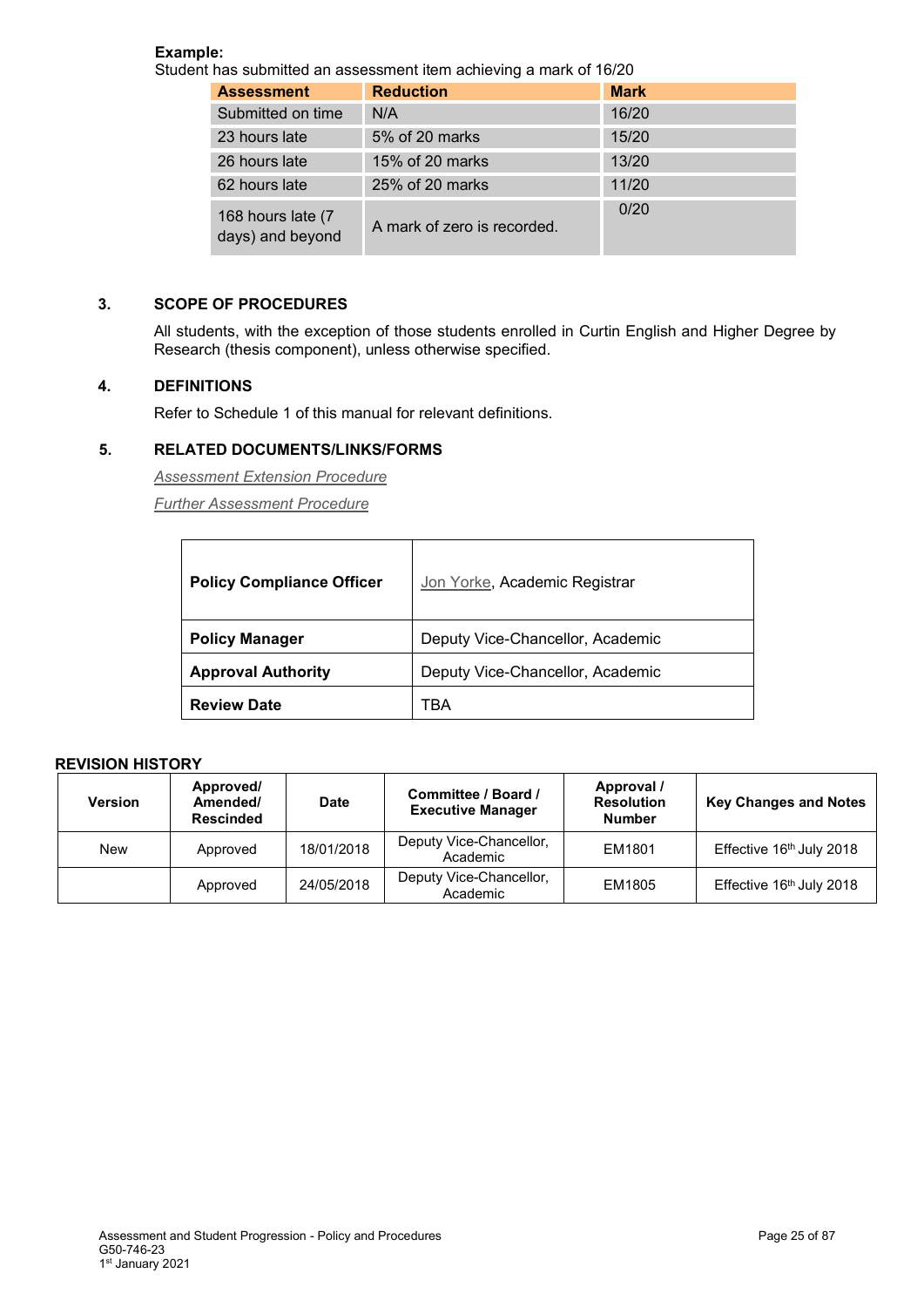### **Example:**

Student has submitted an assessment item achieving a mark of 16/20

| <b>Assessment</b>                     | <b>Reduction</b>            | <b>Mark</b> |
|---------------------------------------|-----------------------------|-------------|
| Submitted on time                     | N/A                         | 16/20       |
| 23 hours late                         | 5% of 20 marks              | 15/20       |
| 26 hours late                         | 15% of 20 marks             | 13/20       |
| 62 hours late                         | 25% of 20 marks             | 11/20       |
| 168 hours late (7<br>days) and beyond | A mark of zero is recorded. | 0/20        |

### **3. SCOPE OF PROCEDURES**

All students, with the exception of those students enrolled in Curtin English and Higher Degree by Research (thesis component), unless otherwise specified.

### **4. DEFINITIONS**

Refer to Schedule 1 of this manual for relevant definitions.

### **5. RELATED DOCUMENTS/LINKS/FORMS**

*[Assessment Extension Procedure](#page-1-0)*

*[Further Assessment Procedure](#page-1-0)*

| <b>Policy Compliance Officer</b> | Jon Yorke, Academic Registrar    |
|----------------------------------|----------------------------------|
| <b>Policy Manager</b>            | Deputy Vice-Chancellor, Academic |
| <b>Approval Authority</b>        | Deputy Vice-Chancellor, Academic |
| <b>Review Date</b>               | TBA                              |

| <b>Version</b> | Approved/<br>Amended/<br><b>Rescinded</b> | <b>Date</b> | Committee / Board /<br><b>Executive Manager</b> | Approval /<br><b>Resolution</b><br><b>Number</b> | <b>Key Changes and Notes</b> |
|----------------|-------------------------------------------|-------------|-------------------------------------------------|--------------------------------------------------|------------------------------|
| <b>New</b>     | Approved                                  | 18/01/2018  | Deputy Vice-Chancellor,<br>Academic             | EM1801                                           | Effective 16th July 2018     |
|                | Approved                                  | 24/05/2018  | Deputy Vice-Chancellor,<br>Academic             | EM1805                                           | Effective 16th July 2018     |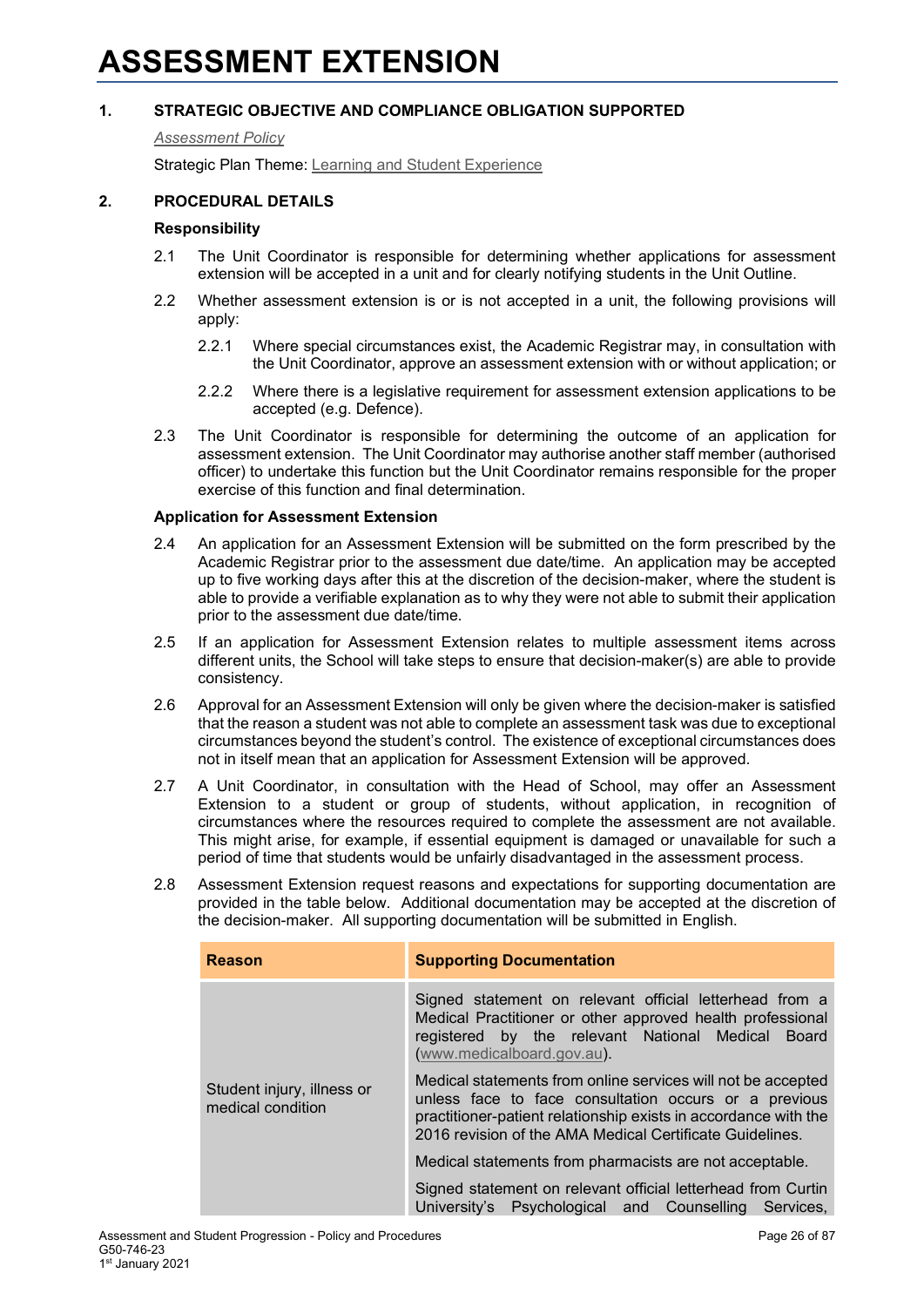### <span id="page-25-0"></span>*[Assessment Policy](#page-1-0)*

Strategic Plan Theme: [Learning and Student Experience](http://strategicplan.curtin.edu.au/themes/learning-student-experience/)

### **2. PROCEDURAL DETAILS**

### **Responsibility**

- 2.1 The Unit Coordinator is responsible for determining whether applications for assessment extension will be accepted in a unit and for clearly notifying students in the Unit Outline.
- 2.2 Whether assessment extension is or is not accepted in a unit, the following provisions will apply:
	- 2.2.1 Where special circumstances exist, the Academic Registrar may, in consultation with the Unit Coordinator, approve an assessment extension with or without application; or
	- 2.2.2 Where there is a legislative requirement for assessment extension applications to be accepted (e.g. Defence).
- 2.3 The Unit Coordinator is responsible for determining the outcome of an application for assessment extension. The Unit Coordinator may authorise another staff member (authorised officer) to undertake this function but the Unit Coordinator remains responsible for the proper exercise of this function and final determination.

### **Application for Assessment Extension**

- 2.4 An application for an Assessment Extension will be submitted on the form prescribed by the Academic Registrar prior to the assessment due date/time. An application may be accepted up to five working days after this at the discretion of the decision-maker, where the student is able to provide a verifiable explanation as to why they were not able to submit their application prior to the assessment due date/time.
- 2.5 If an application for Assessment Extension relates to multiple assessment items across different units, the School will take steps to ensure that decision-maker(s) are able to provide consistency.
- 2.6 Approval for an Assessment Extension will only be given where the decision-maker is satisfied that the reason a student was not able to complete an assessment task was due to exceptional circumstances beyond the student's control. The existence of exceptional circumstances does not in itself mean that an application for Assessment Extension will be approved.
- 2.7 A Unit Coordinator, in consultation with the Head of School, may offer an Assessment Extension to a student or group of students, without application, in recognition of circumstances where the resources required to complete the assessment are not available. This might arise, for example, if essential equipment is damaged or unavailable for such a period of time that students would be unfairly disadvantaged in the assessment process.
- 2.8 Assessment Extension request reasons and expectations for supporting documentation are provided in the table below. Additional documentation may be accepted at the discretion of the decision-maker. All supporting documentation will be submitted in English.

| <b>Reason</b>                                   | <b>Supporting Documentation</b>                                                                                                                                                                                                                      |  |  |  |  |
|-------------------------------------------------|------------------------------------------------------------------------------------------------------------------------------------------------------------------------------------------------------------------------------------------------------|--|--|--|--|
|                                                 | Signed statement on relevant official letterhead from a<br>Medical Practitioner or other approved health professional<br>registered by the relevant National Medical Board<br>(www.medicalboard.gov.au).                                             |  |  |  |  |
| Student injury, illness or<br>medical condition | Medical statements from online services will not be accepted<br>unless face to face consultation occurs or a previous<br>practitioner-patient relationship exists in accordance with the<br>2016 revision of the AMA Medical Certificate Guidelines. |  |  |  |  |
|                                                 | Medical statements from pharmacists are not acceptable.                                                                                                                                                                                              |  |  |  |  |
|                                                 | Signed statement on relevant official letterhead from Curtin<br>University's Psychological and Counselling Services,                                                                                                                                 |  |  |  |  |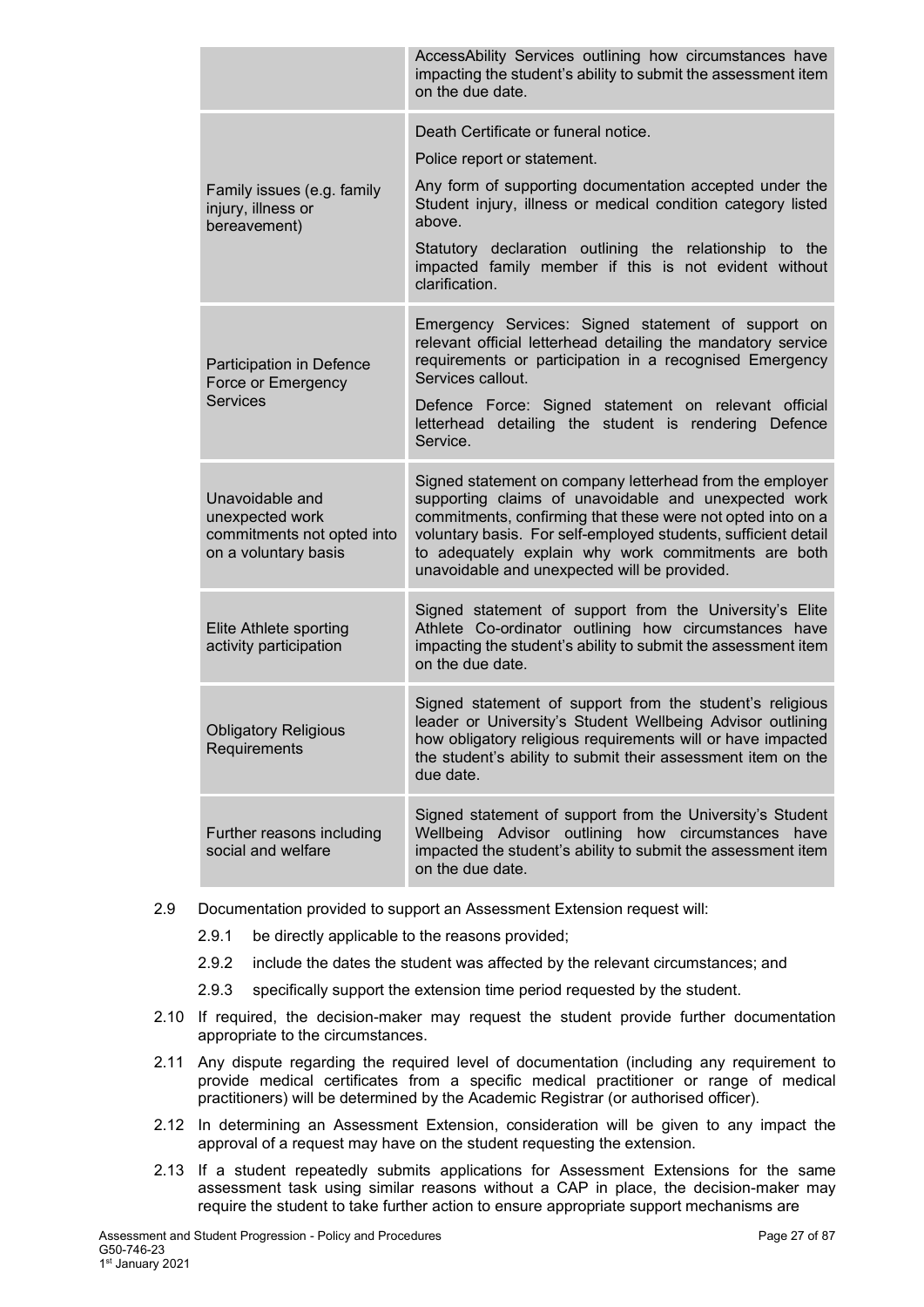|                                                                                          | AccessAbility Services outlining how circumstances have<br>impacting the student's ability to submit the assessment item<br>on the due date.                                                                                                                                                                                                             |
|------------------------------------------------------------------------------------------|----------------------------------------------------------------------------------------------------------------------------------------------------------------------------------------------------------------------------------------------------------------------------------------------------------------------------------------------------------|
| Family issues (e.g. family<br>injury, illness or<br>bereavement)                         | Death Certificate or funeral notice.<br>Police report or statement.<br>Any form of supporting documentation accepted under the<br>Student injury, illness or medical condition category listed<br>above.<br>Statutory declaration outlining the relationship to the<br>impacted family member if this is not evident without<br>clarification.           |
| Participation in Defence<br>Force or Emergency<br><b>Services</b>                        | Emergency Services: Signed statement of support on<br>relevant official letterhead detailing the mandatory service<br>requirements or participation in a recognised Emergency<br>Services callout.<br>Defence Force: Signed statement on relevant official<br>letterhead detailing the student is rendering Defence<br>Service.                          |
| Unavoidable and<br>unexpected work<br>commitments not opted into<br>on a voluntary basis | Signed statement on company letterhead from the employer<br>supporting claims of unavoidable and unexpected work<br>commitments, confirming that these were not opted into on a<br>voluntary basis. For self-employed students, sufficient detail<br>to adequately explain why work commitments are both<br>unavoidable and unexpected will be provided. |
| Elite Athlete sporting<br>activity participation                                         | Signed statement of support from the University's Elite<br>Athlete Co-ordinator outlining how circumstances have<br>impacting the student's ability to submit the assessment item<br>on the due date.                                                                                                                                                    |
| <b>Obligatory Religious</b><br>Requirements                                              | Signed statement of support from the student's religious<br>leader or University's Student Wellbeing Advisor outlining<br>how obligatory religious requirements will or have impacted<br>the student's ability to submit their assessment item on the<br>due date.                                                                                       |
| Further reasons including<br>social and welfare                                          | Signed statement of support from the University's Student<br>Wellbeing Advisor outlining how circumstances have<br>impacted the student's ability to submit the assessment item<br>on the due date.                                                                                                                                                      |

- 2.9 Documentation provided to support an Assessment Extension request will:
	- 2.9.1 be directly applicable to the reasons provided;
	- 2.9.2 include the dates the student was affected by the relevant circumstances; and
	- 2.9.3 specifically support the extension time period requested by the student.
- 2.10 If required, the decision-maker may request the student provide further documentation appropriate to the circumstances.
- 2.11 Any dispute regarding the required level of documentation (including any requirement to provide medical certificates from a specific medical practitioner or range of medical practitioners) will be determined by the Academic Registrar (or authorised officer).
- 2.12 In determining an Assessment Extension, consideration will be given to any impact the approval of a request may have on the student requesting the extension.
- 2.13 If a student repeatedly submits applications for Assessment Extensions for the same assessment task using similar reasons without a CAP in place, the decision-maker may require the student to take further action to ensure appropriate support mechanisms are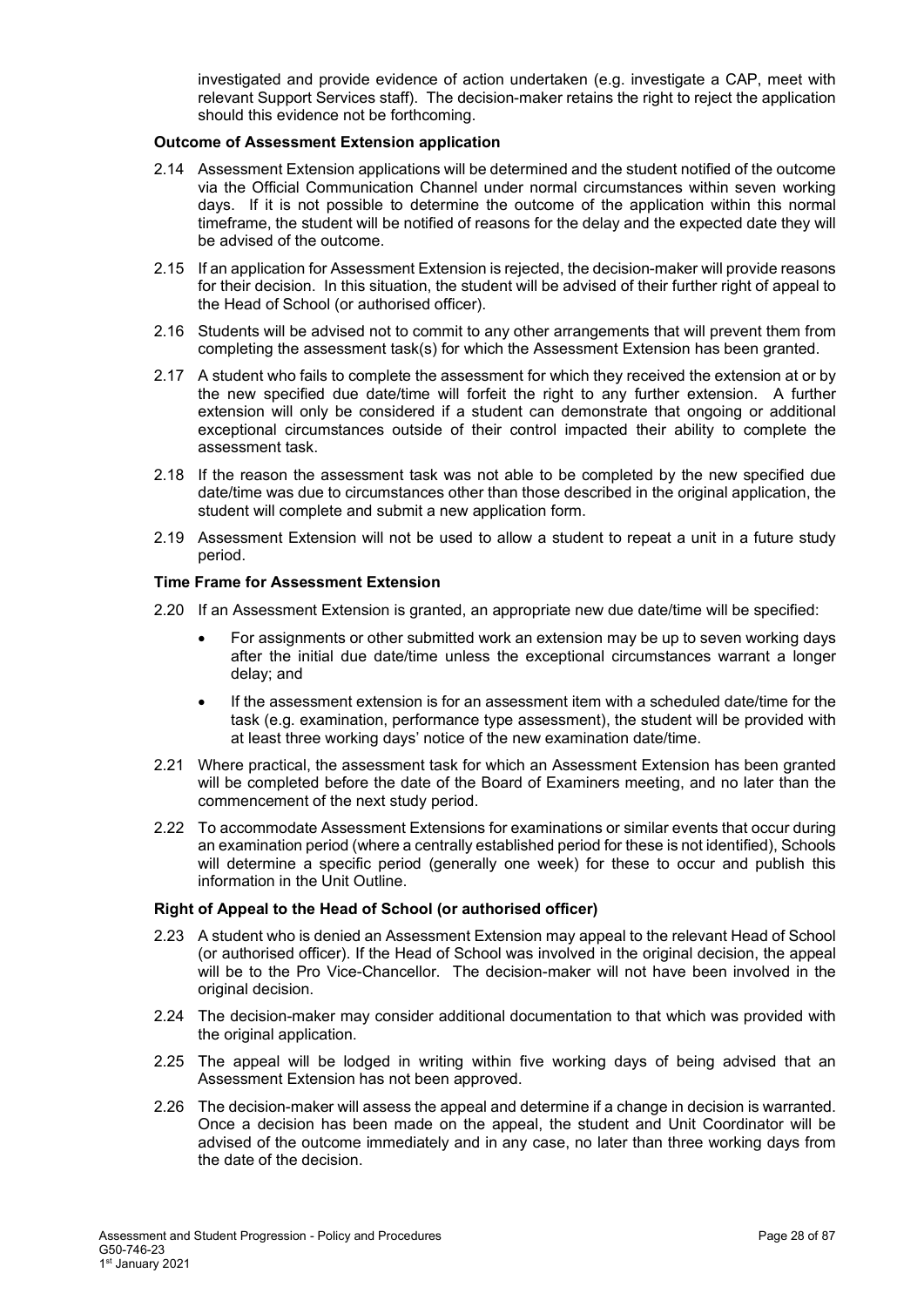investigated and provide evidence of action undertaken (e.g. investigate a CAP, meet with relevant Support Services staff). The decision-maker retains the right to reject the application should this evidence not be forthcoming.

### **Outcome of Assessment Extension application**

- 2.14 Assessment Extension applications will be determined and the student notified of the outcome via the Official Communication Channel under normal circumstances within seven working days. If it is not possible to determine the outcome of the application within this normal timeframe, the student will be notified of reasons for the delay and the expected date they will be advised of the outcome.
- 2.15 If an application for Assessment Extension is rejected, the decision-maker will provide reasons for their decision. In this situation, the student will be advised of their further right of appeal to the Head of School (or authorised officer).
- 2.16 Students will be advised not to commit to any other arrangements that will prevent them from completing the assessment task(s) for which the Assessment Extension has been granted.
- 2.17 A student who fails to complete the assessment for which they received the extension at or by the new specified due date/time will forfeit the right to any further extension. A further extension will only be considered if a student can demonstrate that ongoing or additional exceptional circumstances outside of their control impacted their ability to complete the assessment task.
- 2.18 If the reason the assessment task was not able to be completed by the new specified due date/time was due to circumstances other than those described in the original application, the student will complete and submit a new application form.
- 2.19 Assessment Extension will not be used to allow a student to repeat a unit in a future study period.

### **Time Frame for Assessment Extension**

- 2.20 If an Assessment Extension is granted, an appropriate new due date/time will be specified:
	- For assignments or other submitted work an extension may be up to seven working days after the initial due date/time unless the exceptional circumstances warrant a longer delay; and
	- If the assessment extension is for an assessment item with a scheduled date/time for the task (e.g. examination, performance type assessment), the student will be provided with at least three working days' notice of the new examination date/time.
- 2.21 Where practical, the assessment task for which an Assessment Extension has been granted will be completed before the date of the Board of Examiners meeting, and no later than the commencement of the next study period.
- 2.22 To accommodate Assessment Extensions for examinations or similar events that occur during an examination period (where a centrally established period for these is not identified), Schools will determine a specific period (generally one week) for these to occur and publish this information in the Unit Outline.

### **Right of Appeal to the Head of School (or authorised officer)**

- 2.23 A student who is denied an Assessment Extension may appeal to the relevant Head of School (or authorised officer). If the Head of School was involved in the original decision, the appeal will be to the Pro Vice-Chancellor. The decision-maker will not have been involved in the original decision.
- 2.24 The decision-maker may consider additional documentation to that which was provided with the original application.
- 2.25 The appeal will be lodged in writing within five working days of being advised that an Assessment Extension has not been approved.
- 2.26 The decision-maker will assess the appeal and determine if a change in decision is warranted. Once a decision has been made on the appeal, the student and Unit Coordinator will be advised of the outcome immediately and in any case, no later than three working days from the date of the decision.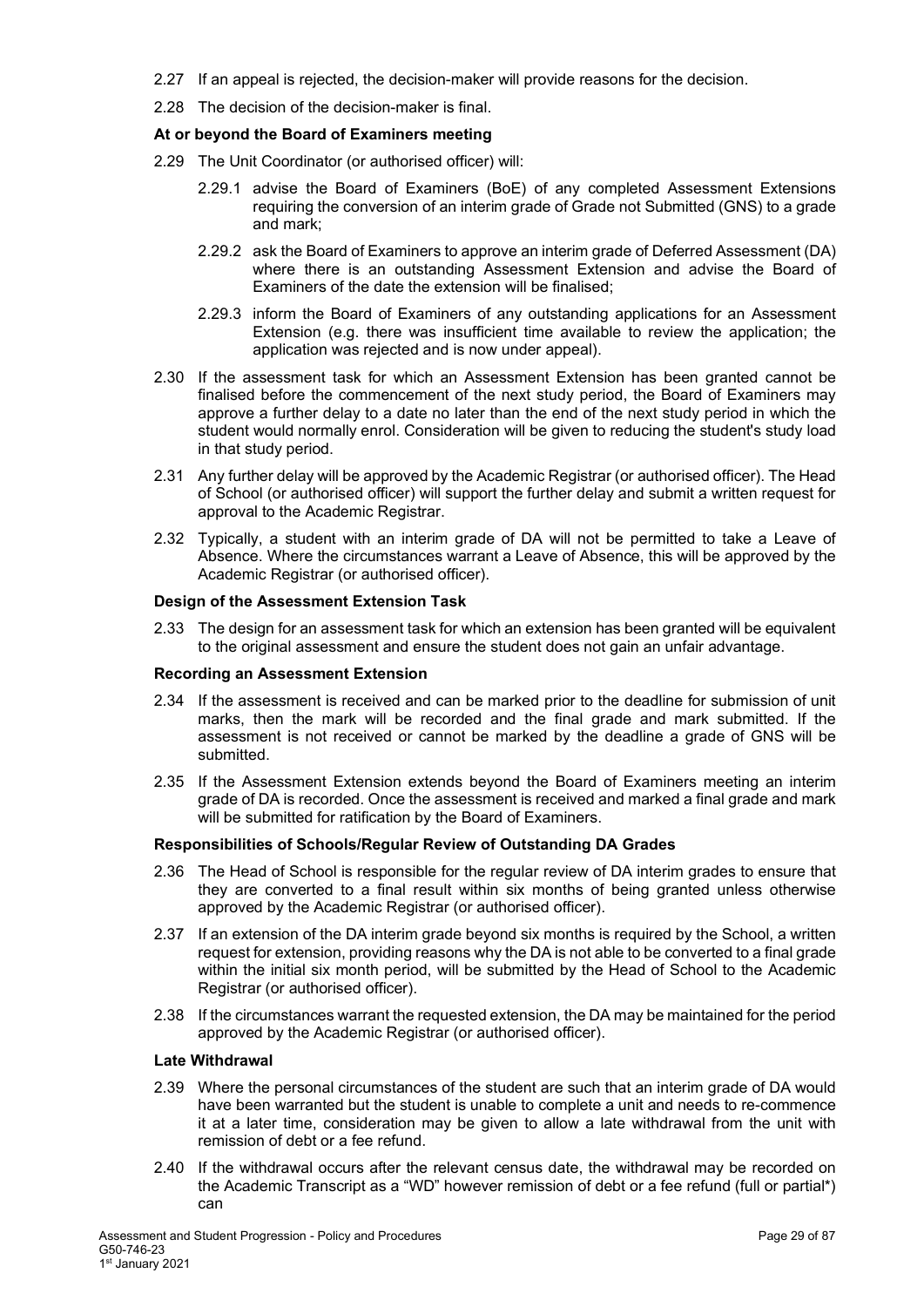- 2.27 If an appeal is rejected, the decision-maker will provide reasons for the decision.
- 2.28 The decision of the decision-maker is final.

### **At or beyond the Board of Examiners meeting**

- 2.29 The Unit Coordinator (or authorised officer) will:
	- 2.29.1 advise the Board of Examiners (BoE) of any completed Assessment Extensions requiring the conversion of an interim grade of Grade not Submitted (GNS) to a grade and mark;
	- 2.29.2 ask the Board of Examiners to approve an interim grade of Deferred Assessment (DA) where there is an outstanding Assessment Extension and advise the Board of Examiners of the date the extension will be finalised;
	- 2.29.3 inform the Board of Examiners of any outstanding applications for an Assessment Extension (e.g. there was insufficient time available to review the application; the application was rejected and is now under appeal).
- 2.30 If the assessment task for which an Assessment Extension has been granted cannot be finalised before the commencement of the next study period, the Board of Examiners may approve a further delay to a date no later than the end of the next study period in which the student would normally enrol. Consideration will be given to reducing the student's study load in that study period.
- 2.31 Any further delay will be approved by the Academic Registrar (or authorised officer). The Head of School (or authorised officer) will support the further delay and submit a written request for approval to the Academic Registrar.
- 2.32 Typically, a student with an interim grade of DA will not be permitted to take a Leave of Absence. Where the circumstances warrant a Leave of Absence, this will be approved by the Academic Registrar (or authorised officer).

### **Design of the Assessment Extension Task**

2.33 The design for an assessment task for which an extension has been granted will be equivalent to the original assessment and ensure the student does not gain an unfair advantage.

### **Recording an Assessment Extension**

- 2.34 If the assessment is received and can be marked prior to the deadline for submission of unit marks, then the mark will be recorded and the final grade and mark submitted. If the assessment is not received or cannot be marked by the deadline a grade of GNS will be submitted.
- 2.35 If the Assessment Extension extends beyond the Board of Examiners meeting an interim grade of DA is recorded. Once the assessment is received and marked a final grade and mark will be submitted for ratification by the Board of Examiners.

### **Responsibilities of Schools/Regular Review of Outstanding DA Grades**

- 2.36 The Head of School is responsible for the regular review of DA interim grades to ensure that they are converted to a final result within six months of being granted unless otherwise approved by the Academic Registrar (or authorised officer).
- 2.37 If an extension of the DA interim grade beyond six months is required by the School, a written request for extension, providing reasons why the DA is not able to be converted to a final grade within the initial six month period, will be submitted by the Head of School to the Academic Registrar (or authorised officer).
- 2.38 If the circumstances warrant the requested extension, the DA may be maintained for the period approved by the Academic Registrar (or authorised officer).

### **Late Withdrawal**

- 2.39 Where the personal circumstances of the student are such that an interim grade of DA would have been warranted but the student is unable to complete a unit and needs to re-commence it at a later time, consideration may be given to allow a late withdrawal from the unit with remission of debt or a fee refund.
- 2.40 If the withdrawal occurs after the relevant census date, the withdrawal may be recorded on the Academic Transcript as a "WD" however remission of debt or a fee refund (full or partial\*) can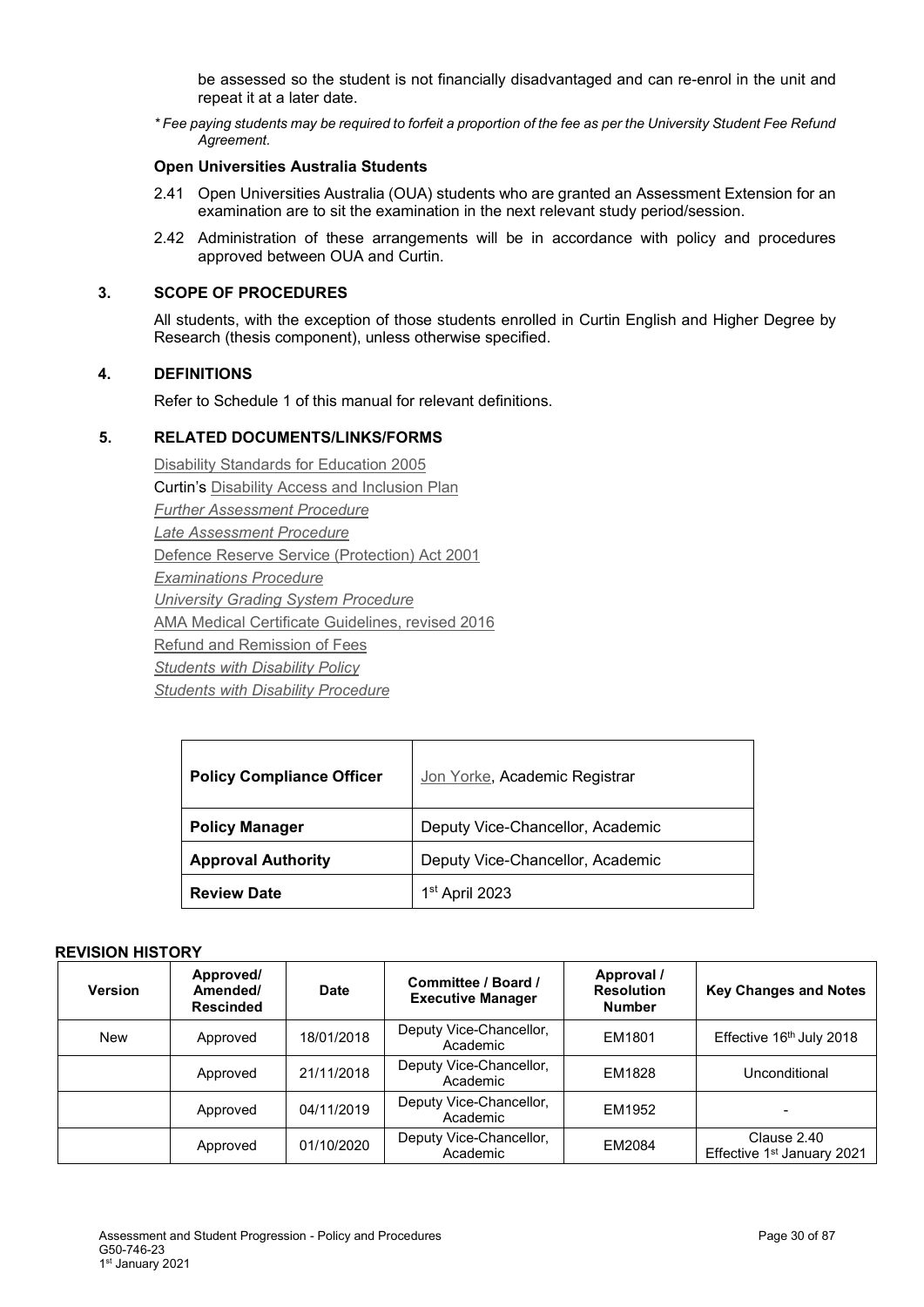be assessed so the student is not financially disadvantaged and can re-enrol in the unit and repeat it at a later date.

*\* Fee paying students may be required to forfeit a proportion of the fee as per the University Student Fee Refund Agreement.*

### **Open Universities Australia Students**

- 2.41 Open Universities Australia (OUA) students who are granted an Assessment Extension for an examination are to sit the examination in the next relevant study period/session.
- 2.42 Administration of these arrangements will be in accordance with policy and procedures approved between OUA and Curtin.

### **3. SCOPE OF PROCEDURES**

All students, with the exception of those students enrolled in Curtin English and Higher Degree by Research (thesis component), unless otherwise specified.

### **4. DEFINITIONS**

Refer to Schedule 1 of this manual for relevant definitions.

### **5. RELATED DOCUMENTS/LINKS/FORMS**

[Disability Standards for Education 2005](http://education.gov.au/disability-standards-education-2005) Curtin's [Disability Access and Inclusion Plan](http://about.curtin.edu.au/policy-governance/disability-access-inclusion-plan/) *Further [Assessment Procedure](#page-1-0) [Late Assessment Procedure](#page-1-0)* [Defence Reserve Service \(Protection\) Act 2001](https://www.legislation.gov.au/Details/C2016C01013) *[Examinations](#page-1-0) Procedure [University Grading System](#page-1-0) Procedure* AMA Medical Certificate [Guidelines, revised 2016](https://ama.com.au/system/tdf/documents/AMA%20Guidelines%20on%20Medical%20Certificates%202011.%20Revised%202016.pdf?file=1&type=node&id=44819) [Refund and Remission of Fees](http://fees.curtin.edu.au/refunds.cfm) *[Students with Disability](http://policies.curtin.edu.au/findapolicy/index.cfm#s) Policy [Students with Disability](http://policies.curtin.edu.au/findapolicy/index.cfm#s) Procedure*

| <b>Policy Compliance Officer</b> | Jon Yorke, Academic Registrar    |  |
|----------------------------------|----------------------------------|--|
| <b>Policy Manager</b>            | Deputy Vice-Chancellor, Academic |  |
| <b>Approval Authority</b>        | Deputy Vice-Chancellor, Academic |  |
| <b>Review Date</b>               | 1 <sup>st</sup> April 2023       |  |

| <b>Version</b> | Approved/<br>Amended/<br><b>Rescinded</b> | <b>Date</b> | Committee / Board /<br><b>Executive Manager</b> | Approval /<br><b>Resolution</b><br><b>Number</b> | <b>Key Changes and Notes</b>                          |
|----------------|-------------------------------------------|-------------|-------------------------------------------------|--------------------------------------------------|-------------------------------------------------------|
| <b>New</b>     | Approved                                  | 18/01/2018  | Deputy Vice-Chancellor,<br>Academic             | EM1801                                           | Effective 16th July 2018                              |
|                | Approved                                  | 21/11/2018  | Deputy Vice-Chancellor,<br>Academic             | EM1828                                           | Unconditional                                         |
|                | Approved                                  | 04/11/2019  | Deputy Vice-Chancellor,<br>Academic             | EM1952                                           | -                                                     |
|                | Approved                                  | 01/10/2020  | Deputy Vice-Chancellor,<br>Academic             | EM2084                                           | Clause 2.40<br>Effective 1 <sup>st</sup> January 2021 |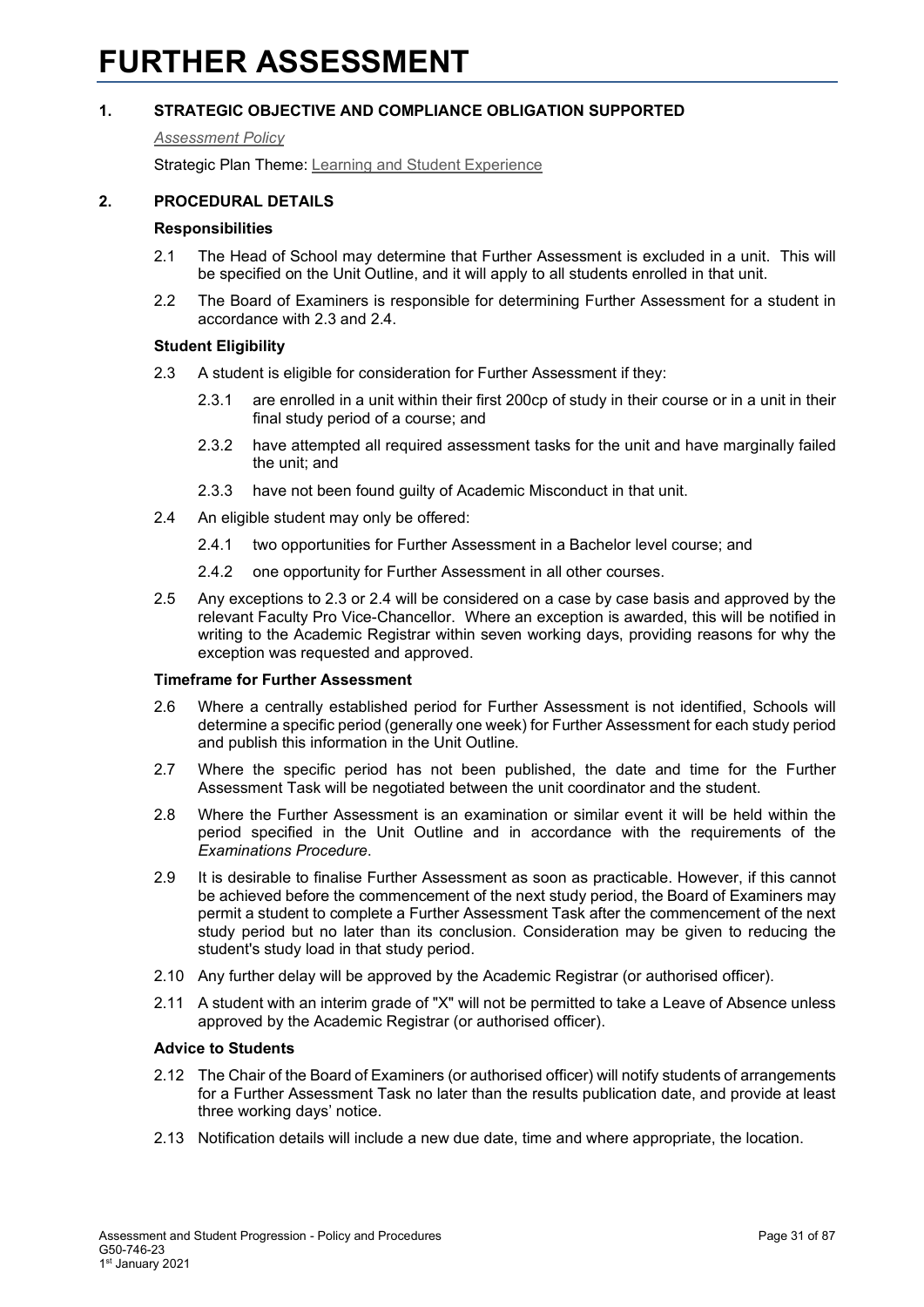### <span id="page-30-0"></span>*[Assessment Policy](#page-1-0)*

Strategic Plan Theme: [Learning and Student Experience](http://strategicplan.curtin.edu.au/themes/learning-student-experience/)

### **2. PROCEDURAL DETAILS**

### **Responsibilities**

- 2.1 The Head of School may determine that Further Assessment is excluded in a unit. This will be specified on the Unit Outline, and it will apply to all students enrolled in that unit.
- 2.2 The Board of Examiners is responsible for determining Further Assessment for a student in accordance with 2.3 and 2.4.

### **Student Eligibility**

- 2.3 A student is eligible for consideration for Further Assessment if they:
	- 2.3.1 are enrolled in a unit within their first 200cp of study in their course or in a unit in their final study period of a course; and
	- 2.3.2 have attempted all required assessment tasks for the unit and have marginally failed the unit; and
	- 2.3.3 have not been found guilty of Academic Misconduct in that unit.
- 2.4 An eligible student may only be offered:
	- 2.4.1 two opportunities for Further Assessment in a Bachelor level course; and
	- 2.4.2 one opportunity for Further Assessment in all other courses.
- 2.5 Any exceptions to 2.3 or 2.4 will be considered on a case by case basis and approved by the relevant Faculty Pro Vice-Chancellor. Where an exception is awarded, this will be notified in writing to the Academic Registrar within seven working days, providing reasons for why the exception was requested and approved.

### **Timeframe for Further Assessment**

- 2.6 Where a centrally established period for Further Assessment is not identified, Schools will determine a specific period (generally one week) for Further Assessment for each study period and publish this information in the Unit Outline.
- 2.7 Where the specific period has not been published, the date and time for the Further Assessment Task will be negotiated between the unit coordinator and the student.
- 2.8 Where the Further Assessment is an examination or similar event it will be held within the period specified in the Unit Outline and in accordance with the requirements of the *Examinations Procedure*.
- 2.9 It is desirable to finalise Further Assessment as soon as practicable. However, if this cannot be achieved before the commencement of the next study period, the Board of Examiners may permit a student to complete a Further Assessment Task after the commencement of the next study period but no later than its conclusion. Consideration may be given to reducing the student's study load in that study period.
- 2.10 Any further delay will be approved by the Academic Registrar (or authorised officer).
- 2.11 A student with an interim grade of "X" will not be permitted to take a Leave of Absence unless approved by the Academic Registrar (or authorised officer).

### **Advice to Students**

- 2.12 The Chair of the Board of Examiners (or authorised officer) will notify students of arrangements for a Further Assessment Task no later than the results publication date, and provide at least three working days' notice.
- 2.13 Notification details will include a new due date, time and where appropriate, the location.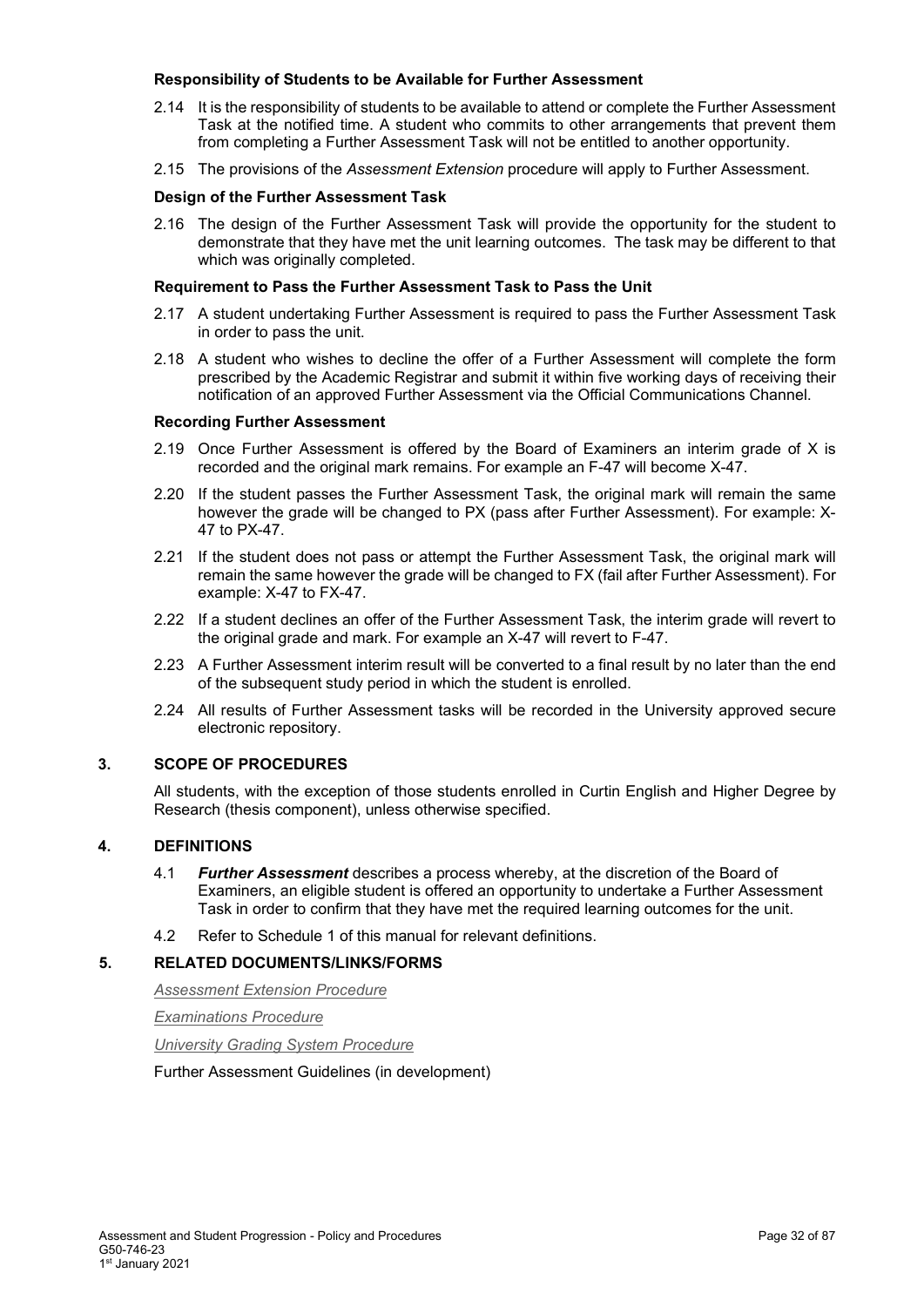### **Responsibility of Students to be Available for Further Assessment**

- 2.14 It is the responsibility of students to be available to attend or complete the Further Assessment Task at the notified time. A student who commits to other arrangements that prevent them from completing a Further Assessment Task will not be entitled to another opportunity.
- 2.15 The provisions of the *Assessment Extension* procedure will apply to Further Assessment.

### **Design of the Further Assessment Task**

2.16 The design of the Further Assessment Task will provide the opportunity for the student to demonstrate that they have met the unit learning outcomes. The task may be different to that which was originally completed.

### **Requirement to Pass the Further Assessment Task to Pass the Unit**

- 2.17 A student undertaking Further Assessment is required to pass the Further Assessment Task in order to pass the unit.
- 2.18 A student who wishes to decline the offer of a Further Assessment will complete the form prescribed by the Academic Registrar and submit it within five working days of receiving their notification of an approved Further Assessment via the Official Communications Channel.

### **Recording Further Assessment**

- 2.19 Once Further Assessment is offered by the Board of Examiners an interim grade of X is recorded and the original mark remains. For example an F-47 will become X-47.
- 2.20 If the student passes the Further Assessment Task, the original mark will remain the same however the grade will be changed to PX (pass after Further Assessment). For example: X-47 to PX-47.
- 2.21 If the student does not pass or attempt the Further Assessment Task, the original mark will remain the same however the grade will be changed to FX (fail after Further Assessment). For example: X-47 to FX-47.
- 2.22 If a student declines an offer of the Further Assessment Task, the interim grade will revert to the original grade and mark. For example an X-47 will revert to F-47.
- 2.23 A Further Assessment interim result will be converted to a final result by no later than the end of the subsequent study period in which the student is enrolled.
- 2.24 All results of Further Assessment tasks will be recorded in the University approved secure electronic repository.

### **3. SCOPE OF PROCEDURES**

All students, with the exception of those students enrolled in Curtin English and Higher Degree by Research (thesis component), unless otherwise specified.

### **4. DEFINITIONS**

- 4.1 *Further Assessment* describes a process whereby, at the discretion of the Board of Examiners, an eligible student is offered an opportunity to undertake a Further Assessment Task in order to confirm that they have met the required learning outcomes for the unit.
- 4.2 Refer to Schedule 1 of this manual for relevant definitions.

### **5. RELATED DOCUMENTS/LINKS/FORMS**

*[Assessment Extension Procedure](#page-1-0)*

*[Examinations Procedure](#page-1-0)*

*[University Grading System Procedure](#page-1-0)*

Further Assessment Guidelines (in development)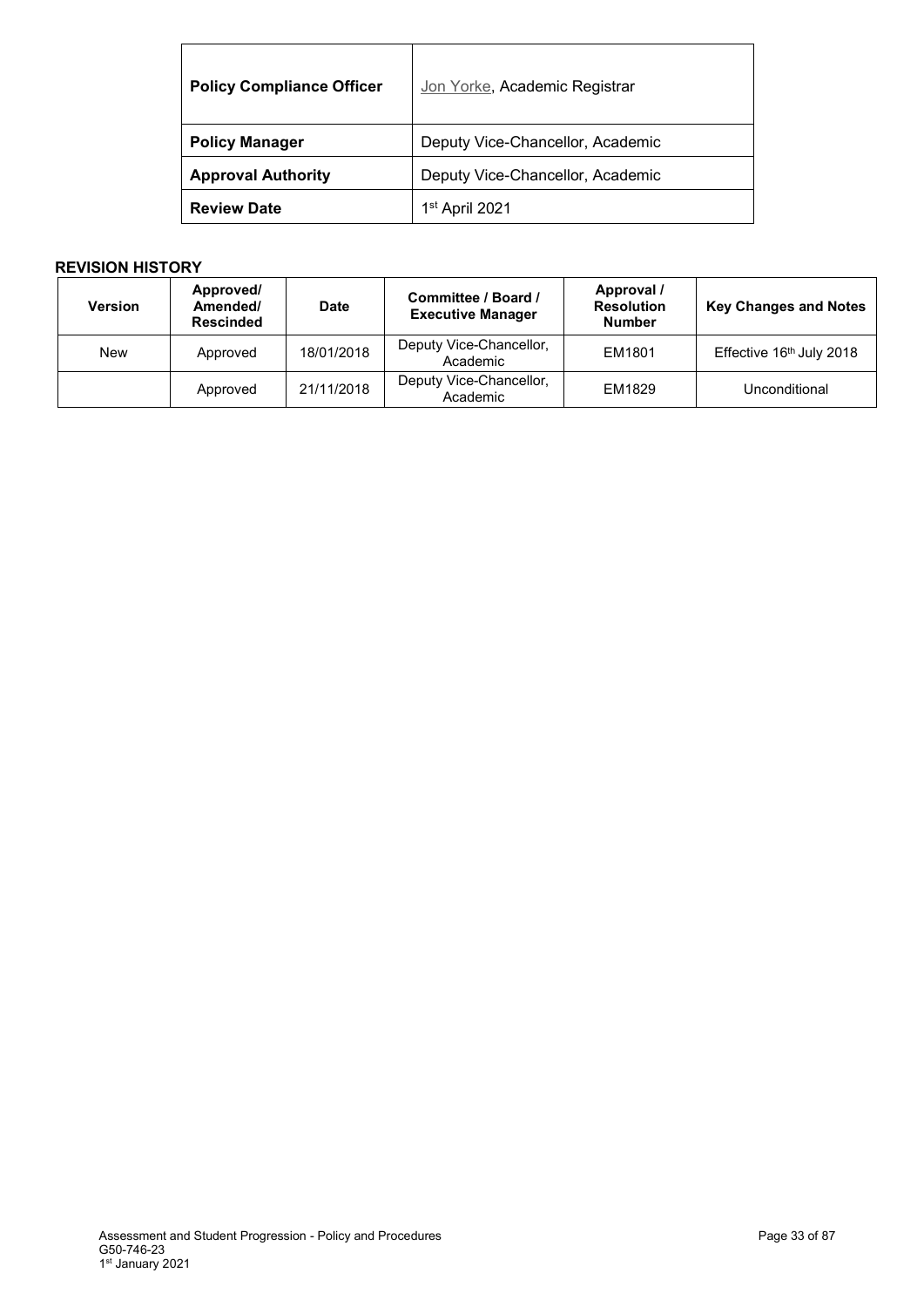| <b>Policy Compliance Officer</b> | Jon Yorke, Academic Registrar    |
|----------------------------------|----------------------------------|
| <b>Policy Manager</b>            | Deputy Vice-Chancellor, Academic |
| <b>Approval Authority</b>        | Deputy Vice-Chancellor, Academic |
| <b>Review Date</b>               | 1 <sup>st</sup> April 2021       |

| <b>Version</b> | Approved/<br>Amended/<br><b>Rescinded</b> | <b>Date</b> | Committee / Board /<br><b>Executive Manager</b> | Approval /<br><b>Resolution</b><br><b>Number</b> | <b>Key Changes and Notes</b> |
|----------------|-------------------------------------------|-------------|-------------------------------------------------|--------------------------------------------------|------------------------------|
| <b>New</b>     | Approved                                  | 18/01/2018  | Deputy Vice-Chancellor,<br>Academic             | EM1801                                           | Effective 16th July 2018     |
|                | Approved                                  | 21/11/2018  | Deputy Vice-Chancellor,<br>Academic             | EM1829                                           | Unconditional                |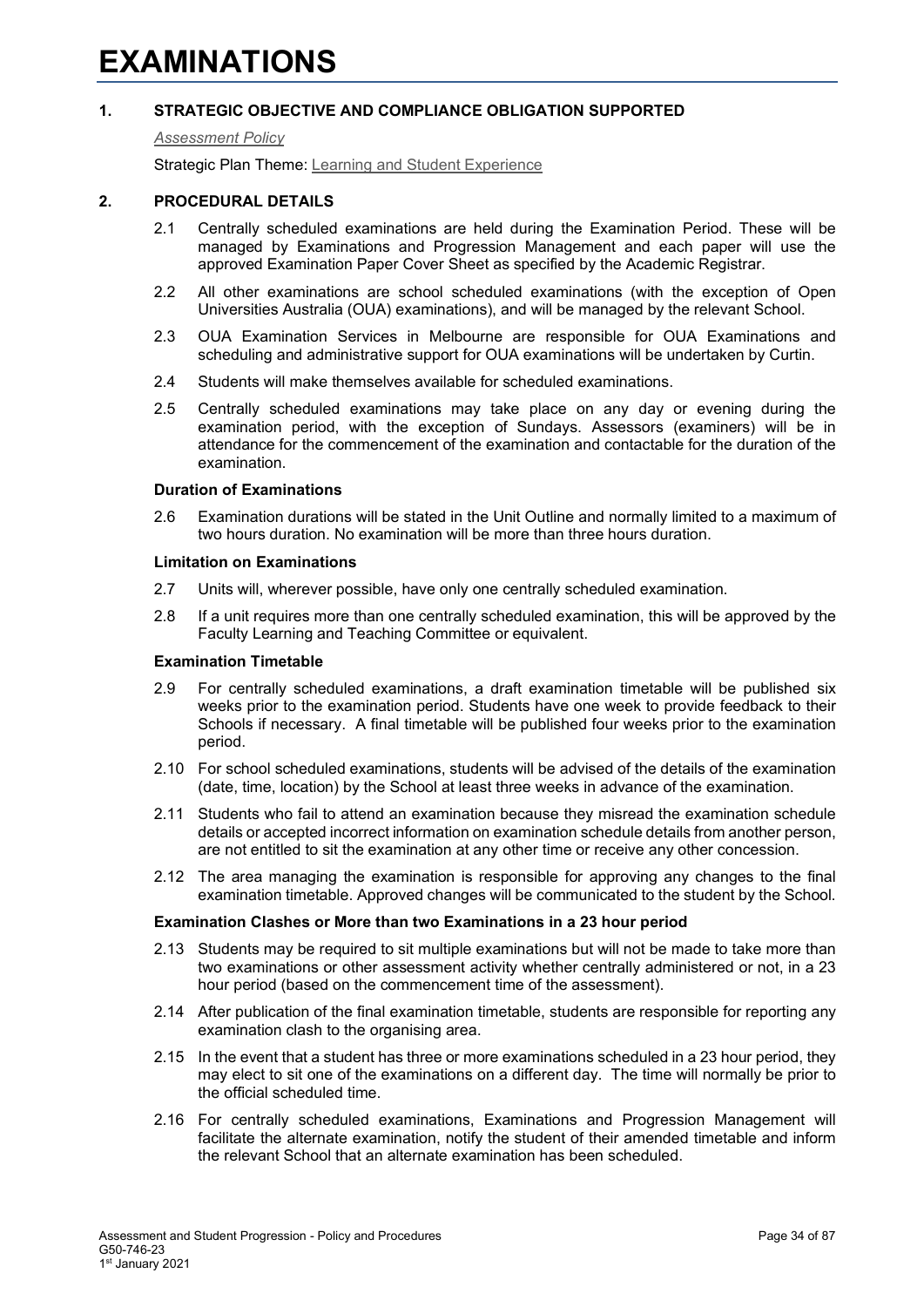#### <span id="page-33-0"></span>*[Assessment Policy](#page-1-0)*

Strategic Plan Theme: [Learning and Student Experience](http://strategicplan.curtin.edu.au/themes/learning-student-experience/)

### **2. PROCEDURAL DETAILS**

- 2.1 Centrally scheduled examinations are held during the Examination Period. These will be managed by Examinations and Progression Management and each paper will use the approved Examination Paper Cover Sheet as specified by the Academic Registrar.
- 2.2 All other examinations are school scheduled examinations (with the exception of Open Universities Australia (OUA) examinations), and will be managed by the relevant School.
- 2.3 OUA Examination Services in Melbourne are responsible for OUA Examinations and scheduling and administrative support for OUA examinations will be undertaken by Curtin.
- 2.4 Students will make themselves available for scheduled examinations.
- 2.5 Centrally scheduled examinations may take place on any day or evening during the examination period, with the exception of Sundays. Assessors (examiners) will be in attendance for the commencement of the examination and contactable for the duration of the examination.

### **Duration of Examinations**

2.6 Examination durations will be stated in the Unit Outline and normally limited to a maximum of two hours duration. No examination will be more than three hours duration.

#### **Limitation on Examinations**

- 2.7 Units will, wherever possible, have only one centrally scheduled examination.
- 2.8 If a unit requires more than one centrally scheduled examination, this will be approved by the Faculty Learning and Teaching Committee or equivalent.

#### **Examination Timetable**

- 2.9 For centrally scheduled examinations, a draft examination timetable will be published six weeks prior to the examination period. Students have one week to provide feedback to their Schools if necessary. A final timetable will be published four weeks prior to the examination period.
- 2.10 For school scheduled examinations, students will be advised of the details of the examination (date, time, location) by the School at least three weeks in advance of the examination.
- 2.11 Students who fail to attend an examination because they misread the examination schedule details or accepted incorrect information on examination schedule details from another person, are not entitled to sit the examination at any other time or receive any other concession.
- 2.12 The area managing the examination is responsible for approving any changes to the final examination timetable. Approved changes will be communicated to the student by the School.

### **Examination Clashes or More than two Examinations in a 23 hour period**

- 2.13 Students may be required to sit multiple examinations but will not be made to take more than two examinations or other assessment activity whether centrally administered or not, in a 23 hour period (based on the commencement time of the assessment).
- 2.14 After publication of the final examination timetable, students are responsible for reporting any examination clash to the organising area.
- 2.15 In the event that a student has three or more examinations scheduled in a 23 hour period, they may elect to sit one of the examinations on a different day. The time will normally be prior to the official scheduled time.
- 2.16 For centrally scheduled examinations, Examinations and Progression Management will facilitate the alternate examination, notify the student of their amended timetable and inform the relevant School that an alternate examination has been scheduled.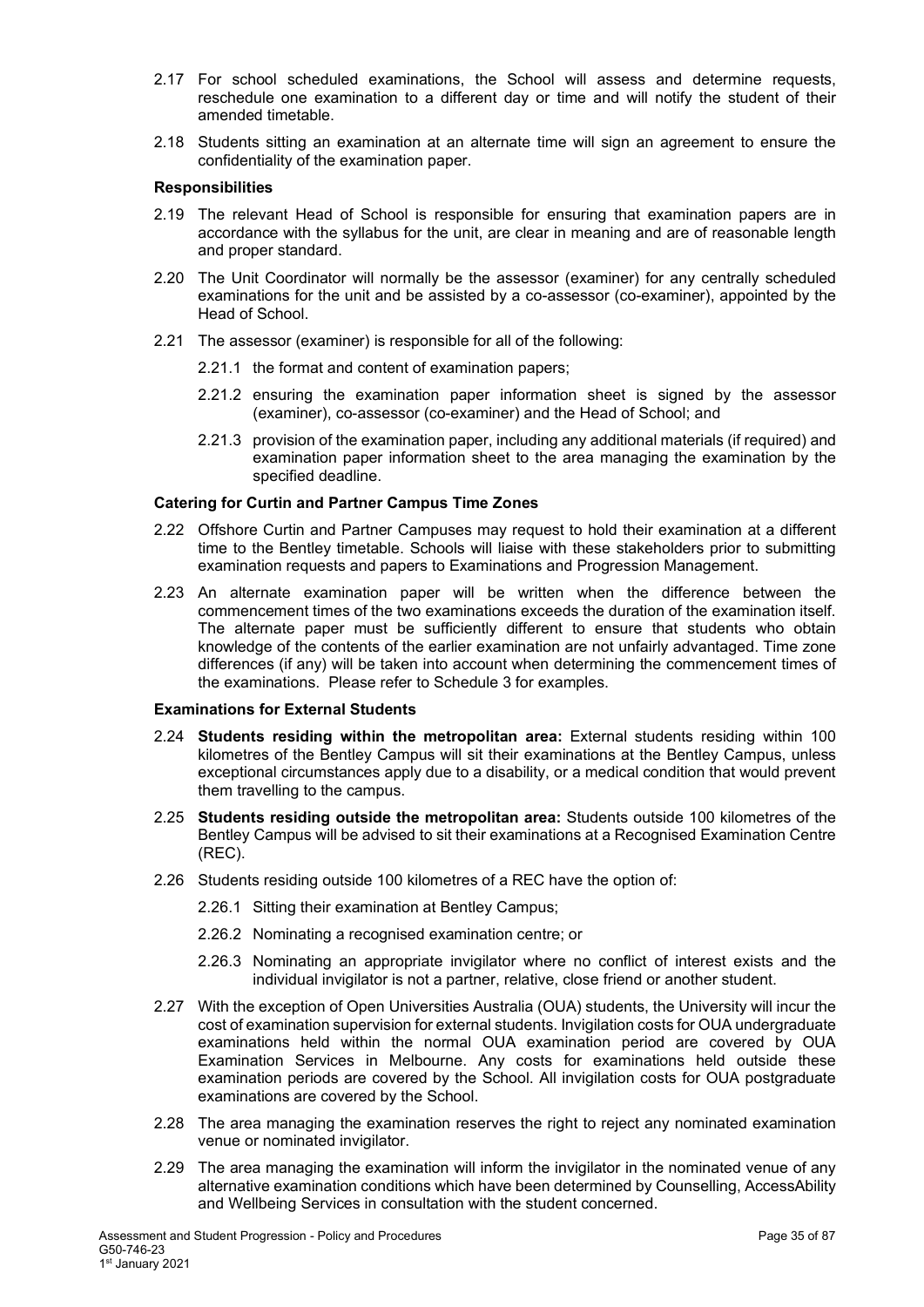- 2.17 For school scheduled examinations, the School will assess and determine requests, reschedule one examination to a different day or time and will notify the student of their amended timetable.
- 2.18 Students sitting an examination at an alternate time will sign an agreement to ensure the confidentiality of the examination paper.

### **Responsibilities**

- 2.19 The relevant Head of School is responsible for ensuring that examination papers are in accordance with the syllabus for the unit, are clear in meaning and are of reasonable length and proper standard.
- 2.20 The Unit Coordinator will normally be the assessor (examiner) for any centrally scheduled examinations for the unit and be assisted by a co-assessor (co-examiner), appointed by the Head of School.
- 2.21 The assessor (examiner) is responsible for all of the following:
	- 2.21.1 the format and content of examination papers;
	- 2.21.2 ensuring the examination paper information sheet is signed by the assessor (examiner), co-assessor (co-examiner) and the Head of School; and
	- 2.21.3 provision of the examination paper, including any additional materials (if required) and examination paper information sheet to the area managing the examination by the specified deadline.

### **Catering for Curtin and Partner Campus Time Zones**

- 2.22 Offshore Curtin and Partner Campuses may request to hold their examination at a different time to the Bentley timetable. Schools will liaise with these stakeholders prior to submitting examination requests and papers to Examinations and Progression Management.
- 2.23 An alternate examination paper will be written when the difference between the commencement times of the two examinations exceeds the duration of the examination itself. The alternate paper must be sufficiently different to ensure that students who obtain knowledge of the contents of the earlier examination are not unfairly advantaged. Time zone differences (if any) will be taken into account when determining the commencement times of the examinations. Please refer to Schedule 3 for examples.

### **Examinations for External Students**

- 2.24 **Students residing within the metropolitan area:** External students residing within 100 kilometres of the Bentley Campus will sit their examinations at the Bentley Campus, unless exceptional circumstances apply due to a disability, or a medical condition that would prevent them travelling to the campus.
- 2.25 **Students residing outside the metropolitan area:** Students outside 100 kilometres of the Bentley Campus will be advised to sit their examinations at a Recognised Examination Centre (REC).
- 2.26 Students residing outside 100 kilometres of a REC have the option of:
	- 2.26.1 Sitting their examination at Bentley Campus;
	- 2.26.2 Nominating a recognised examination centre; or
	- 2.26.3 Nominating an appropriate invigilator where no conflict of interest exists and the individual invigilator is not a partner, relative, close friend or another student.
- 2.27 With the exception of Open Universities Australia (OUA) students, the University will incur the cost of examination supervision for external students. Invigilation costs for OUA undergraduate examinations held within the normal OUA examination period are covered by OUA Examination Services in Melbourne. Any costs for examinations held outside these examination periods are covered by the School. All invigilation costs for OUA postgraduate examinations are covered by the School.
- 2.28 The area managing the examination reserves the right to reject any nominated examination venue or nominated invigilator.
- 2.29 The area managing the examination will inform the invigilator in the nominated venue of any alternative examination conditions which have been determined by Counselling, AccessAbility and Wellbeing Services in consultation with the student concerned.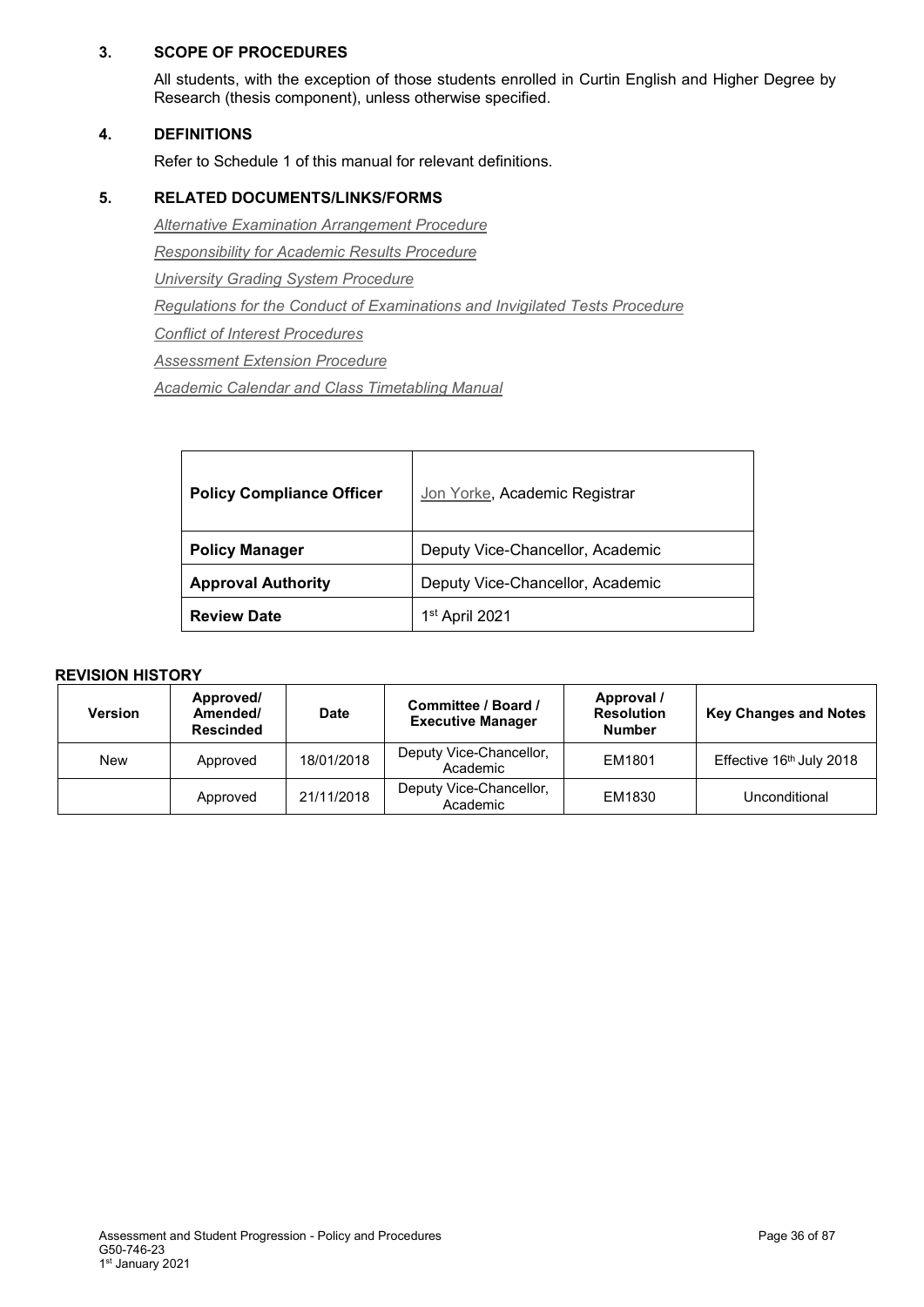### **3. SCOPE OF PROCEDURES**

All students, with the exception of those students enrolled in Curtin English and Higher Degree by Research (thesis component), unless otherwise specified.

### **4. DEFINITIONS**

Refer to Schedule 1 of this manual for relevant definitions.

### **5. RELATED DOCUMENTS/LINKS/FORMS**

*[Alternative Examination Arrangement Procedure](#page-1-0) [Responsibility for Academic Results Procedure](#page-1-0) [University Grading System Procedure](#page-1-0) [Regulations for the Conduct of Examinations and Invigilated Tests](#page-1-0) Procedure [Conflict of Interest Procedures](http://policies.curtin.edu.au/findapolicy/index.cfm) [Assessment Extension Procedure](#page-1-0) [Academic Calendar and Class Timetabling Manual](http://policies.curtin.edu.au/findapolicy/index.cfm)*

| <b>Policy Compliance Officer</b> | Jon Yorke, Academic Registrar    |
|----------------------------------|----------------------------------|
| <b>Policy Manager</b>            | Deputy Vice-Chancellor, Academic |
| <b>Approval Authority</b>        | Deputy Vice-Chancellor, Academic |
| <b>Review Date</b>               | 1st April 2021                   |

| <b>Version</b> | Approved/<br>Amended/<br><b>Rescinded</b> | <b>Date</b> | Committee / Board /<br><b>Executive Manager</b> | Approval /<br><b>Resolution</b><br><b>Number</b> | <b>Key Changes and Notes</b> |
|----------------|-------------------------------------------|-------------|-------------------------------------------------|--------------------------------------------------|------------------------------|
| <b>New</b>     | Approved                                  | 18/01/2018  | Deputy Vice-Chancellor,<br>Academic             | EM1801                                           | Effective 16th July 2018     |
|                | Approved                                  | 21/11/2018  | Deputy Vice-Chancellor,<br>Academic             | EM1830                                           | Unconditional                |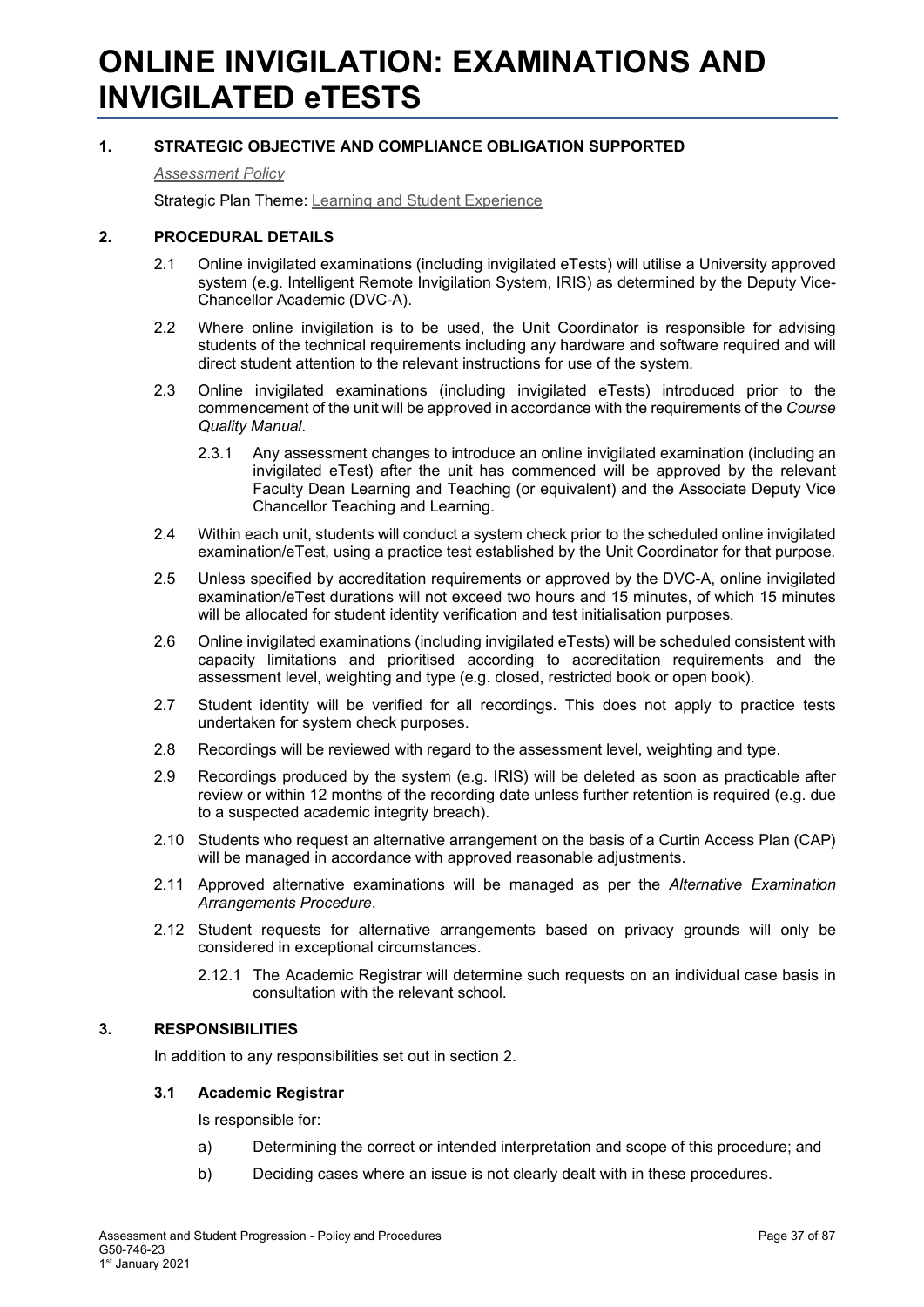## **ONLINE INVIGILATION: EXAMINATIONS AND INVIGILATED eTESTS**

## **1. STRATEGIC OBJECTIVE AND COMPLIANCE OBLIGATION SUPPORTED**

*[Assessment Policy](#page-1-0)*

Strategic Plan Theme: [Learning and Student Experience](http://strategicplan.curtin.edu.au/themes/learning-student-experience/)

## **2. PROCEDURAL DETAILS**

- 2.1 Online invigilated examinations (including invigilated eTests) will utilise a University approved system (e.g. Intelligent Remote Invigilation System, IRIS) as determined by the Deputy Vice-Chancellor Academic (DVC-A).
- 2.2 Where online invigilation is to be used, the Unit Coordinator is responsible for advising students of the technical requirements including any hardware and software required and will direct student attention to the relevant instructions for use of the system.
- 2.3 Online invigilated examinations (including invigilated eTests) introduced prior to the commencement of the unit will be approved in accordance with the requirements of the *Course Quality Manual*.
	- 2.3.1 Any assessment changes to introduce an online invigilated examination (including an invigilated eTest) after the unit has commenced will be approved by the relevant Faculty Dean Learning and Teaching (or equivalent) and the Associate Deputy Vice Chancellor Teaching and Learning.
- 2.4 Within each unit, students will conduct a system check prior to the scheduled online invigilated examination/eTest, using a practice test established by the Unit Coordinator for that purpose.
- 2.5 Unless specified by accreditation requirements or approved by the DVC-A, online invigilated examination/eTest durations will not exceed two hours and 15 minutes, of which 15 minutes will be allocated for student identity verification and test initialisation purposes.
- 2.6 Online invigilated examinations (including invigilated eTests) will be scheduled consistent with capacity limitations and prioritised according to accreditation requirements and the assessment level, weighting and type (e.g. closed, restricted book or open book).
- 2.7 Student identity will be verified for all recordings. This does not apply to practice tests undertaken for system check purposes.
- 2.8 Recordings will be reviewed with regard to the assessment level, weighting and type.
- 2.9 Recordings produced by the system (e.g. IRIS) will be deleted as soon as practicable after review or within 12 months of the recording date unless further retention is required (e.g. due to a suspected academic integrity breach).
- 2.10 Students who request an alternative arrangement on the basis of a Curtin Access Plan (CAP) will be managed in accordance with approved reasonable adjustments.
- 2.11 Approved alternative examinations will be managed as per the *Alternative Examination Arrangements Procedure*.
- 2.12 Student requests for alternative arrangements based on privacy grounds will only be considered in exceptional circumstances.
	- 2.12.1 The Academic Registrar will determine such requests on an individual case basis in consultation with the relevant school.

## **3. RESPONSIBILITIES**

In addition to any responsibilities set out in section 2.

## **3.1 Academic Registrar**

Is responsible for:

- a) Determining the correct or intended interpretation and scope of this procedure; and
- b) Deciding cases where an issue is not clearly dealt with in these procedures.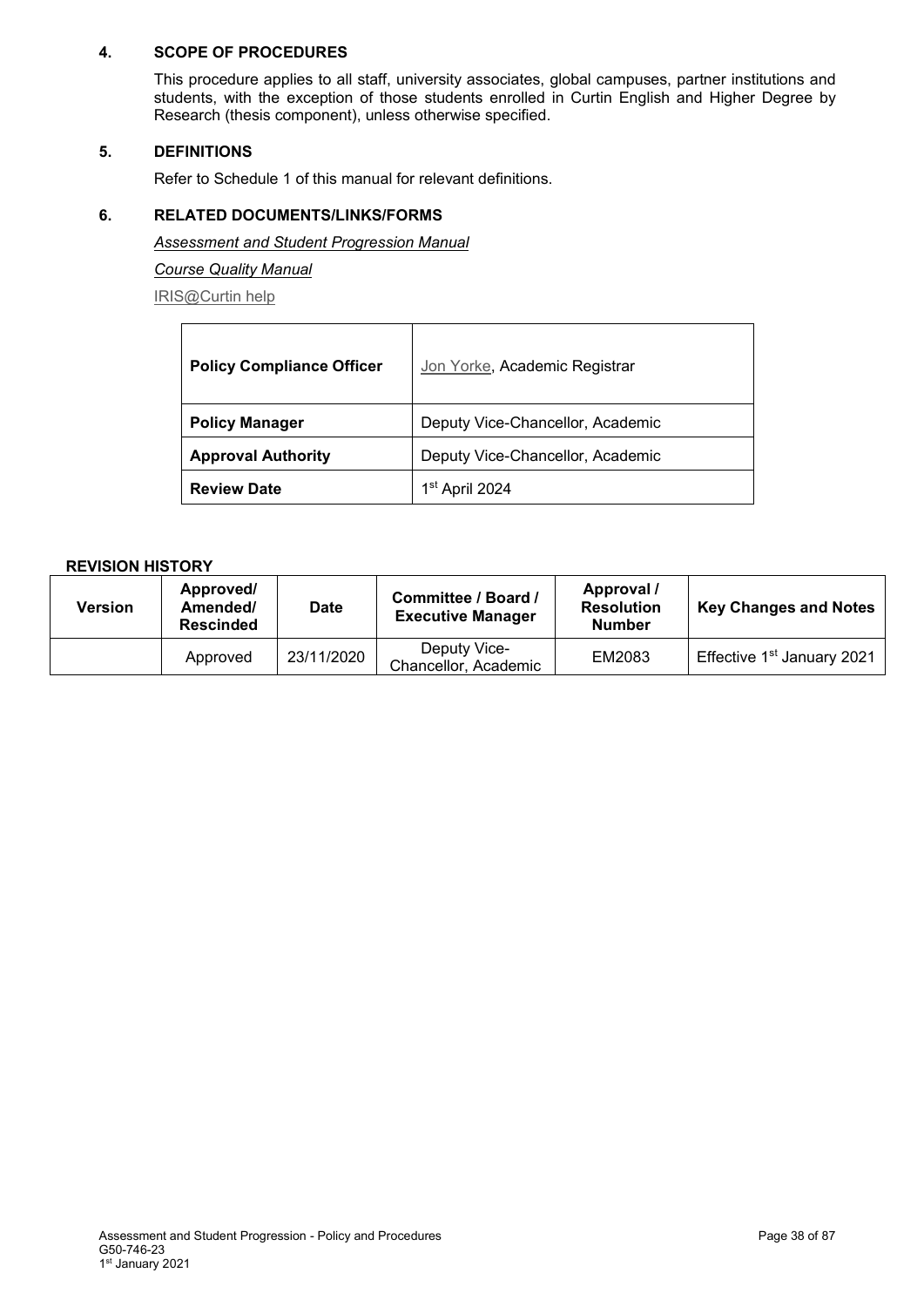## **4. SCOPE OF PROCEDURES**

This procedure applies to all staff, university associates, global campuses, partner institutions and students, with the exception of those students enrolled in Curtin English and Higher Degree by Research (thesis component), unless otherwise specified.

## **5. DEFINITIONS**

Refer to Schedule 1 of this manual for relevant definitions.

## **6. RELATED DOCUMENTS/LINKS/FORMS**

*Assessment and Student Progression Manual*

*Course Quality Manual*

[IRIS@Curtin help](https://students.curtin.edu.au/essentials/it/guides/iris/)

| <b>Policy Compliance Officer</b> | Jon Yorke, Academic Registrar    |  |
|----------------------------------|----------------------------------|--|
| <b>Policy Manager</b>            | Deputy Vice-Chancellor, Academic |  |
| <b>Approval Authority</b>        | Deputy Vice-Chancellor, Academic |  |
| <b>Review Date</b>               | 1 <sup>st</sup> April 2024       |  |

| Version | Approved/<br>Amended/<br><b>Rescinded</b> | <b>Date</b> | Committee / Board /<br><b>Executive Manager</b> | Approval /<br><b>Resolution</b><br><b>Number</b> | <b>Key Changes and Notes</b>           |
|---------|-------------------------------------------|-------------|-------------------------------------------------|--------------------------------------------------|----------------------------------------|
|         | Approved                                  | 23/11/2020  | Deputy Vice-<br>Chancellor, Academic            | EM2083                                           | Effective 1 <sup>st</sup> January 2021 |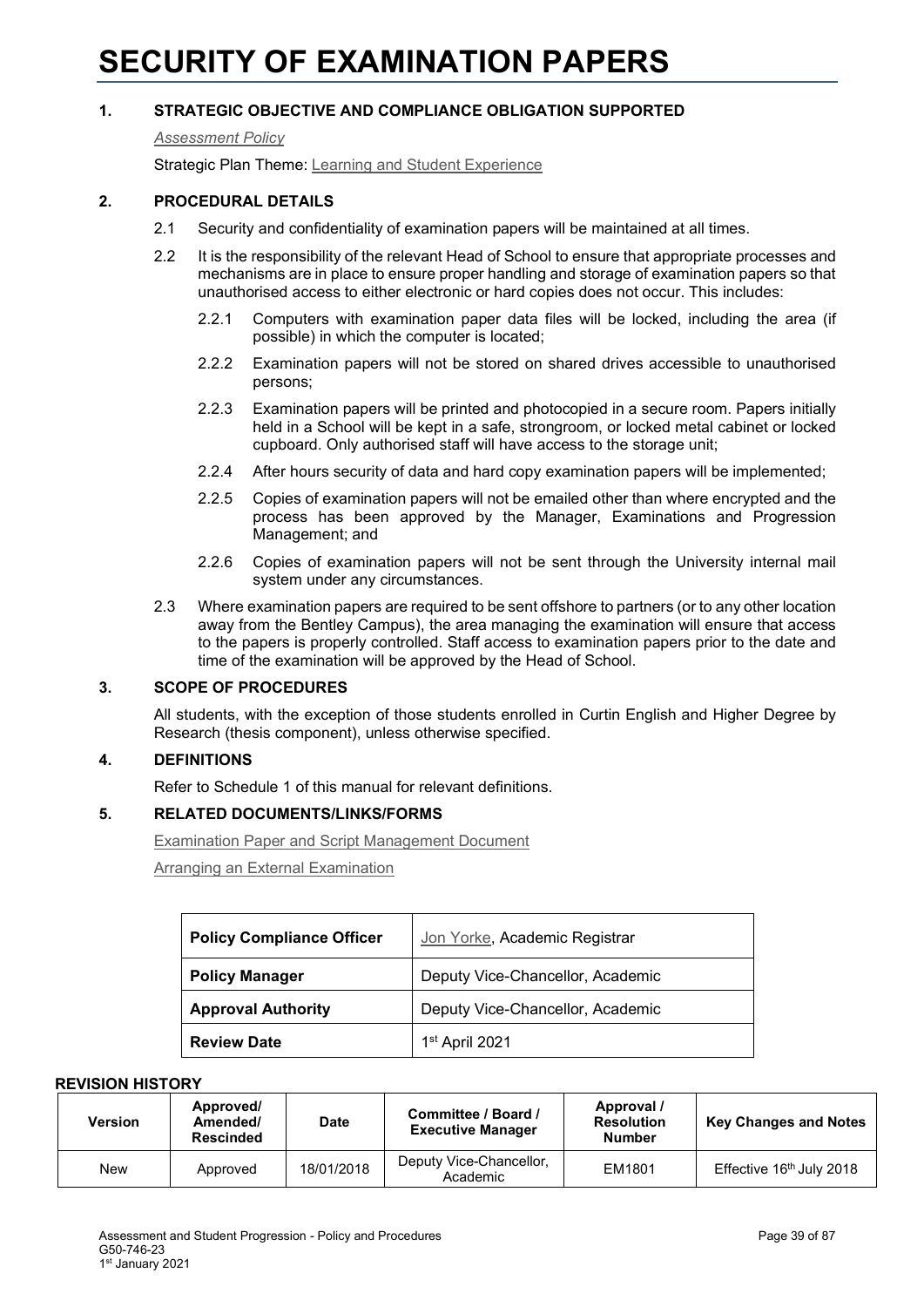# **SECURITY OF EXAMINATION PAPERS**

## **1. STRATEGIC OBJECTIVE AND COMPLIANCE OBLIGATION SUPPORTED**

#### *[Assessment Policy](#page-1-0)*

Strategic Plan Theme: [Learning and Student Experience](http://strategicplan.curtin.edu.au/themes/learning-student-experience/)

## **2. PROCEDURAL DETAILS**

- 2.1 Security and confidentiality of examination papers will be maintained at all times.
- 2.2 It is the responsibility of the relevant Head of School to ensure that appropriate processes and mechanisms are in place to ensure proper handling and storage of examination papers so that unauthorised access to either electronic or hard copies does not occur. This includes:
	- 2.2.1 Computers with examination paper data files will be locked, including the area (if possible) in which the computer is located;
	- 2.2.2 Examination papers will not be stored on shared drives accessible to unauthorised persons;
	- 2.2.3 Examination papers will be printed and photocopied in a secure room. Papers initially held in a School will be kept in a safe, strongroom, or locked metal cabinet or locked cupboard. Only authorised staff will have access to the storage unit;
	- 2.2.4 After hours security of data and hard copy examination papers will be implemented;
	- 2.2.5 Copies of examination papers will not be emailed other than where encrypted and the process has been approved by the Manager, Examinations and Progression Management; and
	- 2.2.6 Copies of examination papers will not be sent through the University internal mail system under any circumstances.
- 2.3 Where examination papers are required to be sent offshore to partners (or to any other location away from the Bentley Campus), the area managing the examination will ensure that access to the papers is properly controlled. Staff access to examination papers prior to the date and time of the examination will be approved by the Head of School.

## **3. SCOPE OF PROCEDURES**

All students, with the exception of those students enrolled in Curtin English and Higher Degree by Research (thesis component), unless otherwise specified.

## **4. DEFINITIONS**

Refer to Schedule 1 of this manual for relevant definitions.

## **5. RELATED DOCUMENTS/LINKS/FORMS**

Examination [Paper and Script Management Document](https://examinations.curtin.edu.au/staff/management.cfm)

[Arranging an External Examination](https://examinations.curtin.edu.au/students/external_exam.cfm)

| <b>Policy Compliance Officer</b> | Jon Yorke, Academic Registrar    |  |
|----------------------------------|----------------------------------|--|
| <b>Policy Manager</b>            | Deputy Vice-Chancellor, Academic |  |
| <b>Approval Authority</b>        | Deputy Vice-Chancellor, Academic |  |
| <b>Review Date</b>               | 1st April 2021                   |  |

| <b>Version</b> | Approved/<br>Amended/<br><b>Rescinded</b> | <b>Date</b> | Committee / Board /<br><b>Executive Manager</b> | Approval /<br><b>Resolution</b><br><b>Number</b> | <b>Key Changes and Notes</b>         |
|----------------|-------------------------------------------|-------------|-------------------------------------------------|--------------------------------------------------|--------------------------------------|
| <b>New</b>     | Approved                                  | 18/01/2018  | Deputy Vice-Chancellor,<br>Academic             | EM1801                                           | Effective 16 <sup>th</sup> July 2018 |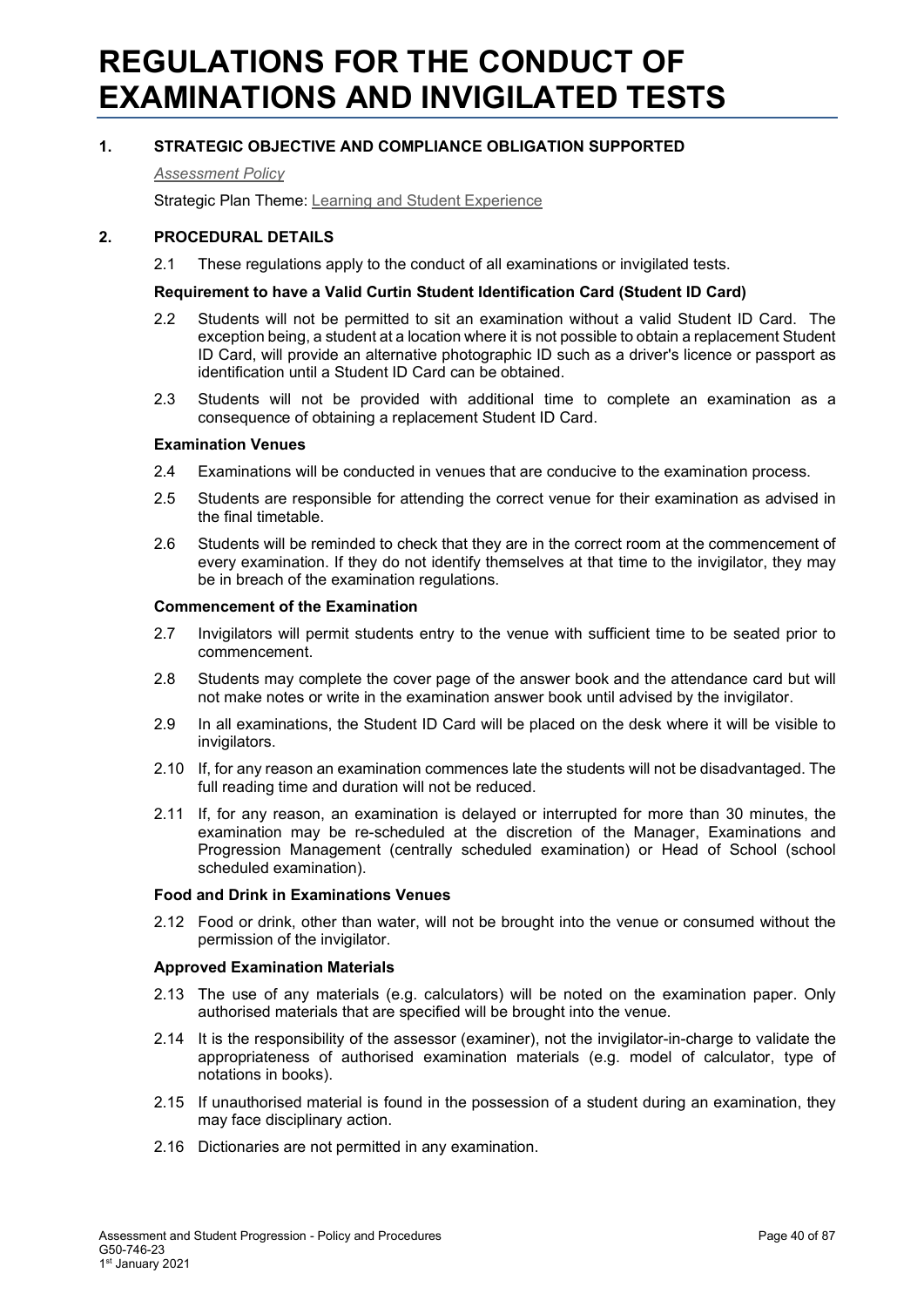# **REGULATIONS FOR THE CONDUCT OF EXAMINATIONS AND INVIGILATED TESTS**

## **1. STRATEGIC OBJECTIVE AND COMPLIANCE OBLIGATION SUPPORTED**

*[Assessment Policy](#page-1-0)*

Strategic Plan Theme: [Learning and Student Experience](http://strategicplan.curtin.edu.au/themes/learning-student-experience/)

#### **2. PROCEDURAL DETAILS**

2.1 These regulations apply to the conduct of all examinations or invigilated tests.

#### **Requirement to have a Valid Curtin Student Identification Card (Student ID Card)**

- 2.2 Students will not be permitted to sit an examination without a valid Student ID Card. The exception being, a student at a location where it is not possible to obtain a replacement Student ID Card, will provide an alternative photographic ID such as a driver's licence or passport as identification until a Student ID Card can be obtained.
- 2.3 Students will not be provided with additional time to complete an examination as a consequence of obtaining a replacement Student ID Card.

#### **Examination Venues**

- 2.4 Examinations will be conducted in venues that are conducive to the examination process.
- 2.5 Students are responsible for attending the correct venue for their examination as advised in the final timetable.
- 2.6 Students will be reminded to check that they are in the correct room at the commencement of every examination. If they do not identify themselves at that time to the invigilator, they may be in breach of the examination regulations.

#### **Commencement of the Examination**

- 2.7 Invigilators will permit students entry to the venue with sufficient time to be seated prior to commencement.
- 2.8 Students may complete the cover page of the answer book and the attendance card but will not make notes or write in the examination answer book until advised by the invigilator.
- 2.9 In all examinations, the Student ID Card will be placed on the desk where it will be visible to invigilators.
- 2.10 If, for any reason an examination commences late the students will not be disadvantaged. The full reading time and duration will not be reduced.
- 2.11 If, for any reason, an examination is delayed or interrupted for more than 30 minutes, the examination may be re-scheduled at the discretion of the Manager, Examinations and Progression Management (centrally scheduled examination) or Head of School (school scheduled examination).

#### **Food and Drink in Examinations Venues**

2.12 Food or drink, other than water, will not be brought into the venue or consumed without the permission of the invigilator.

#### **Approved Examination Materials**

- 2.13 The use of any materials (e.g. calculators) will be noted on the examination paper. Only authorised materials that are specified will be brought into the venue.
- 2.14 It is the responsibility of the assessor (examiner), not the invigilator-in-charge to validate the appropriateness of authorised examination materials (e.g. model of calculator, type of notations in books).
- 2.15 If unauthorised material is found in the possession of a student during an examination, they may face disciplinary action.
- 2.16 Dictionaries are not permitted in any examination.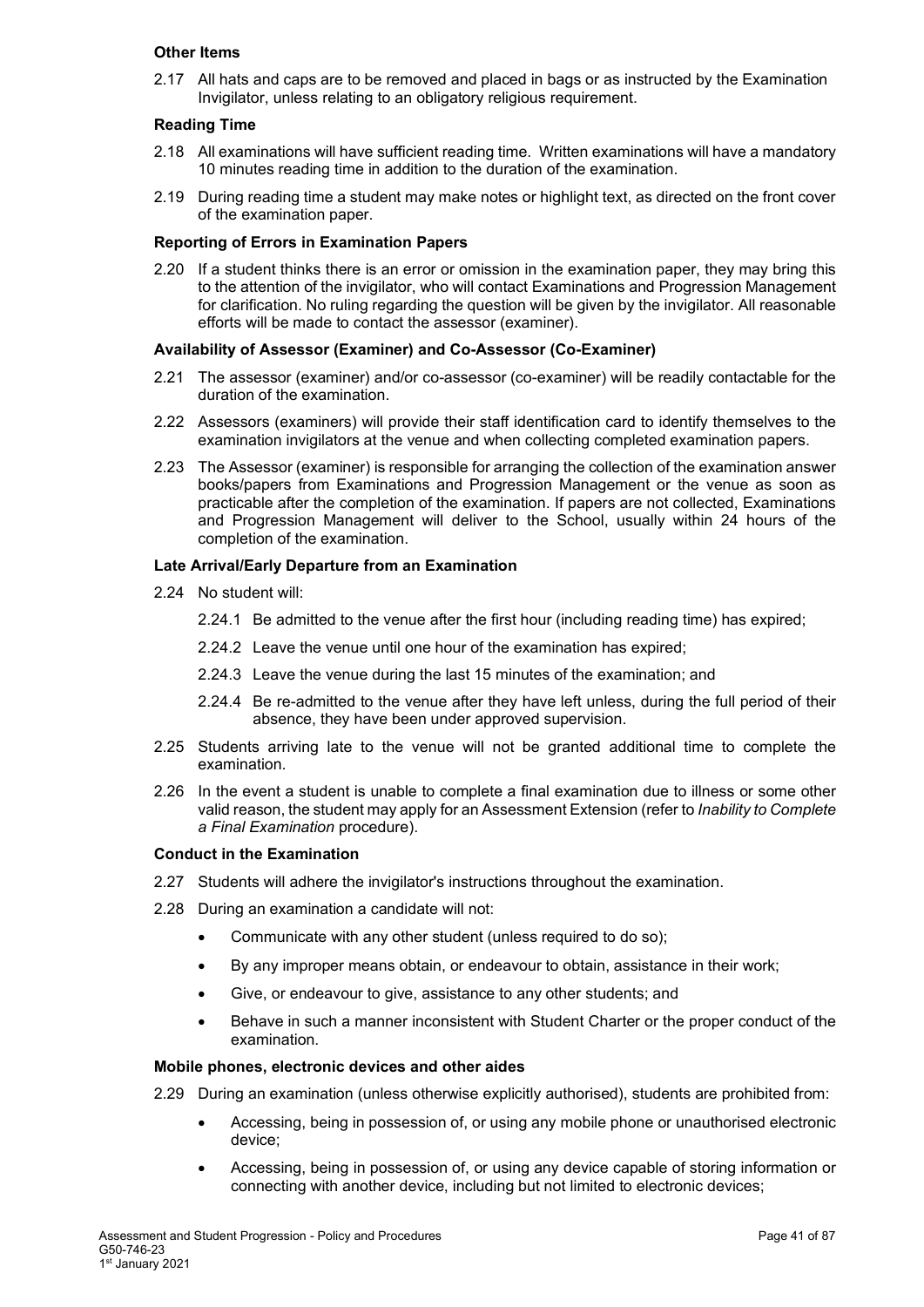#### **Other Items**

2.17 All hats and caps are to be removed and placed in bags or as instructed by the Examination Invigilator, unless relating to an obligatory religious requirement.

#### **Reading Time**

- 2.18 All examinations will have sufficient reading time. Written examinations will have a mandatory 10 minutes reading time in addition to the duration of the examination.
- 2.19 During reading time a student may make notes or highlight text, as directed on the front cover of the examination paper.

#### **Reporting of Errors in Examination Papers**

2.20 If a student thinks there is an error or omission in the examination paper, they may bring this to the attention of the invigilator, who will contact Examinations and Progression Management for clarification. No ruling regarding the question will be given by the invigilator. All reasonable efforts will be made to contact the assessor (examiner).

#### **Availability of Assessor (Examiner) and Co-Assessor (Co-Examiner)**

- 2.21 The assessor (examiner) and/or co-assessor (co-examiner) will be readily contactable for the duration of the examination.
- 2.22 Assessors (examiners) will provide their staff identification card to identify themselves to the examination invigilators at the venue and when collecting completed examination papers.
- 2.23 The Assessor (examiner) is responsible for arranging the collection of the examination answer books/papers from Examinations and Progression Management or the venue as soon as practicable after the completion of the examination. If papers are not collected, Examinations and Progression Management will deliver to the School, usually within 24 hours of the completion of the examination.

#### **Late Arrival/Early Departure from an Examination**

- 2.24 No student will:
	- 2.24.1 Be admitted to the venue after the first hour (including reading time) has expired;
	- 2.24.2 Leave the venue until one hour of the examination has expired;
	- 2.24.3 Leave the venue during the last 15 minutes of the examination; and
	- 2.24.4 Be re-admitted to the venue after they have left unless, during the full period of their absence, they have been under approved supervision.
- 2.25 Students arriving late to the venue will not be granted additional time to complete the examination.
- 2.26 In the event a student is unable to complete a final examination due to illness or some other valid reason, the student may apply for an Assessment Extension (refer to *Inability to Complete a Final Examination* procedure).

#### **Conduct in the Examination**

- 2.27 Students will adhere the invigilator's instructions throughout the examination.
- 2.28 During an examination a candidate will not:
	- Communicate with any other student (unless required to do so);
	- By any improper means obtain, or endeavour to obtain, assistance in their work;
	- Give, or endeavour to give, assistance to any other students; and
	- Behave in such a manner inconsistent with Student Charter or the proper conduct of the examination.

#### **Mobile phones, electronic devices and other aides**

- 2.29 During an examination (unless otherwise explicitly authorised), students are prohibited from:
	- Accessing, being in possession of, or using any mobile phone or unauthorised electronic device;
	- Accessing, being in possession of, or using any device capable of storing information or connecting with another device, including but not limited to electronic devices;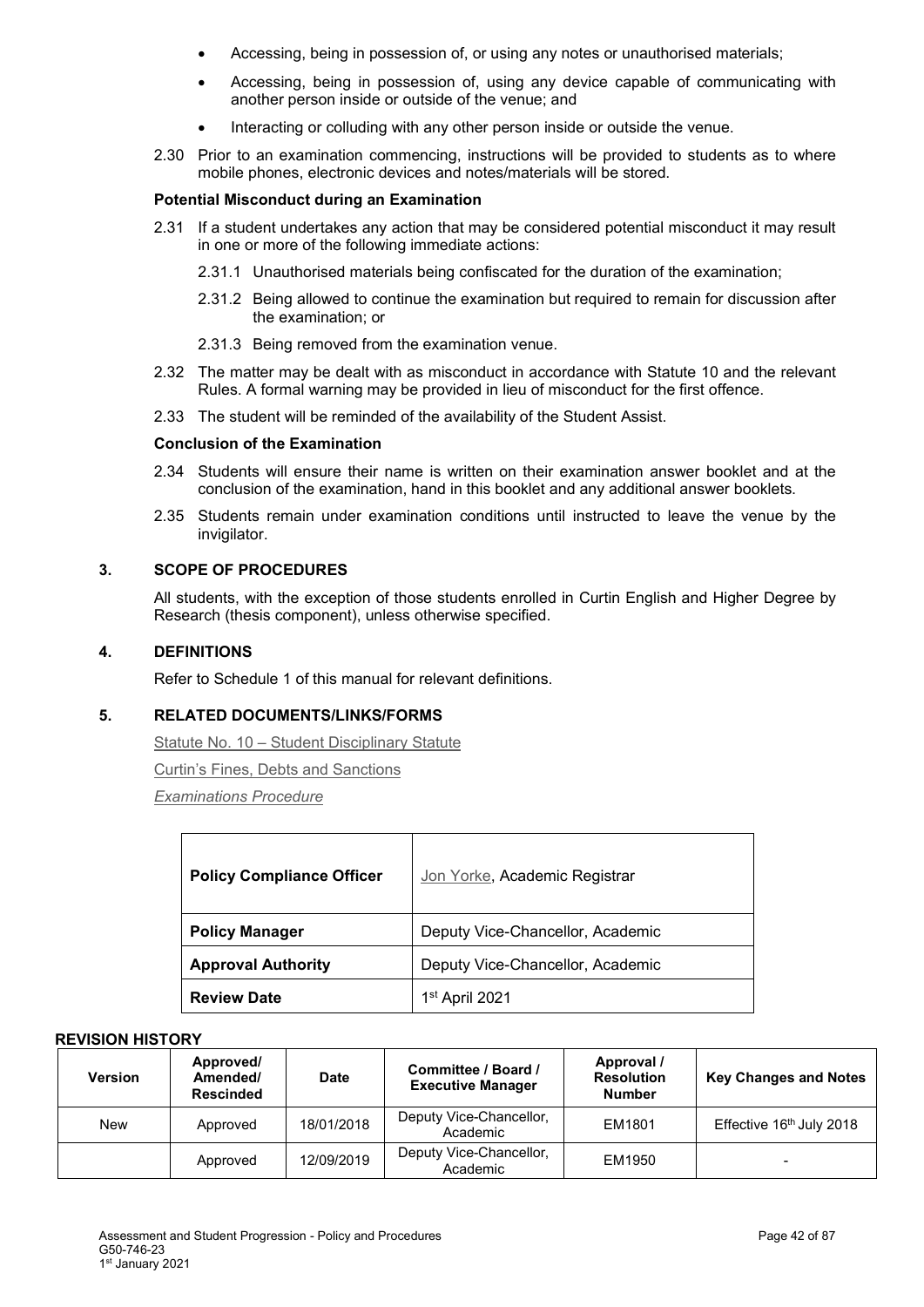- Accessing, being in possession of, or using any notes or unauthorised materials;
- Accessing, being in possession of, using any device capable of communicating with another person inside or outside of the venue; and
- Interacting or colluding with any other person inside or outside the venue.
- 2.30 Prior to an examination commencing, instructions will be provided to students as to where mobile phones, electronic devices and notes/materials will be stored.

#### **Potential Misconduct during an Examination**

- 2.31 If a student undertakes any action that may be considered potential misconduct it may result in one or more of the following immediate actions:
	- 2.31.1 Unauthorised materials being confiscated for the duration of the examination;
	- 2.31.2 Being allowed to continue the examination but required to remain for discussion after the examination; or
	- 2.31.3 Being removed from the examination venue.
- 2.32 The matter may be dealt with as misconduct in accordance with Statute 10 and the relevant Rules. A formal warning may be provided in lieu of misconduct for the first offence.
- 2.33 The student will be reminded of the availability of the Student Assist.

#### **Conclusion of the Examination**

- 2.34 Students will ensure their name is written on their examination answer booklet and at the conclusion of the examination, hand in this booklet and any additional answer booklets.
- 2.35 Students remain under examination conditions until instructed to leave the venue by the invigilator.

#### **3. SCOPE OF PROCEDURES**

All students, with the exception of those students enrolled in Curtin English and Higher Degree by Research (thesis component), unless otherwise specified.

#### **4. DEFINITIONS**

Refer to Schedule 1 of this manual for relevant definitions.

## **5. RELATED DOCUMENTS/LINKS/FORMS**

Statute No. 10 – [Student Disciplinary Statute](http://policies.curtin.edu.au/legislation/statutes_rules.cfm)

[Curtin's Fines, Debts and Sanctions](http://fees.curtin.edu.au/fines.cfm)

*[Examinations](#page-1-0) Procedure*

| <b>Policy Compliance Officer</b> | Jon Yorke, Academic Registrar    |  |
|----------------------------------|----------------------------------|--|
| <b>Policy Manager</b>            | Deputy Vice-Chancellor, Academic |  |
| <b>Approval Authority</b>        | Deputy Vice-Chancellor, Academic |  |
| <b>Review Date</b>               | 1 <sup>st</sup> April 2021       |  |

| <b>Version</b> | Approved/<br>Amended/<br><b>Rescinded</b> | Date       | Committee / Board /<br><b>Executive Manager</b> | Approval /<br><b>Resolution</b><br><b>Number</b> | <b>Key Changes and Notes</b> |
|----------------|-------------------------------------------|------------|-------------------------------------------------|--------------------------------------------------|------------------------------|
| New            | Approved                                  | 18/01/2018 | Deputy Vice-Chancellor,<br>Academic             | EM1801                                           | Effective 16th July 2018     |
|                | Approved                                  | 12/09/2019 | Deputy Vice-Chancellor,<br>Academic             | EM1950                                           | $\overline{\phantom{a}}$     |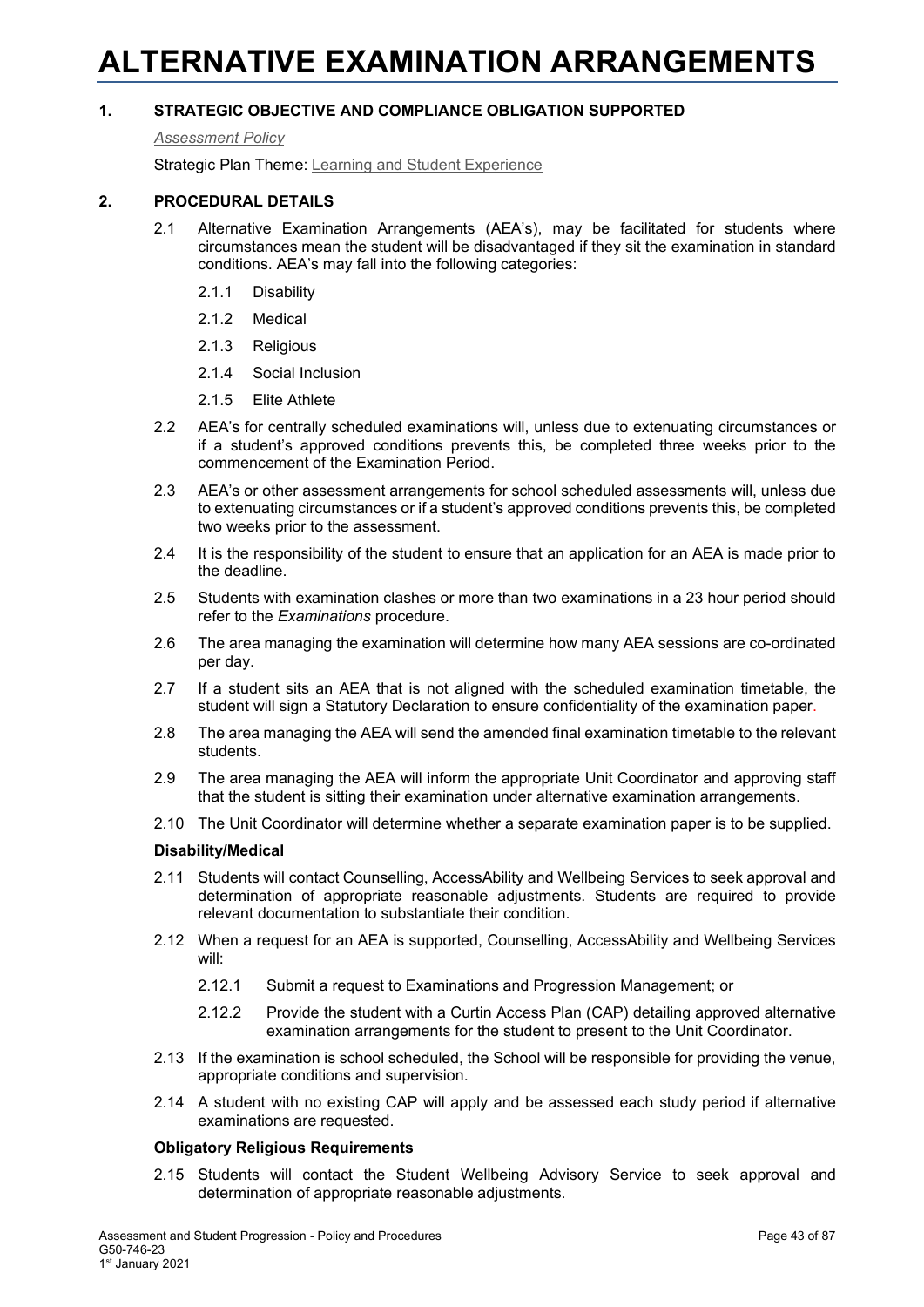# **ALTERNATIVE EXAMINATION ARRANGEMENTS**

## **1. STRATEGIC OBJECTIVE AND COMPLIANCE OBLIGATION SUPPORTED**

*[Assessment Policy](#page-1-0)*

Strategic Plan Theme: [Learning and Student Experience](http://strategicplan.curtin.edu.au/themes/learning-student-experience/)

## **2. PROCEDURAL DETAILS**

- 2.1 Alternative Examination Arrangements (AEA's), may be facilitated for students where circumstances mean the student will be disadvantaged if they sit the examination in standard conditions. AEA's may fall into the following categories:
	- 2.1.1 Disability
	- 2.1.2 Medical
	- 2.1.3 Religious
	- 2.1.4 Social Inclusion
	- 2.1.5 Elite Athlete
- 2.2 AEA's for centrally scheduled examinations will, unless due to extenuating circumstances or if a student's approved conditions prevents this, be completed three weeks prior to the commencement of the Examination Period.
- 2.3 AEA's or other assessment arrangements for school scheduled assessments will, unless due to extenuating circumstances or if a student's approved conditions prevents this, be completed two weeks prior to the assessment.
- 2.4 It is the responsibility of the student to ensure that an application for an AEA is made prior to the deadline.
- 2.5 Students with examination clashes or more than two examinations in a 23 hour period should refer to the *Examinations* procedure.
- 2.6 The area managing the examination will determine how many AEA sessions are co-ordinated per day.
- 2.7 If a student sits an AEA that is not aligned with the scheduled examination timetable, the student will sign a Statutory Declaration to ensure confidentiality of the examination paper.
- 2.8 The area managing the AEA will send the amended final examination timetable to the relevant students.
- 2.9 The area managing the AEA will inform the appropriate Unit Coordinator and approving staff that the student is sitting their examination under alternative examination arrangements.
- 2.10 The Unit Coordinator will determine whether a separate examination paper is to be supplied.

#### **Disability/Medical**

- 2.11 Students will contact Counselling, AccessAbility and Wellbeing Services to seek approval and determination of appropriate reasonable adjustments. Students are required to provide relevant documentation to substantiate their condition.
- 2.12 When a request for an AEA is supported, Counselling, AccessAbility and Wellbeing Services will:
	- 2.12.1 Submit a request to Examinations and Progression Management; or
	- 2.12.2 Provide the student with a Curtin Access Plan (CAP) detailing approved alternative examination arrangements for the student to present to the Unit Coordinator.
- 2.13 If the examination is school scheduled, the School will be responsible for providing the venue, appropriate conditions and supervision.
- 2.14 A student with no existing CAP will apply and be assessed each study period if alternative examinations are requested.

#### **Obligatory Religious Requirements**

2.15 Students will contact the Student Wellbeing Advisory Service to seek approval and determination of appropriate reasonable adjustments.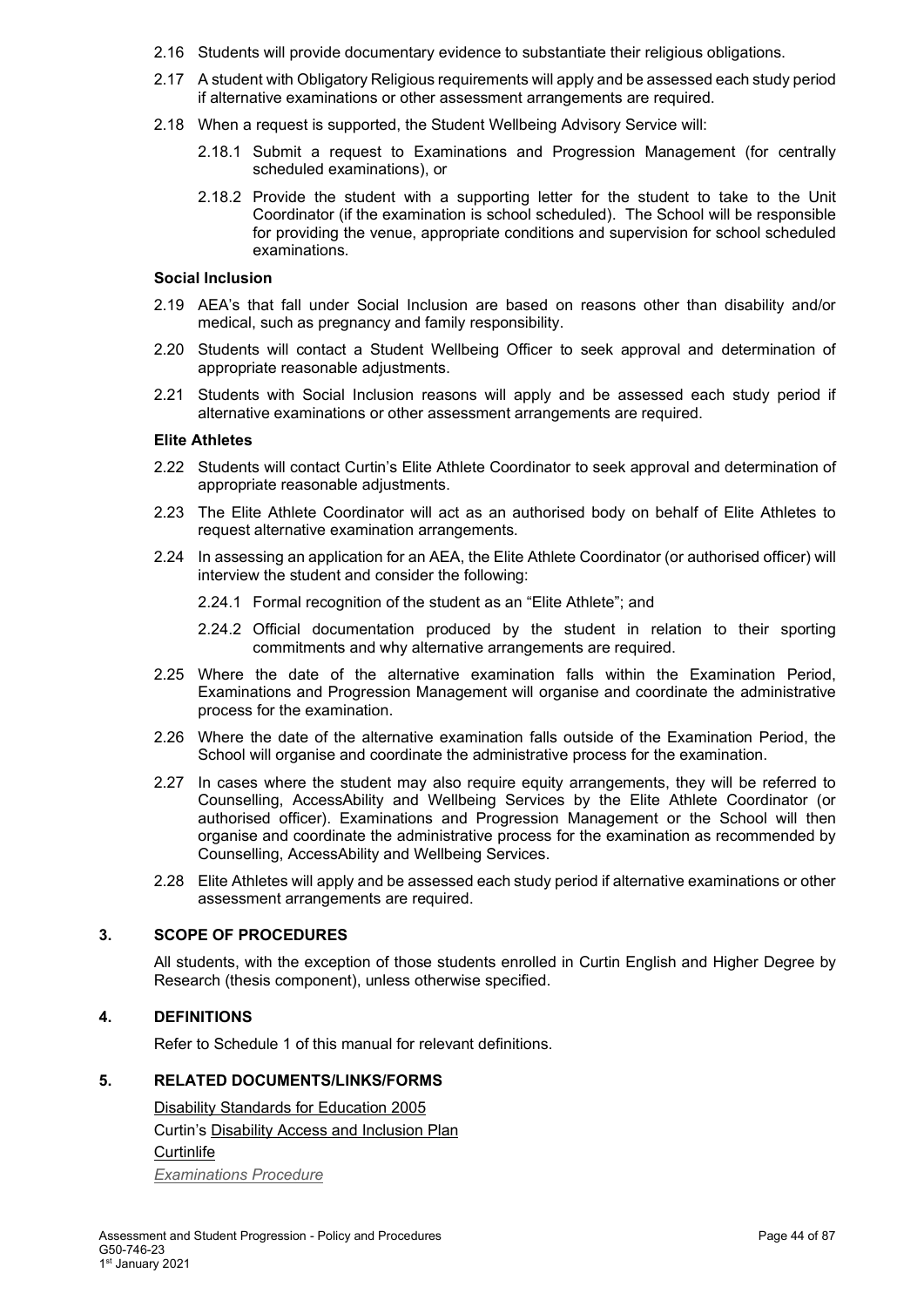- 2.16 Students will provide documentary evidence to substantiate their religious obligations.
- 2.17 A student with Obligatory Religious requirements will apply and be assessed each study period if alternative examinations or other assessment arrangements are required.
- 2.18 When a request is supported, the Student Wellbeing Advisory Service will:
	- 2.18.1 Submit a request to Examinations and Progression Management (for centrally scheduled examinations), or
	- 2.18.2 Provide the student with a supporting letter for the student to take to the Unit Coordinator (if the examination is school scheduled). The School will be responsible for providing the venue, appropriate conditions and supervision for school scheduled examinations.

#### **Social Inclusion**

- 2.19 AEA's that fall under Social Inclusion are based on reasons other than disability and/or medical, such as pregnancy and family responsibility.
- 2.20 Students will contact a Student Wellbeing Officer to seek approval and determination of appropriate reasonable adjustments.
- 2.21 Students with Social Inclusion reasons will apply and be assessed each study period if alternative examinations or other assessment arrangements are required.

#### **Elite Athletes**

- 2.22 Students will contact Curtin's Elite Athlete Coordinator to seek approval and determination of appropriate reasonable adjustments.
- 2.23 The Elite Athlete Coordinator will act as an authorised body on behalf of Elite Athletes to request alternative examination arrangements.
- 2.24 In assessing an application for an AEA, the Elite Athlete Coordinator (or authorised officer) will interview the student and consider the following:
	- 2.24.1 Formal recognition of the student as an "Elite Athlete"; and
	- 2.24.2 Official documentation produced by the student in relation to their sporting commitments and why alternative arrangements are required.
- 2.25 Where the date of the alternative examination falls within the Examination Period, Examinations and Progression Management will organise and coordinate the administrative process for the examination.
- 2.26 Where the date of the alternative examination falls outside of the Examination Period, the School will organise and coordinate the administrative process for the examination.
- 2.27 In cases where the student may also require equity arrangements, they will be referred to Counselling, AccessAbility and Wellbeing Services by the Elite Athlete Coordinator (or authorised officer). Examinations and Progression Management or the School will then organise and coordinate the administrative process for the examination as recommended by Counselling, AccessAbility and Wellbeing Services.
- 2.28 Elite Athletes will apply and be assessed each study period if alternative examinations or other assessment arrangements are required.

## **3. SCOPE OF PROCEDURES**

All students, with the exception of those students enrolled in Curtin English and Higher Degree by Research (thesis component), unless otherwise specified.

## **4. DEFINITIONS**

Refer to Schedule 1 of this manual for relevant definitions.

#### **5. RELATED DOCUMENTS/LINKS/FORMS**

[Disability Standards for Education 2005](http://education.gov.au/disability-standards-education-2005) Curtin's [Disability Access and Inclusion Plan](http://about.curtin.edu.au/policy-governance/disability-access-inclusion-plan/) **[Curtinlife](http://life.curtin.edu.au/health-and-wellbeing.htm)** *[Examinations](#page-1-0) Procedure*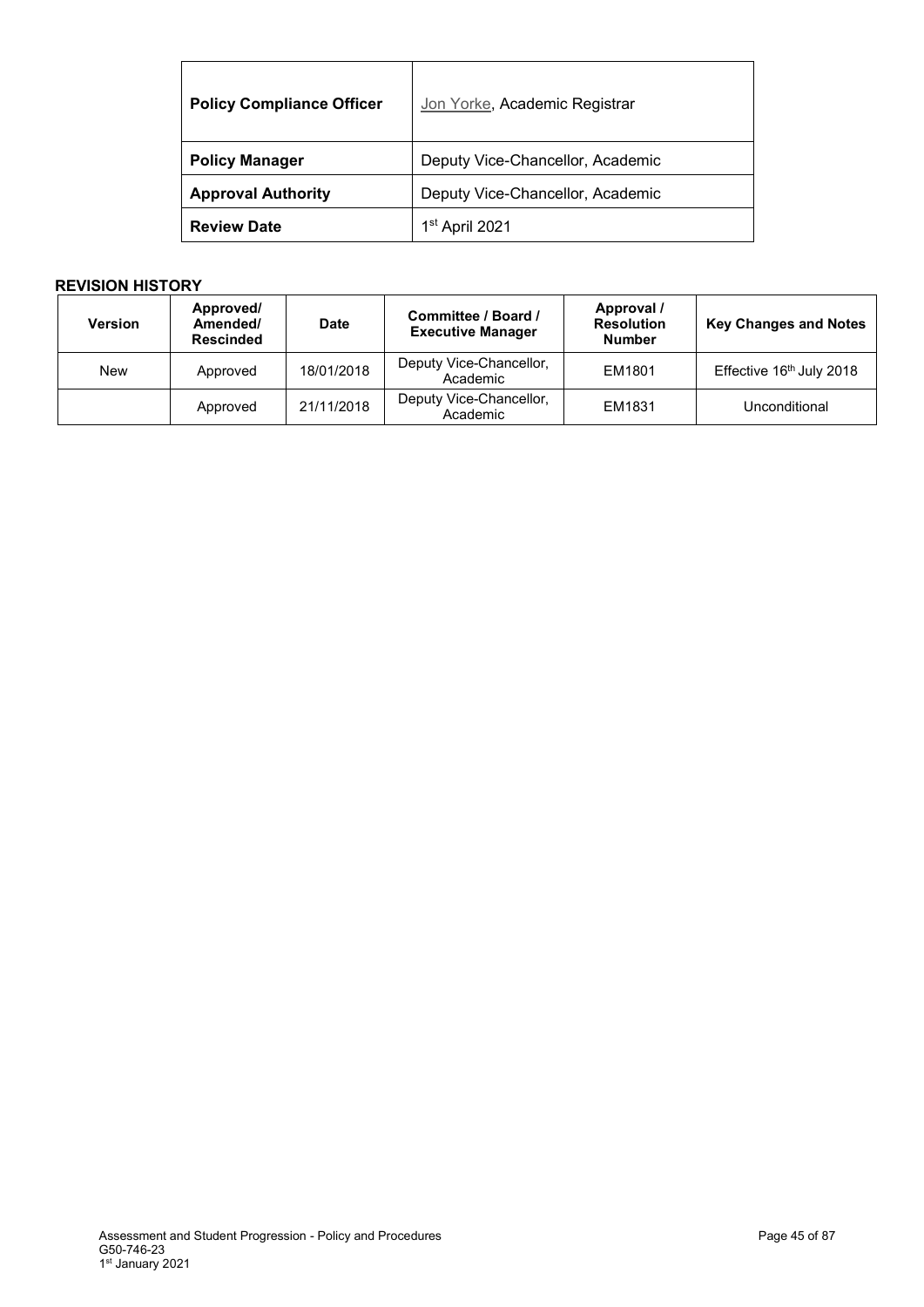| <b>Policy Compliance Officer</b> | Jon Yorke, Academic Registrar    |
|----------------------------------|----------------------------------|
| <b>Policy Manager</b>            | Deputy Vice-Chancellor, Academic |
| <b>Approval Authority</b>        | Deputy Vice-Chancellor, Academic |
| <b>Review Date</b>               | 1 <sup>st</sup> April 2021       |

| <b>Version</b> | Approved/<br>Amended/<br><b>Rescinded</b> | <b>Date</b> | Committee / Board /<br><b>Executive Manager</b> | Approval /<br><b>Resolution</b><br><b>Number</b> | <b>Key Changes and Notes</b> |
|----------------|-------------------------------------------|-------------|-------------------------------------------------|--------------------------------------------------|------------------------------|
| New            | Approved                                  | 18/01/2018  | Deputy Vice-Chancellor,<br>Academic             | EM1801                                           | Effective 16th July 2018     |
|                | Approved                                  | 21/11/2018  | Deputy Vice-Chancellor,<br>Academic             | EM1831                                           | Unconditional                |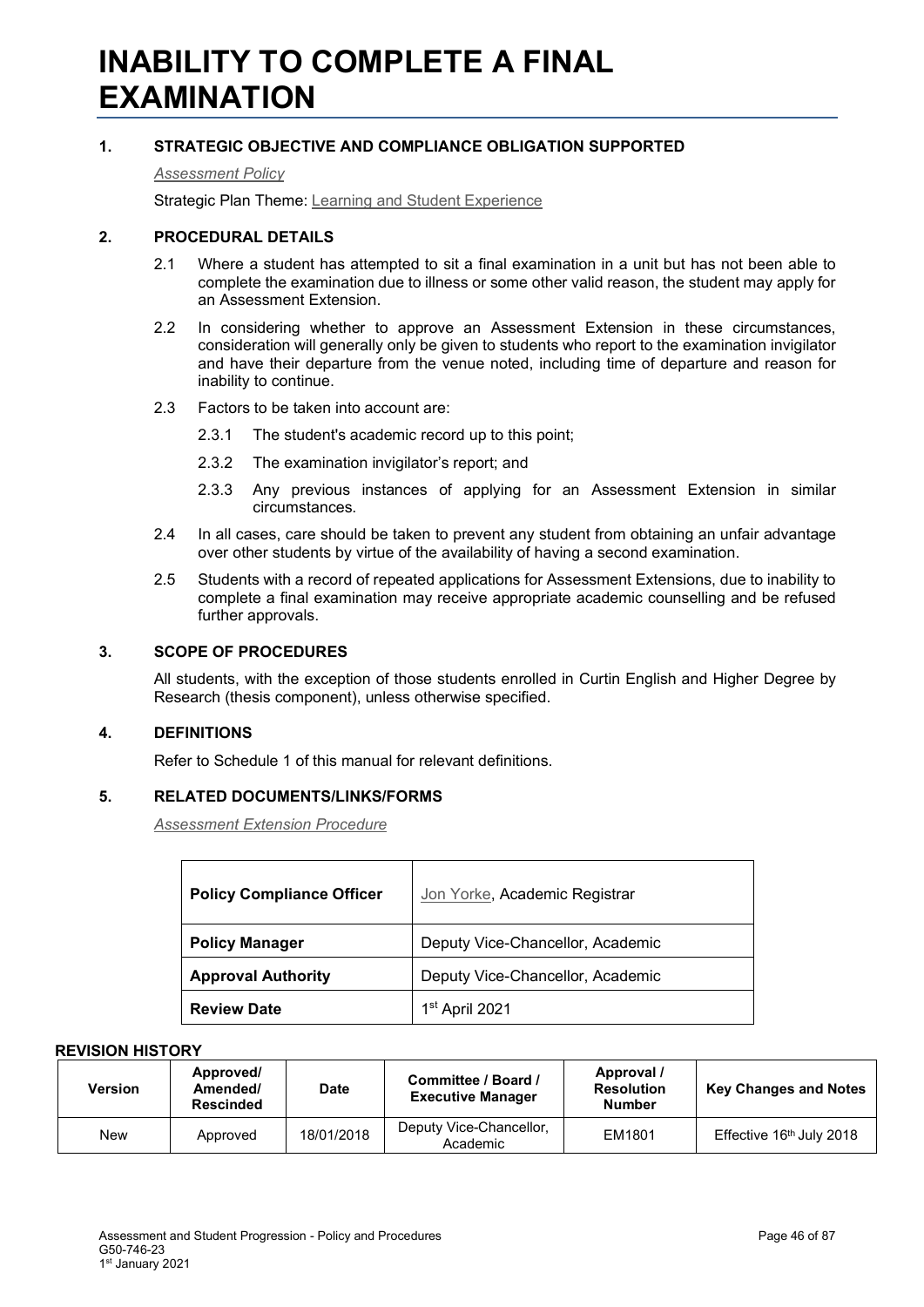## **1. STRATEGIC OBJECTIVE AND COMPLIANCE OBLIGATION SUPPORTED**

*[Assessment Policy](#page-1-0)*

Strategic Plan Theme: [Learning and Student Experience](http://strategicplan.curtin.edu.au/themes/learning-student-experience/)

## **2. PROCEDURAL DETAILS**

- 2.1 Where a student has attempted to sit a final examination in a unit but has not been able to complete the examination due to illness or some other valid reason, the student may apply for an Assessment Extension.
- 2.2 In considering whether to approve an Assessment Extension in these circumstances, consideration will generally only be given to students who report to the examination invigilator and have their departure from the venue noted, including time of departure and reason for inability to continue.
- 2.3 Factors to be taken into account are:
	- 2.3.1 The student's academic record up to this point;
	- 2.3.2 The examination invigilator's report; and
	- 2.3.3 Any previous instances of applying for an Assessment Extension in similar circumstances.
- 2.4 In all cases, care should be taken to prevent any student from obtaining an unfair advantage over other students by virtue of the availability of having a second examination.
- 2.5 Students with a record of repeated applications for Assessment Extensions, due to inability to complete a final examination may receive appropriate academic counselling and be refused further approvals.

## **3. SCOPE OF PROCEDURES**

All students, with the exception of those students enrolled in Curtin English and Higher Degree by Research (thesis component), unless otherwise specified.

## **4. DEFINITIONS**

Refer to Schedule 1 of this manual for relevant definitions.

## **5. RELATED DOCUMENTS/LINKS/FORMS**

*[Assessment Extension Procedure](#page-1-0)*

| <b>Policy Compliance Officer</b> | Jon Yorke, Academic Registrar    |  |
|----------------------------------|----------------------------------|--|
| <b>Policy Manager</b>            | Deputy Vice-Chancellor, Academic |  |
| <b>Approval Authority</b>        | Deputy Vice-Chancellor, Academic |  |
| <b>Review Date</b>               | 1 <sup>st</sup> April 2021       |  |

| Version | Approved/<br>Amended/<br><b>Rescinded</b> | <b>Date</b> | Committee / Board /<br><b>Executive Manager</b> | Approval /<br><b>Resolution</b><br><b>Number</b> | <b>Key Changes and Notes</b>         |
|---------|-------------------------------------------|-------------|-------------------------------------------------|--------------------------------------------------|--------------------------------------|
| New     | Approved                                  | 18/01/2018  | Deputy Vice-Chancellor,<br>Academic             | EM1801                                           | Effective 16 <sup>th</sup> July 2018 |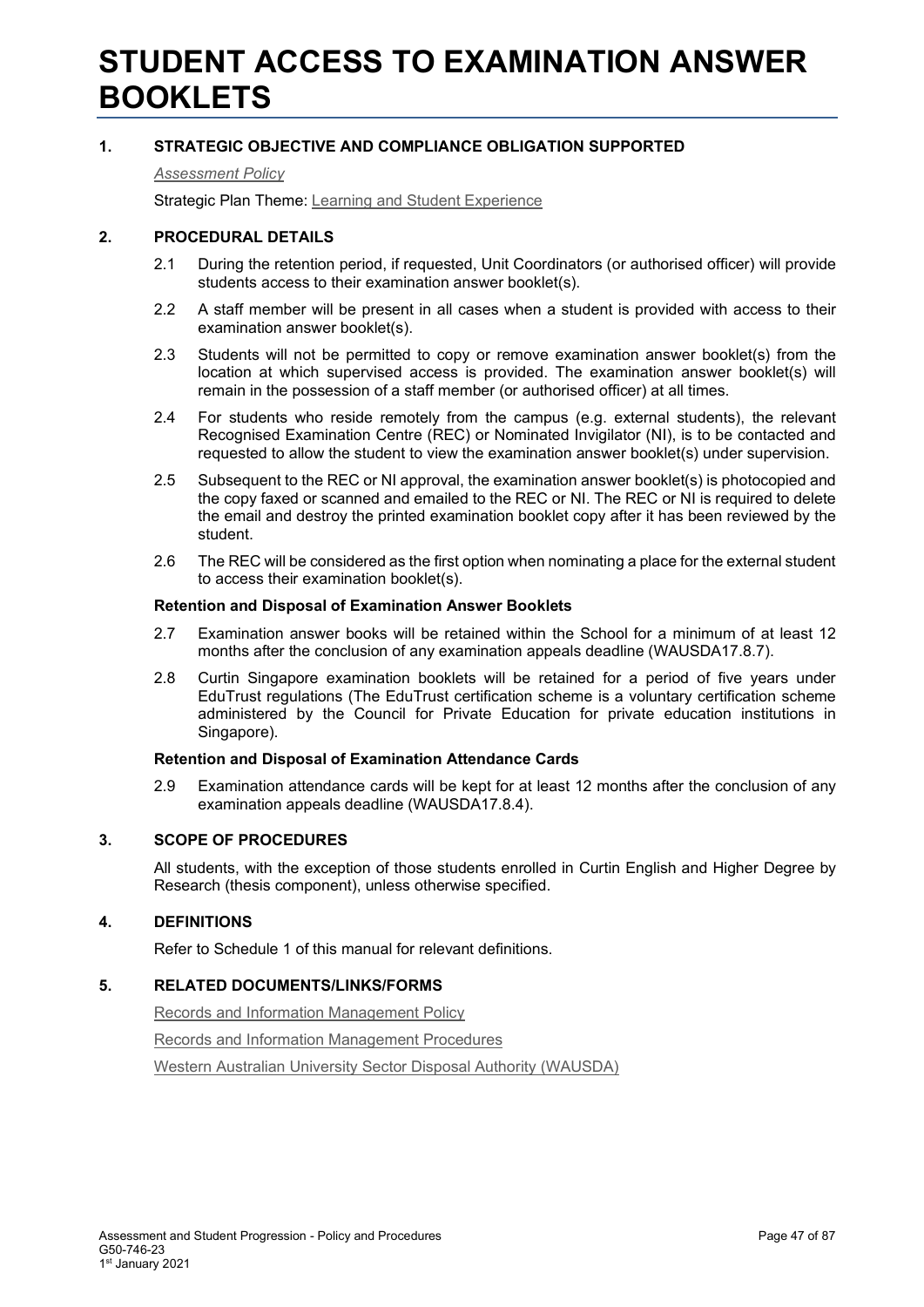## **STUDENT ACCESS TO EXAMINATION ANSWER BOOKLETS**

## **1. STRATEGIC OBJECTIVE AND COMPLIANCE OBLIGATION SUPPORTED**

*[Assessment Policy](#page-1-0)*

Strategic Plan Theme: [Learning and Student Experience](http://strategicplan.curtin.edu.au/themes/learning-student-experience/)

### **2. PROCEDURAL DETAILS**

- 2.1 During the retention period, if requested, Unit Coordinators (or authorised officer) will provide students access to their examination answer booklet(s).
- 2.2 A staff member will be present in all cases when a student is provided with access to their examination answer booklet(s).
- 2.3 Students will not be permitted to copy or remove examination answer booklet(s) from the location at which supervised access is provided. The examination answer booklet(s) will remain in the possession of a staff member (or authorised officer) at all times.
- 2.4 For students who reside remotely from the campus (e.g. external students), the relevant Recognised Examination Centre (REC) or Nominated Invigilator (NI), is to be contacted and requested to allow the student to view the examination answer booklet(s) under supervision.
- 2.5 Subsequent to the REC or NI approval, the examination answer booklet(s) is photocopied and the copy faxed or scanned and emailed to the REC or NI. The REC or NI is required to delete the email and destroy the printed examination booklet copy after it has been reviewed by the student.
- 2.6 The REC will be considered as the first option when nominating a place for the external student to access their examination booklet(s).

#### **Retention and Disposal of Examination Answer Booklets**

- 2.7 Examination answer books will be retained within the School for a minimum of at least 12 months after the conclusion of any examination appeals deadline (WAUSDA17.8.7).
- 2.8 Curtin Singapore examination booklets will be retained for a period of five years under EduTrust regulations (The EduTrust certification scheme is a voluntary certification scheme administered by the Council for Private Education for private education institutions in Singapore).

#### **Retention and Disposal of Examination Attendance Cards**

2.9 Examination attendance cards will be kept for at least 12 months after the conclusion of any examination appeals deadline (WAUSDA17.8.4).

## **3. SCOPE OF PROCEDURES**

All students, with the exception of those students enrolled in Curtin English and Higher Degree by Research (thesis component), unless otherwise specified.

## **4. DEFINITIONS**

Refer to Schedule 1 of this manual for relevant definitions.

#### **5. RELATED DOCUMENTS/LINKS/FORMS**

[Records and Information Management Policy](http://policies.curtin.edu.au/findapolicy/index.cfm#r)

[Records and Information Management Procedures](http://policies.curtin.edu.au/findapolicy/index.cfm#r)

[Western Australian University Sector Disposal Authority \(WAUSDA\)](http://rim.curtin.edu.au/local/docs/WesternAustralianUniversitySectorDisposalAuthority.pdf)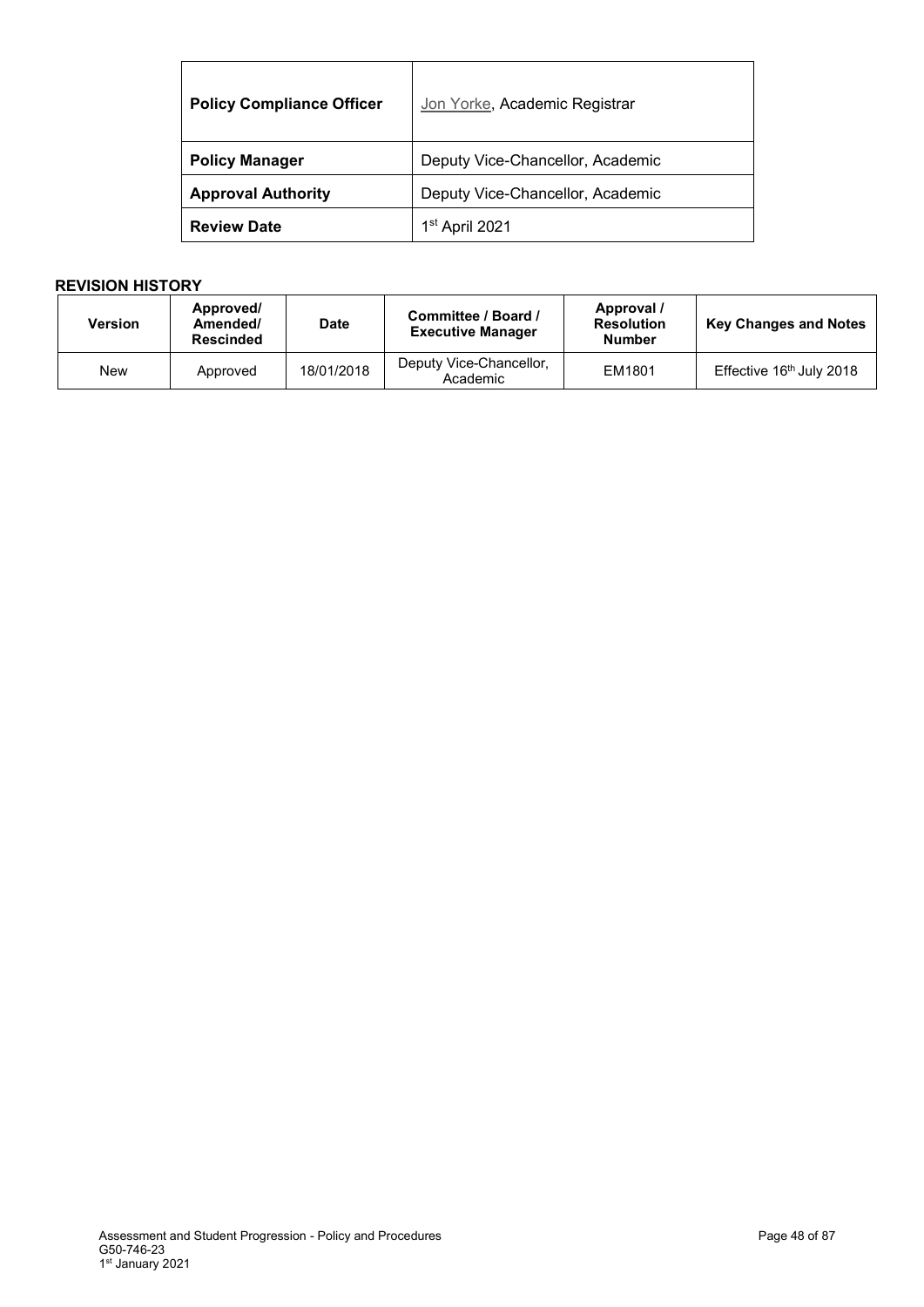| <b>Policy Compliance Officer</b> | Jon Yorke, Academic Registrar    |  |
|----------------------------------|----------------------------------|--|
| <b>Policy Manager</b>            | Deputy Vice-Chancellor, Academic |  |
| <b>Approval Authority</b>        | Deputy Vice-Chancellor, Academic |  |
| <b>Review Date</b>               | 1 <sup>st</sup> April 2021       |  |

| <b>Version</b> | Approved/<br>Amended/<br><b>Rescinded</b> | <b>Date</b> | Committee / Board /<br><b>Executive Manager</b> | Approval /<br><b>Resolution</b><br><b>Number</b> | <b>Key Changes and Notes</b>         |
|----------------|-------------------------------------------|-------------|-------------------------------------------------|--------------------------------------------------|--------------------------------------|
| New            | Approved                                  | 18/01/2018  | Deputy Vice-Chancellor,<br>Academic             | EM1801                                           | Effective 16 <sup>th</sup> July 2018 |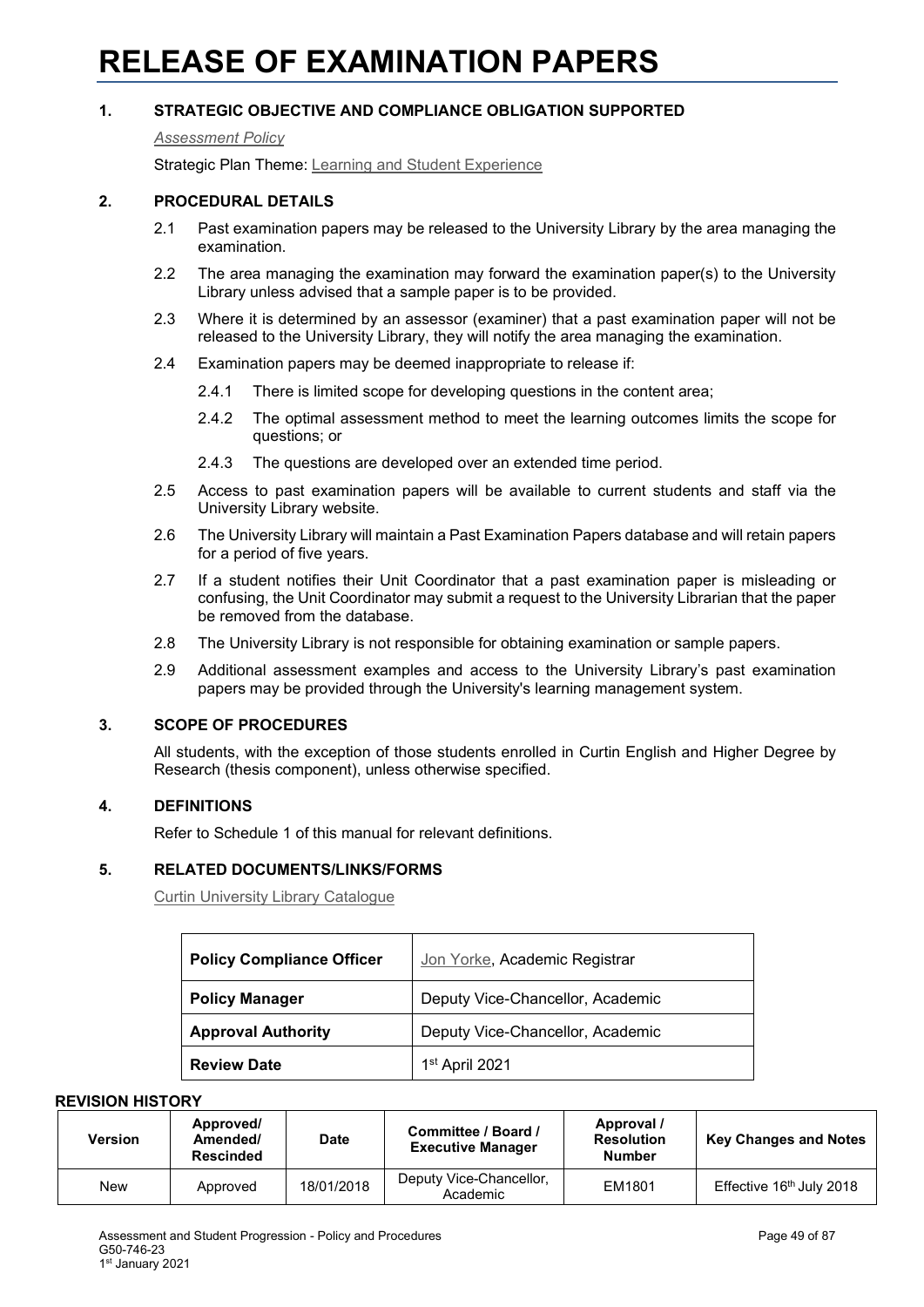# **RELEASE OF EXAMINATION PAPERS**

## **1. STRATEGIC OBJECTIVE AND COMPLIANCE OBLIGATION SUPPORTED**

#### *[Assessment Policy](#page-1-0)*

Strategic Plan Theme: [Learning and Student Experience](http://strategicplan.curtin.edu.au/themes/learning-student-experience/)

#### **2. PROCEDURAL DETAILS**

- 2.1 Past examination papers may be released to the University Library by the area managing the examination.
- 2.2 The area managing the examination may forward the examination paper(s) to the University Library unless advised that a sample paper is to be provided.
- 2.3 Where it is determined by an assessor (examiner) that a past examination paper will not be released to the University Library, they will notify the area managing the examination.
- 2.4 Examination papers may be deemed inappropriate to release if:
	- 2.4.1 There is limited scope for developing questions in the content area;
	- 2.4.2 The optimal assessment method to meet the learning outcomes limits the scope for questions; or
	- 2.4.3 The questions are developed over an extended time period.
- 2.5 Access to past examination papers will be available to current students and staff via the University Library website.
- 2.6 The University Library will maintain a Past Examination Papers database and will retain papers for a period of five years.
- 2.7 If a student notifies their Unit Coordinator that a past examination paper is misleading or confusing, the Unit Coordinator may submit a request to the University Librarian that the paper be removed from the database.
- 2.8 The University Library is not responsible for obtaining examination or sample papers.
- 2.9 Additional assessment examples and access to the University Library's past examination papers may be provided through the University's learning management system.

## **3. SCOPE OF PROCEDURES**

All students, with the exception of those students enrolled in Curtin English and Higher Degree by Research (thesis component), unless otherwise specified.

## **4. DEFINITIONS**

Refer to Schedule 1 of this manual for relevant definitions.

## **5. RELATED DOCUMENTS/LINKS/FORMS**

[Curtin University Library Catalogue](http://catalogue.curtin.edu.au/primo_library/libweb/action/search.do?tab=exam_papers&vid=CUR_ALMA)

| <b>Policy Compliance Officer</b> | Jon Yorke, Academic Registrar    |
|----------------------------------|----------------------------------|
| <b>Policy Manager</b>            | Deputy Vice-Chancellor, Academic |
| <b>Approval Authority</b>        | Deputy Vice-Chancellor, Academic |
| <b>Review Date</b>               | 1 <sup>st</sup> April 2021       |

| <b>Version</b> | Approved/<br>Amended/<br><b>Rescinded</b> | <b>Date</b> | Committee / Board /<br><b>Executive Manager</b> | Approval /<br><b>Resolution</b><br><b>Number</b> | <b>Key Changes and Notes</b>         |
|----------------|-------------------------------------------|-------------|-------------------------------------------------|--------------------------------------------------|--------------------------------------|
| New            | Approved                                  | 18/01/2018  | Deputy Vice-Chancellor,<br>Academic             | EM1801                                           | Effective 16 <sup>th</sup> July 2018 |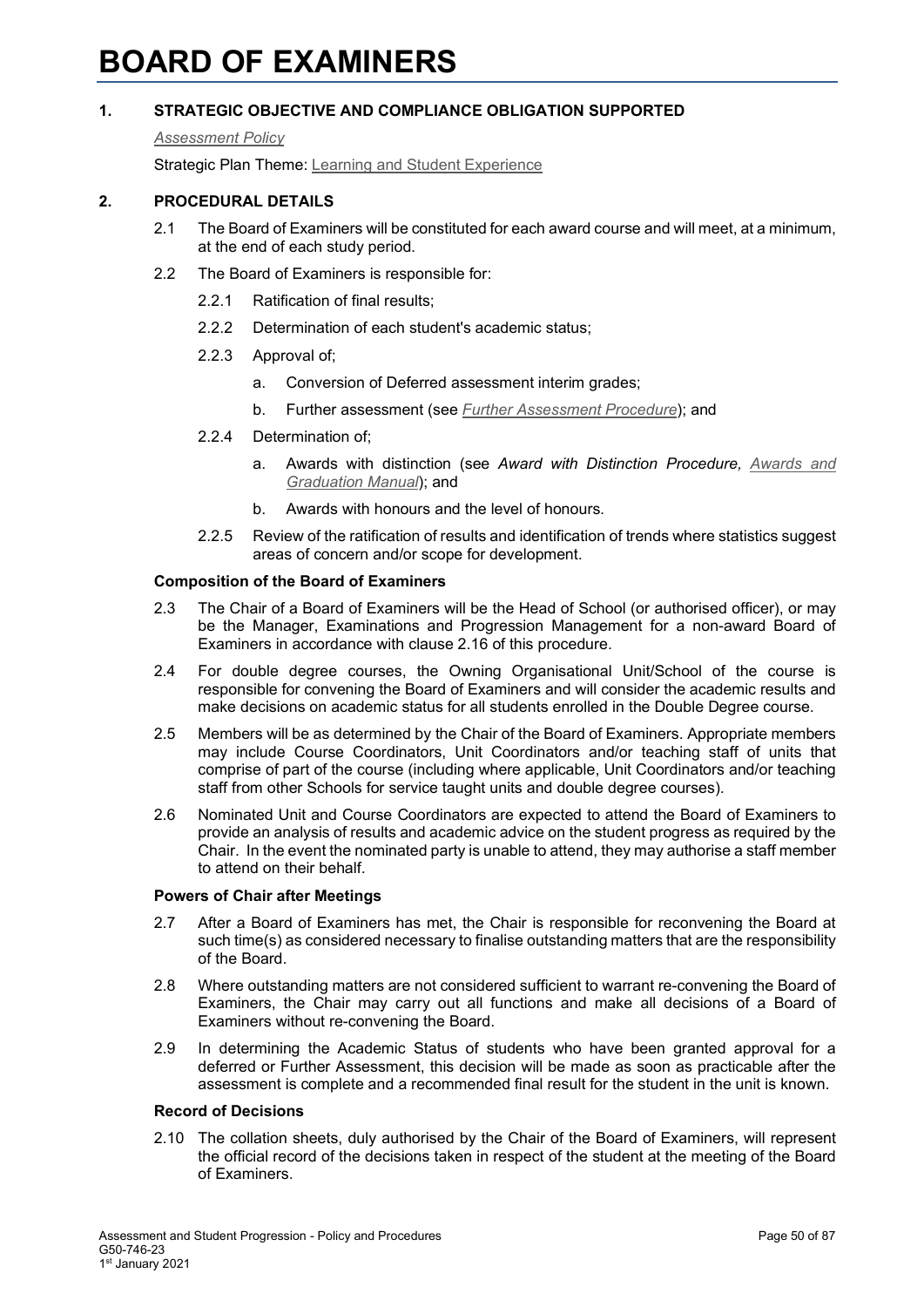# **BOARD OF EXAMINERS**

## **1. STRATEGIC OBJECTIVE AND COMPLIANCE OBLIGATION SUPPORTED**

#### *[Assessment Policy](#page-1-0)*

Strategic Plan Theme: [Learning and Student Experience](http://strategicplan.curtin.edu.au/themes/learning-student-experience/)

## **2. PROCEDURAL DETAILS**

- 2.1 The Board of Examiners will be constituted for each award course and will meet, at a minimum, at the end of each study period.
- 2.2 The Board of Examiners is responsible for:
	- 2.2.1 Ratification of final results;
	- 2.2.2 Determination of each student's academic status;
	- 2.2.3 Approval of;
		- a. Conversion of Deferred assessment interim grades;
		- b. Further assessment (see *Further [Assessment Procedure](#page-1-0)*); and
	- 2.2.4 Determination of;
		- a. Awards with distinction (see *Award with Distinction Procedure, [Awards and](http://policies.curtin.edu.au/findapolicy/index.cfm)  [Graduation Manual](http://policies.curtin.edu.au/findapolicy/index.cfm)*); and
		- b. Awards with honours and the level of honours.
	- 2.2.5 Review of the ratification of results and identification of trends where statistics suggest areas of concern and/or scope for development.

#### **Composition of the Board of Examiners**

- 2.3 The Chair of a Board of Examiners will be the Head of School (or authorised officer), or may be the Manager, Examinations and Progression Management for a non-award Board of Examiners in accordance with clause 2.16 of this procedure.
- 2.4 For double degree courses, the Owning Organisational Unit/School of the course is responsible for convening the Board of Examiners and will consider the academic results and make decisions on academic status for all students enrolled in the Double Degree course.
- 2.5 Members will be as determined by the Chair of the Board of Examiners. Appropriate members may include Course Coordinators, Unit Coordinators and/or teaching staff of units that comprise of part of the course (including where applicable, Unit Coordinators and/or teaching staff from other Schools for service taught units and double degree courses).
- 2.6 Nominated Unit and Course Coordinators are expected to attend the Board of Examiners to provide an analysis of results and academic advice on the student progress as required by the Chair. In the event the nominated party is unable to attend, they may authorise a staff member to attend on their behalf.

#### **Powers of Chair after Meetings**

- 2.7 After a Board of Examiners has met, the Chair is responsible for reconvening the Board at such time(s) as considered necessary to finalise outstanding matters that are the responsibility of the Board.
- 2.8 Where outstanding matters are not considered sufficient to warrant re-convening the Board of Examiners, the Chair may carry out all functions and make all decisions of a Board of Examiners without re-convening the Board.
- 2.9 In determining the Academic Status of students who have been granted approval for a deferred or Further Assessment, this decision will be made as soon as practicable after the assessment is complete and a recommended final result for the student in the unit is known.

#### **Record of Decisions**

2.10 The collation sheets, duly authorised by the Chair of the Board of Examiners, will represent the official record of the decisions taken in respect of the student at the meeting of the Board of Examiners.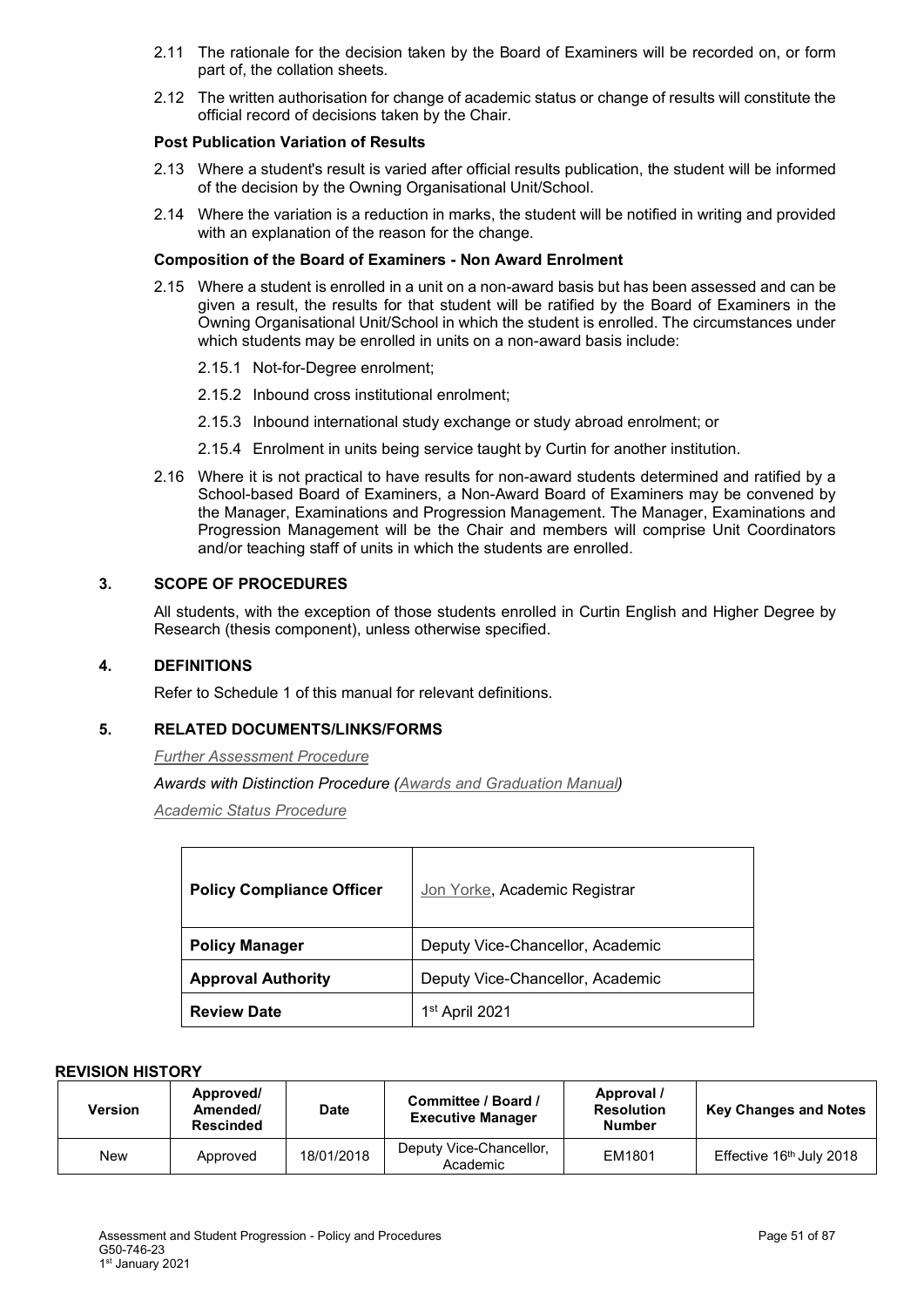- 2.11 The rationale for the decision taken by the Board of Examiners will be recorded on, or form part of, the collation sheets.
- 2.12 The written authorisation for change of academic status or change of results will constitute the official record of decisions taken by the Chair.

## **Post Publication Variation of Results**

- 2.13 Where a student's result is varied after official results publication, the student will be informed of the decision by the Owning Organisational Unit/School.
- 2.14 Where the variation is a reduction in marks, the student will be notified in writing and provided with an explanation of the reason for the change.

## **Composition of the Board of Examiners - Non Award Enrolment**

- 2.15 Where a student is enrolled in a unit on a non-award basis but has been assessed and can be given a result, the results for that student will be ratified by the Board of Examiners in the Owning Organisational Unit/School in which the student is enrolled. The circumstances under which students may be enrolled in units on a non-award basis include:
	- 2.15.1 Not-for-Degree enrolment;
	- 2.15.2 Inbound cross institutional enrolment;
	- 2.15.3 Inbound international study exchange or study abroad enrolment; or
	- 2.15.4 Enrolment in units being service taught by Curtin for another institution.
- 2.16 Where it is not practical to have results for non-award students determined and ratified by a School-based Board of Examiners, a Non-Award Board of Examiners may be convened by the Manager, Examinations and Progression Management. The Manager, Examinations and Progression Management will be the Chair and members will comprise Unit Coordinators and/or teaching staff of units in which the students are enrolled.

## **3. SCOPE OF PROCEDURES**

All students, with the exception of those students enrolled in Curtin English and Higher Degree by Research (thesis component), unless otherwise specified.

## **4. DEFINITIONS**

Refer to Schedule 1 of this manual for relevant definitions.

## **5. RELATED DOCUMENTS/LINKS/FORMS**

*Further [Assessment Procedure](#page-1-0)*

*Awards with Distinction Procedure [\(Awards and Graduation Manual\)](http://policies.curtin.edu.au/findapolicy/index.cfm)*

*[Academic Status Procedure](#page-1-0)*

| <b>Policy Compliance Officer</b> | Jon Yorke, Academic Registrar    |
|----------------------------------|----------------------------------|
| <b>Policy Manager</b>            | Deputy Vice-Chancellor, Academic |
| <b>Approval Authority</b>        | Deputy Vice-Chancellor, Academic |
| <b>Review Date</b>               | 1 <sup>st</sup> April 2021       |

| Version | Approved/<br>Amended/<br><b>Rescinded</b> | <b>Date</b> | Committee / Board /<br><b>Executive Manager</b> | Approval /<br><b>Resolution</b><br><b>Number</b> | <b>Key Changes and Notes</b>         |
|---------|-------------------------------------------|-------------|-------------------------------------------------|--------------------------------------------------|--------------------------------------|
| New     | Approved                                  | 18/01/2018  | Deputy Vice-Chancellor,<br>Academic             | EM1801                                           | Effective 16 <sup>th</sup> July 2018 |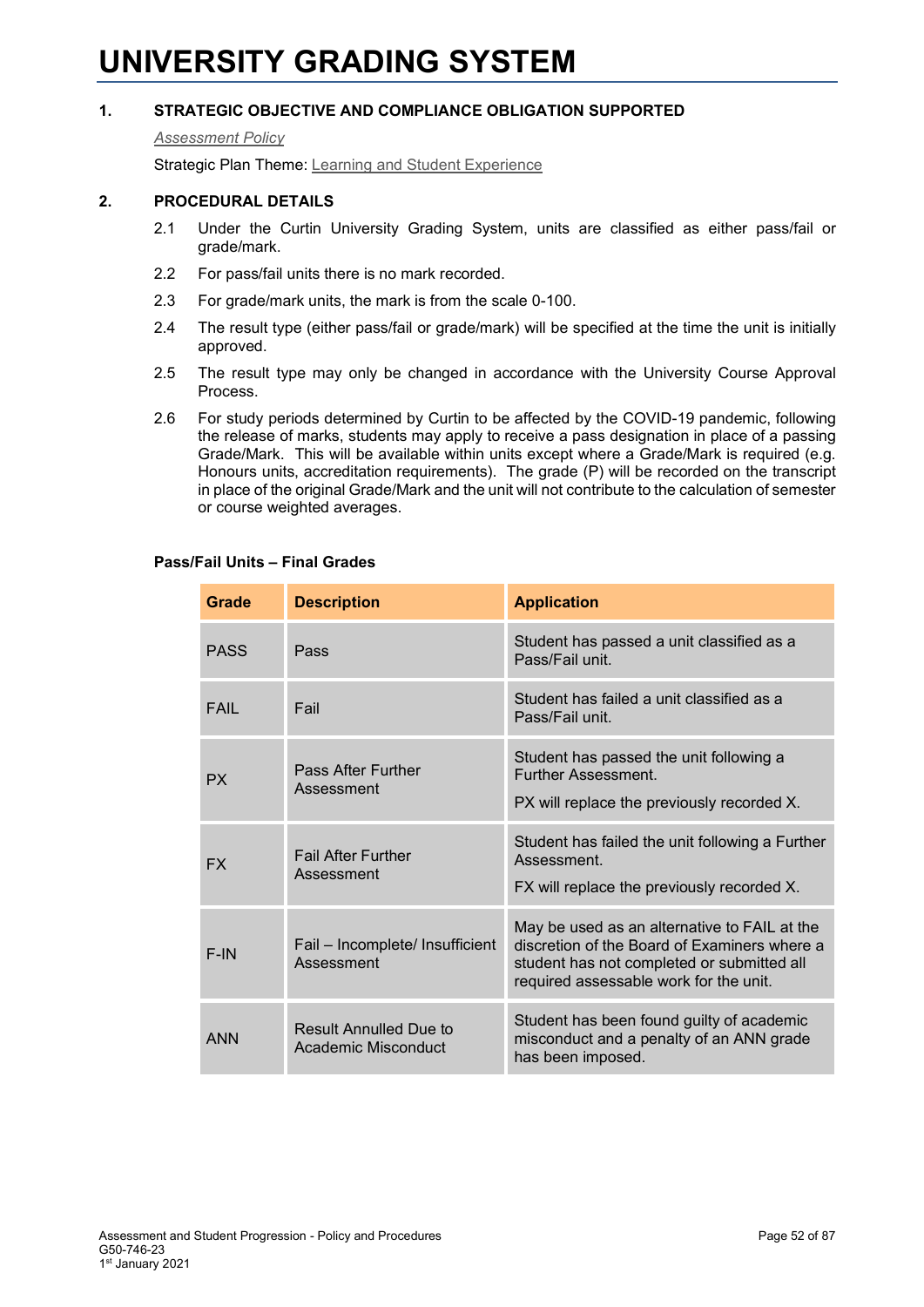# **UNIVERSITY GRADING SYSTEM**

## **1. STRATEGIC OBJECTIVE AND COMPLIANCE OBLIGATION SUPPORTED**

#### *[Assessment Policy](#page-1-0)*

Strategic Plan Theme: [Learning and Student Experience](http://strategicplan.curtin.edu.au/themes/learning-student-experience/)

## **2. PROCEDURAL DETAILS**

- 2.1 Under the Curtin University Grading System, units are classified as either pass/fail or grade/mark.
- 2.2 For pass/fail units there is no mark recorded.
- 2.3 For grade/mark units, the mark is from the scale 0-100.
- 2.4 The result type (either pass/fail or grade/mark) will be specified at the time the unit is initially approved.
- 2.5 The result type may only be changed in accordance with the University Course Approval Process.
- 2.6 For study periods determined by Curtin to be affected by the COVID-19 pandemic, following the release of marks, students may apply to receive a pass designation in place of a passing Grade/Mark. This will be available within units except where a Grade/Mark is required (e.g. Honours units, accreditation requirements). The grade (P) will be recorded on the transcript in place of the original Grade/Mark and the unit will not contribute to the calculation of semester or course weighted averages.

| Grade       | <b>Description</b>                            | <b>Application</b>                                                                                                                                                                   |
|-------------|-----------------------------------------------|--------------------------------------------------------------------------------------------------------------------------------------------------------------------------------------|
| <b>PASS</b> | Pass                                          | Student has passed a unit classified as a<br>Pass/Fail unit.                                                                                                                         |
| FAIL        | Fail                                          | Student has failed a unit classified as a<br>Pass/Fail unit.                                                                                                                         |
| PX.         | Pass After Further<br>Assessment              | Student has passed the unit following a<br><b>Further Assessment</b><br>PX will replace the previously recorded X.                                                                   |
| <b>FX</b>   | <b>Fail After Further</b><br>Assessment       | Student has failed the unit following a Further<br>Assessment<br>FX will replace the previously recorded X.                                                                          |
| $F-IN$      | Fail - Incomplete/ Insufficient<br>Assessment | May be used as an alternative to FAIL at the<br>discretion of the Board of Examiners where a<br>student has not completed or submitted all<br>required assessable work for the unit. |
| <b>ANN</b>  | Result Annulled Due to<br>Academic Misconduct | Student has been found guilty of academic<br>misconduct and a penalty of an ANN grade<br>has been imposed.                                                                           |

#### **Pass/Fail Units – Final Grades**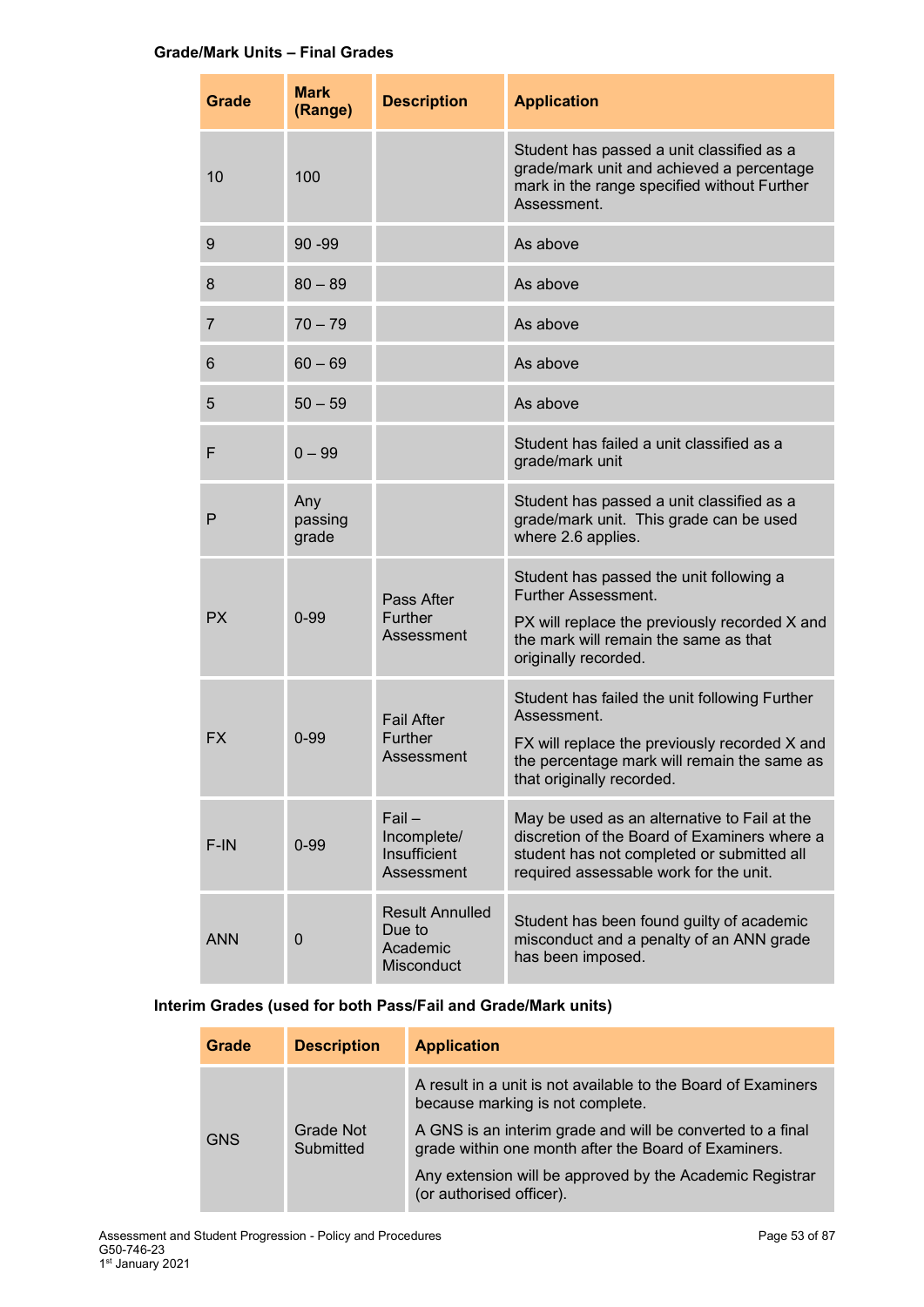## **Grade/Mark Units – Final Grades**

| Grade          | <b>Mark</b><br>(Range)  | <b>Description</b>                                                | <b>Application</b>                                                                                                                                                                        |
|----------------|-------------------------|-------------------------------------------------------------------|-------------------------------------------------------------------------------------------------------------------------------------------------------------------------------------------|
| 10             | 100                     |                                                                   | Student has passed a unit classified as a<br>grade/mark unit and achieved a percentage<br>mark in the range specified without Further<br>Assessment.                                      |
| $9\,$          | 90-99                   |                                                                   | As above                                                                                                                                                                                  |
| 8              | $80 - 89$               |                                                                   | As above                                                                                                                                                                                  |
| $\overline{7}$ | $70 - 79$               |                                                                   | As above                                                                                                                                                                                  |
| 6              | $60 - 69$               |                                                                   | As above                                                                                                                                                                                  |
| 5              | $50 - 59$               |                                                                   | As above                                                                                                                                                                                  |
| F              | $0 - 99$                |                                                                   | Student has failed a unit classified as a<br>grade/mark unit                                                                                                                              |
| P              | Any<br>passing<br>grade |                                                                   | Student has passed a unit classified as a<br>grade/mark unit. This grade can be used<br>where 2.6 applies.                                                                                |
| <b>PX</b>      | $0 - 99$                | Pass After<br>Further<br>Assessment                               | Student has passed the unit following a<br>Further Assessment.<br>PX will replace the previously recorded X and<br>the mark will remain the same as that<br>originally recorded.          |
| <b>FX</b>      | $0 - 99$                | <b>Fail After</b><br>Further<br>Assessment                        | Student has failed the unit following Further<br>Assessment.<br>FX will replace the previously recorded X and<br>the percentage mark will remain the same as<br>that originally recorded. |
| F-IN           | $0 - 99$                | $Fail -$<br>Incomplete/<br>Insufficient<br>Assessment             | May be used as an alternative to Fail at the<br>discretion of the Board of Examiners where a<br>student has not completed or submitted all<br>required assessable work for the unit.      |
| <b>ANN</b>     | $\mathbf 0$             | <b>Result Annulled</b><br>Due to<br>Academic<br><b>Misconduct</b> | Student has been found guilty of academic<br>misconduct and a penalty of an ANN grade<br>has been imposed.                                                                                |

## **Interim Grades (used for both Pass/Fail and Grade/Mark units)**

| Grade                                | <b>Description</b> | <b>Application</b>                                                                                                 |
|--------------------------------------|--------------------|--------------------------------------------------------------------------------------------------------------------|
| Grade Not<br><b>GNS</b><br>Submitted |                    | A result in a unit is not available to the Board of Examiners<br>because marking is not complete.                  |
|                                      |                    | A GNS is an interim grade and will be converted to a final<br>grade within one month after the Board of Examiners. |
|                                      |                    | Any extension will be approved by the Academic Registrar<br>(or authorised officer).                               |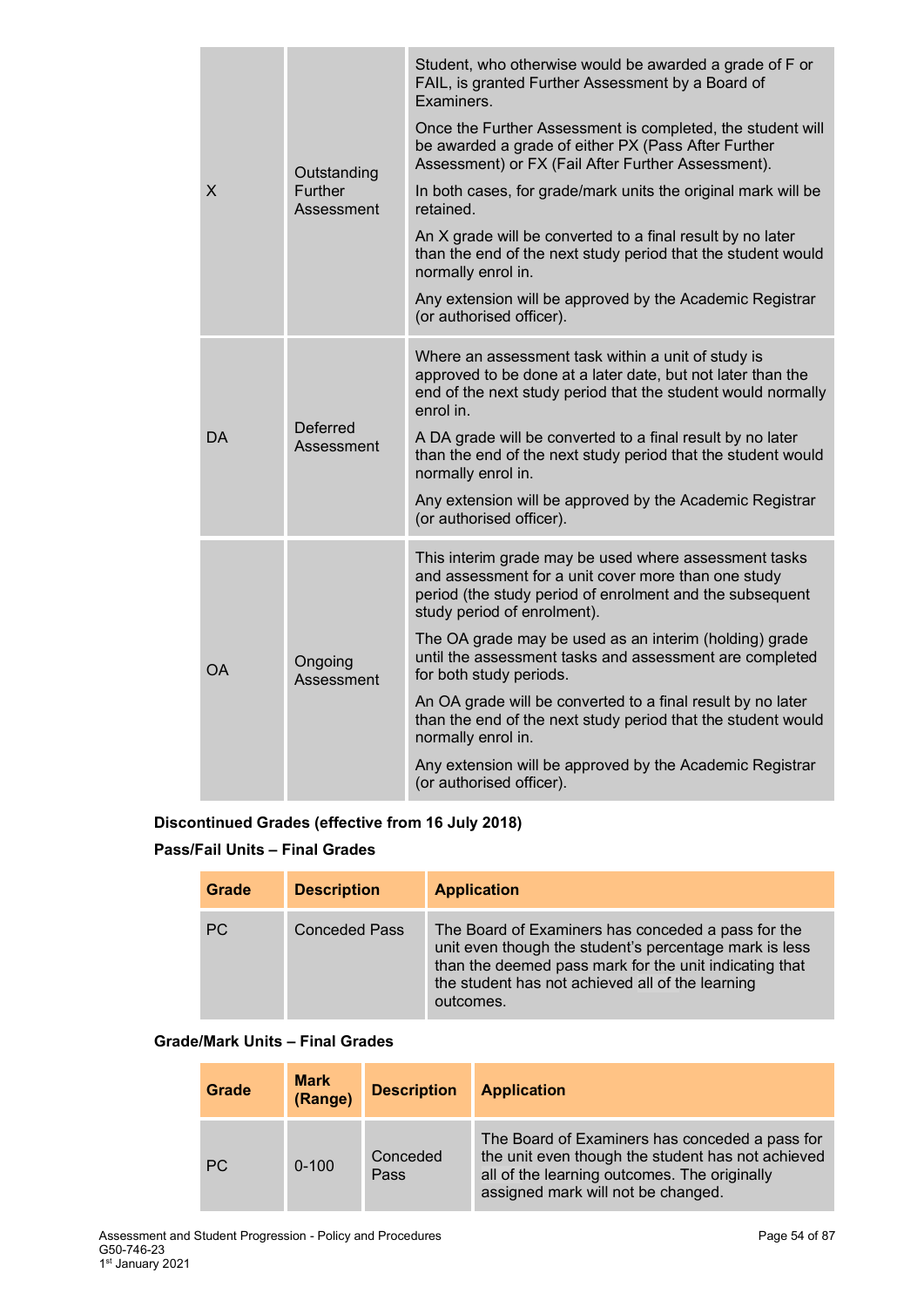|    | Outstanding                  | Student, who otherwise would be awarded a grade of F or<br>FAIL, is granted Further Assessment by a Board of<br>Examiners.                                                                              |
|----|------------------------------|---------------------------------------------------------------------------------------------------------------------------------------------------------------------------------------------------------|
| X  |                              | Once the Further Assessment is completed, the student will<br>be awarded a grade of either PX (Pass After Further<br>Assessment) or FX (Fail After Further Assessment).                                 |
|    | <b>Further</b><br>Assessment | In both cases, for grade/mark units the original mark will be<br>retained.                                                                                                                              |
|    |                              | An X grade will be converted to a final result by no later<br>than the end of the next study period that the student would<br>normally enrol in.                                                        |
|    |                              | Any extension will be approved by the Academic Registrar<br>(or authorised officer).                                                                                                                    |
| DA | Deferred<br>Assessment       | Where an assessment task within a unit of study is<br>approved to be done at a later date, but not later than the<br>end of the next study period that the student would normally<br>enrol in.          |
|    |                              | A DA grade will be converted to a final result by no later<br>than the end of the next study period that the student would<br>normally enrol in.                                                        |
|    |                              | Any extension will be approved by the Academic Registrar<br>(or authorised officer).                                                                                                                    |
| OA | Ongoing<br>Assessment        | This interim grade may be used where assessment tasks<br>and assessment for a unit cover more than one study<br>period (the study period of enrolment and the subsequent<br>study period of enrolment). |
|    |                              | The OA grade may be used as an interim (holding) grade<br>until the assessment tasks and assessment are completed<br>for both study periods.                                                            |
|    |                              | An OA grade will be converted to a final result by no later<br>than the end of the next study period that the student would<br>normally enrol in.                                                       |
|    |                              | Any extension will be approved by the Academic Registrar<br>(or authorised officer).                                                                                                                    |

## **Discontinued Grades (effective from 16 July 2018)**

## **Pass/Fail Units – Final Grades**

| <b>Grade</b> | <b>Description</b>   | <b>Application</b>                                                                                                                                                                                                                      |
|--------------|----------------------|-----------------------------------------------------------------------------------------------------------------------------------------------------------------------------------------------------------------------------------------|
| <b>PC</b>    | <b>Conceded Pass</b> | The Board of Examiners has conceded a pass for the<br>unit even though the student's percentage mark is less<br>than the deemed pass mark for the unit indicating that<br>the student has not achieved all of the learning<br>outcomes. |

## **Grade/Mark Units – Final Grades**

|           | <b>Grade</b> | <b>Mark</b><br>(Range) | <b>Description</b> | <b>Application</b>                                                                                                                                                                        |
|-----------|--------------|------------------------|--------------------|-------------------------------------------------------------------------------------------------------------------------------------------------------------------------------------------|
| <b>PC</b> |              | $0 - 100$              | Conceded<br>Pass   | The Board of Examiners has conceded a pass for<br>the unit even though the student has not achieved<br>all of the learning outcomes. The originally<br>assigned mark will not be changed. |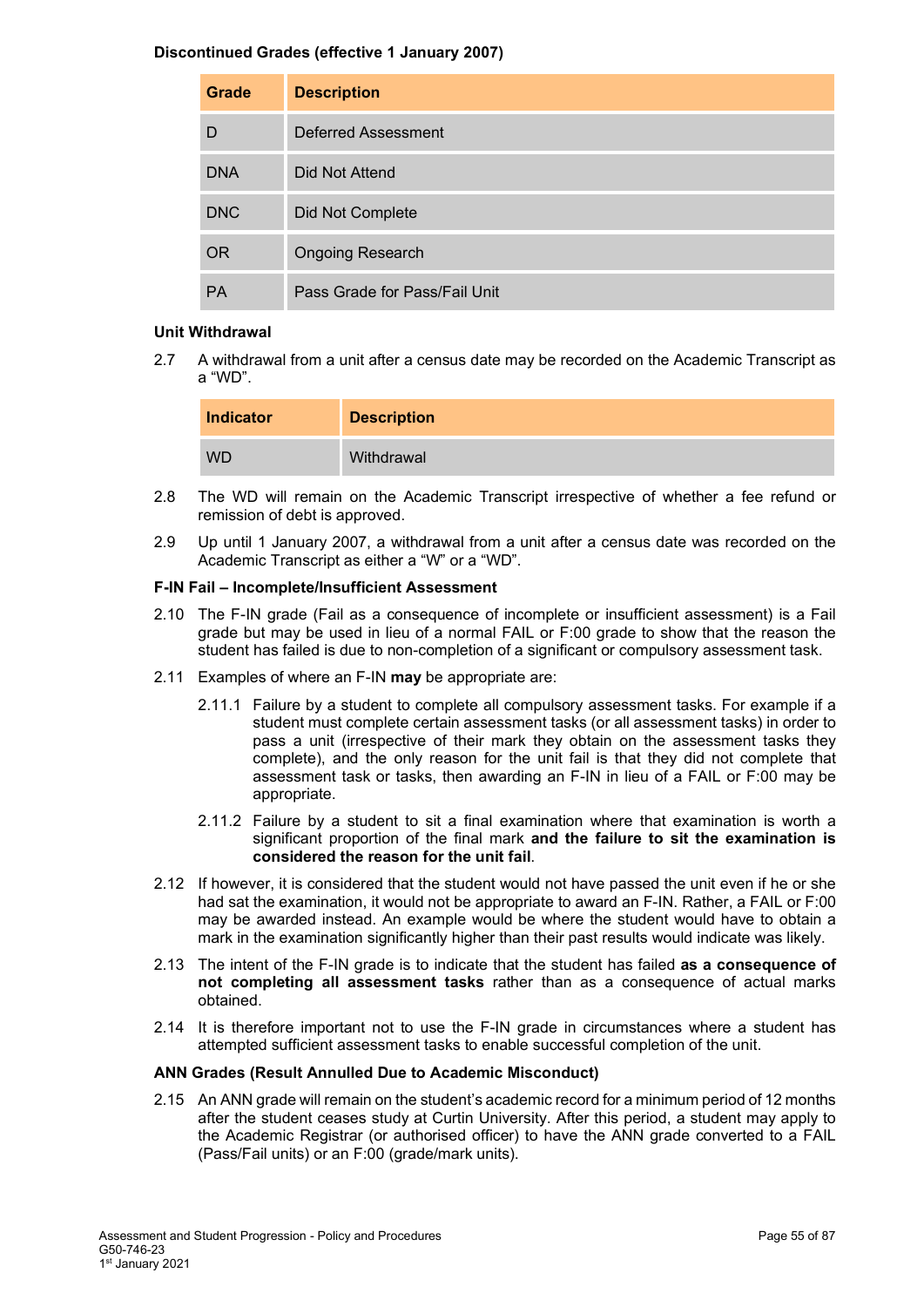#### **Discontinued Grades (effective 1 January 2007)**

| Grade      | <b>Description</b>            |
|------------|-------------------------------|
| D          | Deferred Assessment           |
| <b>DNA</b> | <b>Did Not Attend</b>         |
| <b>DNC</b> | Did Not Complete              |
| <b>OR</b>  | <b>Ongoing Research</b>       |
| <b>PA</b>  | Pass Grade for Pass/Fail Unit |

#### **Unit Withdrawal**

2.7 A withdrawal from a unit after a census date may be recorded on the Academic Transcript as a "WD".

| <b>Indicator</b> | <b>Description</b> |
|------------------|--------------------|
| <b>WD</b>        | Withdrawal         |

- 2.8 The WD will remain on the Academic Transcript irrespective of whether a fee refund or remission of debt is approved.
- 2.9 Up until 1 January 2007, a withdrawal from a unit after a census date was recorded on the Academic Transcript as either a "W" or a "WD".

#### **F-IN Fail – Incomplete/Insufficient Assessment**

- 2.10 The F-IN grade (Fail as a consequence of incomplete or insufficient assessment) is a Fail grade but may be used in lieu of a normal FAIL or F:00 grade to show that the reason the student has failed is due to non-completion of a significant or compulsory assessment task.
- 2.11 Examples of where an F-IN **may** be appropriate are:
	- 2.11.1 Failure by a student to complete all compulsory assessment tasks. For example if a student must complete certain assessment tasks (or all assessment tasks) in order to pass a unit (irrespective of their mark they obtain on the assessment tasks they complete), and the only reason for the unit fail is that they did not complete that assessment task or tasks, then awarding an F-IN in lieu of a FAIL or F:00 may be appropriate.
	- 2.11.2 Failure by a student to sit a final examination where that examination is worth a significant proportion of the final mark **and the failure to sit the examination is considered the reason for the unit fail**.
- 2.12 If however, it is considered that the student would not have passed the unit even if he or she had sat the examination, it would not be appropriate to award an F-IN. Rather, a FAIL or F:00 may be awarded instead. An example would be where the student would have to obtain a mark in the examination significantly higher than their past results would indicate was likely.
- 2.13 The intent of the F-IN grade is to indicate that the student has failed **as a consequence of not completing all assessment tasks** rather than as a consequence of actual marks obtained.
- 2.14 It is therefore important not to use the F-IN grade in circumstances where a student has attempted sufficient assessment tasks to enable successful completion of the unit.

#### **ANN Grades (Result Annulled Due to Academic Misconduct)**

2.15 An ANN grade will remain on the student's academic record for a minimum period of 12 months after the student ceases study at Curtin University. After this period, a student may apply to the Academic Registrar (or authorised officer) to have the ANN grade converted to a FAIL (Pass/Fail units) or an F:00 (grade/mark units).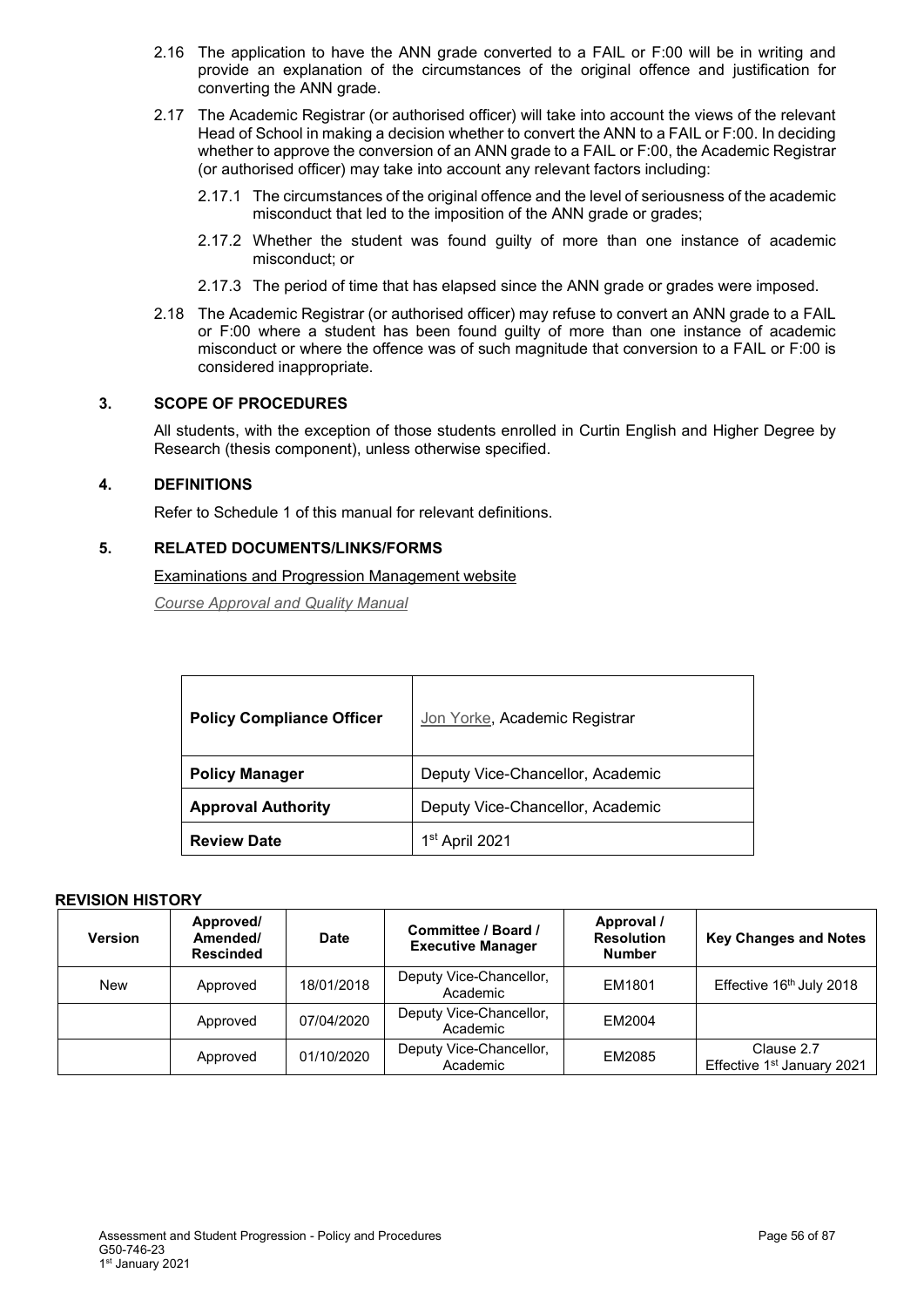- 2.16 The application to have the ANN grade converted to a FAIL or F:00 will be in writing and provide an explanation of the circumstances of the original offence and justification for converting the ANN grade.
- 2.17 The Academic Registrar (or authorised officer) will take into account the views of the relevant Head of School in making a decision whether to convert the ANN to a FAIL or F:00. In deciding whether to approve the conversion of an ANN grade to a FAIL or F:00, the Academic Registrar (or authorised officer) may take into account any relevant factors including:
	- 2.17.1 The circumstances of the original offence and the level of seriousness of the academic misconduct that led to the imposition of the ANN grade or grades;
	- 2.17.2 Whether the student was found guilty of more than one instance of academic misconduct; or
	- 2.17.3 The period of time that has elapsed since the ANN grade or grades were imposed.
- 2.18 The Academic Registrar (or authorised officer) may refuse to convert an ANN grade to a FAIL or F:00 where a student has been found guilty of more than one instance of academic misconduct or where the offence was of such magnitude that conversion to a FAIL or F:00 is considered inappropriate.

## **3. SCOPE OF PROCEDURES**

All students, with the exception of those students enrolled in Curtin English and Higher Degree by Research (thesis component), unless otherwise specified.

#### **4. DEFINITIONS**

Refer to Schedule 1 of this manual for relevant definitions.

## **5. RELATED DOCUMENTS/LINKS/FORMS**

Examinations [and Progression Management](https://examinations.curtin.edu.au/students/grading.cfm) website

*[Course Approval and Quality Manual](http://policies.curtin.edu.au/findapolicy/index.cfm)*

| <b>Policy Compliance Officer</b> | Jon Yorke, Academic Registrar    |
|----------------------------------|----------------------------------|
| <b>Policy Manager</b>            | Deputy Vice-Chancellor, Academic |
| <b>Approval Authority</b>        | Deputy Vice-Chancellor, Academic |
| <b>Review Date</b>               | 1 <sup>st</sup> April 2021       |

| <b>Version</b> | Approved/<br>Amended/<br><b>Rescinded</b> | Date       | Committee / Board /<br><b>Executive Manager</b> | Approval /<br><b>Resolution</b><br><b>Number</b> | <b>Key Changes and Notes</b>             |
|----------------|-------------------------------------------|------------|-------------------------------------------------|--------------------------------------------------|------------------------------------------|
| <b>New</b>     | Approved                                  | 18/01/2018 | Deputy Vice-Chancellor,<br>Academic             | EM1801                                           | Effective 16th July 2018                 |
|                | Approved                                  | 07/04/2020 | Deputy Vice-Chancellor,<br>Academic             | EM2004                                           |                                          |
|                | Approved                                  | 01/10/2020 | Deputy Vice-Chancellor,<br>Academic             | EM2085                                           | Clause 2.7<br>Effective 1st January 2021 |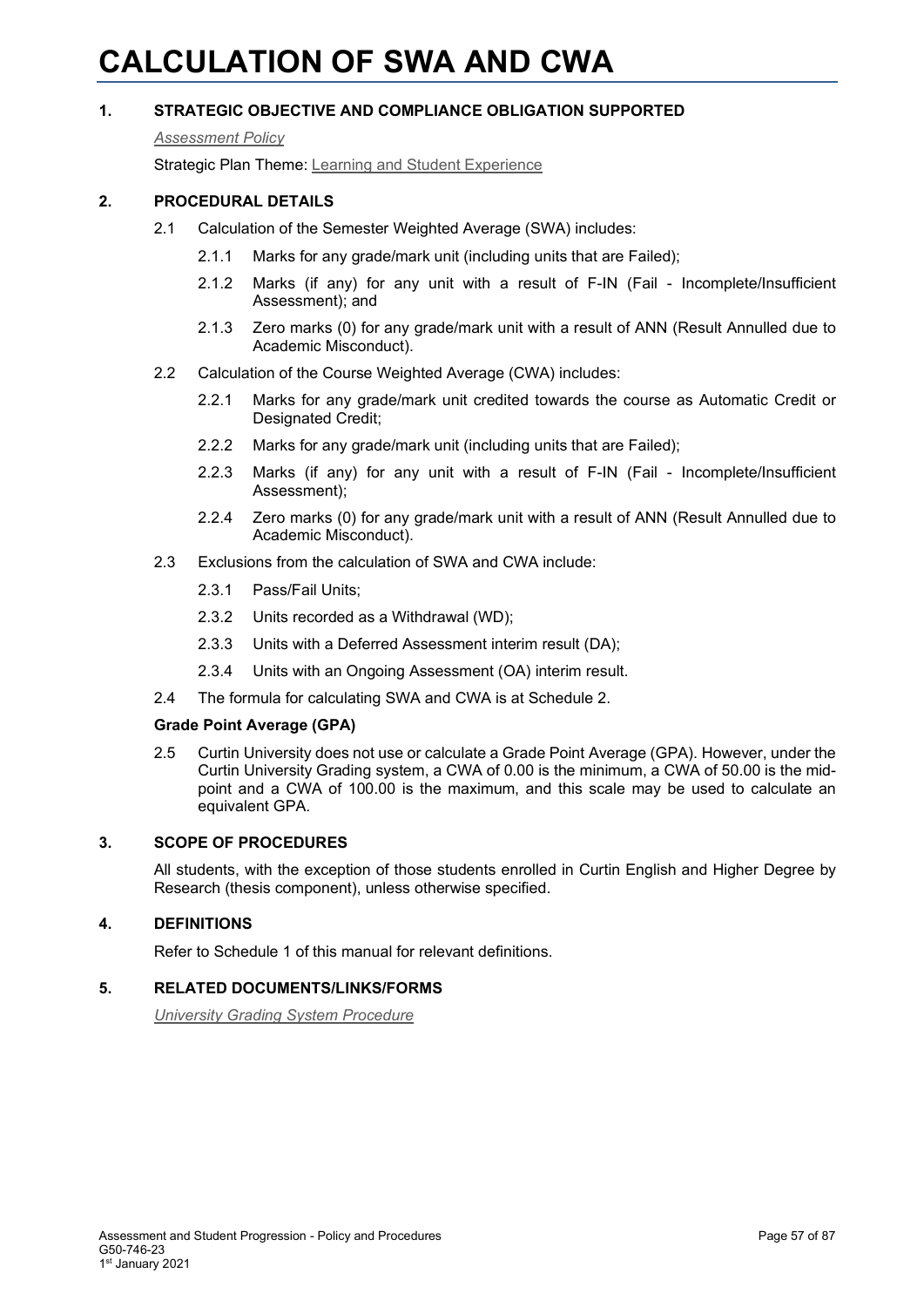# **CALCULATION OF SWA AND CWA**

## **1. STRATEGIC OBJECTIVE AND COMPLIANCE OBLIGATION SUPPORTED**

#### *[Assessment Policy](#page-1-0)*

Strategic Plan Theme: [Learning and Student Experience](http://strategicplan.curtin.edu.au/themes/learning-student-experience/)

## **2. PROCEDURAL DETAILS**

- 2.1 Calculation of the Semester Weighted Average (SWA) includes:
	- 2.1.1 Marks for any grade/mark unit (including units that are Failed);
	- 2.1.2 Marks (if any) for any unit with a result of F-IN (Fail Incomplete/Insufficient Assessment); and
	- 2.1.3 Zero marks (0) for any grade/mark unit with a result of ANN (Result Annulled due to Academic Misconduct).
- 2.2 Calculation of the Course Weighted Average (CWA) includes:
	- 2.2.1 Marks for any grade/mark unit credited towards the course as Automatic Credit or Designated Credit:
	- 2.2.2 Marks for any grade/mark unit (including units that are Failed);
	- 2.2.3 Marks (if any) for any unit with a result of F-IN (Fail Incomplete/Insufficient Assessment);
	- 2.2.4 Zero marks (0) for any grade/mark unit with a result of ANN (Result Annulled due to Academic Misconduct).
- 2.3 Exclusions from the calculation of SWA and CWA include:
	- 2.3.1 Pass/Fail Units;
	- 2.3.2 Units recorded as a Withdrawal (WD);
	- 2.3.3 Units with a Deferred Assessment interim result (DA);
	- 2.3.4 Units with an Ongoing Assessment (OA) interim result.
- 2.4 The formula for calculating SWA and CWA is at Schedule 2.

#### **Grade Point Average (GPA)**

2.5 Curtin University does not use or calculate a Grade Point Average (GPA). However, under the Curtin University Grading system, a CWA of 0.00 is the minimum, a CWA of 50.00 is the midpoint and a CWA of 100.00 is the maximum, and this scale may be used to calculate an equivalent GPA.

## **3. SCOPE OF PROCEDURES**

All students, with the exception of those students enrolled in Curtin English and Higher Degree by Research (thesis component), unless otherwise specified.

## **4. DEFINITIONS**

Refer to Schedule 1 of this manual for relevant definitions.

#### **5. RELATED DOCUMENTS/LINKS/FORMS**

*[University Grading System Procedure](#page-1-0)*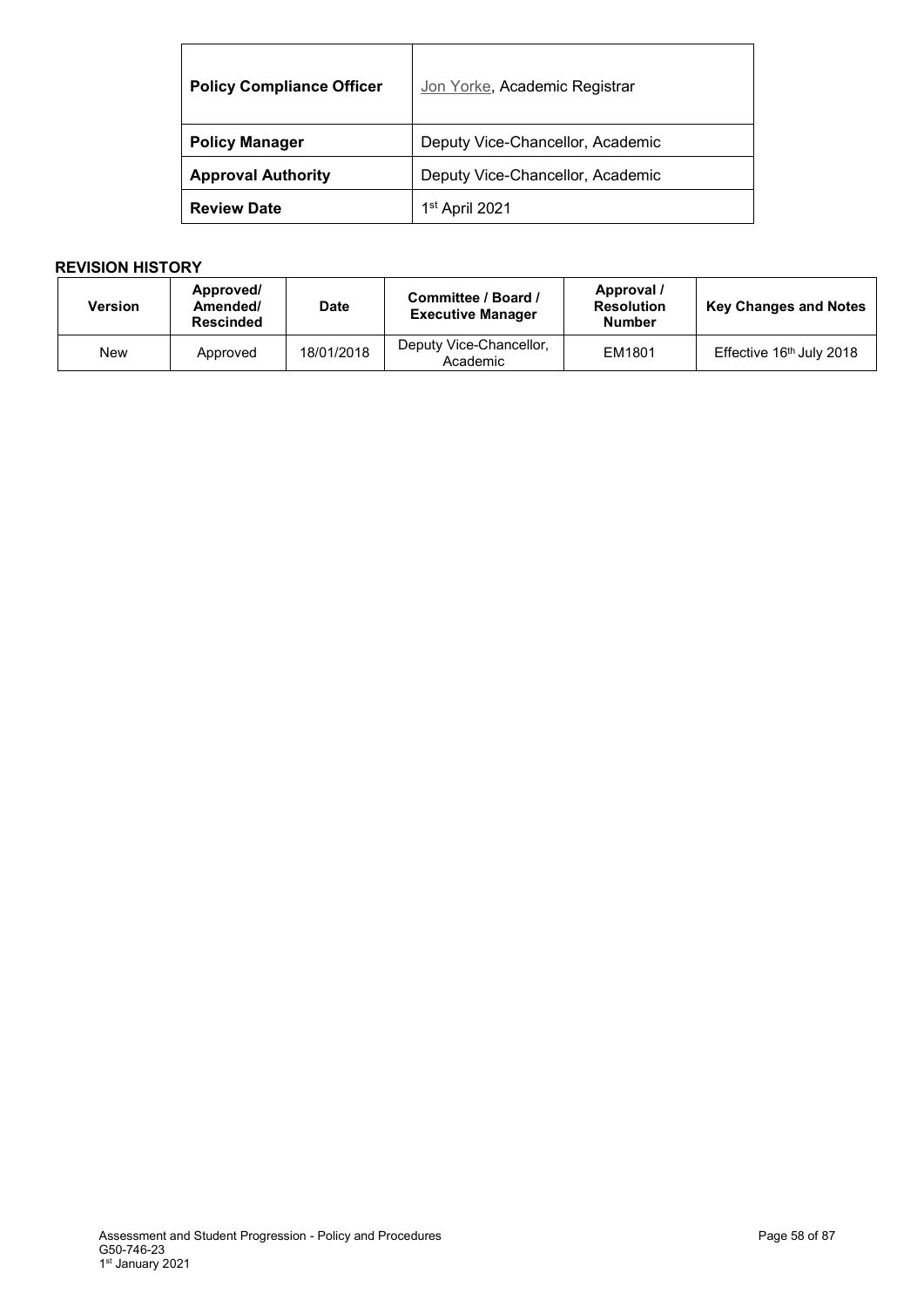| <b>Policy Compliance Officer</b> | Jon Yorke, Academic Registrar    |
|----------------------------------|----------------------------------|
| <b>Policy Manager</b>            | Deputy Vice-Chancellor, Academic |
| <b>Approval Authority</b>        | Deputy Vice-Chancellor, Academic |
| <b>Review Date</b>               | 1 <sup>st</sup> April 2021       |

| <b>Version</b> | Approved/<br>Amended/<br><b>Rescinded</b> | <b>Date</b> | Committee / Board /<br><b>Executive Manager</b> | Approval /<br><b>Resolution</b><br><b>Number</b> | <b>Key Changes and Notes</b> |
|----------------|-------------------------------------------|-------------|-------------------------------------------------|--------------------------------------------------|------------------------------|
| New            | Approved                                  | 18/01/2018  | Deputy Vice-Chancellor,<br>Academic             | EM1801                                           | Effective 16th July 2018     |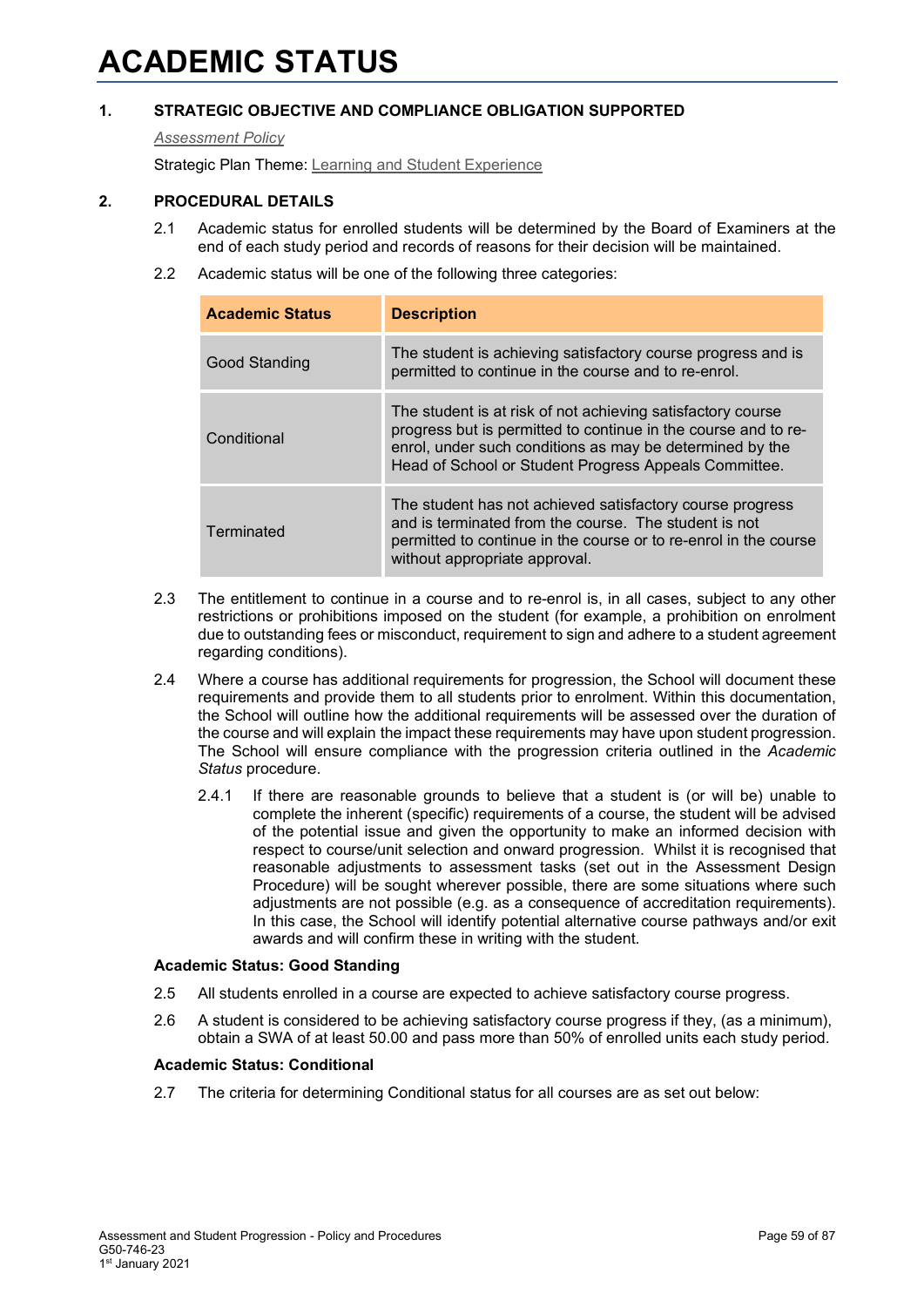## **1. STRATEGIC OBJECTIVE AND COMPLIANCE OBLIGATION SUPPORTED**

*[Assessment Policy](#page-1-0)*

Strategic Plan Theme: [Learning and Student Experience](http://strategicplan.curtin.edu.au/themes/learning-student-experience/)

## **2. PROCEDURAL DETAILS**

- 2.1 Academic status for enrolled students will be determined by the Board of Examiners at the end of each study period and records of reasons for their decision will be maintained.
- 2.2 Academic status will be one of the following three categories:

| <b>Academic Status</b> | <b>Description</b>                                                                                                                                                                                                                                 |
|------------------------|----------------------------------------------------------------------------------------------------------------------------------------------------------------------------------------------------------------------------------------------------|
| Good Standing          | The student is achieving satisfactory course progress and is<br>permitted to continue in the course and to re-enrol.                                                                                                                               |
| Conditional            | The student is at risk of not achieving satisfactory course<br>progress but is permitted to continue in the course and to re-<br>enrol, under such conditions as may be determined by the<br>Head of School or Student Progress Appeals Committee. |
| Terminated             | The student has not achieved satisfactory course progress<br>and is terminated from the course. The student is not<br>permitted to continue in the course or to re-enrol in the course<br>without appropriate approval.                            |

- 2.3 The entitlement to continue in a course and to re-enrol is, in all cases, subject to any other restrictions or prohibitions imposed on the student (for example, a prohibition on enrolment due to outstanding fees or misconduct, requirement to sign and adhere to a student agreement regarding conditions).
- 2.4 Where a course has additional requirements for progression, the School will document these requirements and provide them to all students prior to enrolment. Within this documentation, the School will outline how the additional requirements will be assessed over the duration of the course and will explain the impact these requirements may have upon student progression. The School will ensure compliance with the progression criteria outlined in the *Academic Status* procedure.
	- 2.4.1 If there are reasonable grounds to believe that a student is (or will be) unable to complete the inherent (specific) requirements of a course, the student will be advised of the potential issue and given the opportunity to make an informed decision with respect to course/unit selection and onward progression. Whilst it is recognised that reasonable adjustments to assessment tasks (set out in the Assessment Design Procedure) will be sought wherever possible, there are some situations where such adjustments are not possible (e.g. as a consequence of accreditation requirements). In this case, the School will identify potential alternative course pathways and/or exit awards and will confirm these in writing with the student.

#### **Academic Status: Good Standing**

- 2.5 All students enrolled in a course are expected to achieve satisfactory course progress.
- 2.6 A student is considered to be achieving satisfactory course progress if they, (as a minimum), obtain a SWA of at least 50.00 and pass more than 50% of enrolled units each study period.

#### **Academic Status: Conditional**

2.7 The criteria for determining Conditional status for all courses are as set out below: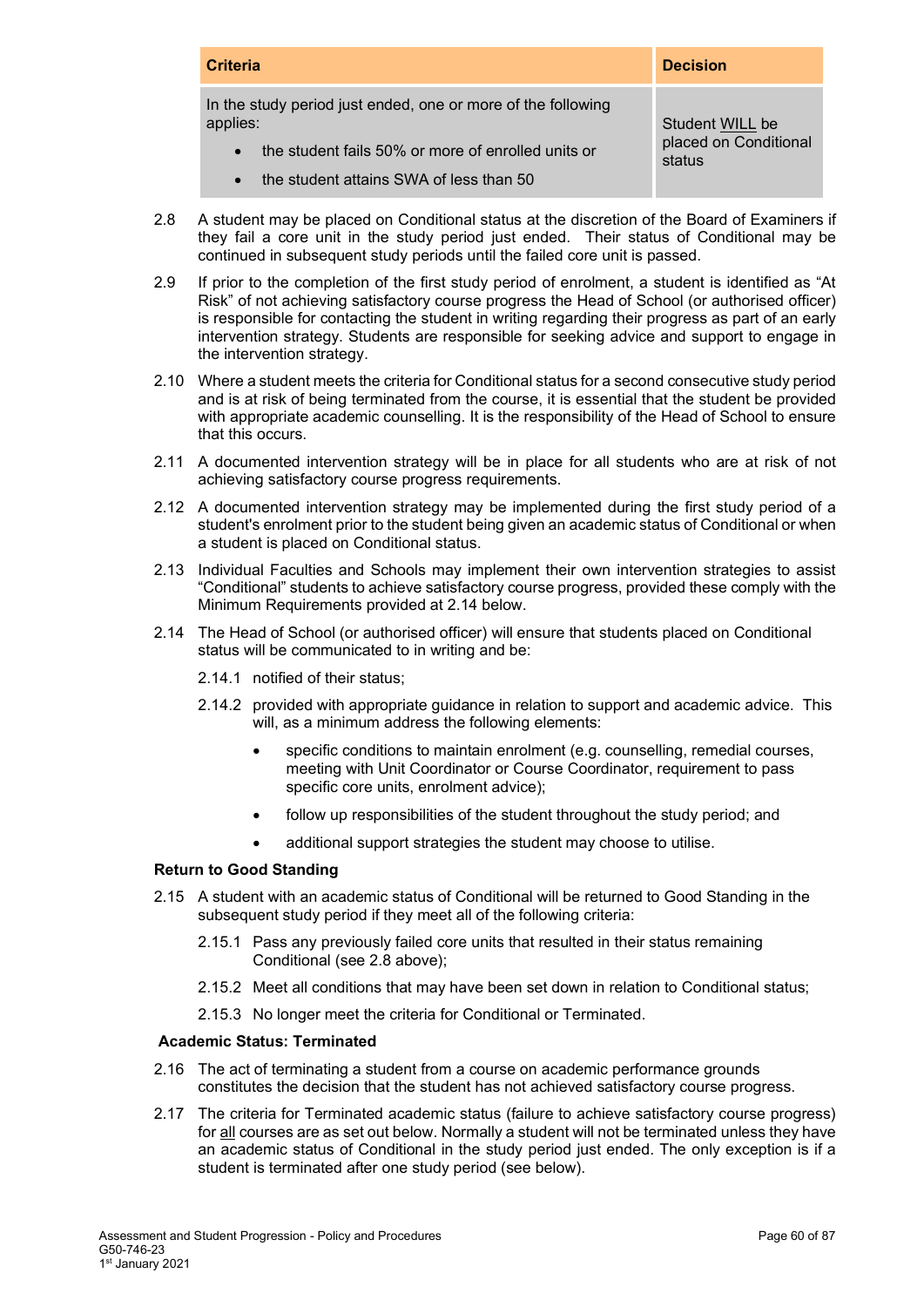| <b>Criteria</b>                                                          | <b>Decision</b>                 |
|--------------------------------------------------------------------------|---------------------------------|
| In the study period just ended, one or more of the following<br>applies: | Student WILL be                 |
| the student fails 50% or more of enrolled units or<br>$\bullet$          | placed on Conditional<br>status |
| the student attains SWA of less than 50                                  |                                 |

- 2.8 A student may be placed on Conditional status at the discretion of the Board of Examiners if they fail a core unit in the study period just ended. Their status of Conditional may be continued in subsequent study periods until the failed core unit is passed.
- 2.9 If prior to the completion of the first study period of enrolment, a student is identified as "At Risk" of not achieving satisfactory course progress the Head of School (or authorised officer) is responsible for contacting the student in writing regarding their progress as part of an early intervention strategy. Students are responsible for seeking advice and support to engage in the intervention strategy.
- 2.10 Where a student meets the criteria for Conditional status for a second consecutive study period and is at risk of being terminated from the course, it is essential that the student be provided with appropriate academic counselling. It is the responsibility of the Head of School to ensure that this occurs.
- 2.11 A documented intervention strategy will be in place for all students who are at risk of not achieving satisfactory course progress requirements.
- 2.12 A documented intervention strategy may be implemented during the first study period of a student's enrolment prior to the student being given an academic status of Conditional or when a student is placed on Conditional status.
- 2.13 Individual Faculties and Schools may implement their own intervention strategies to assist "Conditional" students to achieve satisfactory course progress, provided these comply with the Minimum Requirements provided at 2.14 below.
- 2.14 The Head of School (or authorised officer) will ensure that students placed on Conditional status will be communicated to in writing and be:
	- 2.14.1 notified of their status;
	- 2.14.2 provided with appropriate guidance in relation to support and academic advice. This will, as a minimum address the following elements:
		- specific conditions to maintain enrolment (e.g. counselling, remedial courses, meeting with Unit Coordinator or Course Coordinator, requirement to pass specific core units, enrolment advice);
		- follow up responsibilities of the student throughout the study period; and
		- additional support strategies the student may choose to utilise.

#### **Return to Good Standing**

- 2.15 A student with an academic status of Conditional will be returned to Good Standing in the subsequent study period if they meet all of the following criteria:
	- 2.15.1 Pass any previously failed core units that resulted in their status remaining Conditional (see 2.8 above);
	- 2.15.2 Meet all conditions that may have been set down in relation to Conditional status;
	- 2.15.3 No longer meet the criteria for Conditional or Terminated.

#### **Academic Status: Terminated**

- 2.16 The act of terminating a student from a course on academic performance grounds constitutes the decision that the student has not achieved satisfactory course progress.
- 2.17 The criteria for Terminated academic status (failure to achieve satisfactory course progress) for all courses are as set out below. Normally a student will not be terminated unless they have an academic status of Conditional in the study period just ended. The only exception is if a student is terminated after one study period (see below).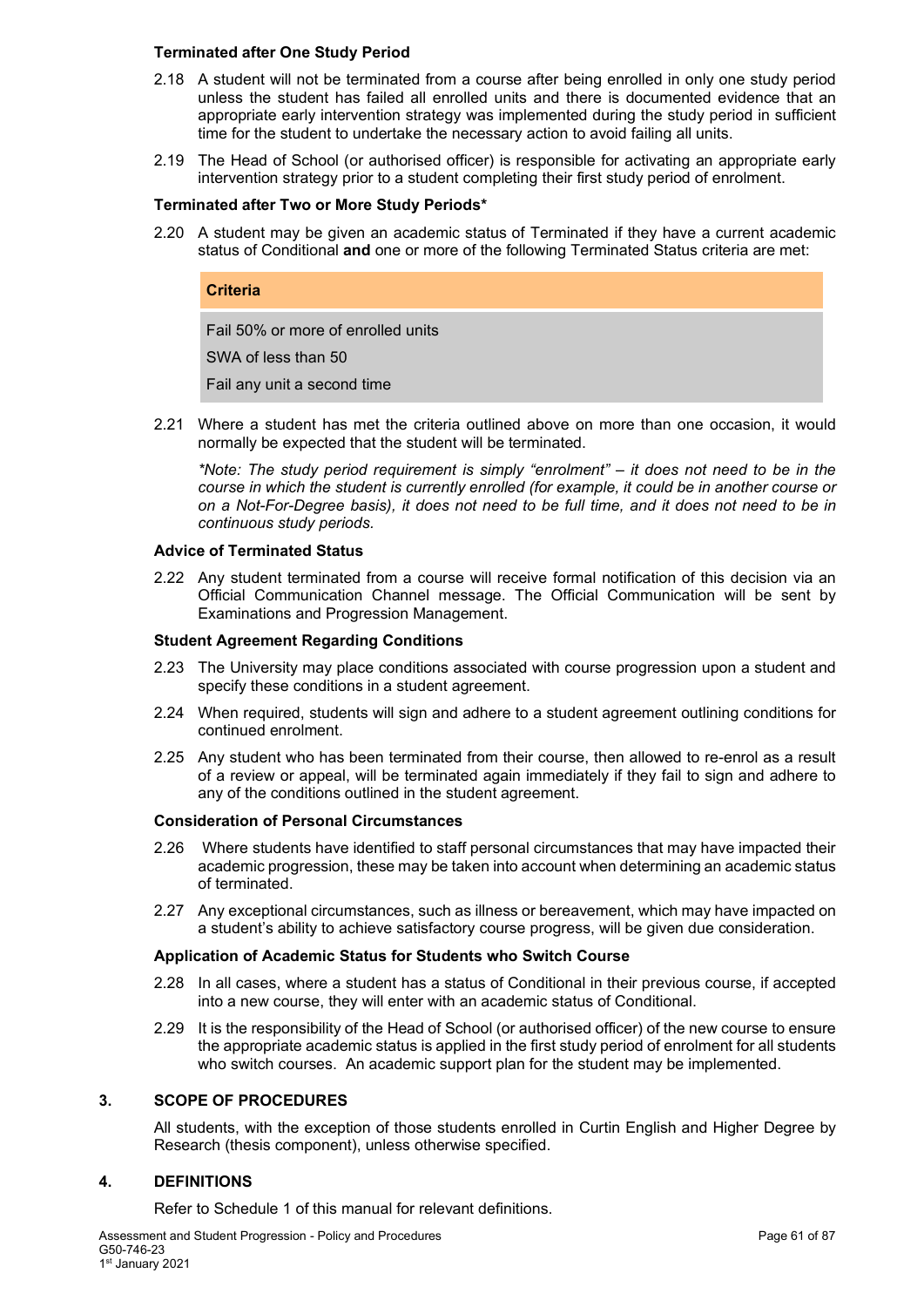#### **Terminated after One Study Period**

- 2.18 A student will not be terminated from a course after being enrolled in only one study period unless the student has failed all enrolled units and there is documented evidence that an appropriate early intervention strategy was implemented during the study period in sufficient time for the student to undertake the necessary action to avoid failing all units.
- 2.19 The Head of School (or authorised officer) is responsible for activating an appropriate early intervention strategy prior to a student completing their first study period of enrolment.

#### **Terminated after Two or More Study Periods\***

2.20 A student may be given an academic status of Terminated if they have a current academic status of Conditional **and** one or more of the following Terminated Status criteria are met:

#### **Criteria**

Fail 50% or more of enrolled units SWA of less than 50 Fail any unit a second time

2.21 Where a student has met the criteria outlined above on more than one occasion, it would normally be expected that the student will be terminated.

*\*Note: The study period requirement is simply "enrolment" – it does not need to be in the course in which the student is currently enrolled (for example, it could be in another course or on a Not-For-Degree basis), it does not need to be full time, and it does not need to be in continuous study periods.*

#### **Advice of Terminated Status**

2.22 Any student terminated from a course will receive formal notification of this decision via an Official Communication Channel message. The Official Communication will be sent by Examinations and Progression Management.

#### **Student Agreement Regarding Conditions**

- 2.23 The University may place conditions associated with course progression upon a student and specify these conditions in a student agreement.
- 2.24 When required, students will sign and adhere to a student agreement outlining conditions for continued enrolment.
- 2.25 Any student who has been terminated from their course, then allowed to re-enrol as a result of a review or appeal, will be terminated again immediately if they fail to sign and adhere to any of the conditions outlined in the student agreement.

#### **Consideration of Personal Circumstances**

- 2.26 Where students have identified to staff personal circumstances that may have impacted their academic progression, these may be taken into account when determining an academic status of terminated.
- 2.27 Any exceptional circumstances, such as illness or bereavement, which may have impacted on a student's ability to achieve satisfactory course progress, will be given due consideration.

#### **Application of Academic Status for Students who Switch Course**

- 2.28 In all cases, where a student has a status of Conditional in their previous course, if accepted into a new course, they will enter with an academic status of Conditional.
- 2.29 It is the responsibility of the Head of School (or authorised officer) of the new course to ensure the appropriate academic status is applied in the first study period of enrolment for all students who switch courses. An academic support plan for the student may be implemented.

## **3. SCOPE OF PROCEDURES**

All students, with the exception of those students enrolled in Curtin English and Higher Degree by Research (thesis component), unless otherwise specified.

## **4. DEFINITIONS**

Refer to Schedule 1 of this manual for relevant definitions.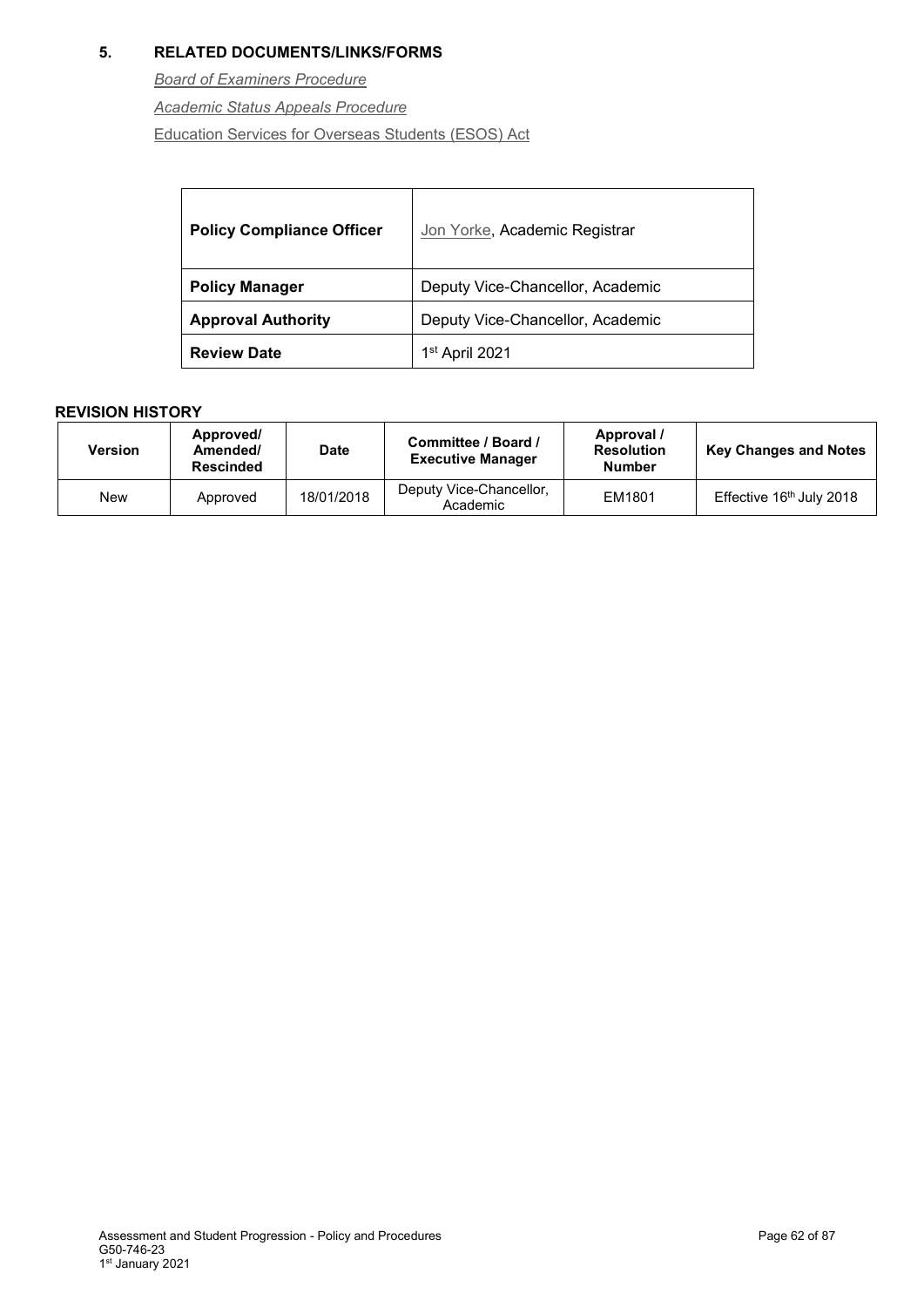## **5. RELATED DOCUMENTS/LINKS/FORMS**

*[Board of Examiners Procedure](#page-1-0)*

*[Academic Status Appeals Procedure](#page-1-0)*

[Education Services for Overseas Students \(ESOS\) Act](https://www.legislation.gov.au/Details/C2016C00935)

| <b>Policy Compliance Officer</b> | Jon Yorke, Academic Registrar    |
|----------------------------------|----------------------------------|
| <b>Policy Manager</b>            | Deputy Vice-Chancellor, Academic |
| <b>Approval Authority</b>        | Deputy Vice-Chancellor, Academic |
| <b>Review Date</b>               | 1 <sup>st</sup> April 2021       |

| Version | Approved/<br>Amended/<br><b>Rescinded</b> | <b>Date</b> | Committee / Board /<br><b>Executive Manager</b> | Approval /<br><b>Resolution</b><br><b>Number</b> | <b>Key Changes and Notes</b> |
|---------|-------------------------------------------|-------------|-------------------------------------------------|--------------------------------------------------|------------------------------|
| New     | Approved                                  | 18/01/2018  | Deputy Vice-Chancellor,<br>Academic             | EM1801                                           | Effective 16th July 2018     |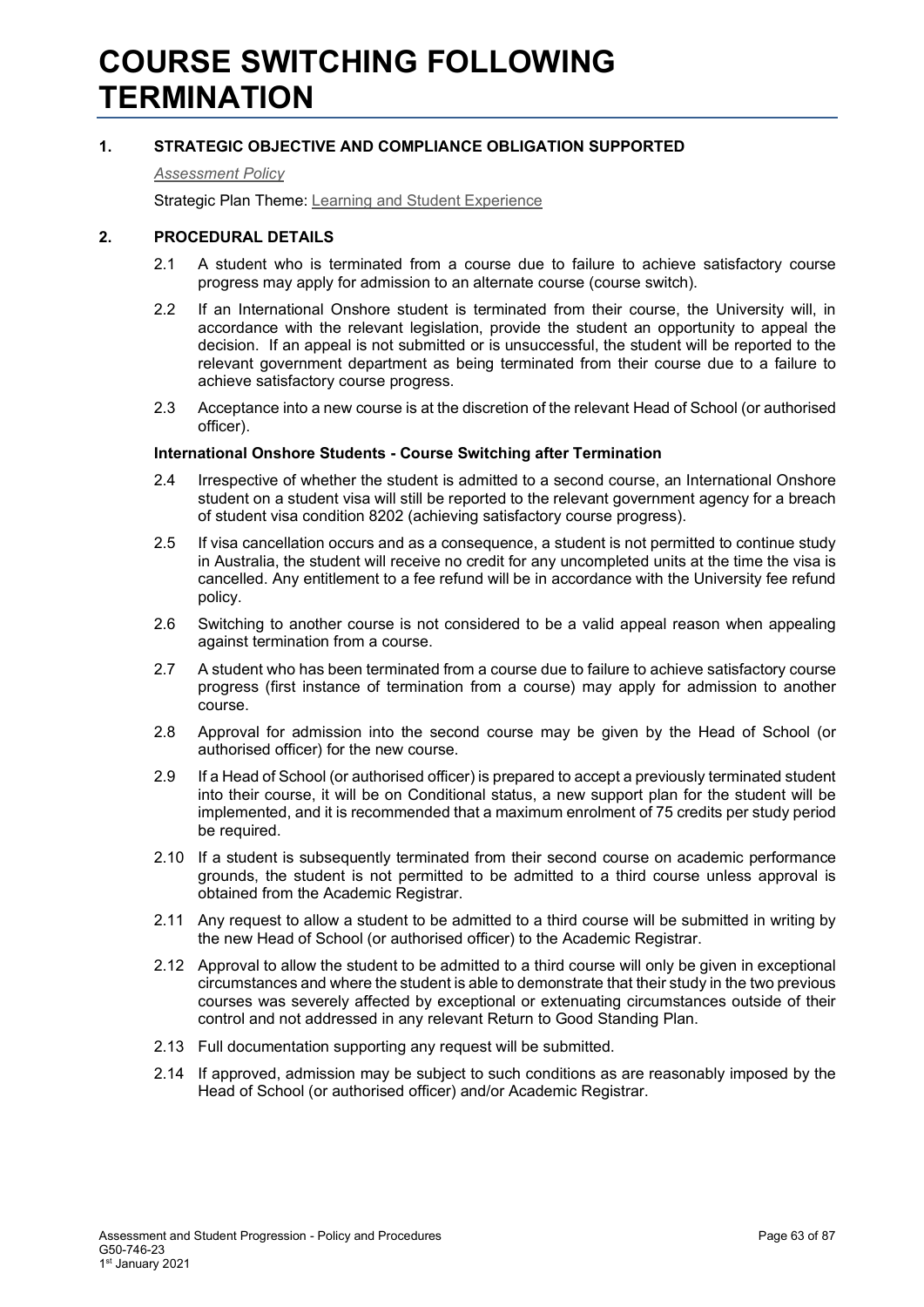## **1. STRATEGIC OBJECTIVE AND COMPLIANCE OBLIGATION SUPPORTED**

#### *[Assessment Policy](#page-1-0)*

Strategic Plan Theme: [Learning and Student Experience](http://strategicplan.curtin.edu.au/themes/learning-student-experience/)

#### **2. PROCEDURAL DETAILS**

- 2.1 A student who is terminated from a course due to failure to achieve satisfactory course progress may apply for admission to an alternate course (course switch).
- 2.2 If an International Onshore student is terminated from their course, the University will, in accordance with the relevant legislation, provide the student an opportunity to appeal the decision. If an appeal is not submitted or is unsuccessful, the student will be reported to the relevant government department as being terminated from their course due to a failure to achieve satisfactory course progress.
- 2.3 Acceptance into a new course is at the discretion of the relevant Head of School (or authorised officer).

#### **International Onshore Students - Course Switching after Termination**

- 2.4 Irrespective of whether the student is admitted to a second course, an International Onshore student on a student visa will still be reported to the relevant government agency for a breach of student visa condition 8202 (achieving satisfactory course progress).
- 2.5 If visa cancellation occurs and as a consequence, a student is not permitted to continue study in Australia, the student will receive no credit for any uncompleted units at the time the visa is cancelled. Any entitlement to a fee refund will be in accordance with the University fee refund policy.
- 2.6 Switching to another course is not considered to be a valid appeal reason when appealing against termination from a course.
- 2.7 A student who has been terminated from a course due to failure to achieve satisfactory course progress (first instance of termination from a course) may apply for admission to another course.
- 2.8 Approval for admission into the second course may be given by the Head of School (or authorised officer) for the new course.
- 2.9 If a Head of School (or authorised officer) is prepared to accept a previously terminated student into their course, it will be on Conditional status, a new support plan for the student will be implemented, and it is recommended that a maximum enrolment of 75 credits per study period be required.
- 2.10 If a student is subsequently terminated from their second course on academic performance grounds, the student is not permitted to be admitted to a third course unless approval is obtained from the Academic Registrar.
- 2.11 Any request to allow a student to be admitted to a third course will be submitted in writing by the new Head of School (or authorised officer) to the Academic Registrar.
- 2.12 Approval to allow the student to be admitted to a third course will only be given in exceptional circumstances and where the student is able to demonstrate that their study in the two previous courses was severely affected by exceptional or extenuating circumstances outside of their control and not addressed in any relevant Return to Good Standing Plan.
- 2.13 Full documentation supporting any request will be submitted.
- 2.14 If approved, admission may be subject to such conditions as are reasonably imposed by the Head of School (or authorised officer) and/or Academic Registrar.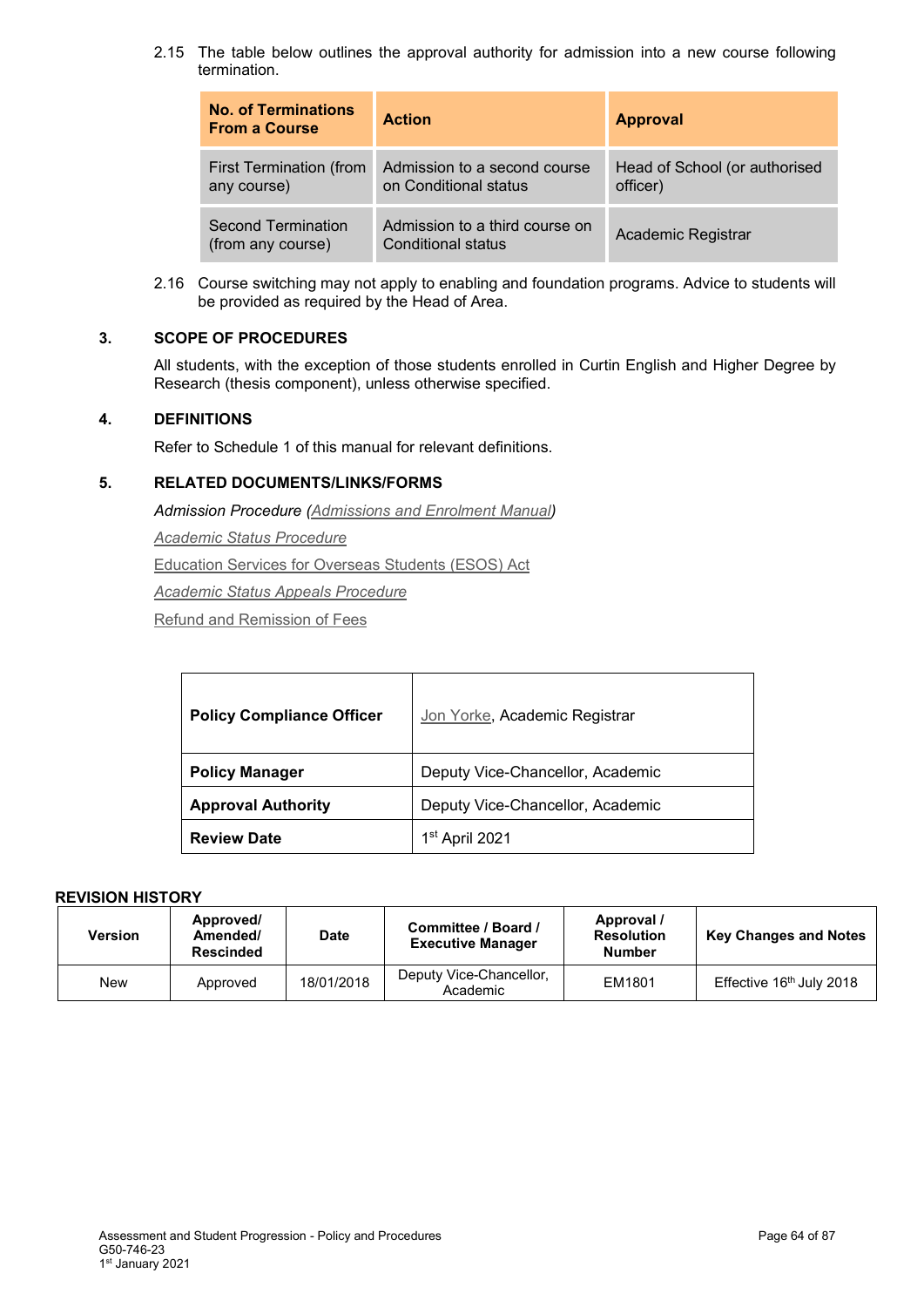2.15 The table below outlines the approval authority for admission into a new course following termination.

| <b>No. of Terminations</b><br><b>From a Course</b> | <b>Action</b>                                         | <b>Approval</b>                           |
|----------------------------------------------------|-------------------------------------------------------|-------------------------------------------|
| First Termination (from<br>any course)             | Admission to a second course<br>on Conditional status | Head of School (or authorised<br>officer) |
| <b>Second Termination</b><br>(from any course)     | Admission to a third course on<br>Conditional status  | Academic Registrar                        |

2.16 Course switching may not apply to enabling and foundation programs. Advice to students will be provided as required by the Head of Area.

## **3. SCOPE OF PROCEDURES**

All students, with the exception of those students enrolled in Curtin English and Higher Degree by Research (thesis component), unless otherwise specified.

## **4. DEFINITIONS**

Refer to Schedule 1 of this manual for relevant definitions.

## **5. RELATED DOCUMENTS/LINKS/FORMS**

*Admission Procedure [\(Admissions and Enrolment Manual\)](http://policies.curtin.edu.au/findapolicy/index.cfm)*

*[Academic Status](#page-1-0) Procedure*

[Education Services for Overseas Students \(ESOS\) Act](https://www.legislation.gov.au/Details/C2016C00935)

*[Academic Status Appeals Procedure](#page-1-0)*

[Refund and Remission of Fees](http://fees.curtin.edu.au/refunds.cfm)

| <b>Policy Compliance Officer</b> | Jon Yorke, Academic Registrar    |
|----------------------------------|----------------------------------|
| <b>Policy Manager</b>            | Deputy Vice-Chancellor, Academic |
| <b>Approval Authority</b>        | Deputy Vice-Chancellor, Academic |
| <b>Review Date</b>               | 1 <sup>st</sup> April 2021       |

| <b>Version</b> | Approved/<br>Amended/<br><b>Rescinded</b> | <b>Date</b> | Committee / Board /<br><b>Executive Manager</b> | Approval /<br><b>Resolution</b><br><b>Number</b> | <b>Key Changes and Notes</b>         |
|----------------|-------------------------------------------|-------------|-------------------------------------------------|--------------------------------------------------|--------------------------------------|
| New            | Approved                                  | 18/01/2018  | Deputy Vice-Chancellor,<br>Academic             | EM1801                                           | Effective 16 <sup>th</sup> July 2018 |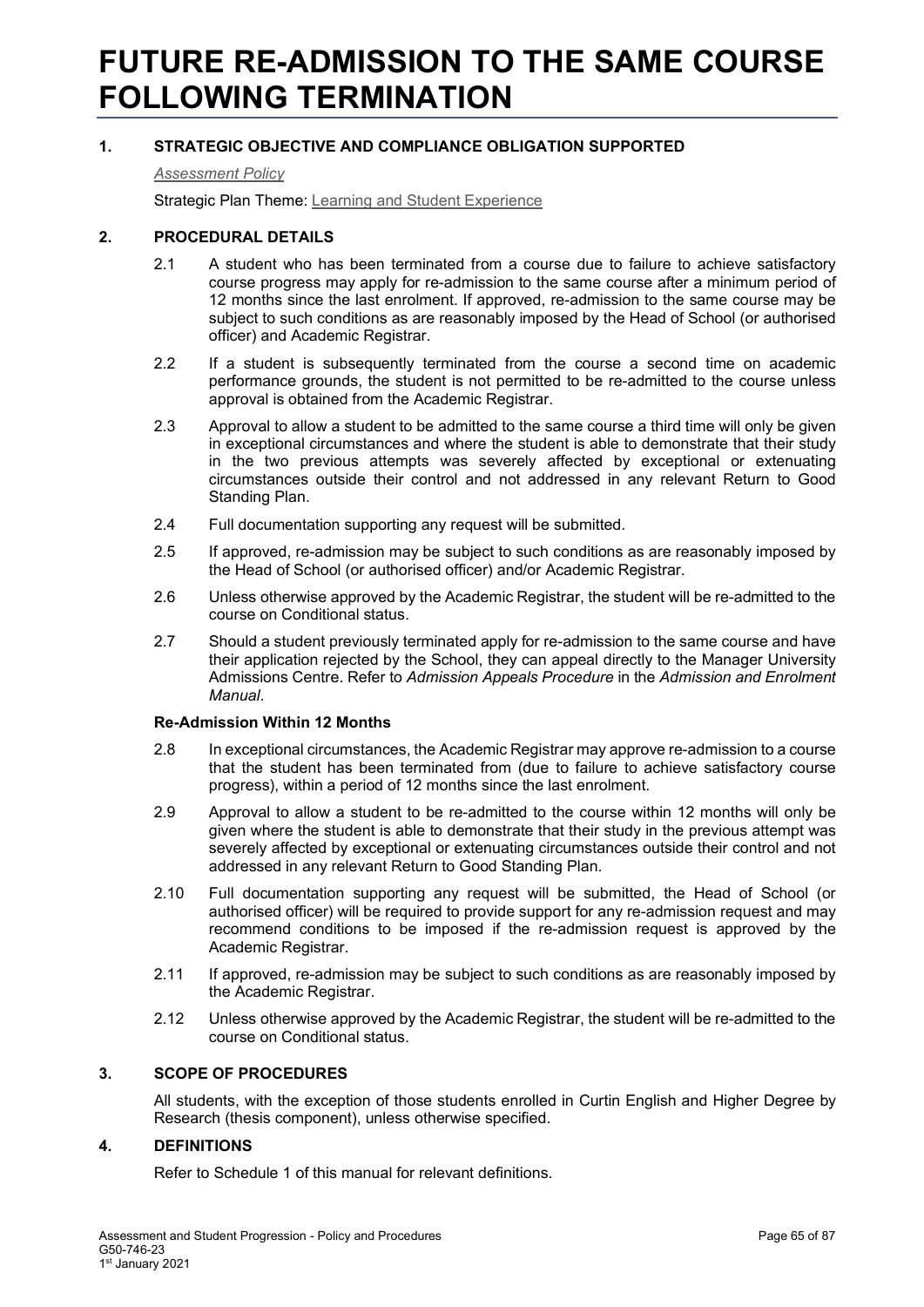## **FUTURE RE-ADMISSION TO THE SAME COURSE FOLLOWING TERMINATION**

## **1. STRATEGIC OBJECTIVE AND COMPLIANCE OBLIGATION SUPPORTED**

#### *[Assessment Policy](#page-1-0)*

Strategic Plan Theme: [Learning and Student Experience](http://strategicplan.curtin.edu.au/themes/learning-student-experience/)

## **2. PROCEDURAL DETAILS**

- 2.1 A student who has been terminated from a course due to failure to achieve satisfactory course progress may apply for re-admission to the same course after a minimum period of 12 months since the last enrolment. If approved, re-admission to the same course may be subject to such conditions as are reasonably imposed by the Head of School (or authorised officer) and Academic Registrar.
- 2.2 If a student is subsequently terminated from the course a second time on academic performance grounds, the student is not permitted to be re-admitted to the course unless approval is obtained from the Academic Registrar.
- 2.3 Approval to allow a student to be admitted to the same course a third time will only be given in exceptional circumstances and where the student is able to demonstrate that their study in the two previous attempts was severely affected by exceptional or extenuating circumstances outside their control and not addressed in any relevant Return to Good Standing Plan.
- 2.4 Full documentation supporting any request will be submitted.
- 2.5 If approved, re-admission may be subject to such conditions as are reasonably imposed by the Head of School (or authorised officer) and/or Academic Registrar.
- 2.6 Unless otherwise approved by the Academic Registrar, the student will be re-admitted to the course on Conditional status.
- 2.7 Should a student previously terminated apply for re-admission to the same course and have their application rejected by the School, they can appeal directly to the Manager University Admissions Centre. Refer to *Admission Appeals Procedure* in the *Admission and Enrolment Manual*.

#### **Re-Admission Within 12 Months**

- 2.8 In exceptional circumstances, the Academic Registrar may approve re-admission to a course that the student has been terminated from (due to failure to achieve satisfactory course progress), within a period of 12 months since the last enrolment.
- 2.9 Approval to allow a student to be re-admitted to the course within 12 months will only be given where the student is able to demonstrate that their study in the previous attempt was severely affected by exceptional or extenuating circumstances outside their control and not addressed in any relevant Return to Good Standing Plan.
- 2.10 Full documentation supporting any request will be submitted, the Head of School (or authorised officer) will be required to provide support for any re-admission request and may recommend conditions to be imposed if the re-admission request is approved by the Academic Registrar.
- 2.11 If approved, re-admission may be subject to such conditions as are reasonably imposed by the Academic Registrar.
- 2.12 Unless otherwise approved by the Academic Registrar, the student will be re-admitted to the course on Conditional status.

## **3. SCOPE OF PROCEDURES**

All students, with the exception of those students enrolled in Curtin English and Higher Degree by Research (thesis component), unless otherwise specified.

## **4. DEFINITIONS**

Refer to Schedule 1 of this manual for relevant definitions.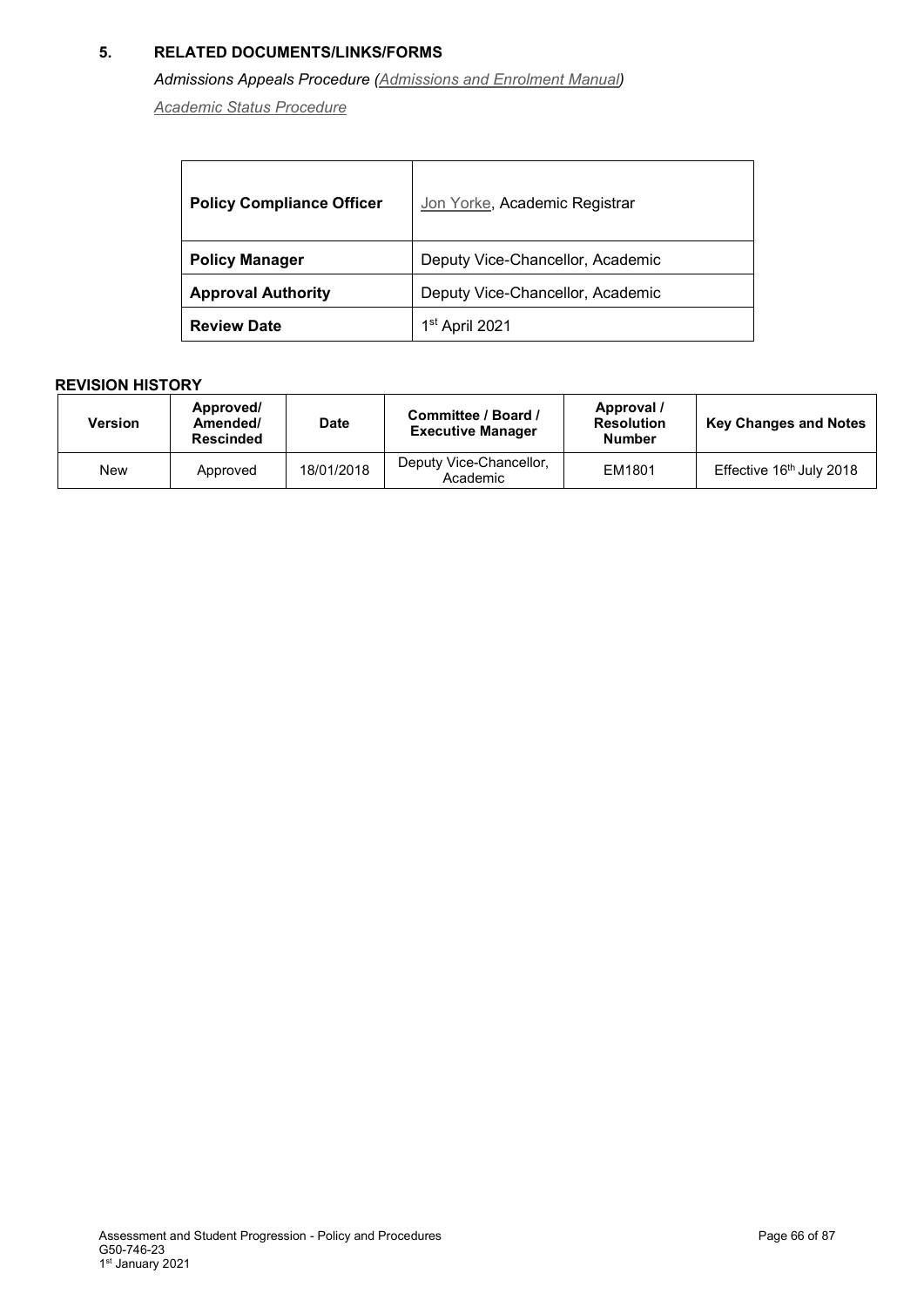## **5. RELATED DOCUMENTS/LINKS/FORMS**

## *Admissions Appeals Procedure [\(Admissions and Enrolment Manual\)](http://policies.curtin.edu.au/findapolicy/index.cfm)*

*[Academic Status Procedure](#page-1-0)*

| <b>Policy Compliance Officer</b> | Jon Yorke, Academic Registrar    |
|----------------------------------|----------------------------------|
| <b>Policy Manager</b>            | Deputy Vice-Chancellor, Academic |
| <b>Approval Authority</b>        | Deputy Vice-Chancellor, Academic |
| <b>Review Date</b>               | 1 <sup>st</sup> April 2021       |

| Version | Approved/<br>Amended/<br><b>Rescinded</b> | <b>Date</b> | Committee / Board /<br><b>Executive Manager</b> | Approval /<br><b>Resolution</b><br><b>Number</b> | <b>Key Changes and Notes</b>         |
|---------|-------------------------------------------|-------------|-------------------------------------------------|--------------------------------------------------|--------------------------------------|
| New     | Approved                                  | 18/01/2018  | Deputy Vice-Chancellor,<br>Academic             | EM1801                                           | Effective 16 <sup>th</sup> July 2018 |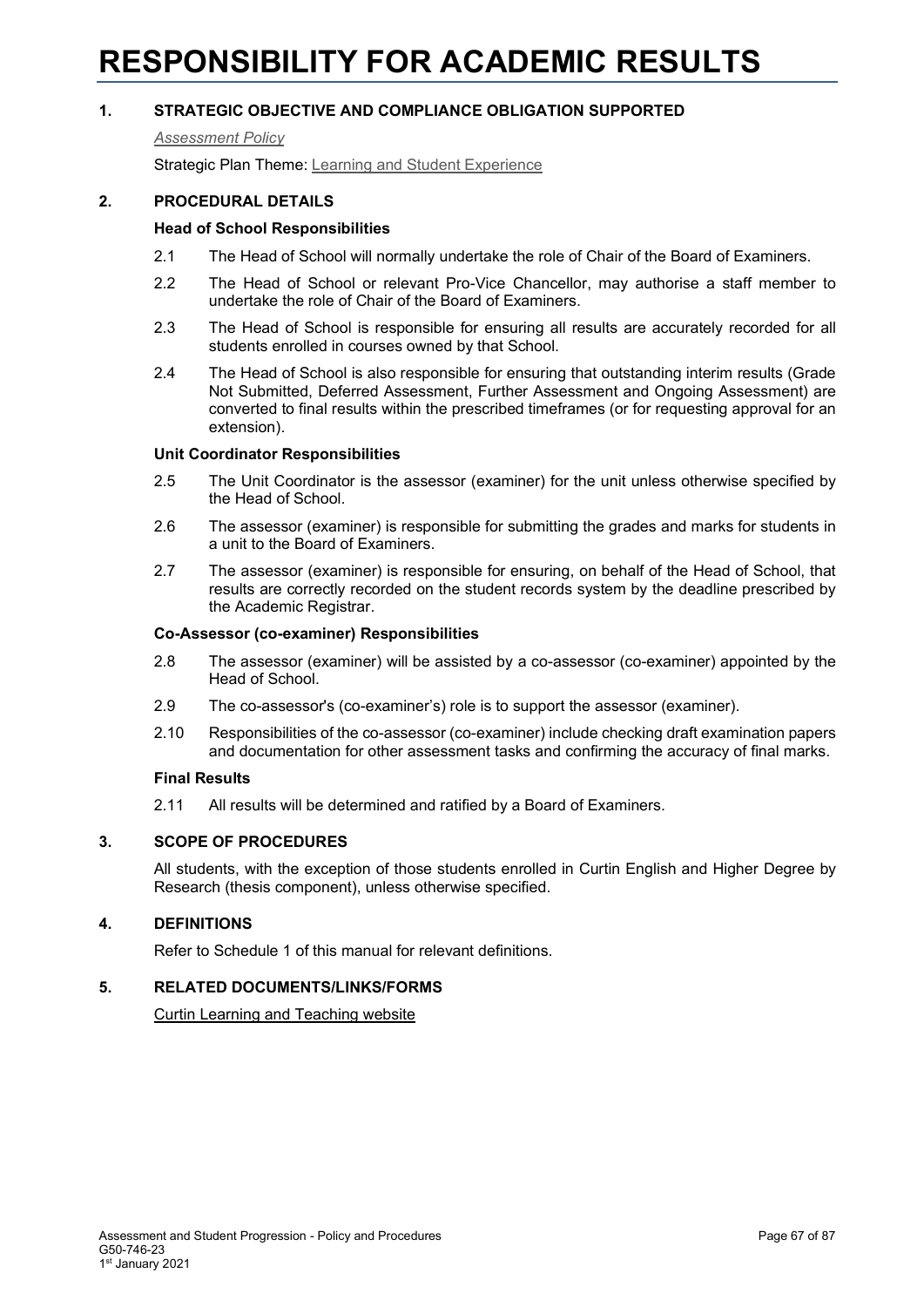# **RESPONSIBILITY FOR ACADEMIC RESULTS**

## **1. STRATEGIC OBJECTIVE AND COMPLIANCE OBLIGATION SUPPORTED**

*[Assessment Policy](#page-1-0)*

Strategic Plan Theme: [Learning and Student Experience](http://strategicplan.curtin.edu.au/themes/learning-student-experience/)

#### **2. PROCEDURAL DETAILS**

#### **Head of School Responsibilities**

- 2.1 The Head of School will normally undertake the role of Chair of the Board of Examiners.
- 2.2 The Head of School or relevant Pro-Vice Chancellor, may authorise a staff member to undertake the role of Chair of the Board of Examiners.
- 2.3 The Head of School is responsible for ensuring all results are accurately recorded for all students enrolled in courses owned by that School.
- 2.4 The Head of School is also responsible for ensuring that outstanding interim results (Grade Not Submitted, Deferred Assessment, Further Assessment and Ongoing Assessment) are converted to final results within the prescribed timeframes (or for requesting approval for an extension).

#### **Unit Coordinator Responsibilities**

- 2.5 The Unit Coordinator is the assessor (examiner) for the unit unless otherwise specified by the Head of School.
- 2.6 The assessor (examiner) is responsible for submitting the grades and marks for students in a unit to the Board of Examiners.
- 2.7 The assessor (examiner) is responsible for ensuring, on behalf of the Head of School, that results are correctly recorded on the student records system by the deadline prescribed by the Academic Registrar.

#### **Co-Assessor (co-examiner) Responsibilities**

- 2.8 The assessor (examiner) will be assisted by a co-assessor (co-examiner) appointed by the Head of School.
- 2.9 The co-assessor's (co-examiner's) role is to support the assessor (examiner).
- 2.10 Responsibilities of the co-assessor (co-examiner) include checking draft examination papers and documentation for other assessment tasks and confirming the accuracy of final marks.

#### **Final Results**

2.11 All results will be determined and ratified by a Board of Examiners.

## **3. SCOPE OF PROCEDURES**

All students, with the exception of those students enrolled in Curtin English and Higher Degree by Research (thesis component), unless otherwise specified.

## **4. DEFINITIONS**

Refer to Schedule 1 of this manual for relevant definitions.

#### **5. RELATED DOCUMENTS/LINKS/FORMS**

[Curtin Learning and Teaching website](https://clt.curtin.edu.au/)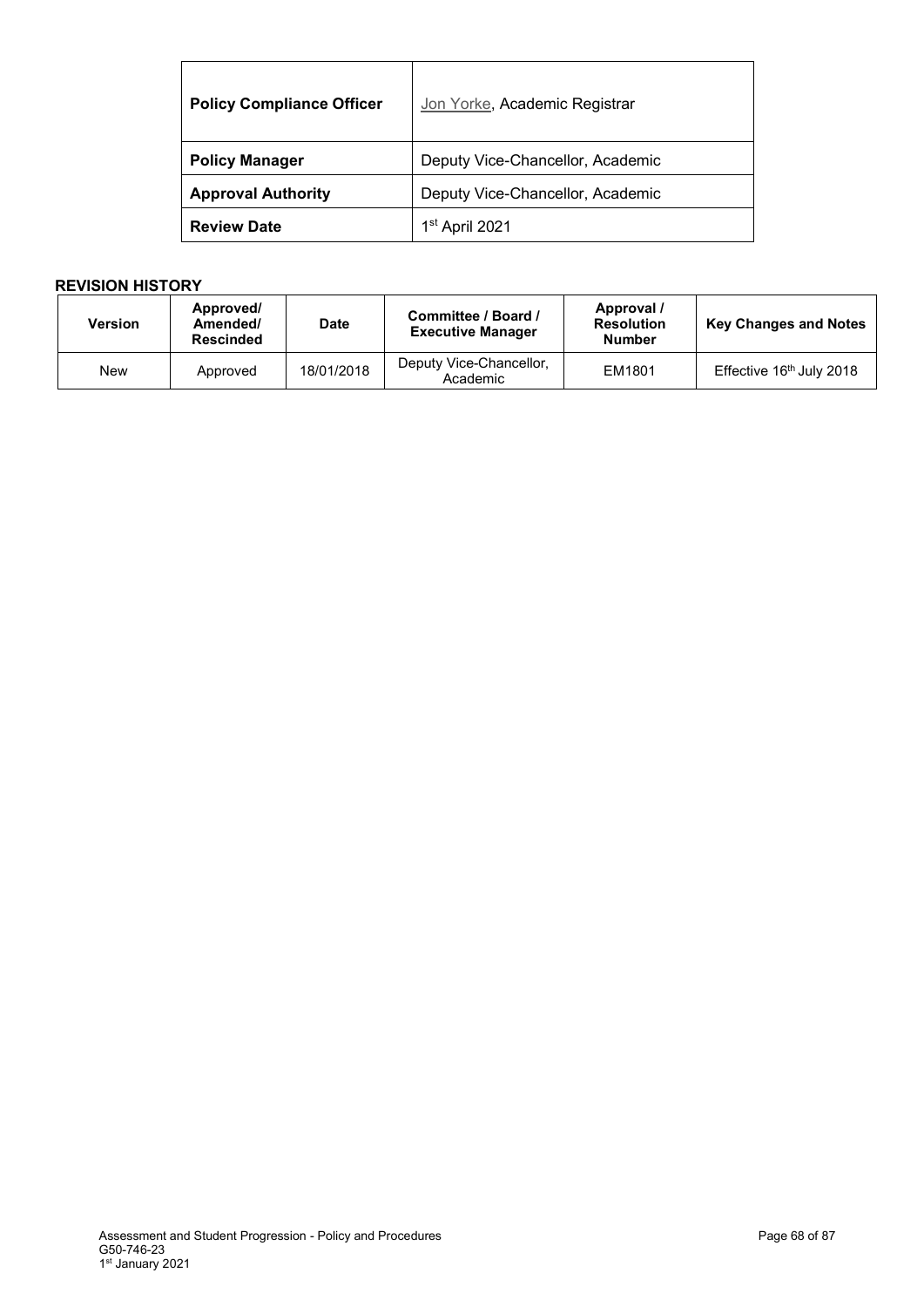| <b>Policy Compliance Officer</b> | Jon Yorke, Academic Registrar    |  |
|----------------------------------|----------------------------------|--|
| <b>Policy Manager</b>            | Deputy Vice-Chancellor, Academic |  |
| <b>Approval Authority</b>        | Deputy Vice-Chancellor, Academic |  |
| <b>Review Date</b>               | 1 <sup>st</sup> April 2021       |  |

| <b>Version</b> | Approved/<br>Amended/<br><b>Rescinded</b> | <b>Date</b> | Committee / Board /<br><b>Executive Manager</b> | Approval /<br><b>Resolution</b><br><b>Number</b> | <b>Key Changes and Notes</b>         |
|----------------|-------------------------------------------|-------------|-------------------------------------------------|--------------------------------------------------|--------------------------------------|
| New            | Approved                                  | 18/01/2018  | Deputy Vice-Chancellor,<br>Academic             | EM1801                                           | Effective 16 <sup>th</sup> July 2018 |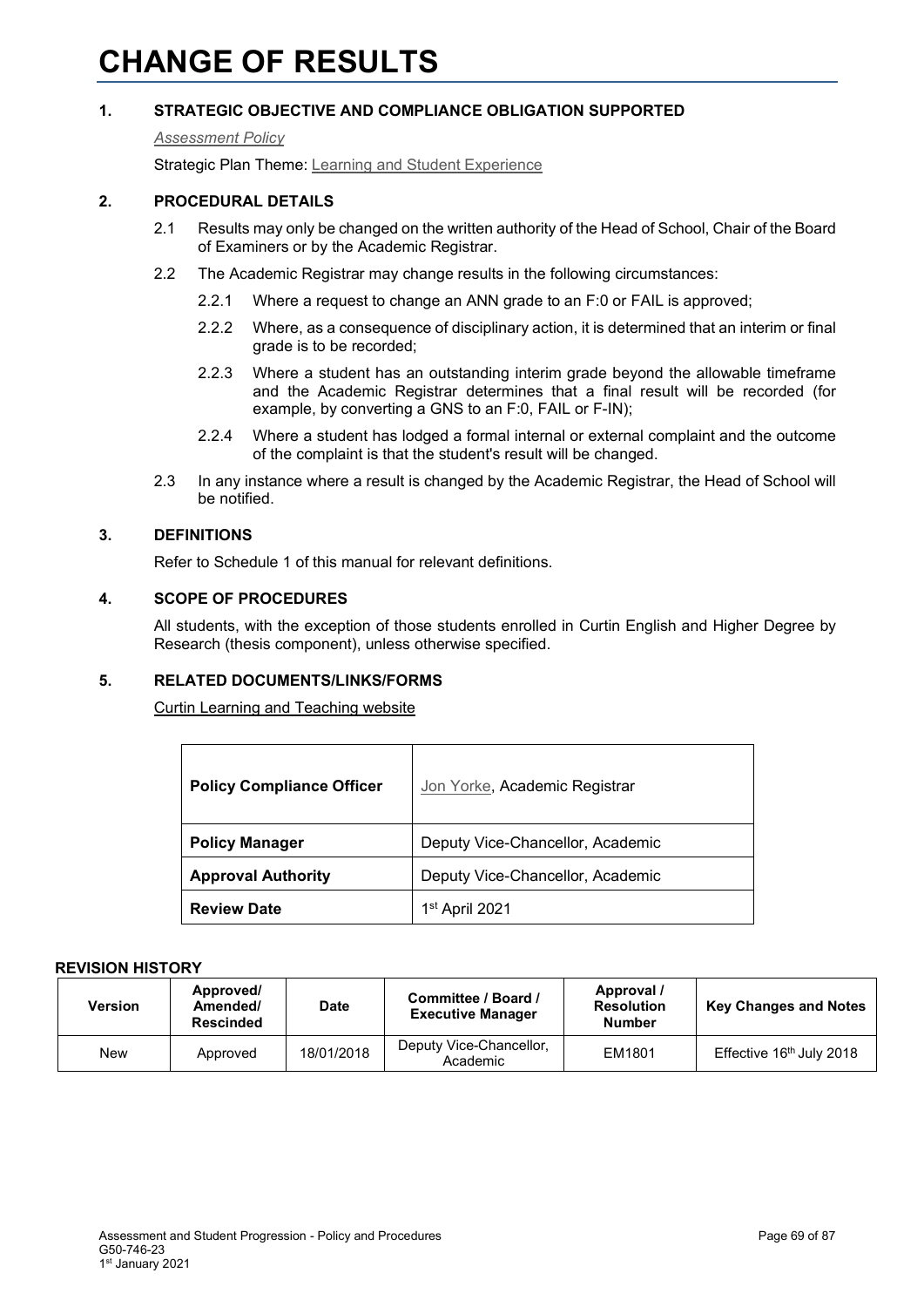# **CHANGE OF RESULTS**

## **1. STRATEGIC OBJECTIVE AND COMPLIANCE OBLIGATION SUPPORTED**

#### *[Assessment Policy](#page-1-0)*

Strategic Plan Theme: [Learning and Student Experience](http://strategicplan.curtin.edu.au/themes/learning-student-experience/)

## **2. PROCEDURAL DETAILS**

- 2.1 Results may only be changed on the written authority of the Head of School, Chair of the Board of Examiners or by the Academic Registrar.
- 2.2 The Academic Registrar may change results in the following circumstances:
	- 2.2.1 Where a request to change an ANN grade to an F:0 or FAIL is approved;
	- 2.2.2 Where, as a consequence of disciplinary action, it is determined that an interim or final grade is to be recorded;
	- 2.2.3 Where a student has an outstanding interim grade beyond the allowable timeframe and the Academic Registrar determines that a final result will be recorded (for example, by converting a GNS to an F:0, FAIL or F-IN);
	- 2.2.4 Where a student has lodged a formal internal or external complaint and the outcome of the complaint is that the student's result will be changed.
- 2.3 In any instance where a result is changed by the Academic Registrar, the Head of School will be notified.

## **3. DEFINITIONS**

Refer to Schedule 1 of this manual for relevant definitions.

#### **4. SCOPE OF PROCEDURES**

All students, with the exception of those students enrolled in Curtin English and Higher Degree by Research (thesis component), unless otherwise specified.

## **5. RELATED DOCUMENTS/LINKS/FORMS**

[Curtin Learning and Teaching website](https://clt.curtin.edu.au/)

| <b>Policy Compliance Officer</b> | Jon Yorke, Academic Registrar    |  |
|----------------------------------|----------------------------------|--|
| <b>Policy Manager</b>            | Deputy Vice-Chancellor, Academic |  |
| <b>Approval Authority</b>        | Deputy Vice-Chancellor, Academic |  |
| <b>Review Date</b>               | 1 <sup>st</sup> April 2021       |  |

| Version | Approved/<br>Amended/<br><b>Rescinded</b> | <b>Date</b> | Committee / Board /<br><b>Executive Manager</b> | Approval /<br><b>Resolution</b><br><b>Number</b> | <b>Key Changes and Notes</b>         |
|---------|-------------------------------------------|-------------|-------------------------------------------------|--------------------------------------------------|--------------------------------------|
| New     | Approved                                  | 18/01/2018  | Deputy Vice-Chancellor,<br>Academic             | EM1801                                           | Effective 16 <sup>th</sup> July 2018 |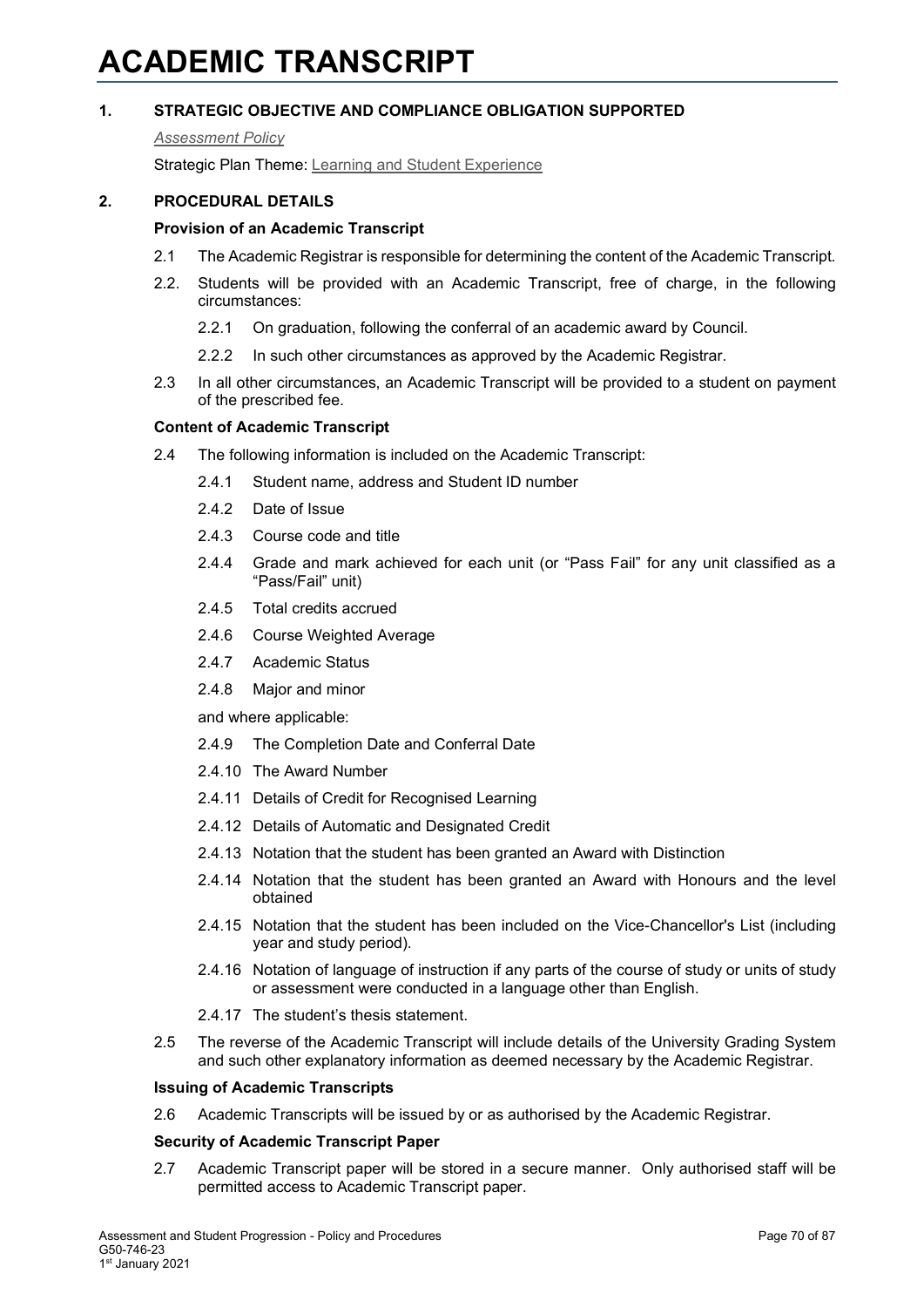# **ACADEMIC TRANSCRIPT**

## **1. STRATEGIC OBJECTIVE AND COMPLIANCE OBLIGATION SUPPORTED**

#### *[Assessment Policy](#page-1-0)*

Strategic Plan Theme: [Learning and Student Experience](http://strategicplan.curtin.edu.au/themes/learning-student-experience/)

## **2. PROCEDURAL DETAILS**

## **Provision of an Academic Transcript**

- 2.1 The Academic Registrar is responsible for determining the content of the Academic Transcript.
- 2.2. Students will be provided with an Academic Transcript, free of charge, in the following circumstances:
	- 2.2.1 On graduation, following the conferral of an academic award by Council.
	- 2.2.2 In such other circumstances as approved by the Academic Registrar.
- 2.3 In all other circumstances, an Academic Transcript will be provided to a student on payment of the prescribed fee.

## **Content of Academic Transcript**

- 2.4 The following information is included on the Academic Transcript:
	- 2.4.1 Student name, address and Student ID number
	- 2.4.2 Date of Issue
	- 2.4.3 Course code and title
	- 2.4.4 Grade and mark achieved for each unit (or "Pass Fail" for any unit classified as a "Pass/Fail" unit)
	- 2.4.5 Total credits accrued
	- 2.4.6 Course Weighted Average
	- 2.4.7 Academic Status
	- 2.4.8 Major and minor

and where applicable:

- 2.4.9 The Completion Date and Conferral Date
- 2.4.10 The Award Number
- 2.4.11 Details of Credit for Recognised Learning
- 2.4.12 Details of Automatic and Designated Credit
- 2.4.13 Notation that the student has been granted an Award with Distinction
- 2.4.14 Notation that the student has been granted an Award with Honours and the level obtained
- 2.4.15 Notation that the student has been included on the Vice-Chancellor's List (including year and study period).
- 2.4.16 Notation of language of instruction if any parts of the course of study or units of study or assessment were conducted in a language other than English.
- 2.4.17 The student's thesis statement.
- 2.5 The reverse of the Academic Transcript will include details of the University Grading System and such other explanatory information as deemed necessary by the Academic Registrar.

#### **Issuing of Academic Transcripts**

2.6 Academic Transcripts will be issued by or as authorised by the Academic Registrar.

#### **Security of Academic Transcript Paper**

2.7 Academic Transcript paper will be stored in a secure manner. Only authorised staff will be permitted access to Academic Transcript paper.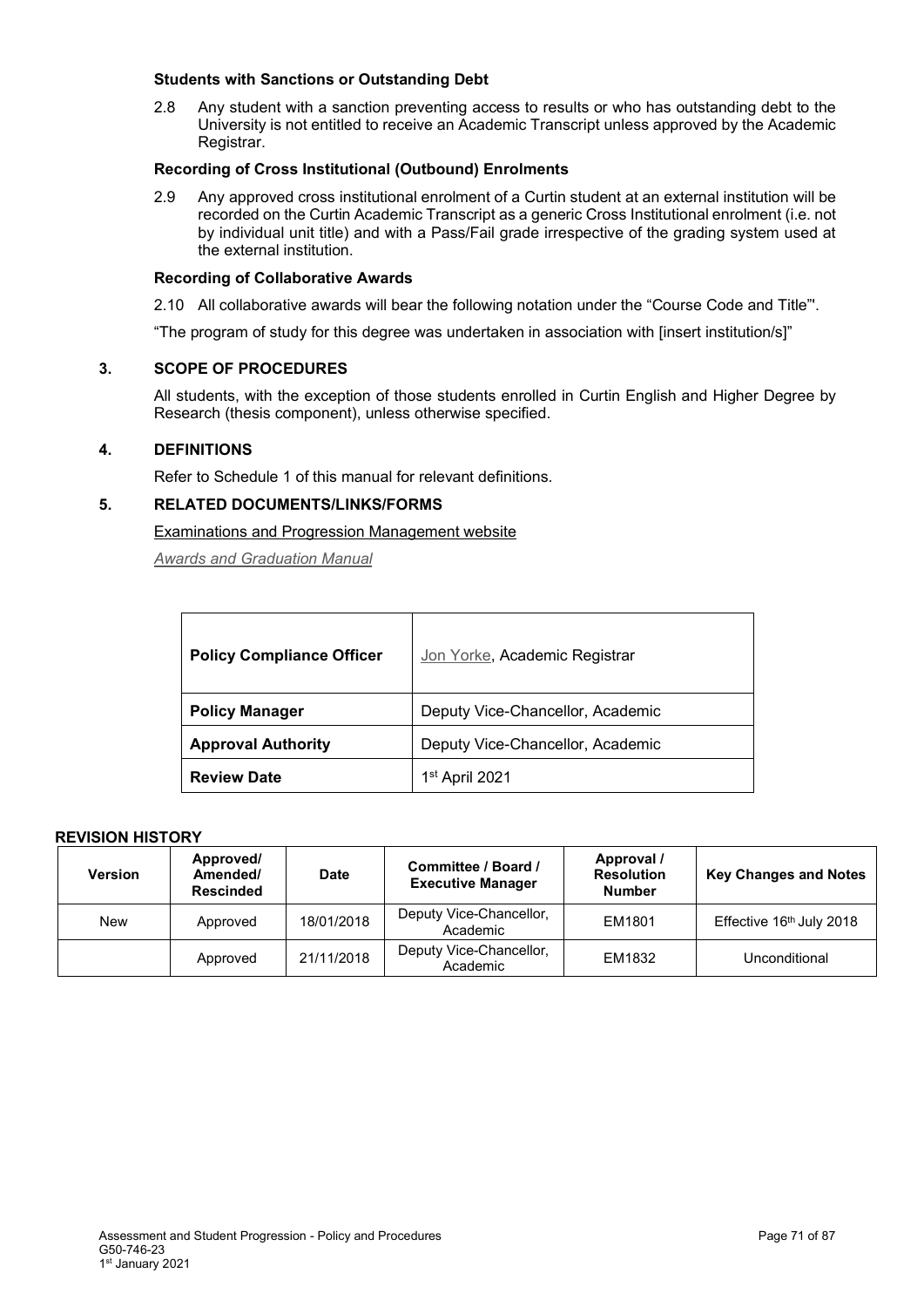#### **Students with Sanctions or Outstanding Debt**

2.8 Any student with a sanction preventing access to results or who has outstanding debt to the University is not entitled to receive an Academic Transcript unless approved by the Academic Registrar.

## **Recording of Cross Institutional (Outbound) Enrolments**

2.9 Any approved cross institutional enrolment of a Curtin student at an external institution will be recorded on the Curtin Academic Transcript as a generic Cross Institutional enrolment (i.e. not by individual unit title) and with a Pass/Fail grade irrespective of the grading system used at the external institution.

#### **Recording of Collaborative Awards**

2.10 All collaborative awards will bear the following notation under the "Course Code and Title"'.

"The program of study for this degree was undertaken in association with [insert institution/s]"

## **3. SCOPE OF PROCEDURES**

All students, with the exception of those students enrolled in Curtin English and Higher Degree by Research (thesis component), unless otherwise specified.

#### **4. DEFINITIONS**

Refer to Schedule 1 of this manual for relevant definitions.

## **5. RELATED DOCUMENTS/LINKS/FORMS**

Examinations [and Progression Management](http://examinations.curtin.edu.au/students/grading.cfm) website

*[Awards and Graduation Manual](http://policies.curtin.edu.au/findapolicy/index.cfm)*

| <b>Policy Compliance Officer</b> | Jon Yorke, Academic Registrar    |  |  |
|----------------------------------|----------------------------------|--|--|
| <b>Policy Manager</b>            | Deputy Vice-Chancellor, Academic |  |  |
| <b>Approval Authority</b>        | Deputy Vice-Chancellor, Academic |  |  |
| <b>Review Date</b>               | 1 <sup>st</sup> April 2021       |  |  |

| <b>Version</b> | Approved/<br>Amended/<br><b>Rescinded</b> | <b>Date</b> | Committee / Board /<br><b>Executive Manager</b> | Approval /<br><b>Resolution</b><br><b>Number</b> | <b>Key Changes and Notes</b> |
|----------------|-------------------------------------------|-------------|-------------------------------------------------|--------------------------------------------------|------------------------------|
| New            | Approved                                  | 18/01/2018  | Deputy Vice-Chancellor,<br>Academic             | EM1801                                           | Effective 16th July 2018     |
|                | Approved                                  | 21/11/2018  | Deputy Vice-Chancellor,<br>Academic             | EM1832                                           | Unconditional                |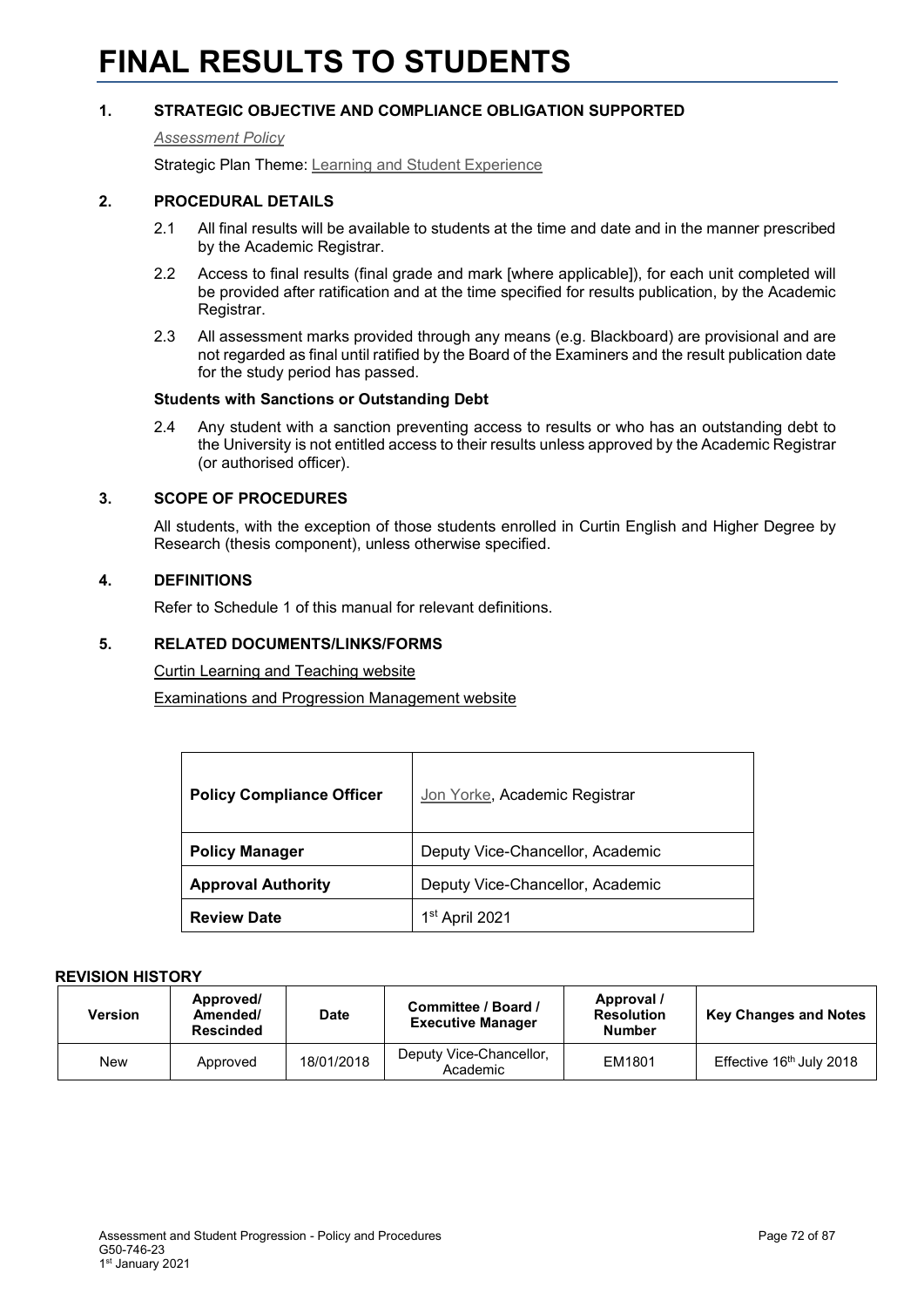# **FINAL RESULTS TO STUDENTS**

## **1. STRATEGIC OBJECTIVE AND COMPLIANCE OBLIGATION SUPPORTED**

#### *[Assessment Policy](#page-1-0)*

Strategic Plan Theme: [Learning and Student Experience](http://strategicplan.curtin.edu.au/themes/learning-student-experience/)

#### **2. PROCEDURAL DETAILS**

- 2.1 All final results will be available to students at the time and date and in the manner prescribed by the Academic Registrar.
- 2.2 Access to final results (final grade and mark [where applicable]), for each unit completed will be provided after ratification and at the time specified for results publication, by the Academic Registrar.
- 2.3 All assessment marks provided through any means (e.g. Blackboard) are provisional and are not regarded as final until ratified by the Board of the Examiners and the result publication date for the study period has passed.

#### **Students with Sanctions or Outstanding Debt**

2.4 Any student with a sanction preventing access to results or who has an outstanding debt to the University is not entitled access to their results unless approved by the Academic Registrar (or authorised officer).

#### **3. SCOPE OF PROCEDURES**

All students, with the exception of those students enrolled in Curtin English and Higher Degree by Research (thesis component), unless otherwise specified.

#### **4. DEFINITIONS**

Refer to Schedule 1 of this manual for relevant definitions.

#### **5. RELATED DOCUMENTS/LINKS/FORMS**

[Curtin Learning and Teaching website](https://clt.curtin.edu.au/)

[Examinations and Progression Management website](https://examinations.curtin.edu.au/students/results.cfm)

| <b>Policy Compliance Officer</b> | Jon Yorke, Academic Registrar    |  |
|----------------------------------|----------------------------------|--|
| <b>Policy Manager</b>            | Deputy Vice-Chancellor, Academic |  |
| <b>Approval Authority</b>        | Deputy Vice-Chancellor, Academic |  |
| <b>Review Date</b>               | 1st April 2021                   |  |

| Version | Approved/<br>Amended/<br><b>Rescinded</b> | <b>Date</b> | Committee / Board /<br><b>Executive Manager</b> | Approval /<br><b>Resolution</b><br><b>Number</b> | <b>Key Changes and Notes</b>         |
|---------|-------------------------------------------|-------------|-------------------------------------------------|--------------------------------------------------|--------------------------------------|
| New     | Approved                                  | 18/01/2018  | Deputy Vice-Chancellor,<br>Academic             | EM1801                                           | Effective 16 <sup>th</sup> July 2018 |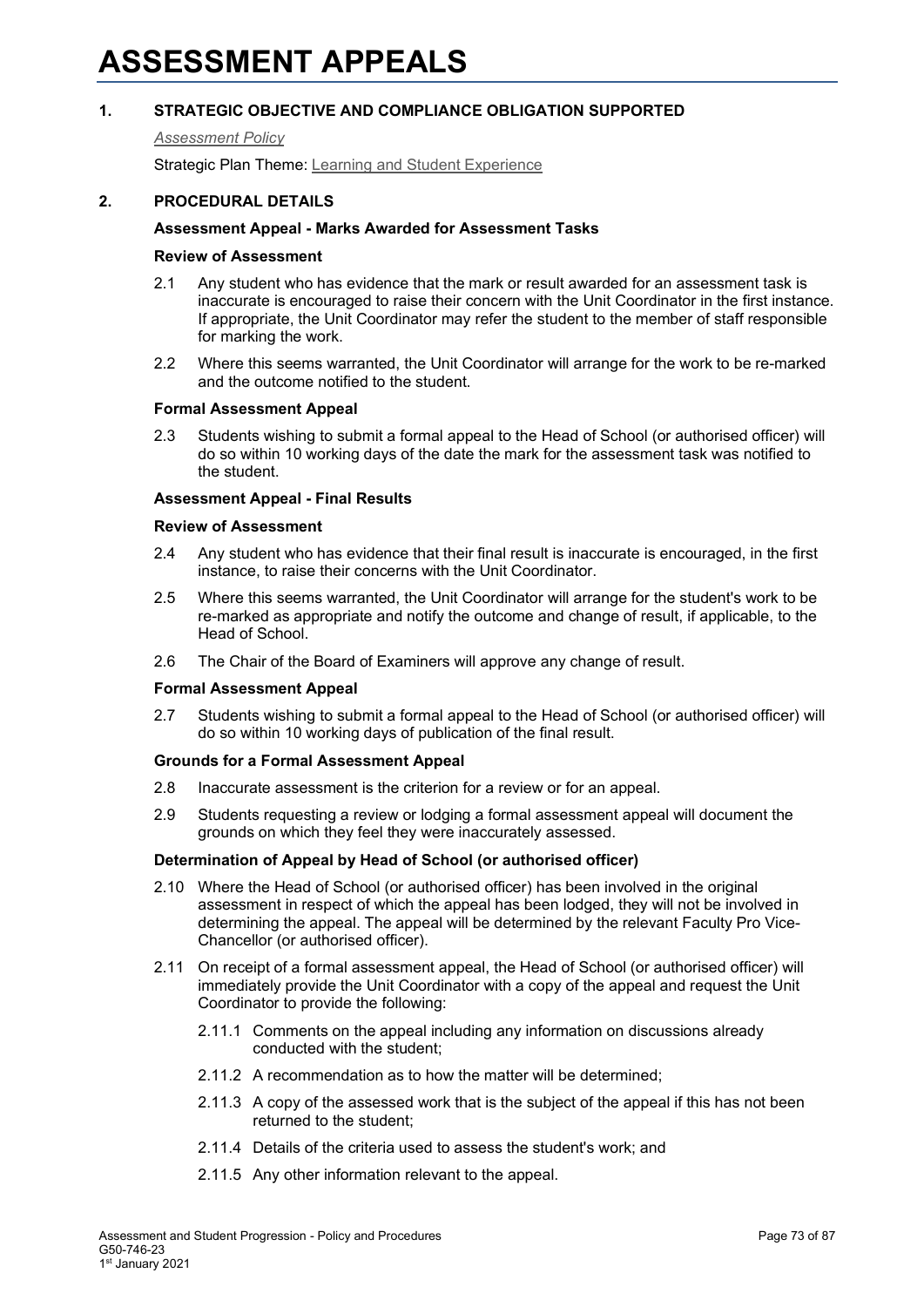# **1. STRATEGIC OBJECTIVE AND COMPLIANCE OBLIGATION SUPPORTED**

#### *[Assessment Policy](#page-1-0)*

Strategic Plan Theme: [Learning and Student Experience](http://strategicplan.curtin.edu.au/themes/learning-student-experience/)

# **2. PROCEDURAL DETAILS**

# **Assessment Appeal - Marks Awarded for Assessment Tasks**

#### **Review of Assessment**

- 2.1 Any student who has evidence that the mark or result awarded for an assessment task is inaccurate is encouraged to raise their concern with the Unit Coordinator in the first instance. If appropriate, the Unit Coordinator may refer the student to the member of staff responsible for marking the work.
- 2.2 Where this seems warranted, the Unit Coordinator will arrange for the work to be re-marked and the outcome notified to the student.

#### **Formal Assessment Appeal**

2.3 Students wishing to submit a formal appeal to the Head of School (or authorised officer) will do so within 10 working days of the date the mark for the assessment task was notified to the student.

#### **Assessment Appeal - Final Results**

#### **Review of Assessment**

- 2.4 Any student who has evidence that their final result is inaccurate is encouraged, in the first instance, to raise their concerns with the Unit Coordinator.
- 2.5 Where this seems warranted, the Unit Coordinator will arrange for the student's work to be re-marked as appropriate and notify the outcome and change of result, if applicable, to the Head of School.
- 2.6 The Chair of the Board of Examiners will approve any change of result.

#### **Formal Assessment Appeal**

2.7 Students wishing to submit a formal appeal to the Head of School (or authorised officer) will do so within 10 working days of publication of the final result.

#### **Grounds for a Formal Assessment Appeal**

- 2.8 Inaccurate assessment is the criterion for a review or for an appeal.
- 2.9 Students requesting a review or lodging a formal assessment appeal will document the grounds on which they feel they were inaccurately assessed.

#### **Determination of Appeal by Head of School (or authorised officer)**

- 2.10 Where the Head of School (or authorised officer) has been involved in the original assessment in respect of which the appeal has been lodged, they will not be involved in determining the appeal. The appeal will be determined by the relevant Faculty Pro Vice-Chancellor (or authorised officer).
- 2.11 On receipt of a formal assessment appeal, the Head of School (or authorised officer) will immediately provide the Unit Coordinator with a copy of the appeal and request the Unit Coordinator to provide the following:
	- 2.11.1 Comments on the appeal including any information on discussions already conducted with the student;
	- 2.11.2 A recommendation as to how the matter will be determined;
	- 2.11.3 A copy of the assessed work that is the subject of the appeal if this has not been returned to the student;
	- 2.11.4 Details of the criteria used to assess the student's work; and
	- 2.11.5 Any other information relevant to the appeal.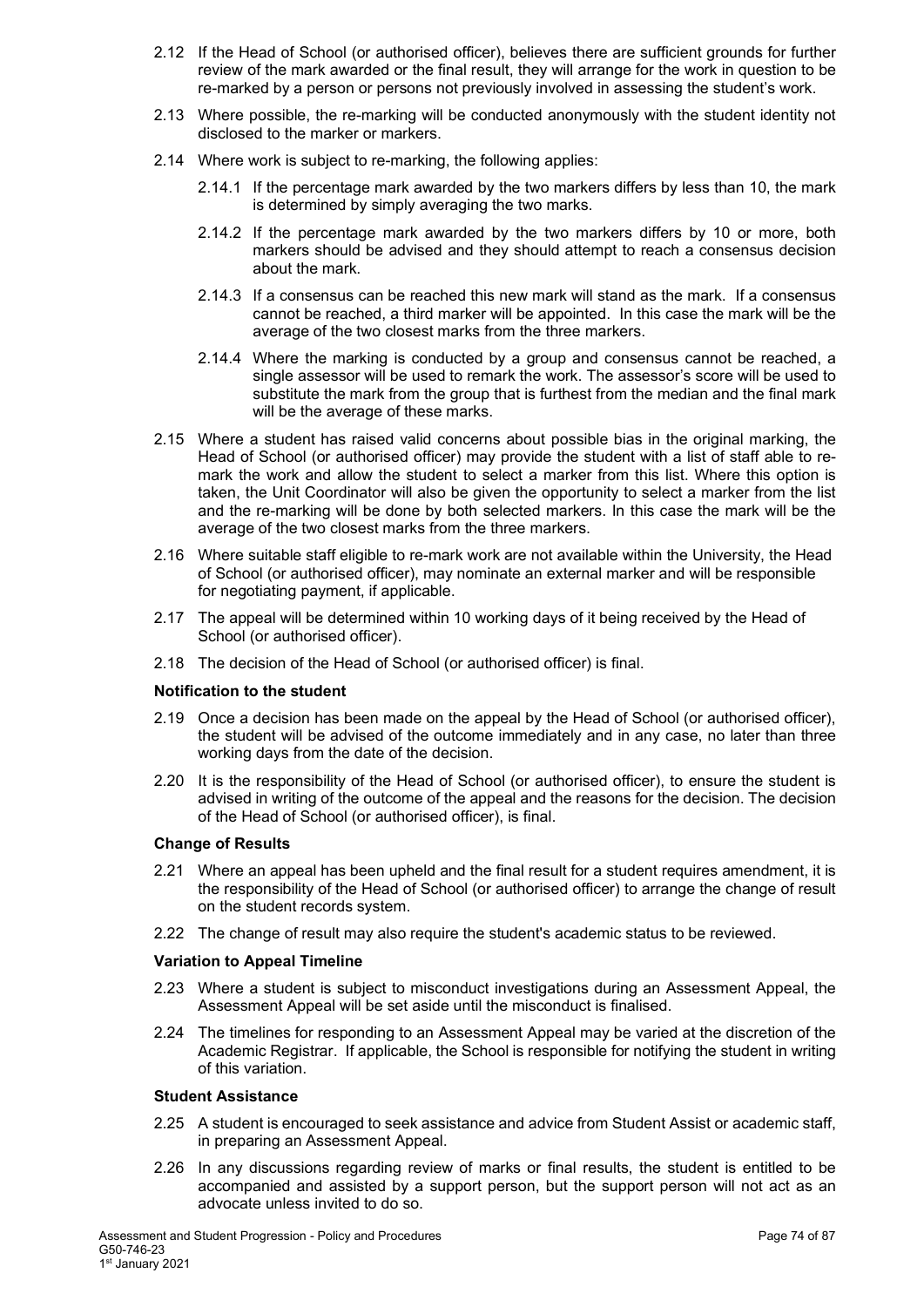- 2.12 If the Head of School (or authorised officer), believes there are sufficient grounds for further review of the mark awarded or the final result, they will arrange for the work in question to be re-marked by a person or persons not previously involved in assessing the student's work.
- 2.13 Where possible, the re-marking will be conducted anonymously with the student identity not disclosed to the marker or markers.
- 2.14 Where work is subject to re-marking, the following applies:
	- 2.14.1 If the percentage mark awarded by the two markers differs by less than 10, the mark is determined by simply averaging the two marks.
	- 2.14.2 If the percentage mark awarded by the two markers differs by 10 or more, both markers should be advised and they should attempt to reach a consensus decision about the mark.
	- 2.14.3 If a consensus can be reached this new mark will stand as the mark. If a consensus cannot be reached, a third marker will be appointed. In this case the mark will be the average of the two closest marks from the three markers.
	- 2.14.4 Where the marking is conducted by a group and consensus cannot be reached, a single assessor will be used to remark the work. The assessor's score will be used to substitute the mark from the group that is furthest from the median and the final mark will be the average of these marks.
- 2.15 Where a student has raised valid concerns about possible bias in the original marking, the Head of School (or authorised officer) may provide the student with a list of staff able to remark the work and allow the student to select a marker from this list. Where this option is taken, the Unit Coordinator will also be given the opportunity to select a marker from the list and the re-marking will be done by both selected markers. In this case the mark will be the average of the two closest marks from the three markers.
- 2.16 Where suitable staff eligible to re-mark work are not available within the University, the Head of School (or authorised officer), may nominate an external marker and will be responsible for negotiating payment, if applicable.
- 2.17 The appeal will be determined within 10 working days of it being received by the Head of School (or authorised officer).
- 2.18 The decision of the Head of School (or authorised officer) is final.

# **Notification to the student**

- 2.19 Once a decision has been made on the appeal by the Head of School (or authorised officer), the student will be advised of the outcome immediately and in any case, no later than three working days from the date of the decision.
- 2.20 It is the responsibility of the Head of School (or authorised officer), to ensure the student is advised in writing of the outcome of the appeal and the reasons for the decision. The decision of the Head of School (or authorised officer), is final.

#### **Change of Results**

- 2.21 Where an appeal has been upheld and the final result for a student requires amendment, it is the responsibility of the Head of School (or authorised officer) to arrange the change of result on the student records system.
- 2.22 The change of result may also require the student's academic status to be reviewed.

#### **Variation to Appeal Timeline**

- 2.23 Where a student is subject to misconduct investigations during an Assessment Appeal, the Assessment Appeal will be set aside until the misconduct is finalised.
- 2.24 The timelines for responding to an Assessment Appeal may be varied at the discretion of the Academic Registrar. If applicable, the School is responsible for notifying the student in writing of this variation.

## **Student Assistance**

- 2.25 A student is encouraged to seek assistance and advice from Student Assist or academic staff, in preparing an Assessment Appeal.
- 2.26 In any discussions regarding review of marks or final results, the student is entitled to be accompanied and assisted by a support person, but the support person will not act as an advocate unless invited to do so.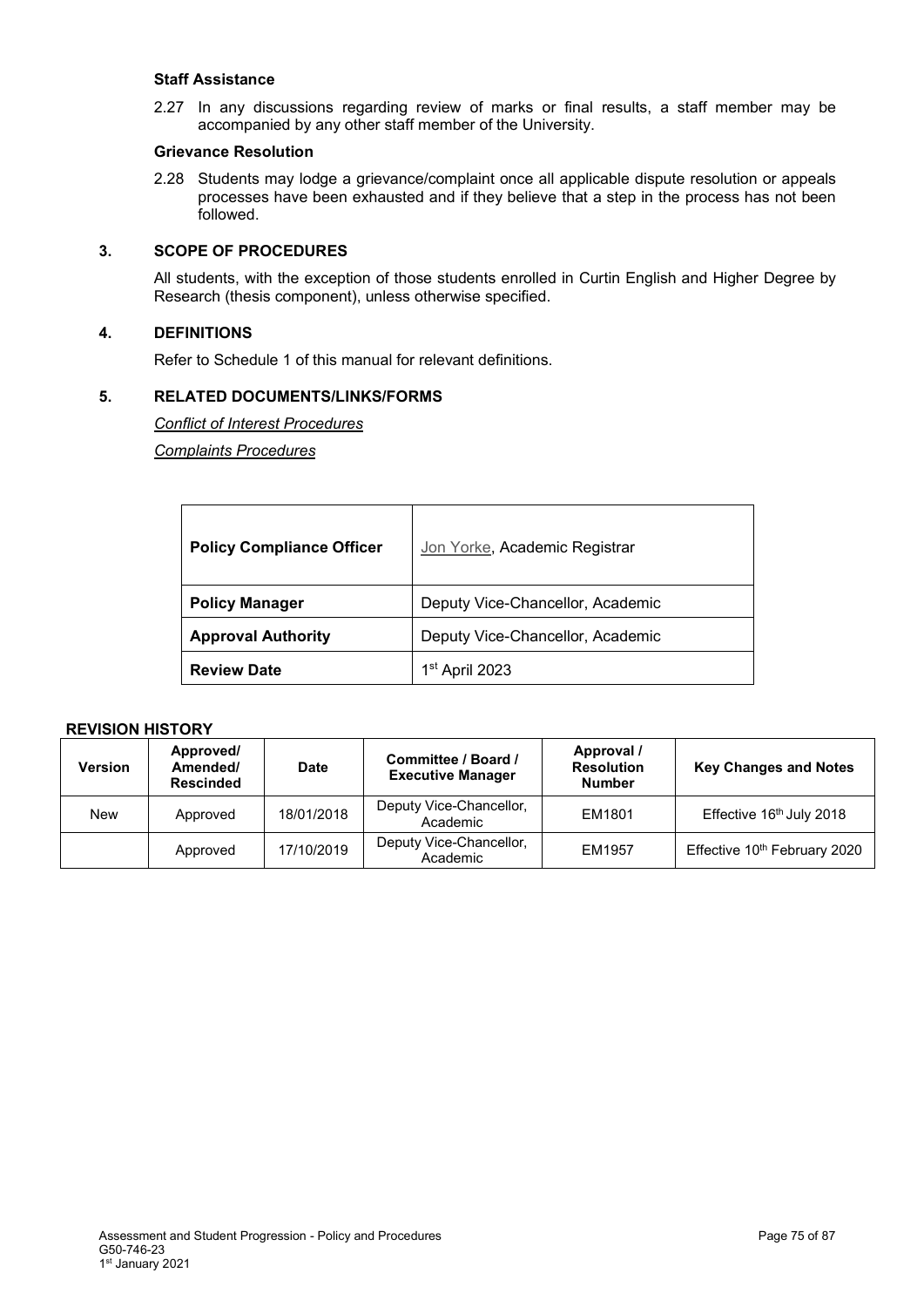#### **Staff Assistance**

2.27 In any discussions regarding review of marks or final results, a staff member may be accompanied by any other staff member of the University.

#### **Grievance Resolution**

2.28 Students may lodge a grievance/complaint once all applicable dispute resolution or appeals processes have been exhausted and if they believe that a step in the process has not been followed.

# **3. SCOPE OF PROCEDURES**

All students, with the exception of those students enrolled in Curtin English and Higher Degree by Research (thesis component), unless otherwise specified.

# **4. DEFINITIONS**

Refer to Schedule 1 of this manual for relevant definitions.

#### **5. RELATED DOCUMENTS/LINKS/FORMS**

*[Conflict of Interest Procedures](http://policies.curtin.edu.au/findapolicy/index.cfm#c)*

*[Complaints Procedures](http://policies.curtin.edu.au/findapolicy/index.cfm#c)*

| <b>Policy Compliance Officer</b> | Jon Yorke, Academic Registrar    |
|----------------------------------|----------------------------------|
| <b>Policy Manager</b>            | Deputy Vice-Chancellor, Academic |
| <b>Approval Authority</b>        | Deputy Vice-Chancellor, Academic |
| <b>Review Date</b>               | 1 <sup>st</sup> April 2023       |

# **REVISION HISTORY**

| <b>Version</b> | Approved/<br>Amended/<br><b>Rescinded</b> | <b>Date</b> | Committee / Board /<br><b>Executive Manager</b> | Approval /<br><b>Resolution</b><br><b>Number</b> | <b>Key Changes and Notes</b>             |
|----------------|-------------------------------------------|-------------|-------------------------------------------------|--------------------------------------------------|------------------------------------------|
| New            | Approved                                  | 18/01/2018  | Deputy Vice-Chancellor,<br>Academic             | EM1801                                           | Effective 16th July 2018                 |
|                | Approved                                  | 17/10/2019  | Deputy Vice-Chancellor,<br>Academic             | EM1957                                           | Effective 10 <sup>th</sup> February 2020 |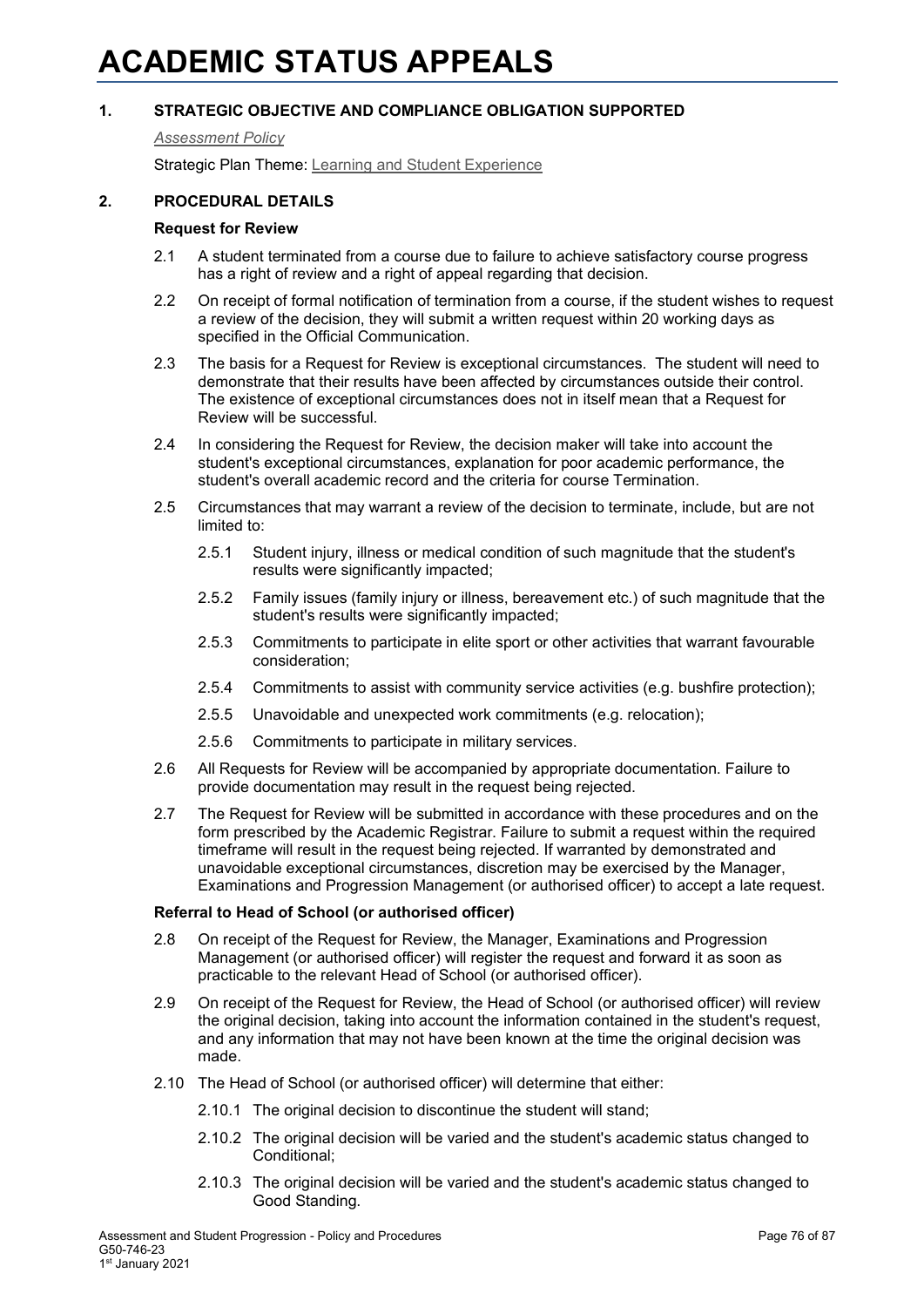# **1. STRATEGIC OBJECTIVE AND COMPLIANCE OBLIGATION SUPPORTED**

#### *[Assessment Policy](#page-1-0)*

Strategic Plan Theme: [Learning and Student Experience](http://strategicplan.curtin.edu.au/themes/learning-student-experience/)

## **2. PROCEDURAL DETAILS**

# **Request for Review**

- 2.1 A student terminated from a course due to failure to achieve satisfactory course progress has a right of review and a right of appeal regarding that decision.
- 2.2 On receipt of formal notification of termination from a course, if the student wishes to request a review of the decision, they will submit a written request within 20 working days as specified in the Official Communication.
- 2.3 The basis for a Request for Review is exceptional circumstances. The student will need to demonstrate that their results have been affected by circumstances outside their control. The existence of exceptional circumstances does not in itself mean that a Request for Review will be successful.
- 2.4 In considering the Request for Review, the decision maker will take into account the student's exceptional circumstances, explanation for poor academic performance, the student's overall academic record and the criteria for course Termination.
- 2.5 Circumstances that may warrant a review of the decision to terminate, include, but are not limited to:
	- 2.5.1 Student injury, illness or medical condition of such magnitude that the student's results were significantly impacted:
	- 2.5.2 Family issues (family injury or illness, bereavement etc.) of such magnitude that the student's results were significantly impacted;
	- 2.5.3 Commitments to participate in elite sport or other activities that warrant favourable consideration;
	- 2.5.4 Commitments to assist with community service activities (e.g. bushfire protection);
	- 2.5.5 Unavoidable and unexpected work commitments (e.g. relocation);
	- 2.5.6 Commitments to participate in military services.
- 2.6 All Requests for Review will be accompanied by appropriate documentation. Failure to provide documentation may result in the request being rejected.
- 2.7 The Request for Review will be submitted in accordance with these procedures and on the form prescribed by the Academic Registrar. Failure to submit a request within the required timeframe will result in the request being rejected. If warranted by demonstrated and unavoidable exceptional circumstances, discretion may be exercised by the Manager, Examinations and Progression Management (or authorised officer) to accept a late request.

#### **Referral to Head of School (or authorised officer)**

- 2.8 On receipt of the Request for Review, the Manager, Examinations and Progression Management (or authorised officer) will register the request and forward it as soon as practicable to the relevant Head of School (or authorised officer).
- 2.9 On receipt of the Request for Review, the Head of School (or authorised officer) will review the original decision, taking into account the information contained in the student's request, and any information that may not have been known at the time the original decision was made.
- 2.10 The Head of School (or authorised officer) will determine that either:
	- 2.10.1 The original decision to discontinue the student will stand;
	- 2.10.2 The original decision will be varied and the student's academic status changed to Conditional;
	- 2.10.3 The original decision will be varied and the student's academic status changed to Good Standing.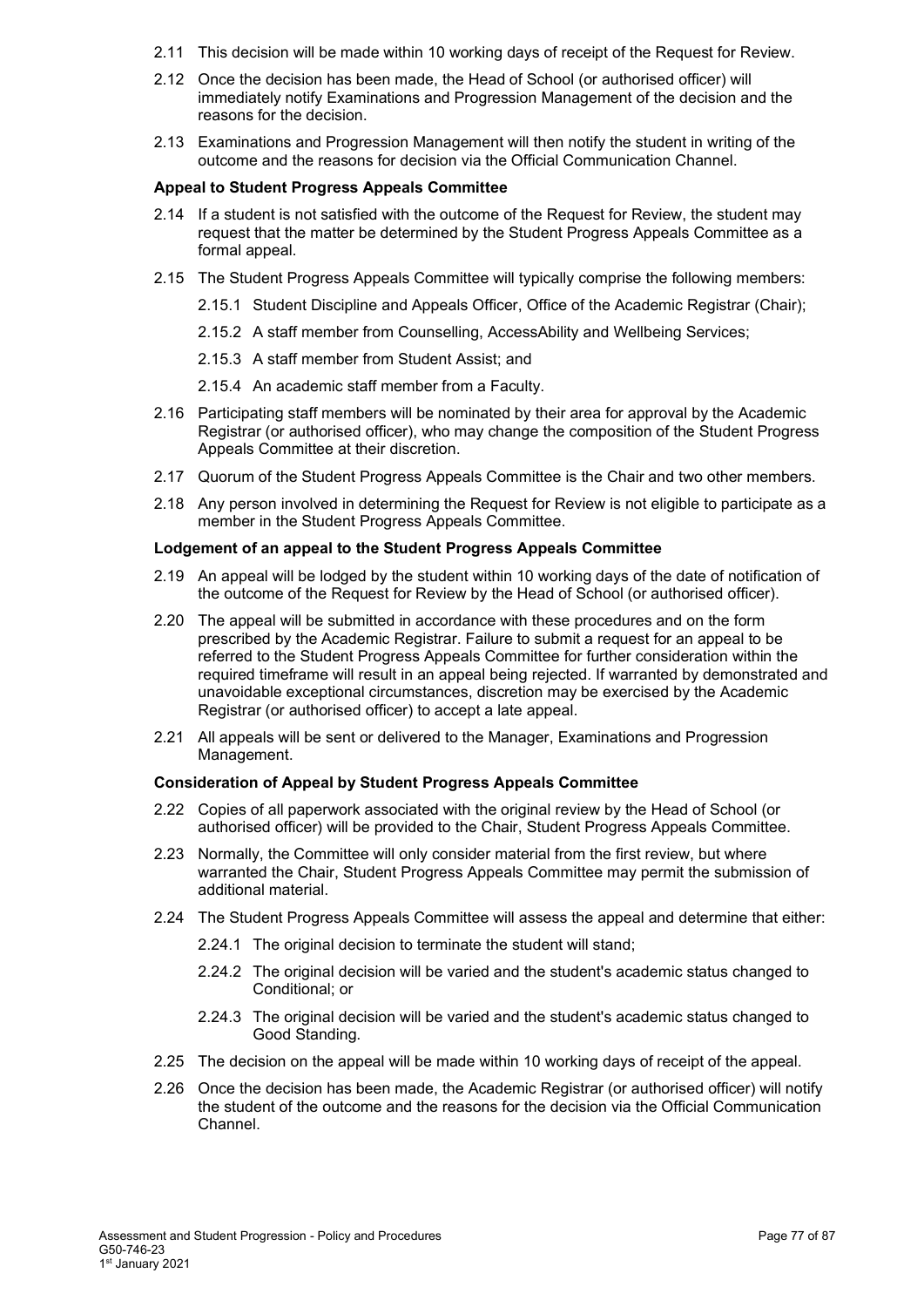- 2.11 This decision will be made within 10 working days of receipt of the Request for Review.
- 2.12 Once the decision has been made, the Head of School (or authorised officer) will immediately notify Examinations and Progression Management of the decision and the reasons for the decision.
- 2.13 Examinations and Progression Management will then notify the student in writing of the outcome and the reasons for decision via the Official Communication Channel.

#### **Appeal to Student Progress Appeals Committee**

- 2.14 If a student is not satisfied with the outcome of the Request for Review, the student may request that the matter be determined by the Student Progress Appeals Committee as a formal appeal.
- 2.15 The Student Progress Appeals Committee will typically comprise the following members:
	- 2.15.1 Student Discipline and Appeals Officer, Office of the Academic Registrar (Chair);
	- 2.15.2 A staff member from Counselling, AccessAbility and Wellbeing Services;
	- 2.15.3 A staff member from Student Assist; and
	- 2.15.4 An academic staff member from a Faculty.
- 2.16 Participating staff members will be nominated by their area for approval by the Academic Registrar (or authorised officer), who may change the composition of the Student Progress Appeals Committee at their discretion.
- 2.17 Quorum of the Student Progress Appeals Committee is the Chair and two other members.
- 2.18 Any person involved in determining the Request for Review is not eligible to participate as a member in the Student Progress Appeals Committee.

#### **Lodgement of an appeal to the Student Progress Appeals Committee**

- 2.19 An appeal will be lodged by the student within 10 working days of the date of notification of the outcome of the Request for Review by the Head of School (or authorised officer).
- 2.20 The appeal will be submitted in accordance with these procedures and on the form prescribed by the Academic Registrar. Failure to submit a request for an appeal to be referred to the Student Progress Appeals Committee for further consideration within the required timeframe will result in an appeal being rejected. If warranted by demonstrated and unavoidable exceptional circumstances, discretion may be exercised by the Academic Registrar (or authorised officer) to accept a late appeal.
- 2.21 All appeals will be sent or delivered to the Manager, Examinations and Progression Management.

# **Consideration of Appeal by Student Progress Appeals Committee**

- 2.22 Copies of all paperwork associated with the original review by the Head of School (or authorised officer) will be provided to the Chair, Student Progress Appeals Committee.
- 2.23 Normally, the Committee will only consider material from the first review, but where warranted the Chair, Student Progress Appeals Committee may permit the submission of additional material.
- 2.24 The Student Progress Appeals Committee will assess the appeal and determine that either:
	- 2.24.1 The original decision to terminate the student will stand;
	- 2.24.2 The original decision will be varied and the student's academic status changed to Conditional; or
	- 2.24.3 The original decision will be varied and the student's academic status changed to Good Standing.
- 2.25 The decision on the appeal will be made within 10 working days of receipt of the appeal.
- 2.26 Once the decision has been made, the Academic Registrar (or authorised officer) will notify the student of the outcome and the reasons for the decision via the Official Communication Channel.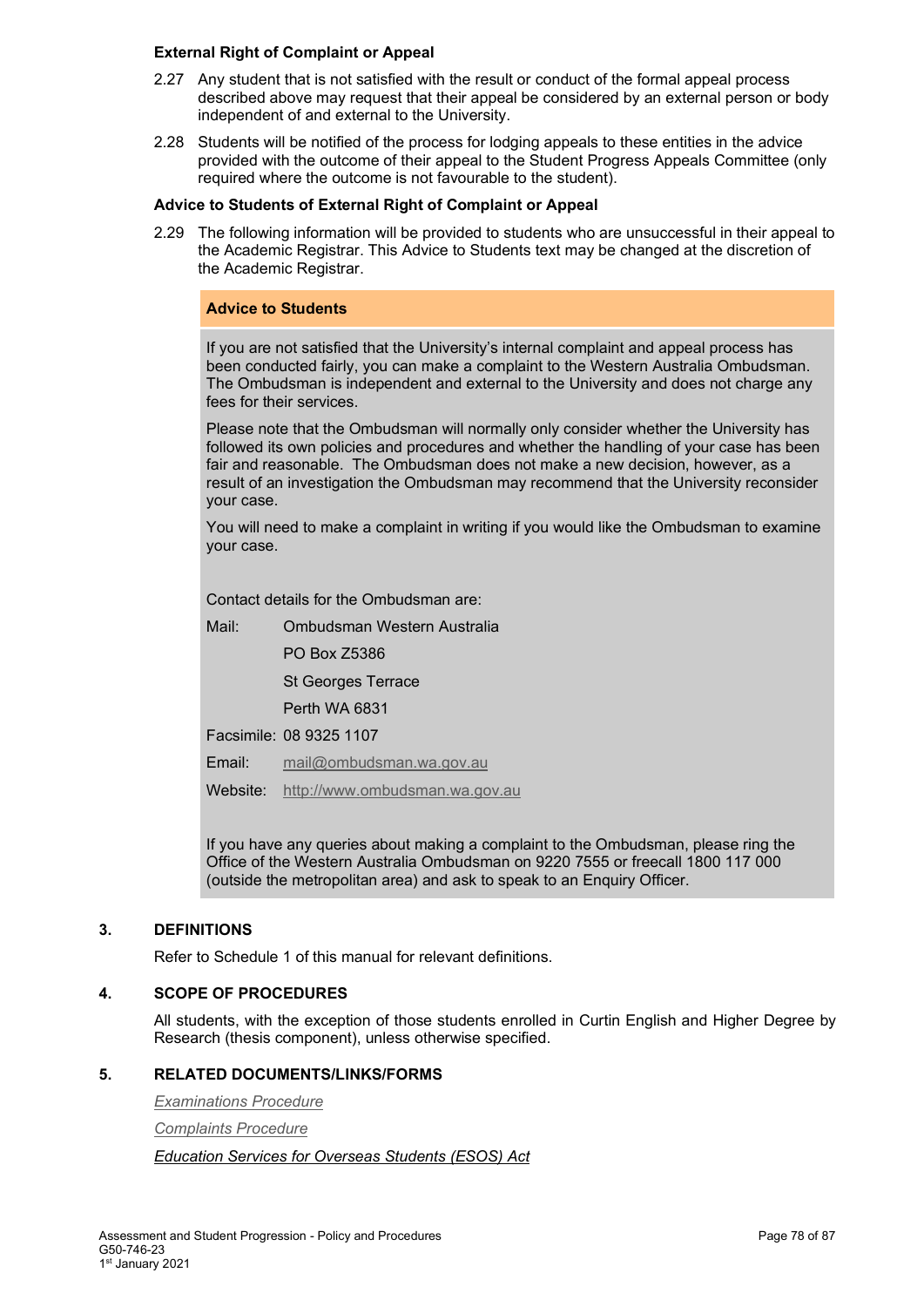#### **External Right of Complaint or Appeal**

- 2.27 Any student that is not satisfied with the result or conduct of the formal appeal process described above may request that their appeal be considered by an external person or body independent of and external to the University.
- 2.28 Students will be notified of the process for lodging appeals to these entities in the advice provided with the outcome of their appeal to the Student Progress Appeals Committee (only required where the outcome is not favourable to the student).

## **Advice to Students of External Right of Complaint or Appeal**

2.29 The following information will be provided to students who are unsuccessful in their appeal to the Academic Registrar. This Advice to Students text may be changed at the discretion of the Academic Registrar.

## **Advice to Students**

If you are not satisfied that the University's internal complaint and appeal process has been conducted fairly, you can make a complaint to the Western Australia Ombudsman. The Ombudsman is independent and external to the University and does not charge any fees for their services.

Please note that the Ombudsman will normally only consider whether the University has followed its own policies and procedures and whether the handling of your case has been fair and reasonable. The Ombudsman does not make a new decision, however, as a result of an investigation the Ombudsman may recommend that the University reconsider your case.

You will need to make a complaint in writing if you would like the Ombudsman to examine your case.

Contact details for the Ombudsman are:

Mail: Ombudsman Western Australia

PO Box Z5386

St Georges Terrace

Perth WA 6831

Facsimile: 08 9325 1107

Email: [mail@ombudsman.wa.gov.au](mailto:mail@ombudsman.wa.gov.au)

Website: [http://www.ombudsman.wa.gov.au](http://www.ombudsman.wa.gov.au/)

If you have any queries about making a complaint to the Ombudsman, please ring the Office of the Western Australia Ombudsman on 9220 7555 or freecall 1800 117 000 (outside the metropolitan area) and ask to speak to an Enquiry Officer.

# **3. DEFINITIONS**

Refer to Schedule 1 of this manual for relevant definitions.

#### **4. SCOPE OF PROCEDURES**

All students, with the exception of those students enrolled in Curtin English and Higher Degree by Research (thesis component), unless otherwise specified.

#### **5. RELATED DOCUMENTS/LINKS/FORMS**

*[Examinations](#page-1-0) Procedure*

*[Complaints Procedure](http://policies.curtin.edu.au/findapolicy/index.cfm)*

*[Education Services for Overseas Students \(ESOS\) Act](https://www.legislation.gov.au/Details/C2016C00935)*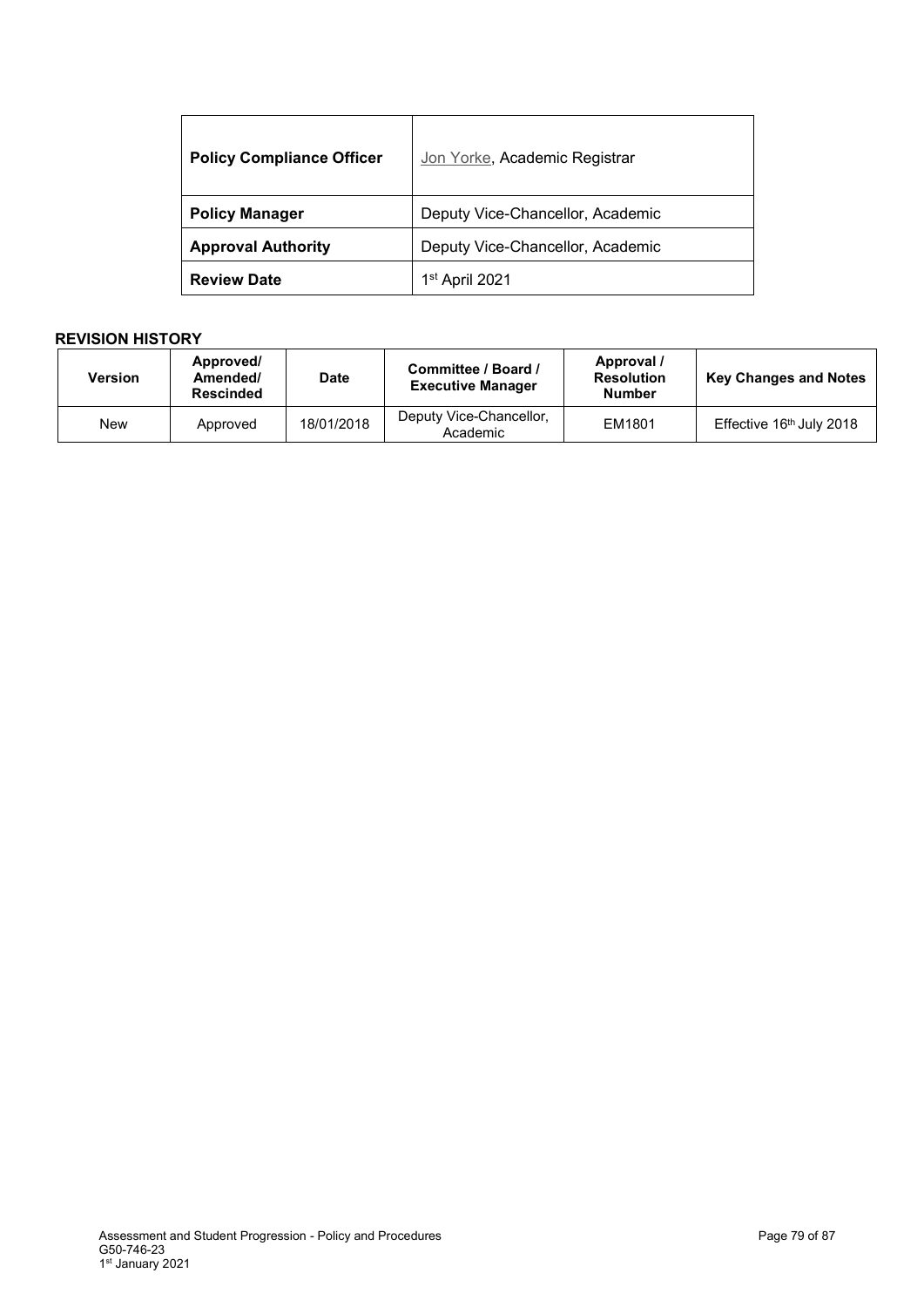| <b>Policy Compliance Officer</b> | Jon Yorke, Academic Registrar    |
|----------------------------------|----------------------------------|
| <b>Policy Manager</b>            | Deputy Vice-Chancellor, Academic |
| <b>Approval Authority</b>        | Deputy Vice-Chancellor, Academic |
| <b>Review Date</b>               | 1 <sup>st</sup> April 2021       |

# **REVISION HISTORY**

| Version | Approved/<br>Amended/<br><b>Rescinded</b> | <b>Date</b> | Committee / Board /<br><b>Executive Manager</b> | Approval /<br><b>Resolution</b><br><b>Number</b> | <b>Key Changes and Notes</b> |
|---------|-------------------------------------------|-------------|-------------------------------------------------|--------------------------------------------------|------------------------------|
| New     | Approved                                  | 18/01/2018  | Deputy Vice-Chancellor,<br>Academic             | EM1801                                           | Effective 16th July 2018     |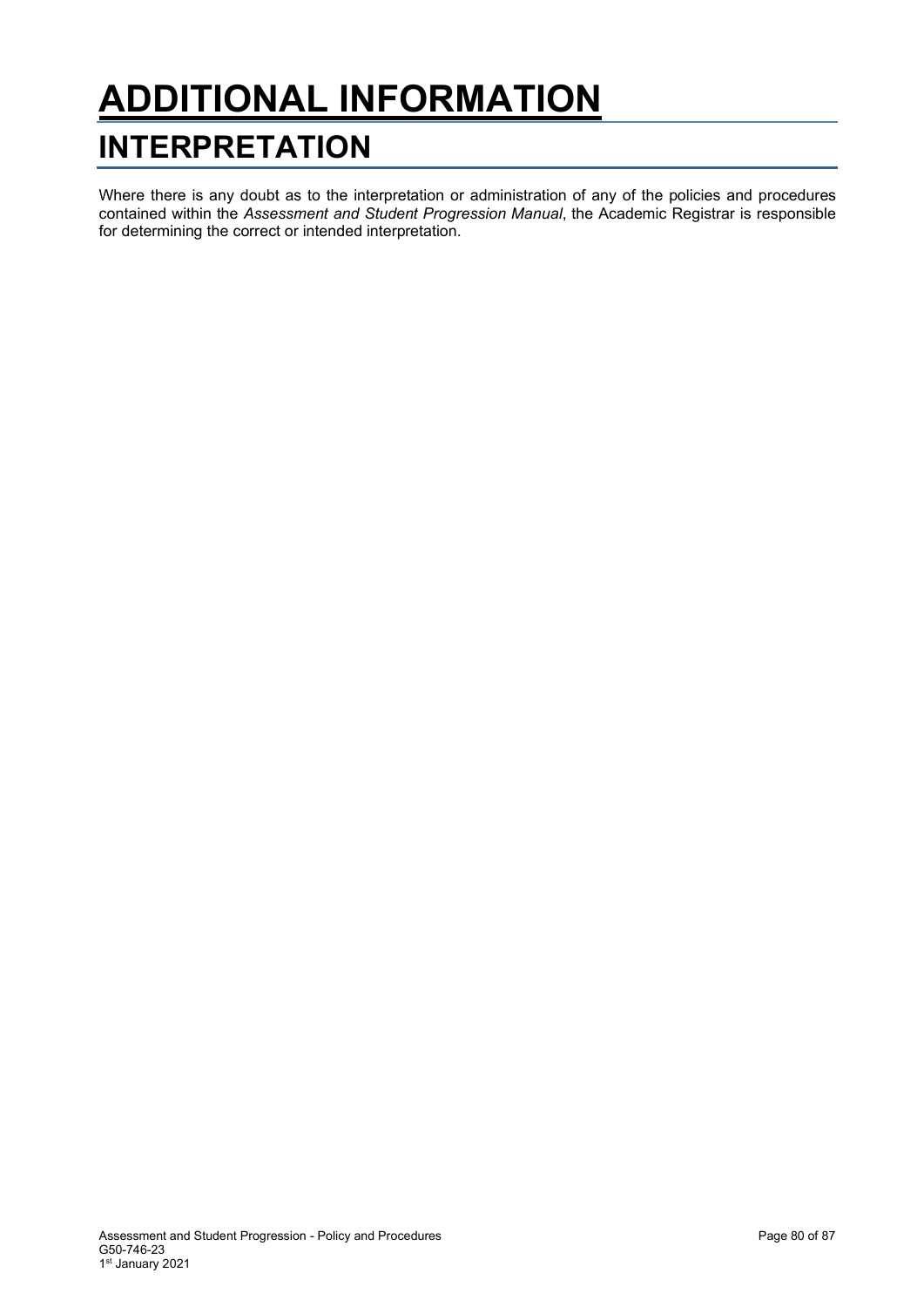# **ADDITIONAL INFORMATION INTERPRETATION**

Where there is any doubt as to the interpretation or administration of any of the policies and procedures contained within the *Assessment and Student Progression Manual*, the Academic Registrar is responsible for determining the correct or intended interpretation.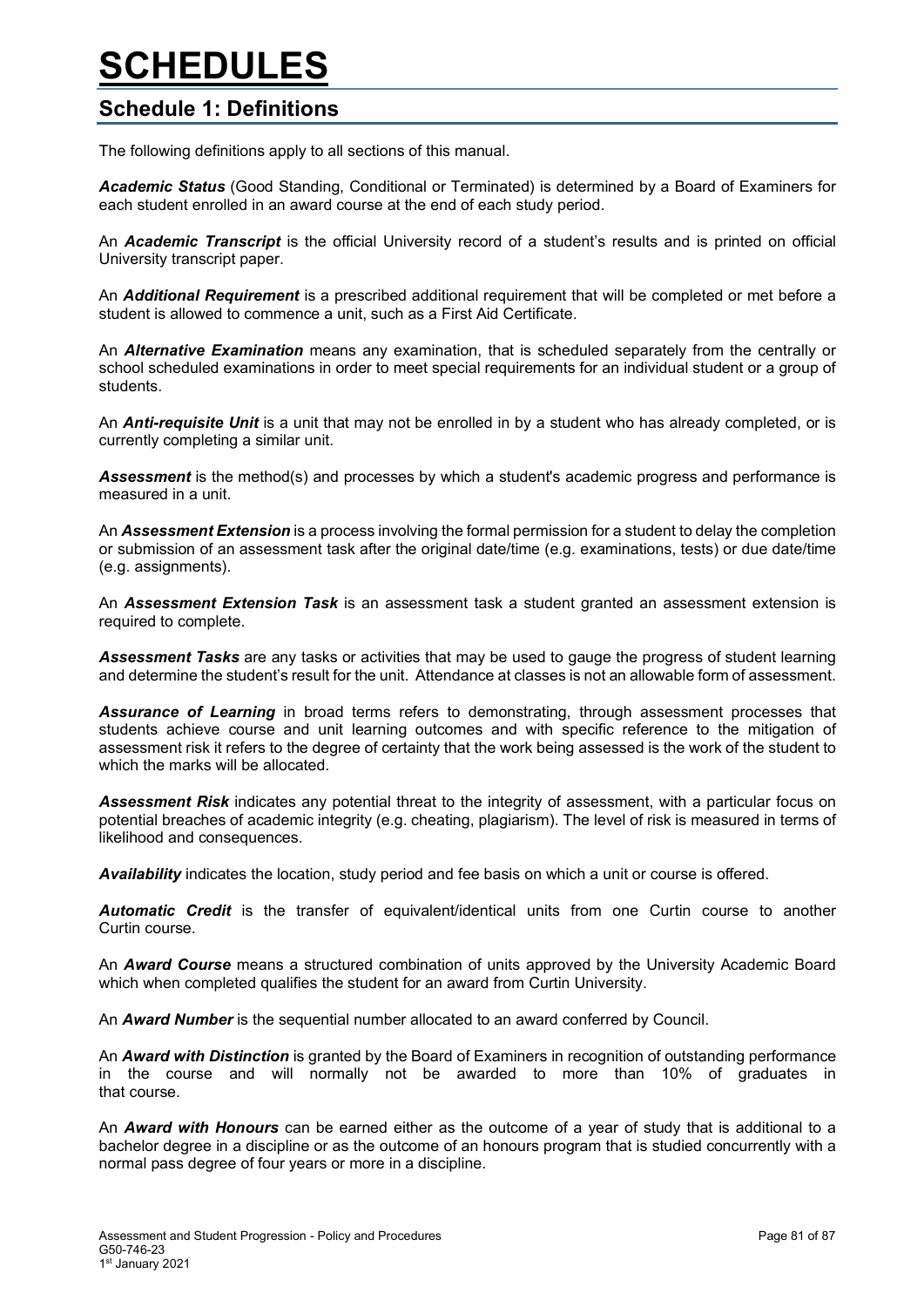# **SCHEDULES**

# **Schedule 1: Definitions**

The following definitions apply to all sections of this manual.

*Academic Status* (Good Standing, Conditional or Terminated) is determined by a Board of Examiners for each student enrolled in an award course at the end of each study period.

An *Academic Transcript* is the official University record of a student's results and is printed on official University transcript paper.

An *Additional Requirement* is a prescribed additional requirement that will be completed or met before a student is allowed to commence a unit, such as a First Aid Certificate.

An *Alternative Examination* means any examination, that is scheduled separately from the centrally or school scheduled examinations in order to meet special requirements for an individual student or a group of students.

An *Anti-requisite Unit* is a unit that may not be enrolled in by a student who has already completed, or is currently completing a similar unit.

*Assessment* is the method(s) and processes by which a student's academic progress and performance is measured in a unit.

An *Assessment Extension* is a process involving the formal permission for a student to delay the completion or submission of an assessment task after the original date/time (e.g. examinations, tests) or due date/time (e.g. assignments).

An *Assessment Extension Task* is an assessment task a student granted an assessment extension is required to complete.

*Assessment Tasks* are any tasks or activities that may be used to gauge the progress of student learning and determine the student's result for the unit. Attendance at classes is not an allowable form of assessment.

*Assurance of Learning* in broad terms refers to demonstrating, through assessment processes that students achieve course and unit learning outcomes and with specific reference to the mitigation of assessment risk it refers to the degree of certainty that the work being assessed is the work of the student to which the marks will be allocated.

*Assessment Risk* indicates any potential threat to the integrity of assessment, with a particular focus on potential breaches of academic integrity (e.g. cheating, plagiarism). The level of risk is measured in terms of likelihood and consequences.

*Availability* indicates the location, study period and fee basis on which a unit or course is offered.

*Automatic Credit* is the transfer of equivalent/identical units from one Curtin course to another Curtin course.

An *Award Course* means a structured combination of units approved by the University Academic Board which when completed qualifies the student for an award from Curtin University.

An *Award Number* is the sequential number allocated to an award conferred by Council.

An *Award with Distinction* is granted by the Board of Examiners in recognition of outstanding performance in the course and will normally not be awarded to more than 10% of graduates in that course.

An *Award with Honours* can be earned either as the outcome of a year of study that is additional to a bachelor degree in a discipline or as the outcome of an honours program that is studied concurrently with a normal pass degree of four years or more in a discipline.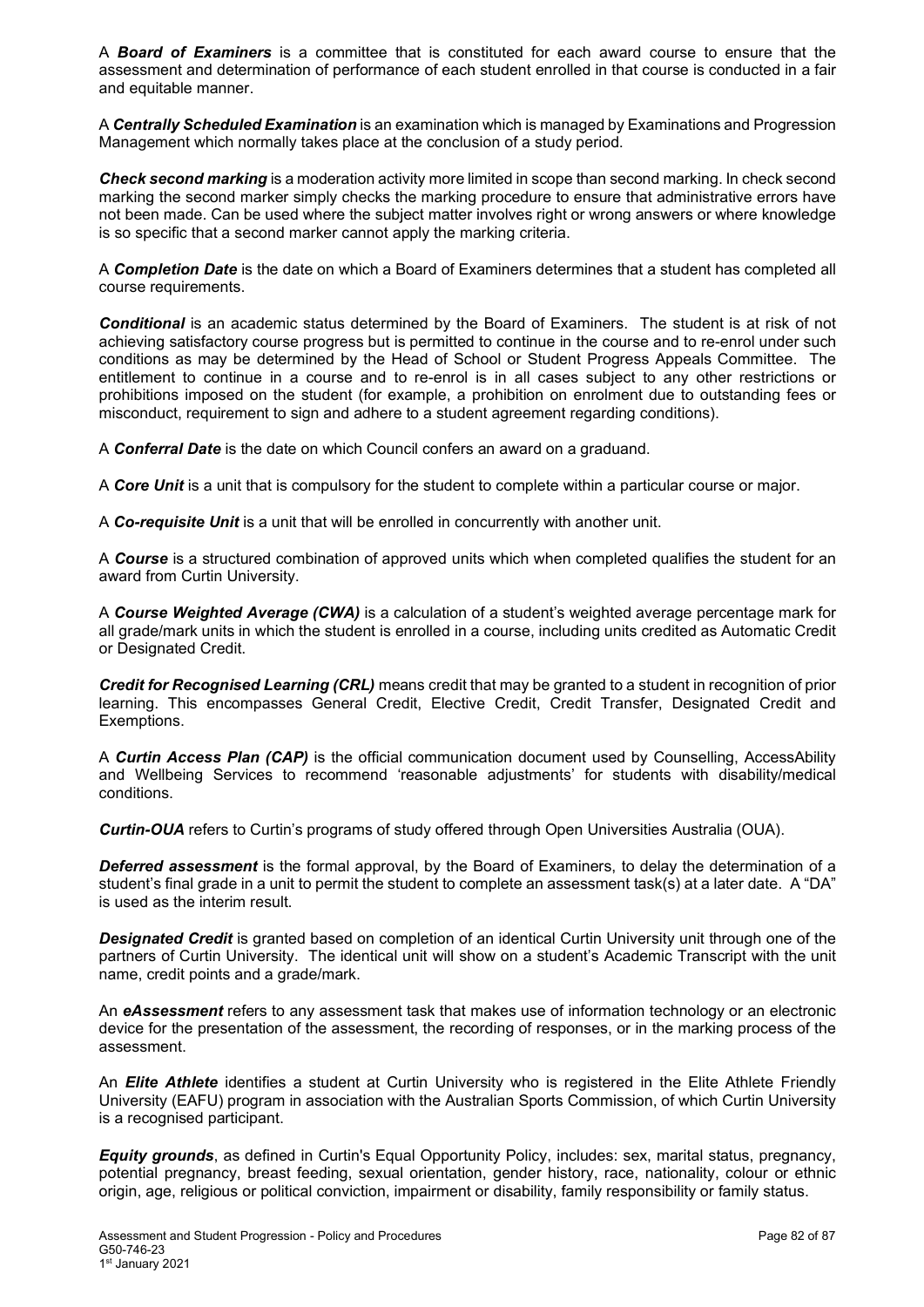A *Board of Examiners* is a committee that is constituted for each award course to ensure that the assessment and determination of performance of each student enrolled in that course is conducted in a fair and equitable manner.

A *Centrally Scheduled Examination* is an examination which is managed by Examinations and Progression Management which normally takes place at the conclusion of a study period.

*Check second marking* is a moderation activity more limited in scope than second marking. In check second marking the second marker simply checks the marking procedure to ensure that administrative errors have not been made. Can be used where the subject matter involves right or wrong answers or where knowledge is so specific that a second marker cannot apply the marking criteria.

A *Completion Date* is the date on which a Board of Examiners determines that a student has completed all course requirements.

*Conditional* is an academic status determined by the Board of Examiners. The student is at risk of not achieving satisfactory course progress but is permitted to continue in the course and to re-enrol under such conditions as may be determined by the Head of School or Student Progress Appeals Committee. The entitlement to continue in a course and to re-enrol is in all cases subject to any other restrictions or prohibitions imposed on the student (for example, a prohibition on enrolment due to outstanding fees or misconduct, requirement to sign and adhere to a student agreement regarding conditions).

A *Conferral Date* is the date on which Council confers an award on a graduand.

A *Core Unit* is a unit that is compulsory for the student to complete within a particular course or major.

A *Co-requisite Unit* is a unit that will be enrolled in concurrently with another unit.

A *Course* is a structured combination of approved units which when completed qualifies the student for an award from Curtin University.

A *Course Weighted Average (CWA)* is a calculation of a student's weighted average percentage mark for all grade/mark units in which the student is enrolled in a course, including units credited as Automatic Credit or Designated Credit.

*Credit for Recognised Learning (CRL)* means credit that may be granted to a student in recognition of prior learning. This encompasses General Credit, Elective Credit, Credit Transfer, Designated Credit and Exemptions.

A *Curtin Access Plan (CAP)* is the official communication document used by Counselling, AccessAbility and Wellbeing Services to recommend 'reasonable adjustments' for students with disability/medical conditions.

*Curtin-OUA* refers to Curtin's programs of study offered through Open Universities Australia (OUA).

*Deferred assessment* is the formal approval, by the Board of Examiners, to delay the determination of a student's final grade in a unit to permit the student to complete an assessment task(s) at a later date. A "DA" is used as the interim result.

*Designated Credit* is granted based on completion of an identical Curtin University unit through one of the partners of Curtin University. The identical unit will show on a student's Academic Transcript with the unit name, credit points and a grade/mark.

An *eAssessment* refers to any assessment task that makes use of information technology or an electronic device for the presentation of the assessment, the recording of responses, or in the marking process of the assessment.

An *Elite Athlete* identifies a student at Curtin University who is registered in the Elite Athlete Friendly University (EAFU) program in association with the Australian Sports Commission, of which Curtin University is a recognised participant.

*Equity grounds*, as defined in Curtin's Equal Opportunity Policy, includes: sex, marital status, pregnancy, potential pregnancy, breast feeding, sexual orientation, gender history, race, nationality, colour or ethnic origin, age, religious or political conviction, impairment or disability, family responsibility or family status.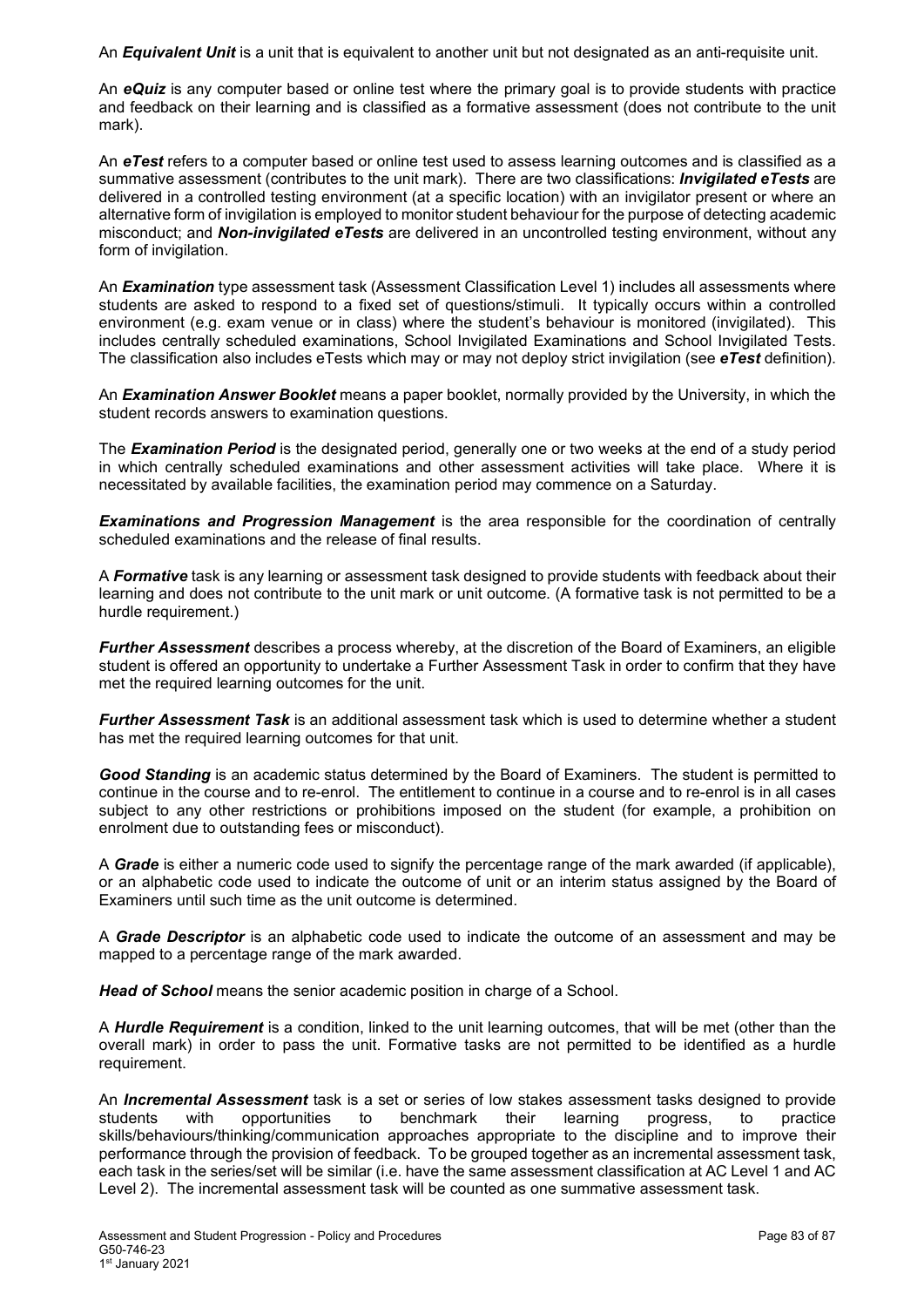An *Equivalent Unit* is a unit that is equivalent to another unit but not designated as an anti-requisite unit.

An *eQuiz* is any computer based or online test where the primary goal is to provide students with practice and feedback on their learning and is classified as a formative assessment (does not contribute to the unit mark).

An *eTest* refers to a computer based or online test used to assess learning outcomes and is classified as a summative assessment (contributes to the unit mark). There are two classifications: *Invigilated eTests* are delivered in a controlled testing environment (at a specific location) with an invigilator present or where an alternative form of invigilation is employed to monitor student behaviour for the purpose of detecting academic misconduct; and *Non-invigilated eTests* are delivered in an uncontrolled testing environment, without any form of invigilation.

An *Examination* type assessment task (Assessment Classification Level 1) includes all assessments where students are asked to respond to a fixed set of questions/stimuli. It typically occurs within a controlled environment (e.g. exam venue or in class) where the student's behaviour is monitored (invigilated). This includes centrally scheduled examinations, School Invigilated Examinations and School Invigilated Tests. The classification also includes eTests which may or may not deploy strict invigilation (see *eTest* definition).

An *Examination Answer Booklet* means a paper booklet, normally provided by the University, in which the student records answers to examination questions.

The *Examination Period* is the designated period, generally one or two weeks at the end of a study period in which centrally scheduled examinations and other assessment activities will take place. Where it is necessitated by available facilities, the examination period may commence on a Saturday.

*Examinations and Progression Management* is the area responsible for the coordination of centrally scheduled examinations and the release of final results.

A *Formative* task is any learning or assessment task designed to provide students with feedback about their learning and does not contribute to the unit mark or unit outcome. (A formative task is not permitted to be a hurdle requirement.)

*Further Assessment* describes a process whereby, at the discretion of the Board of Examiners, an eligible student is offered an opportunity to undertake a Further Assessment Task in order to confirm that they have met the required learning outcomes for the unit.

*Further Assessment Task* is an additional assessment task which is used to determine whether a student has met the required learning outcomes for that unit.

*Good Standing* is an academic status determined by the Board of Examiners. The student is permitted to continue in the course and to re-enrol. The entitlement to continue in a course and to re-enrol is in all cases subject to any other restrictions or prohibitions imposed on the student (for example, a prohibition on enrolment due to outstanding fees or misconduct).

A *Grade* is either a numeric code used to signify the percentage range of the mark awarded (if applicable), or an alphabetic code used to indicate the outcome of unit or an interim status assigned by the Board of Examiners until such time as the unit outcome is determined.

A *Grade Descriptor* is an alphabetic code used to indicate the outcome of an assessment and may be mapped to a percentage range of the mark awarded.

*Head of School* means the senior academic position in charge of a School.

A *Hurdle Requirement* is a condition, linked to the unit learning outcomes, that will be met (other than the overall mark) in order to pass the unit. Formative tasks are not permitted to be identified as a hurdle requirement.

An *Incremental Assessment* task is a set or series of low stakes assessment tasks designed to provide opportunities to benchmark their learning progress, to skills/behaviours/thinking/communication approaches appropriate to the discipline and to improve their performance through the provision of feedback. To be grouped together as an incremental assessment task, each task in the series/set will be similar (i.e. have the same assessment classification at AC Level 1 and AC Level 2). The incremental assessment task will be counted as one summative assessment task.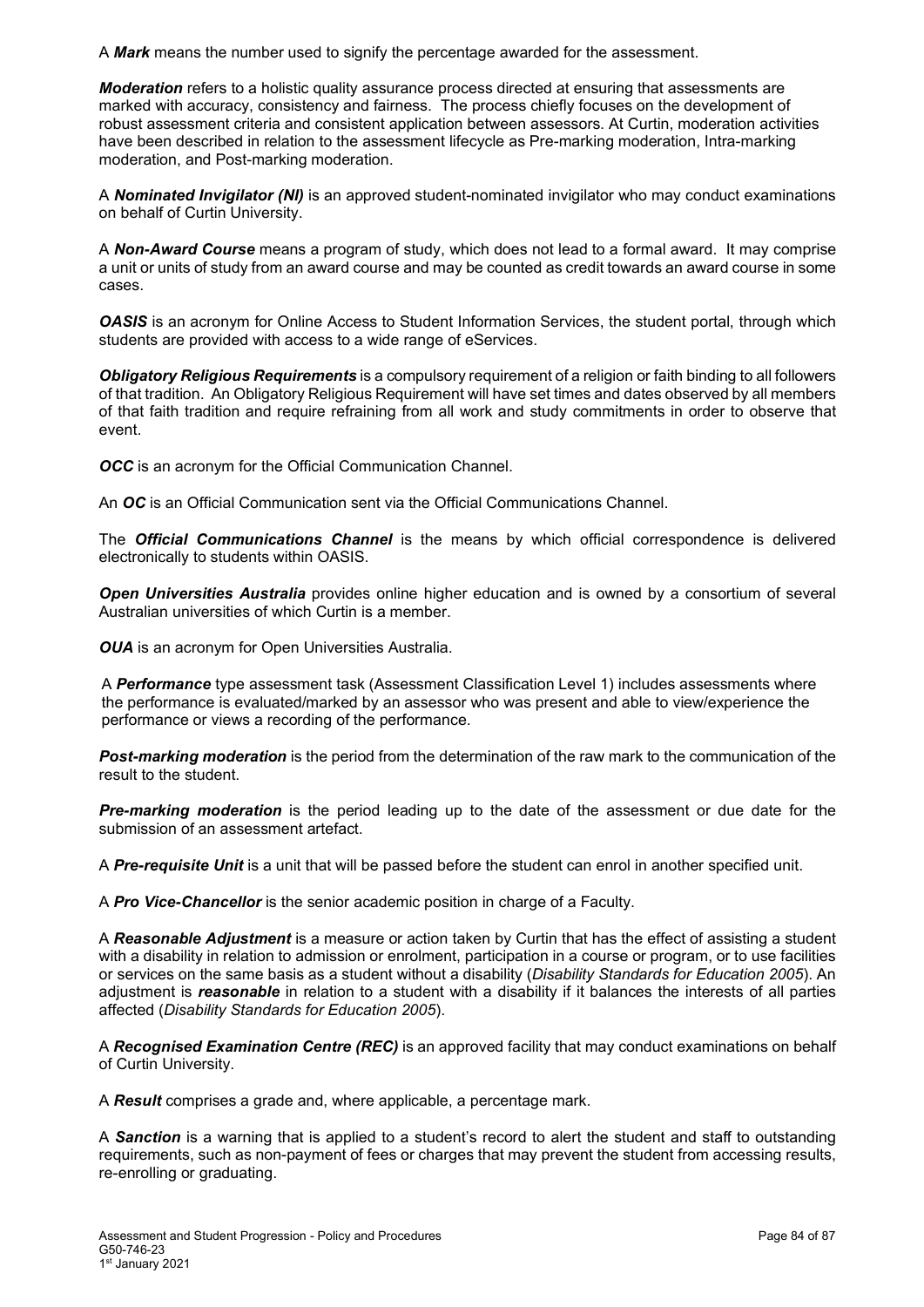A *Mark* means the number used to signify the percentage awarded for the assessment.

*Moderation* refers to a holistic quality assurance process directed at ensuring that assessments are marked with accuracy, consistency and fairness. The process chiefly focuses on the development of robust assessment criteria and consistent application between assessors. At Curtin, moderation activities have been described in relation to the assessment lifecycle as Pre-marking moderation, Intra-marking moderation, and Post-marking moderation.

A *Nominated Invigilator (NI)* is an approved student-nominated invigilator who may conduct examinations on behalf of Curtin University.

A *Non-Award Course* means a program of study, which does not lead to a formal award. It may comprise a unit or units of study from an award course and may be counted as credit towards an award course in some cases.

**OASIS** is an acronym for Online Access to Student Information Services, the student portal, through which students are provided with access to a wide range of eServices.

*Obligatory Religious Requirements* is a compulsory requirement of a religion or faith binding to all followers of that tradition. An Obligatory Religious Requirement will have set times and dates observed by all members of that faith tradition and require refraining from all work and study commitments in order to observe that event.

*OCC* is an acronym for the Official Communication Channel.

An *OC* is an Official Communication sent via the Official Communications Channel.

The *Official Communications Channel* is the means by which official correspondence is delivered electronically to students within OASIS.

*Open Universities Australia* provides online higher education and is owned by a consortium of several Australian universities of which Curtin is a member.

*OUA* is an acronym for Open Universities Australia.

A *Performance* type assessment task (Assessment Classification Level 1) includes assessments where the performance is evaluated/marked by an assessor who was present and able to view/experience the performance or views a recording of the performance.

*Post-marking moderation* is the period from the determination of the raw mark to the communication of the result to the student.

*Pre-marking moderation* is the period leading up to the date of the assessment or due date for the submission of an assessment artefact.

A *Pre-requisite Unit* is a unit that will be passed before the student can enrol in another specified unit.

A *Pro Vice-Chancellor* is the senior academic position in charge of a Faculty.

A *Reasonable Adjustment* is a measure or action taken by Curtin that has the effect of assisting a student with a disability in relation to admission or enrolment, participation in a course or program, or to use facilities or services on the same basis as a student without a disability (*Disability Standards for Education 2005*). An adjustment is *reasonable* in relation to a student with a disability if it balances the interests of all parties affected (*Disability Standards for Education 2005*).

A *Recognised Examination Centre (REC)* is an approved facility that may conduct examinations on behalf of Curtin University.

A *Result* comprises a grade and, where applicable, a percentage mark.

A *Sanction* is a warning that is applied to a student's record to alert the student and staff to outstanding requirements, such as non-payment of fees or charges that may prevent the student from accessing results, re-enrolling or graduating.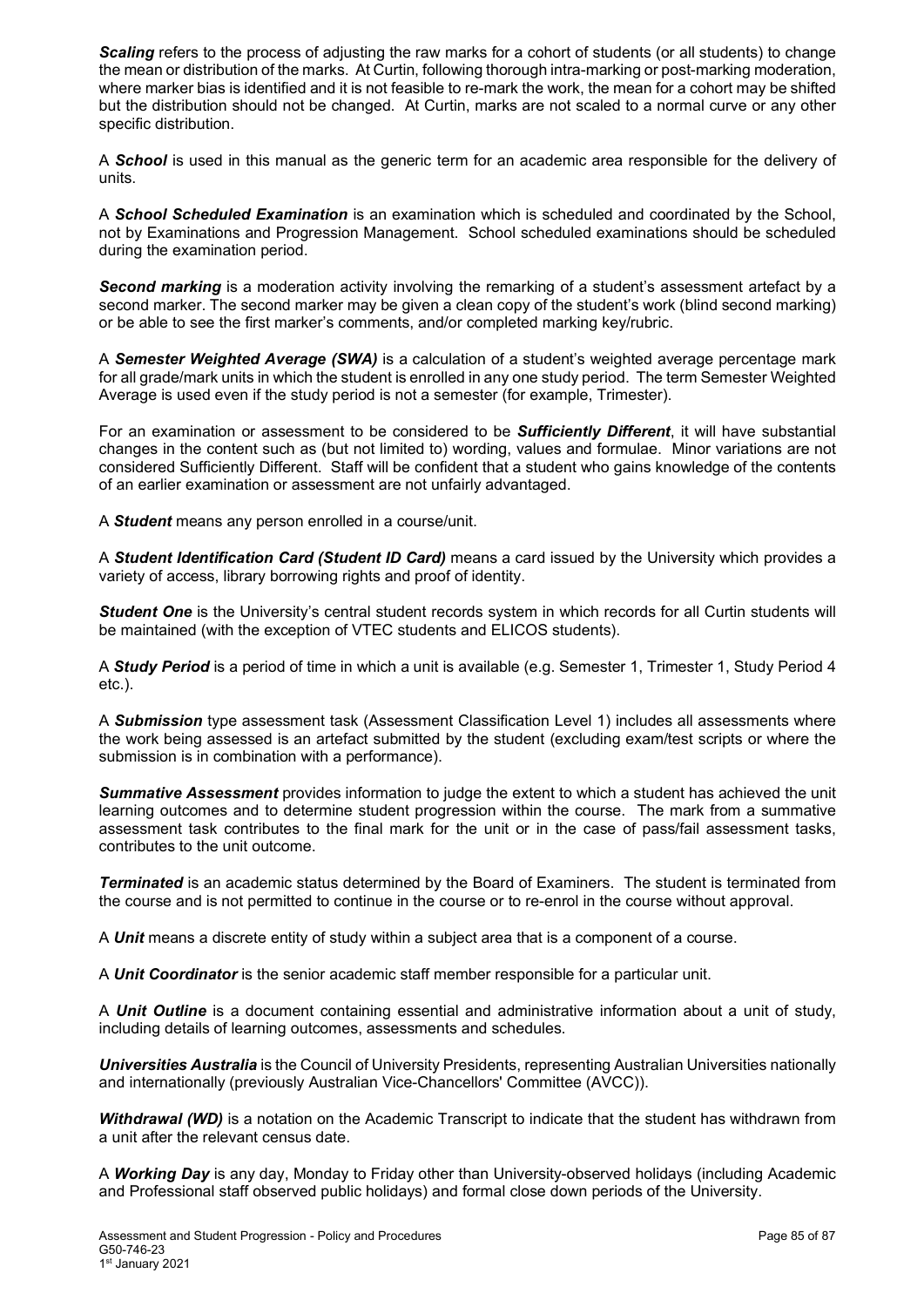**Scaling** refers to the process of adjusting the raw marks for a cohort of students (or all students) to change the mean or distribution of the marks. At Curtin, following thorough intra-marking or post-marking moderation, where marker bias is identified and it is not feasible to re-mark the work, the mean for a cohort may be shifted but the distribution should not be changed. At Curtin, marks are not scaled to a normal curve or any other specific distribution.

A *School* is used in this manual as the generic term for an academic area responsible for the delivery of units.

A *School Scheduled Examination* is an examination which is scheduled and coordinated by the School, not by Examinations and Progression Management. School scheduled examinations should be scheduled during the examination period.

*Second marking* is a moderation activity involving the remarking of a student's assessment artefact by a second marker. The second marker may be given a clean copy of the student's work (blind second marking) or be able to see the first marker's comments, and/or completed marking key/rubric.

A *Semester Weighted Average (SWA)* is a calculation of a student's weighted average percentage mark for all grade/mark units in which the student is enrolled in any one study period. The term Semester Weighted Average is used even if the study period is not a semester (for example, Trimester).

For an examination or assessment to be considered to be *Sufficiently Different*, it will have substantial changes in the content such as (but not limited to) wording, values and formulae. Minor variations are not considered Sufficiently Different. Staff will be confident that a student who gains knowledge of the contents of an earlier examination or assessment are not unfairly advantaged.

A *Student* means any person enrolled in a course/unit.

A *Student Identification Card (Student ID Card)* means a card issued by the University which provides a variety of access, library borrowing rights and proof of identity.

*Student One* is the University's central student records system in which records for all Curtin students will be maintained (with the exception of VTEC students and ELICOS students).

A *Study Period* is a period of time in which a unit is available (e.g. Semester 1, Trimester 1, Study Period 4 etc.).

A *Submission* type assessment task (Assessment Classification Level 1) includes all assessments where the work being assessed is an artefact submitted by the student (excluding exam/test scripts or where the submission is in combination with a performance).

*Summative Assessment* provides information to judge the extent to which a student has achieved the unit learning outcomes and to determine student progression within the course. The mark from a summative assessment task contributes to the final mark for the unit or in the case of pass/fail assessment tasks, contributes to the unit outcome.

*Terminated* is an academic status determined by the Board of Examiners. The student is terminated from the course and is not permitted to continue in the course or to re-enrol in the course without approval.

A *Unit* means a discrete entity of study within a subject area that is a component of a course.

A *Unit Coordinator* is the senior academic staff member responsible for a particular unit.

A *Unit Outline* is a document containing essential and administrative information about a unit of study, including details of learning outcomes, assessments and schedules.

*Universities Australia* is the Council of University Presidents, representing Australian Universities nationally and internationally (previously Australian Vice-Chancellors' Committee (AVCC)).

*Withdrawal (WD)* is a notation on the Academic Transcript to indicate that the student has withdrawn from a unit after the relevant census date.

A *Working Day* is any day, Monday to Friday other than University-observed holidays (including Academic and Professional staff observed public holidays) and formal close down periods of the University.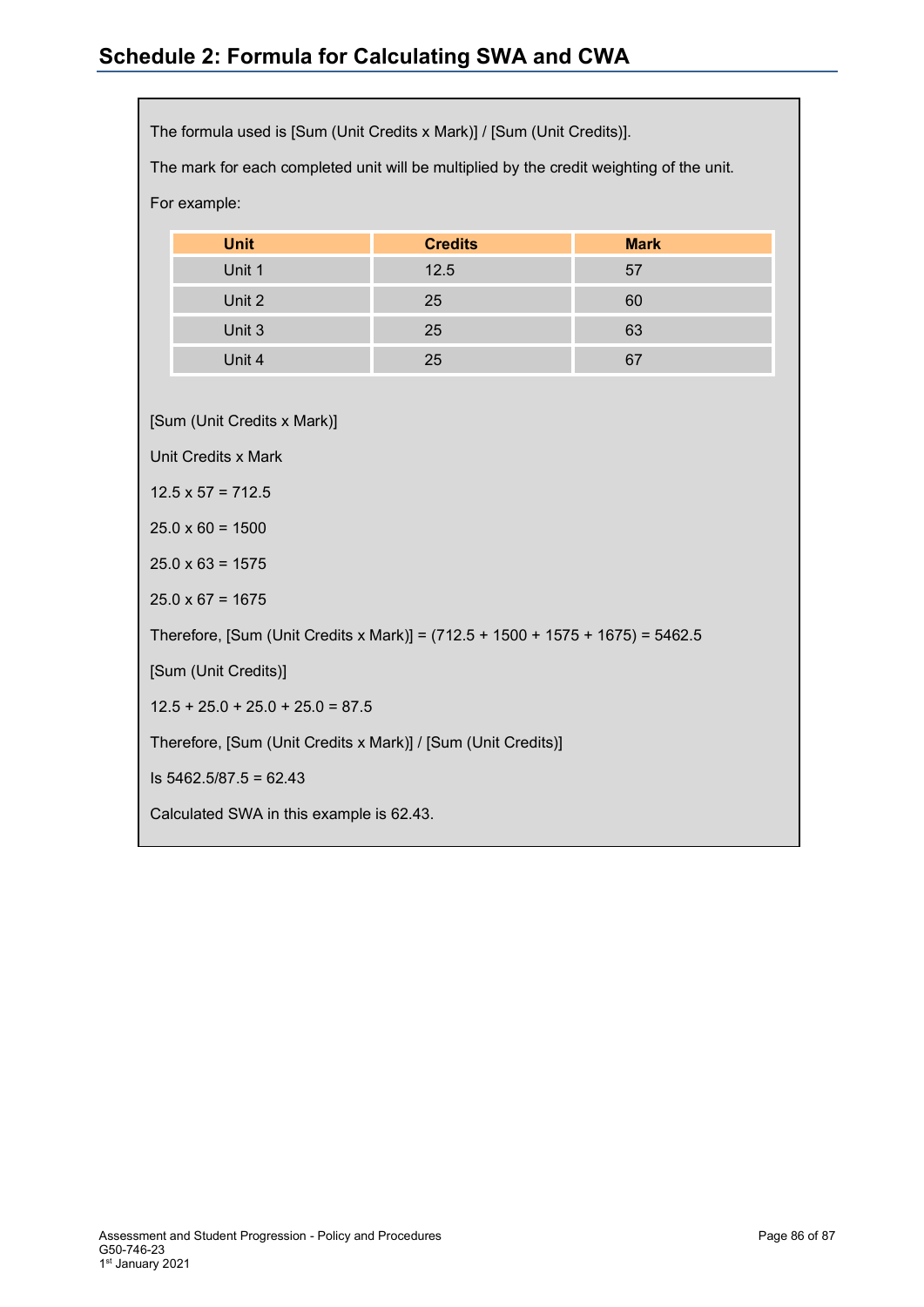# **Schedule 2: Formula for Calculating SWA and CWA**

The formula used is [Sum (Unit Credits x Mark)] / [Sum (Unit Credits)].

The mark for each completed unit will be multiplied by the credit weighting of the unit.

| For example: |  |
|--------------|--|
|              |  |

| <b>Unit</b> | <b>Credits</b> | <b>Mark</b> |
|-------------|----------------|-------------|
| Unit 1      | 12.5           | 57          |
| Unit 2      | 25             | 60          |
| Unit 3      | 25             | 63          |
| Unit 4      | 25             |             |

[Sum (Unit Credits x Mark)]

Unit Credits x Mark

 $12.5 \times 57 = 712.5$ 

 $25.0 \times 60 = 1500$ 

 $25.0 \times 63 = 1575$ 

 $25.0 \times 67 = 1675$ 

Therefore, [Sum (Unit Credits x Mark)] = (712.5 + 1500 + 1575 + 1675) = 5462.5

[Sum (Unit Credits)]

 $12.5 + 25.0 + 25.0 + 25.0 = 87.5$ 

Therefore, [Sum (Unit Credits x Mark)] / [Sum (Unit Credits)]

Is  $5462.5/87.5 = 62.43$ 

Calculated SWA in this example is 62.43.